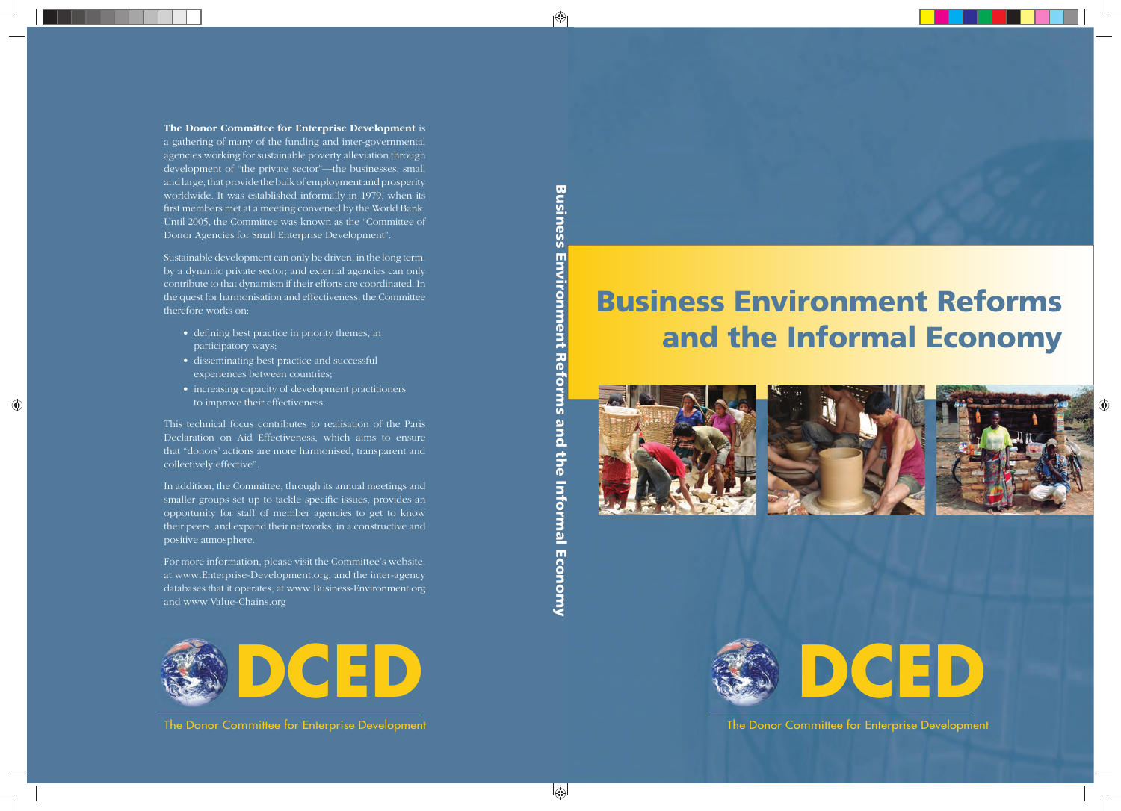## **Business Environment Reforms and the Informal Economy**









The Donor Committee for Enterprise Development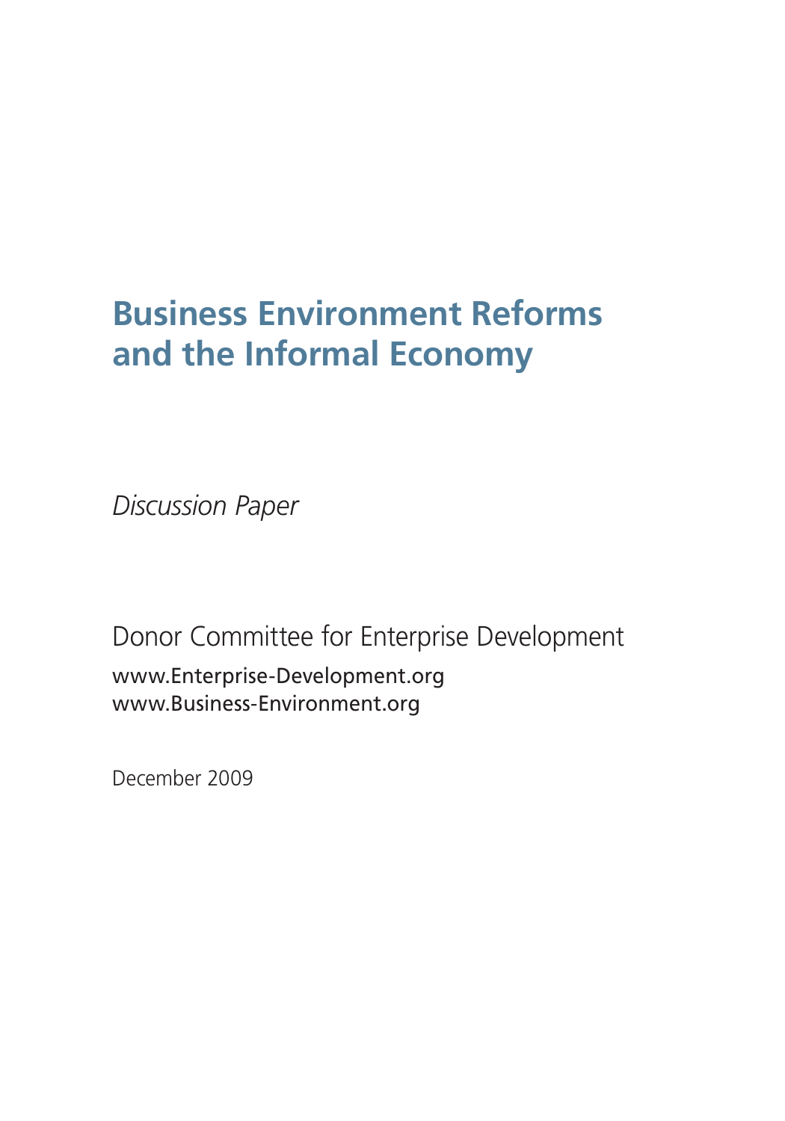## **Business Environment Reforms and the Informal Economy**

*Discussion Paper*

Donor Committee for Enterprise Development www.Enterprise-Development.org www.Business-Environment.org

December 2009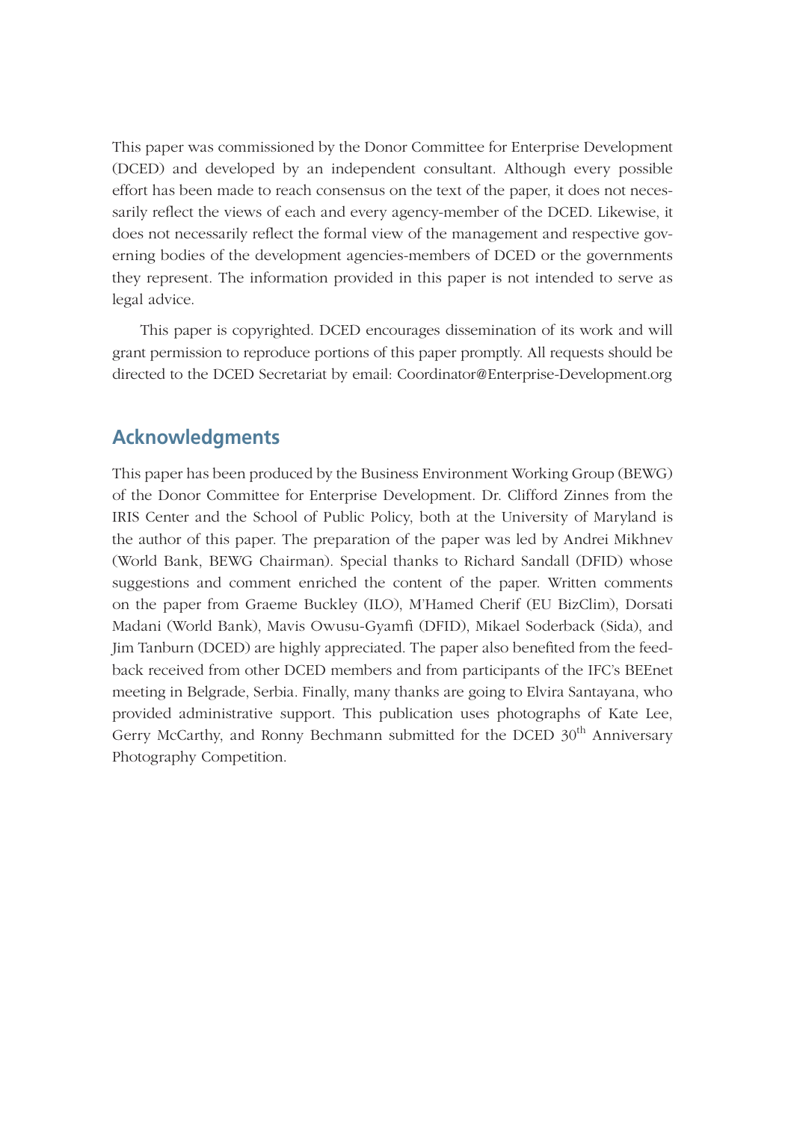This paper was commissioned by the Donor Committee for Enterprise Development (DCED) and developed by an independent consultant. Although every possible effort has been made to reach consensus on the text of the paper, it does not necessarily reflect the views of each and every agency-member of the DCED. Likewise, it does not necessarily reflect the formal view of the management and respective governing bodies of the development agencies-members of DCED or the governments they represent. The information provided in this paper is not intended to serve as legal advice.

This paper is copyrighted. DCED encourages dissemination of its work and will grant permission to reproduce portions of this paper promptly. All requests should be directed to the DCED Secretariat by email: Coordinator@Enterprise-Development.org

#### **Acknowledgments**

This paper has been produced by the Business Environment Working Group (BEWG) of the Donor Committee for Enterprise Development. Dr. Clifford Zinnes from the IRIS Center and the School of Public Policy, both at the University of Maryland is the author of this paper. The preparation of the paper was led by Andrei Mikhnev (World Bank, BEWG Chairman). Special thanks to Richard Sandall (DFID) whose suggestions and comment enriched the content of the paper. Written comments on the paper from Graeme Buckley (ILO), M'Hamed Cherif (EU BizClim), Dorsati Madani (World Bank), Mavis Owusu-Gyamfi (DFID), Mikael Soderback (Sida), and Jim Tanburn (DCED) are highly appreciated. The paper also benefited from the feedback received from other DCED members and from participants of the IFC's BEEnet meeting in Belgrade, Serbia. Finally, many thanks are going to Elvira Santayana, who provided administrative support. This publication uses photographs of Kate Lee, Gerry McCarthy, and Ronny Bechmann submitted for the DCED 30<sup>th</sup> Anniversary Photography Competition.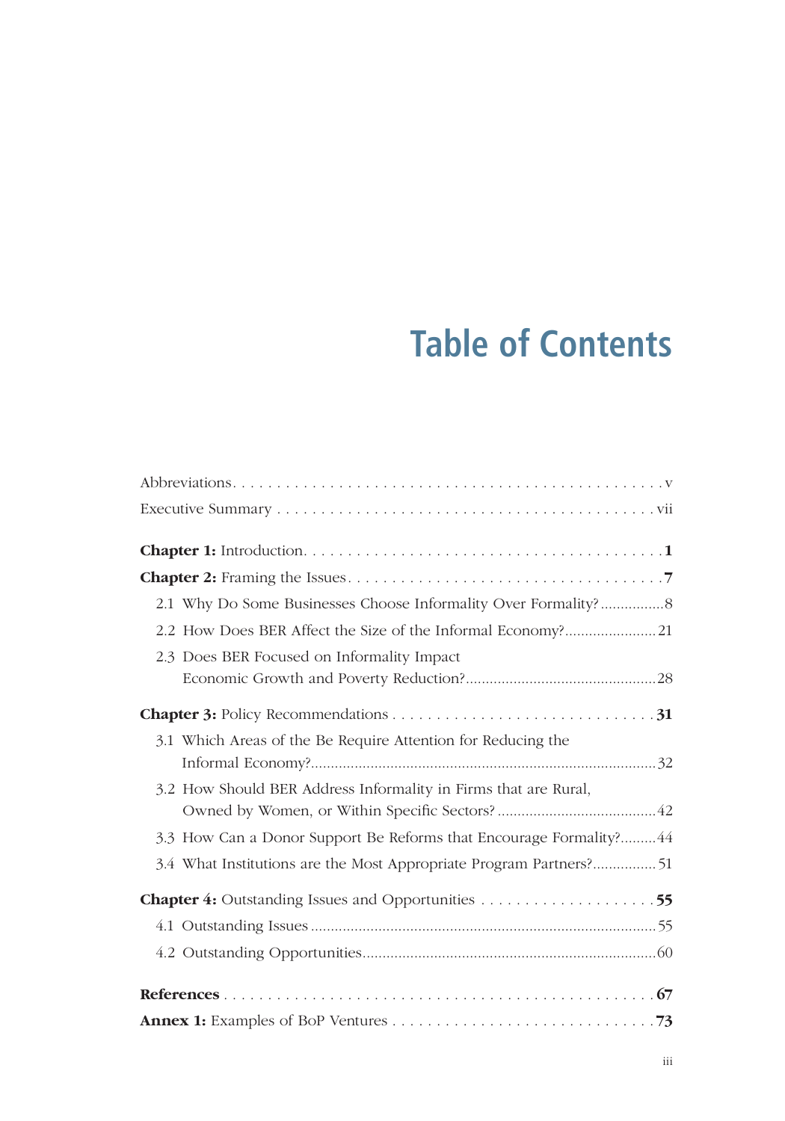## **Table of Contents**

| 2.1 Why Do Some Businesses Choose Informality Over Formality? 8     |  |
|---------------------------------------------------------------------|--|
| 2.2 How Does BER Affect the Size of the Informal Economy?21         |  |
| 2.3 Does BER Focused on Informality Impact                          |  |
|                                                                     |  |
|                                                                     |  |
| 3.1 Which Areas of the Be Require Attention for Reducing the        |  |
|                                                                     |  |
| 3.2 How Should BER Address Informality in Firms that are Rural,     |  |
|                                                                     |  |
| 3.3 How Can a Donor Support Be Reforms that Encourage Formality? 44 |  |
| 3.4 What Institutions are the Most Appropriate Program Partners?51  |  |
| <b>Chapter 4:</b> Outstanding Issues and Opportunities 55           |  |
|                                                                     |  |
|                                                                     |  |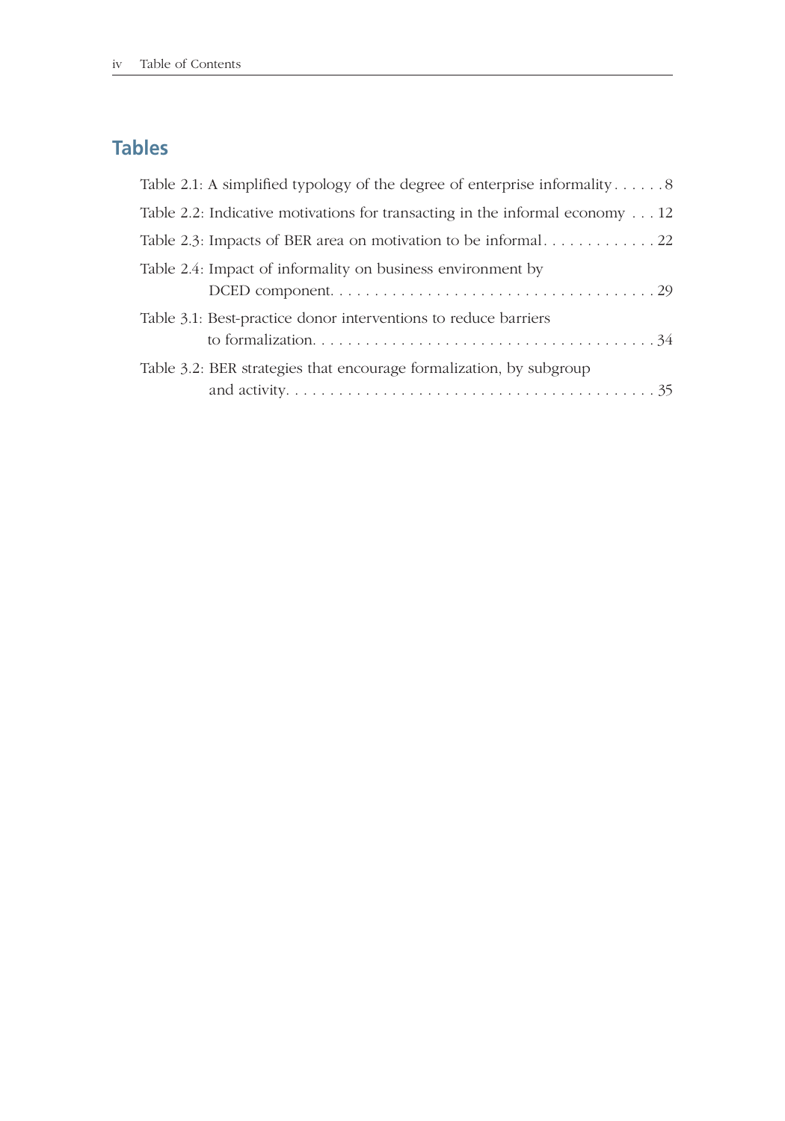## **Tables**

| Table 2.1: A simplified typology of the degree of enterprise informality 8           |
|--------------------------------------------------------------------------------------|
| Table 2.2: Indicative motivations for transacting in the informal economy $\dots$ 12 |
|                                                                                      |
|                                                                                      |
|                                                                                      |
|                                                                                      |
|                                                                                      |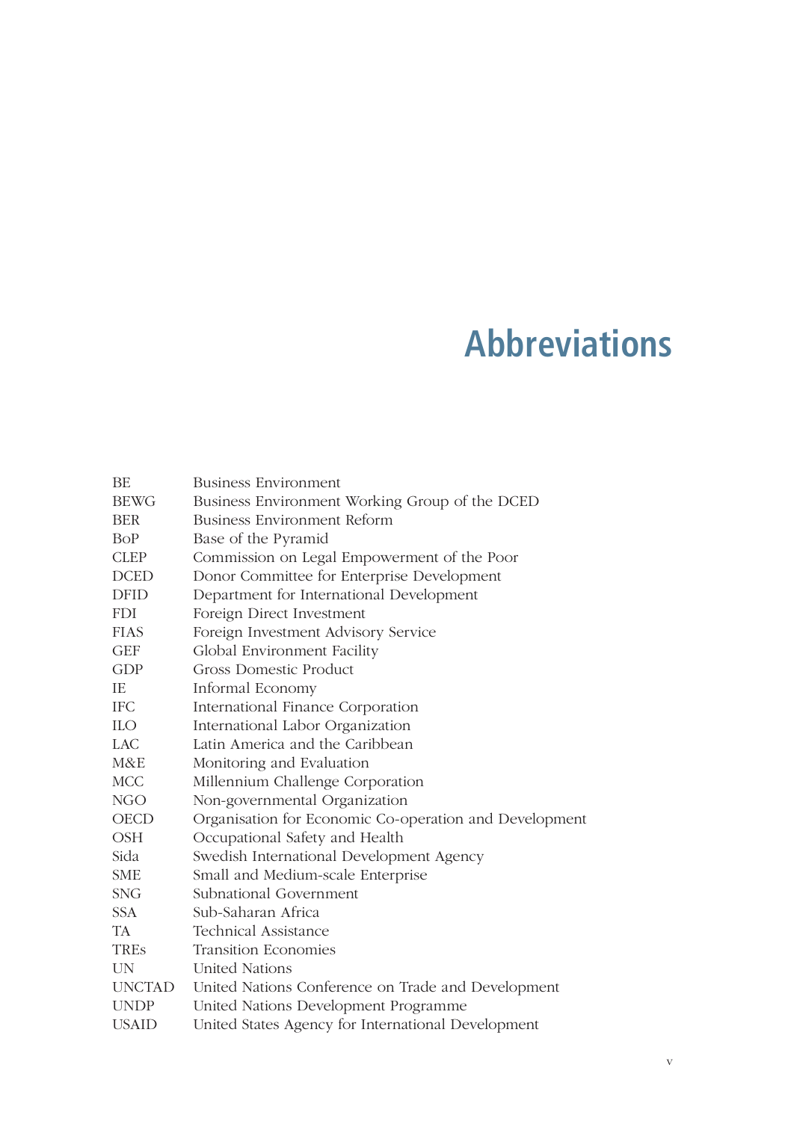## **Abbreviations**

| <b>BE</b>    | <b>Business Environment</b>                            |  |  |  |
|--------------|--------------------------------------------------------|--|--|--|
| <b>BEWG</b>  | Business Environment Working Group of the DCED         |  |  |  |
| <b>BER</b>   | Business Environment Reform                            |  |  |  |
| BoP          | Base of the Pyramid                                    |  |  |  |
| <b>CLEP</b>  | Commission on Legal Empowerment of the Poor            |  |  |  |
| <b>DCED</b>  | Donor Committee for Enterprise Development             |  |  |  |
| <b>DFID</b>  | Department for International Development               |  |  |  |
| <b>FDI</b>   | Foreign Direct Investment                              |  |  |  |
| <b>FIAS</b>  | Foreign Investment Advisory Service                    |  |  |  |
| <b>GEF</b>   | Global Environment Facility                            |  |  |  |
| GDP          | Gross Domestic Product                                 |  |  |  |
| IE.          | Informal Economy                                       |  |  |  |
| <b>IFC</b>   | International Finance Corporation                      |  |  |  |
| <b>ILO</b>   | International Labor Organization                       |  |  |  |
| LAC.         | Latin America and the Caribbean                        |  |  |  |
| M&E          | Monitoring and Evaluation                              |  |  |  |
| <b>MCC</b>   | Millennium Challenge Corporation                       |  |  |  |
| NGO          | Non-governmental Organization                          |  |  |  |
| <b>OECD</b>  | Organisation for Economic Co-operation and Development |  |  |  |
| <b>OSH</b>   | Occupational Safety and Health                         |  |  |  |
| Sida         | Swedish International Development Agency               |  |  |  |
| <b>SME</b>   | Small and Medium-scale Enterprise                      |  |  |  |
| <b>SNG</b>   | Subnational Government                                 |  |  |  |
| SSA.         | Sub-Saharan Africa                                     |  |  |  |
| <b>TA</b>    | Technical Assistance                                   |  |  |  |
| <b>TRES</b>  | <b>Transition Economies</b>                            |  |  |  |
| <b>IIN</b>   | <b>United Nations</b>                                  |  |  |  |
| UNCTAD       | United Nations Conference on Trade and Development     |  |  |  |
| <b>UNDP</b>  | United Nations Development Programme                   |  |  |  |
| <b>USAID</b> | United States Agency for International Development     |  |  |  |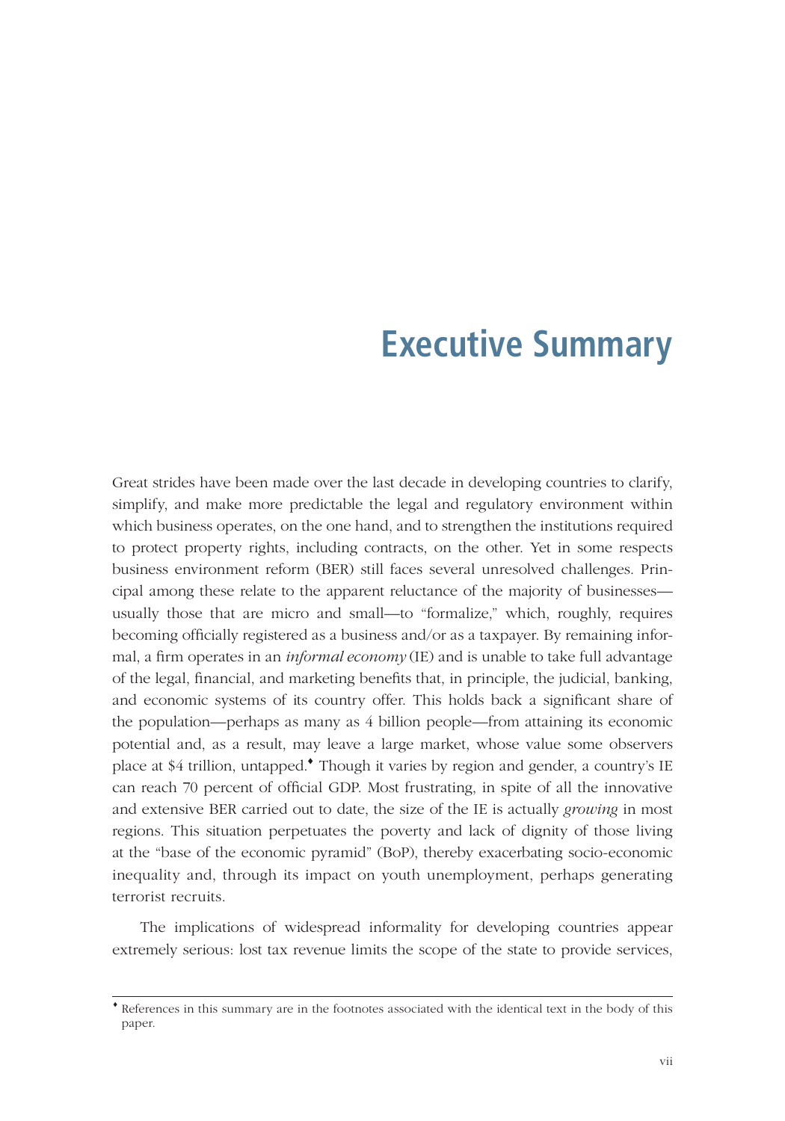## **Executive Summary**

Great strides have been made over the last decade in developing countries to clarify, simplify, and make more predictable the legal and regulatory environment within which business operates, on the one hand, and to strengthen the institutions required to protect property rights, including contracts, on the other. Yet in some respects business environment reform (BER) still faces several unresolved challenges. Principal among these relate to the apparent reluctance of the majority of businesses usually those that are micro and small—to "formalize," which, roughly, requires becoming officially registered as a business and/or as a taxpayer. By remaining informal, a firm operates in an *informal economy* (IE) and is unable to take full advantage of the legal, financial, and marketing benefits that, in principle, the judicial, banking, and economic systems of its country offer. This holds back a significant share of the population—perhaps as many as 4 billion people—from attaining its economic potential and, as a result, may leave a large market, whose value some observers place at \$4 trillion, untapped.♦ Though it varies by region and gender, a country's IE can reach 70 percent of official GDP. Most frustrating, in spite of all the innovative and extensive BER carried out to date, the size of the IE is actually *growing* in most regions. This situation perpetuates the poverty and lack of dignity of those living at the "base of the economic pyramid" (BoP), thereby exacerbating socio-economic inequality and, through its impact on youth unemployment, perhaps generating terrorist recruits.

The implications of widespread informality for developing countries appear extremely serious: lost tax revenue limits the scope of the state to provide services,

<sup>♦</sup> References in this summary are in the footnotes associated with the identical text in the body of this paper.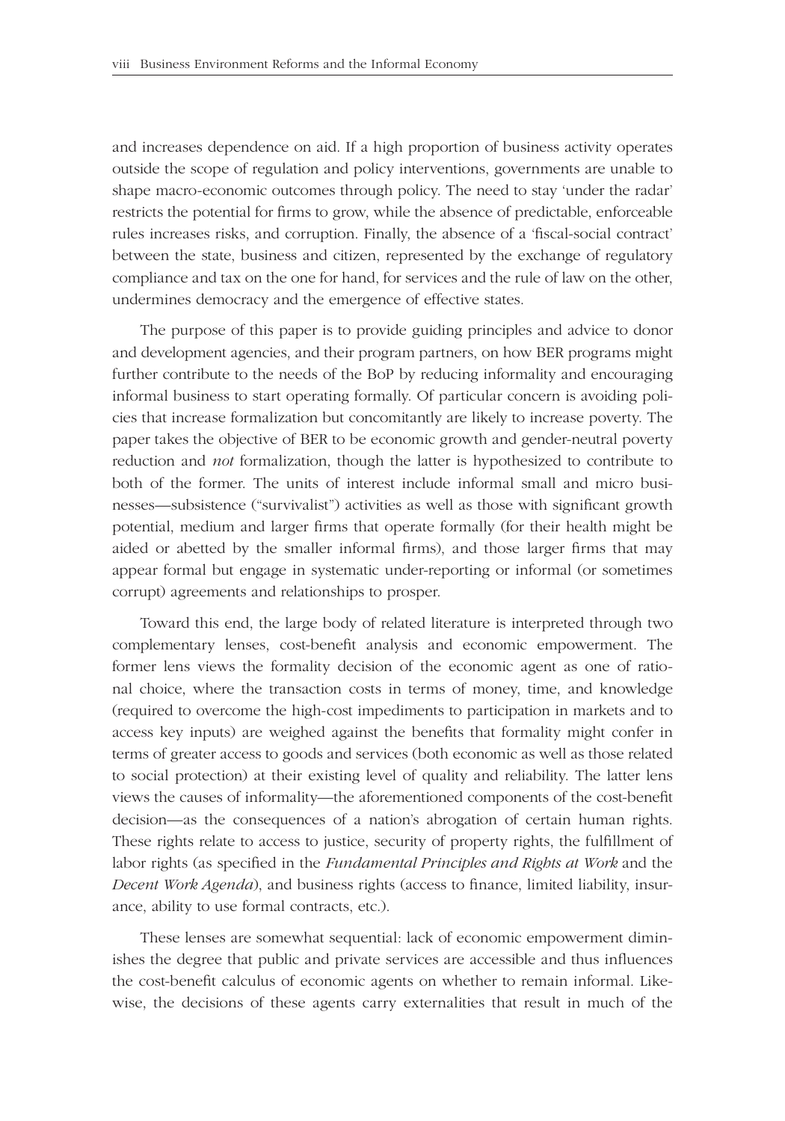and increases dependence on aid. If a high proportion of business activity operates outside the scope of regulation and policy interventions, governments are unable to shape macro-economic outcomes through policy. The need to stay 'under the radar' restricts the potential for firms to grow, while the absence of predictable, enforceable rules increases risks, and corruption. Finally, the absence of a 'fiscal-social contract' between the state, business and citizen, represented by the exchange of regulatory compliance and tax on the one for hand, for services and the rule of law on the other, undermines democracy and the emergence of effective states.

The purpose of this paper is to provide guiding principles and advice to donor and development agencies, and their program partners, on how BER programs might further contribute to the needs of the BoP by reducing informality and encouraging informal business to start operating formally. Of particular concern is avoiding policies that increase formalization but concomitantly are likely to increase poverty. The paper takes the objective of BER to be economic growth and gender-neutral poverty reduction and *not* formalization, though the latter is hypothesized to contribute to both of the former. The units of interest include informal small and micro businesses—subsistence ("survivalist") activities as well as those with significant growth potential, medium and larger firms that operate formally (for their health might be aided or abetted by the smaller informal firms), and those larger firms that may appear formal but engage in systematic under-reporting or informal (or sometimes corrupt) agreements and relationships to prosper.

Toward this end, the large body of related literature is interpreted through two complementary lenses, cost-benefit analysis and economic empowerment. The former lens views the formality decision of the economic agent as one of rational choice, where the transaction costs in terms of money, time, and knowledge (required to overcome the high-cost impediments to participation in markets and to access key inputs) are weighed against the benefits that formality might confer in terms of greater access to goods and services (both economic as well as those related to social protection) at their existing level of quality and reliability. The latter lens views the causes of informality—the aforementioned components of the cost-benefit decision—as the consequences of a nation's abrogation of certain human rights. These rights relate to access to justice, security of property rights, the fulfillment of labor rights (as specified in the *Fundamental Principles and Rights at Work* and the *Decent Work Agenda*), and business rights (access to finance, limited liability, insurance, ability to use formal contracts, etc.).

These lenses are somewhat sequential: lack of economic empowerment diminishes the degree that public and private services are accessible and thus influences the cost-benefit calculus of economic agents on whether to remain informal. Likewise, the decisions of these agents carry externalities that result in much of the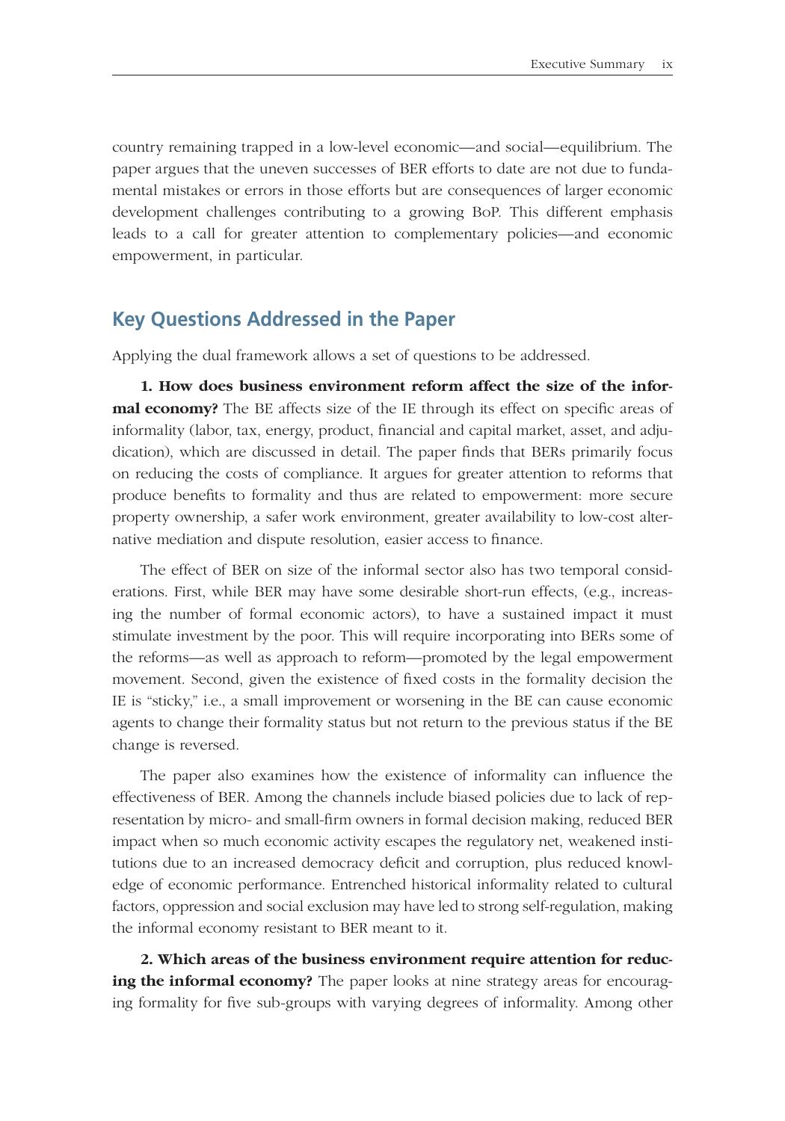country remaining trapped in a low-level economic—and social—equilibrium. The paper argues that the uneven successes of BER efforts to date are not due to fundamental mistakes or errors in those efforts but are consequences of larger economic development challenges contributing to a growing BoP. This different emphasis leads to a call for greater attention to complementary policies—and economic empowerment, in particular.

#### **Key Questions Addressed in the Paper**

Applying the dual framework allows a set of questions to be addressed.

**1. How does business environment reform affect the size of the informal economy?** The BE affects size of the IE through its effect on specific areas of informality (labor, tax, energy, product, financial and capital market, asset, and adjudication), which are discussed in detail. The paper finds that BERs primarily focus on reducing the costs of compliance. It argues for greater attention to reforms that produce benefits to formality and thus are related to empowerment: more secure property ownership, a safer work environment, greater availability to low-cost alternative mediation and dispute resolution, easier access to finance.

The effect of BER on size of the informal sector also has two temporal considerations. First, while BER may have some desirable short-run effects, (e.g., increasing the number of formal economic actors), to have a sustained impact it must stimulate investment by the poor. This will require incorporating into BERs some of the reforms—as well as approach to reform—promoted by the legal empowerment movement. Second, given the existence of fixed costs in the formality decision the IE is "sticky," i.e., a small improvement or worsening in the BE can cause economic agents to change their formality status but not return to the previous status if the BE change is reversed.

The paper also examines how the existence of informality can influence the effectiveness of BER. Among the channels include biased policies due to lack of representation by micro- and small-firm owners in formal decision making, reduced BER impact when so much economic activity escapes the regulatory net, weakened institutions due to an increased democracy deficit and corruption, plus reduced knowledge of economic performance. Entrenched historical informality related to cultural factors, oppression and social exclusion may have led to strong self-regulation, making the informal economy resistant to BER meant to it.

**2. Which areas of the business environment require attention for reducing the informal economy?** The paper looks at nine strategy areas for encouraging formality for five sub-groups with varying degrees of informality. Among other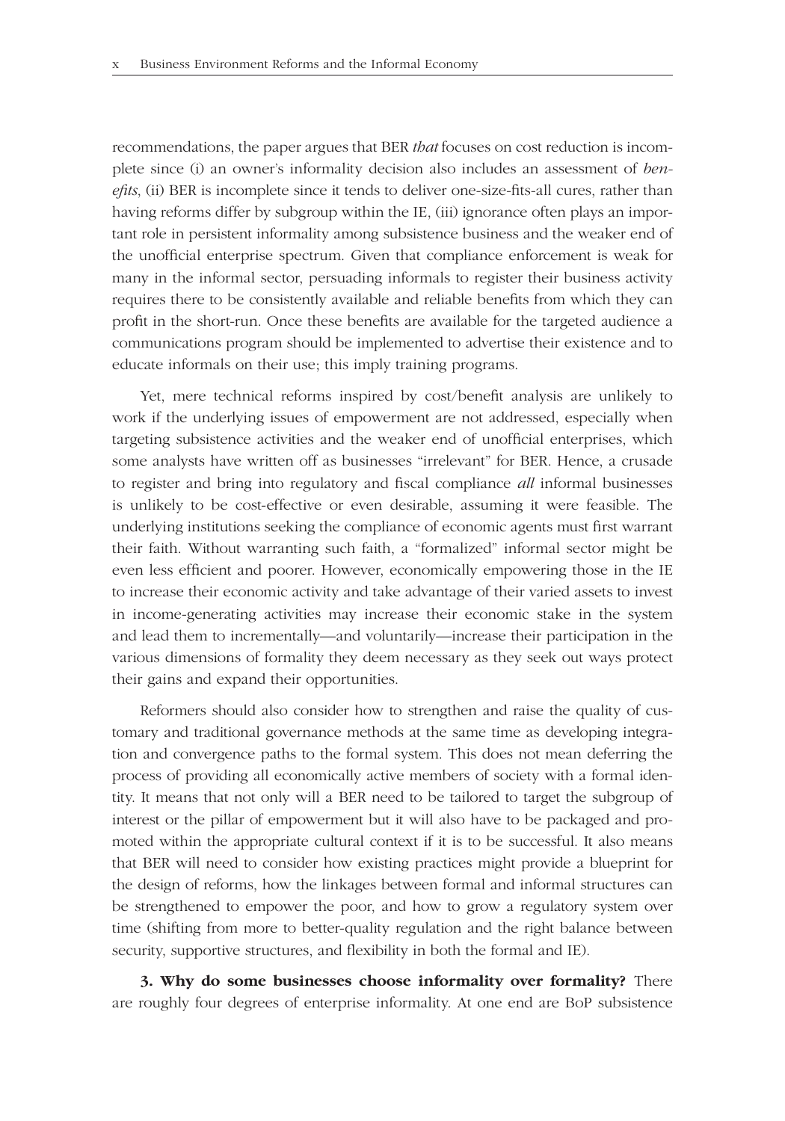recommendations, the paper argues that BER *that* focuses on cost reduction is incomplete since (i) an owner's informality decision also includes an assessment of *benefits*, (ii) BER is incomplete since it tends to deliver one-size-fits-all cures, rather than having reforms differ by subgroup within the IE, (iii) ignorance often plays an important role in persistent informality among subsistence business and the weaker end of the unofficial enterprise spectrum. Given that compliance enforcement is weak for many in the informal sector, persuading informals to register their business activity requires there to be consistently available and reliable benefits from which they can profit in the short-run. Once these benefits are available for the targeted audience a communications program should be implemented to advertise their existence and to educate informals on their use; this imply training programs.

Yet, mere technical reforms inspired by cost/benefit analysis are unlikely to work if the underlying issues of empowerment are not addressed, especially when targeting subsistence activities and the weaker end of unofficial enterprises, which some analysts have written off as businesses "irrelevant" for BER. Hence, a crusade to register and bring into regulatory and fiscal compliance *all* informal businesses is unlikely to be cost-effective or even desirable, assuming it were feasible. The underlying institutions seeking the compliance of economic agents must first warrant their faith. Without warranting such faith, a "formalized" informal sector might be even less efficient and poorer. However, economically empowering those in the IE to increase their economic activity and take advantage of their varied assets to invest in income-generating activities may increase their economic stake in the system and lead them to incrementally—and voluntarily—increase their participation in the various dimensions of formality they deem necessary as they seek out ways protect their gains and expand their opportunities.

Reformers should also consider how to strengthen and raise the quality of customary and traditional governance methods at the same time as developing integration and convergence paths to the formal system. This does not mean deferring the process of providing all economically active members of society with a formal identity. It means that not only will a BER need to be tailored to target the subgroup of interest or the pillar of empowerment but it will also have to be packaged and promoted within the appropriate cultural context if it is to be successful. It also means that BER will need to consider how existing practices might provide a blueprint for the design of reforms, how the linkages between formal and informal structures can be strengthened to empower the poor, and how to grow a regulatory system over time (shifting from more to better-quality regulation and the right balance between security, supportive structures, and flexibility in both the formal and IE).

**3. Why do some businesses choose informality over formality?** There are roughly four degrees of enterprise informality. At one end are BoP subsistence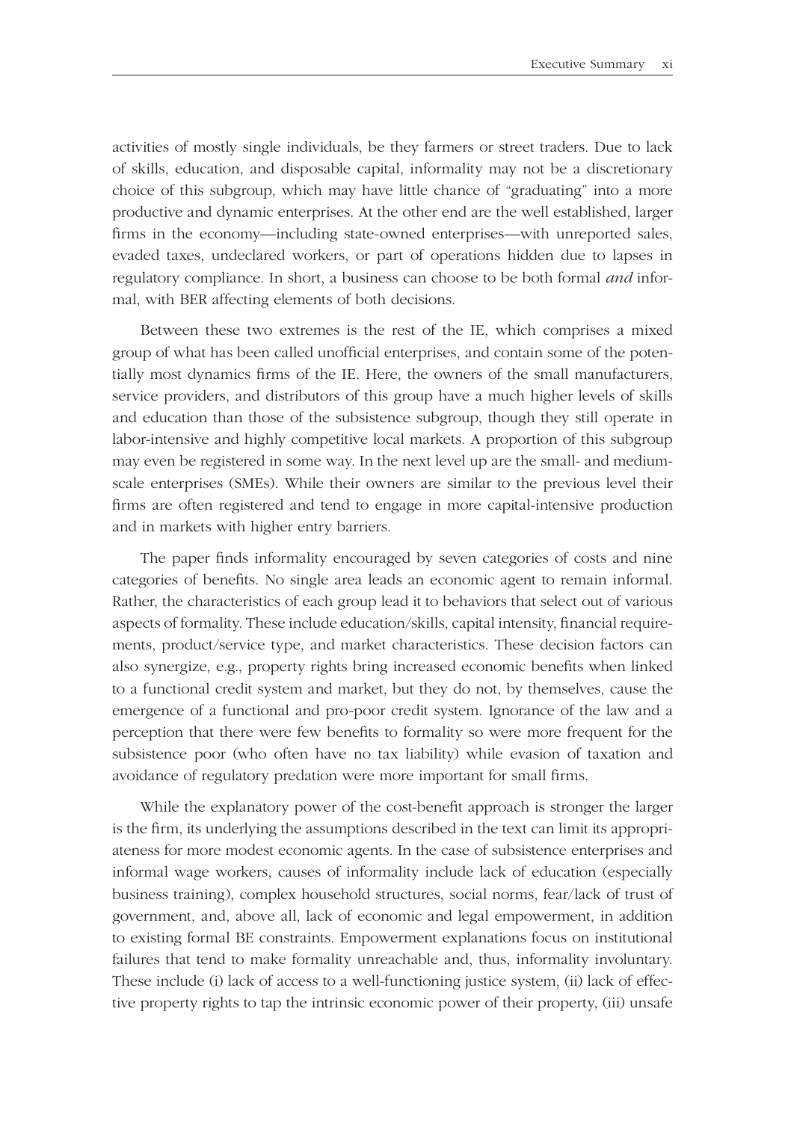activities of mostly single individuals, be they farmers or street traders. Due to lack of skills, education, and disposable capital, informality may not be a discretionary choice of this subgroup, which may have little chance of "graduating" into a more productive and dynamic enterprises. At the other end are the well established, larger firms in the economy—including state-owned enterprises—with unreported sales, evaded taxes, undeclared workers, or part of operations hidden due to lapses in regulatory compliance. In short, a business can choose to be both formal *and* informal, with BER affecting elements of both decisions.

Between these two extremes is the rest of the IE, which comprises a mixed group of what has been called unofficial enterprises, and contain some of the potentially most dynamics firms of the IE. Here, the owners of the small manufacturers, service providers, and distributors of this group have a much higher levels of skills and education than those of the subsistence subgroup, though they still operate in labor-intensive and highly competitive local markets. A proportion of this subgroup may even be registered in some way. In the next level up are the small- and mediumscale enterprises (SMEs). While their owners are similar to the previous level their firms are often registered and tend to engage in more capital-intensive production and in markets with higher entry barriers.

The paper finds informality encouraged by seven categories of costs and nine categories of benefits. No single area leads an economic agent to remain informal. Rather, the characteristics of each group lead it to behaviors that select out of various aspects of formality. These include education/skills, capital intensity, financial requirements, product/service type, and market characteristics. These decision factors can also synergize, e.g., property rights bring increased economic benefits when linked to a functional credit system and market, but they do not, by themselves, cause the emergence of a functional and pro-poor credit system. Ignorance of the law and a perception that there were few benefits to formality so were more frequent for the subsistence poor (who often have no tax liability) while evasion of taxation and avoidance of regulatory predation were more important for small firms.

While the explanatory power of the cost-benefit approach is stronger the larger is the firm, its underlying the assumptions described in the text can limit its appropriateness for more modest economic agents. In the case of subsistence enterprises and informal wage workers, causes of informality include lack of education (especially business training), complex household structures, social norms, fear/lack of trust of government, and, above all, lack of economic and legal empowerment, in addition to existing formal BE constraints. Empowerment explanations focus on institutional failures that tend to make formality unreachable and, thus, informality involuntary. These include (i) lack of access to a well-functioning justice system, (ii) lack of effective property rights to tap the intrinsic economic power of their property, (iii) unsafe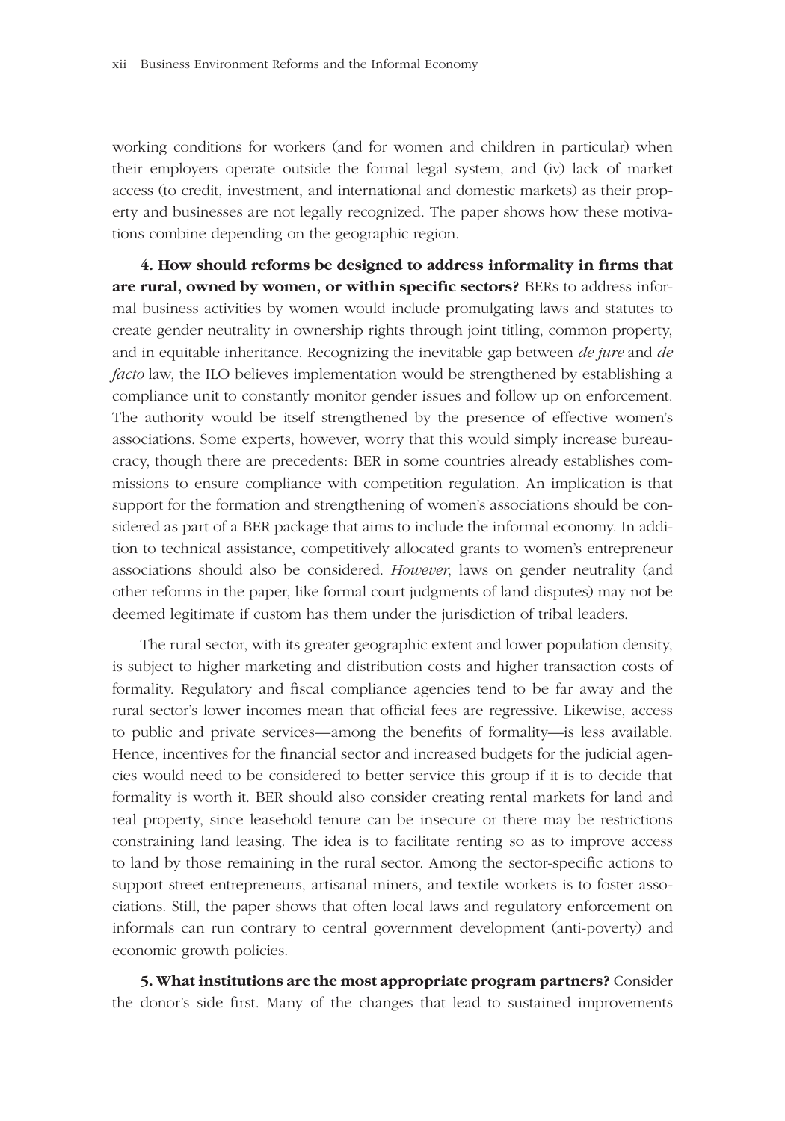working conditions for workers (and for women and children in particular) when their employers operate outside the formal legal system, and (iv) lack of market access (to credit, investment, and international and domestic markets) as their property and businesses are not legally recognized. The paper shows how these motivations combine depending on the geographic region.

4. How should reforms be designed to address informality in firms that are rural, owned by women, or within specific sectors? BERs to address informal business activities by women would include promulgating laws and statutes to create gender neutrality in ownership rights through joint titling, common property, and in equitable inheritance. Recognizing the inevitable gap between *de jure* and *de facto* law, the ILO believes implementation would be strengthened by establishing a compliance unit to constantly monitor gender issues and follow up on enforcement. The authority would be itself strengthened by the presence of effective women's associations. Some experts, however, worry that this would simply increase bureaucracy, though there are precedents: BER in some countries already establishes commissions to ensure compliance with competition regulation. An implication is that support for the formation and strengthening of women's associations should be considered as part of a BER package that aims to include the informal economy. In addition to technical assistance, competitively allocated grants to women's entrepreneur associations should also be considered. *However*, laws on gender neutrality (and other reforms in the paper, like formal court judgments of land disputes) may not be deemed legitimate if custom has them under the jurisdiction of tribal leaders.

The rural sector, with its greater geographic extent and lower population density, is subject to higher marketing and distribution costs and higher transaction costs of formality. Regulatory and fiscal compliance agencies tend to be far away and the rural sector's lower incomes mean that official fees are regressive. Likewise, access to public and private services—among the benefits of formality—is less available. Hence, incentives for the financial sector and increased budgets for the judicial agencies would need to be considered to better service this group if it is to decide that formality is worth it. BER should also consider creating rental markets for land and real property, since leasehold tenure can be insecure or there may be restrictions constraining land leasing. The idea is to facilitate renting so as to improve access to land by those remaining in the rural sector. Among the sector-specific actions to support street entrepreneurs, artisanal miners, and textile workers is to foster associations. Still, the paper shows that often local laws and regulatory enforcement on informals can run contrary to central government development (anti-poverty) and economic growth policies.

**5. What institutions are the most appropriate program partners?** Consider the donor's side first. Many of the changes that lead to sustained improvements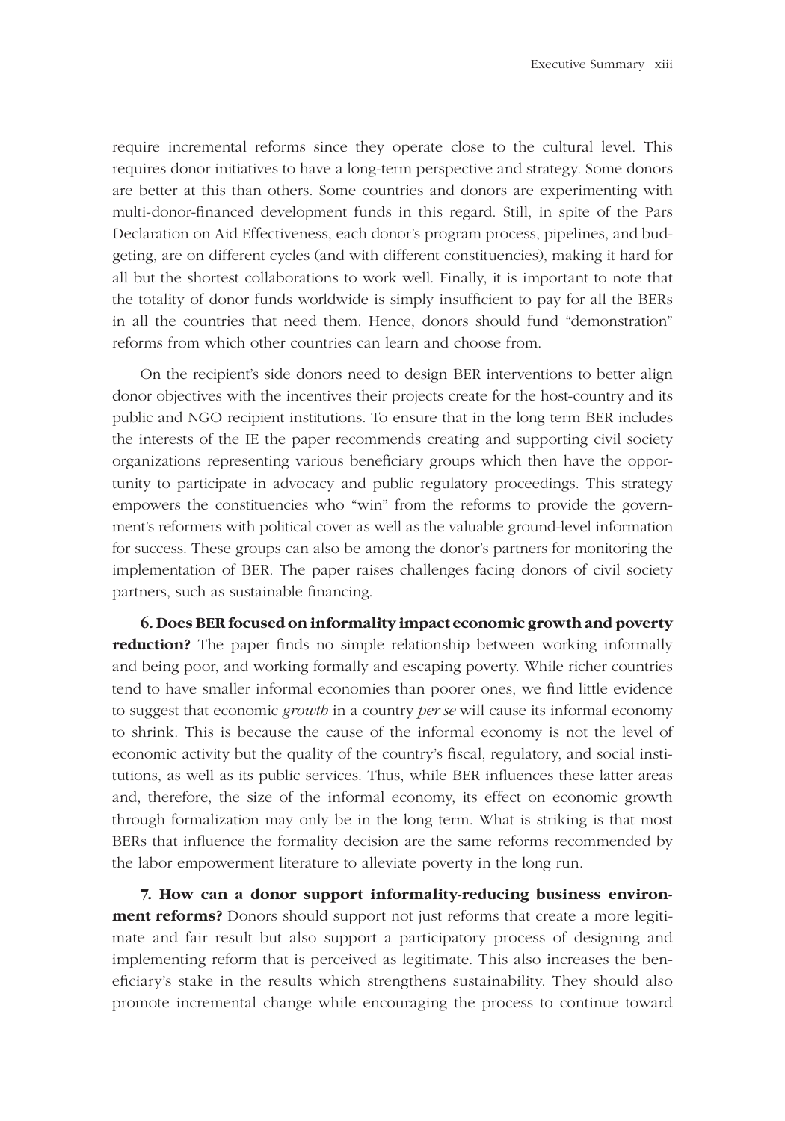require incremental reforms since they operate close to the cultural level. This requires donor initiatives to have a long-term perspective and strategy. Some donors are better at this than others. Some countries and donors are experimenting with multi-donor-financed development funds in this regard. Still, in spite of the Pars Declaration on Aid Effectiveness, each donor's program process, pipelines, and budgeting, are on different cycles (and with different constituencies), making it hard for all but the shortest collaborations to work well. Finally, it is important to note that the totality of donor funds worldwide is simply insufficient to pay for all the BERs in all the countries that need them. Hence, donors should fund "demonstration" reforms from which other countries can learn and choose from.

On the recipient's side donors need to design BER interventions to better align donor objectives with the incentives their projects create for the host-country and its public and NGO recipient institutions. To ensure that in the long term BER includes the interests of the IE the paper recommends creating and supporting civil society organizations representing various beneficiary groups which then have the opportunity to participate in advocacy and public regulatory proceedings. This strategy empowers the constituencies who "win" from the reforms to provide the government's reformers with political cover as well as the valuable ground-level information for success. These groups can also be among the donor's partners for monitoring the implementation of BER. The paper raises challenges facing donors of civil society partners, such as sustainable financing.

**6. Does BER focused on informality impact economic growth and poverty reduction?** The paper finds no simple relationship between working informally and being poor, and working formally and escaping poverty. While richer countries tend to have smaller informal economies than poorer ones, we find little evidence to suggest that economic *growth* in a country *per se* will cause its informal economy to shrink. This is because the cause of the informal economy is not the level of economic activity but the quality of the country's fiscal, regulatory, and social institutions, as well as its public services. Thus, while BER influences these latter areas and, therefore, the size of the informal economy, its effect on economic growth through formalization may only be in the long term. What is striking is that most BERs that influence the formality decision are the same reforms recommended by the labor empowerment literature to alleviate poverty in the long run.

**7. How can a donor support informality-reducing business environment reforms?** Donors should support not just reforms that create a more legitimate and fair result but also support a participatory process of designing and implementing reform that is perceived as legitimate. This also increases the beneficiary's stake in the results which strengthens sustainability. They should also promote incremental change while encouraging the process to continue toward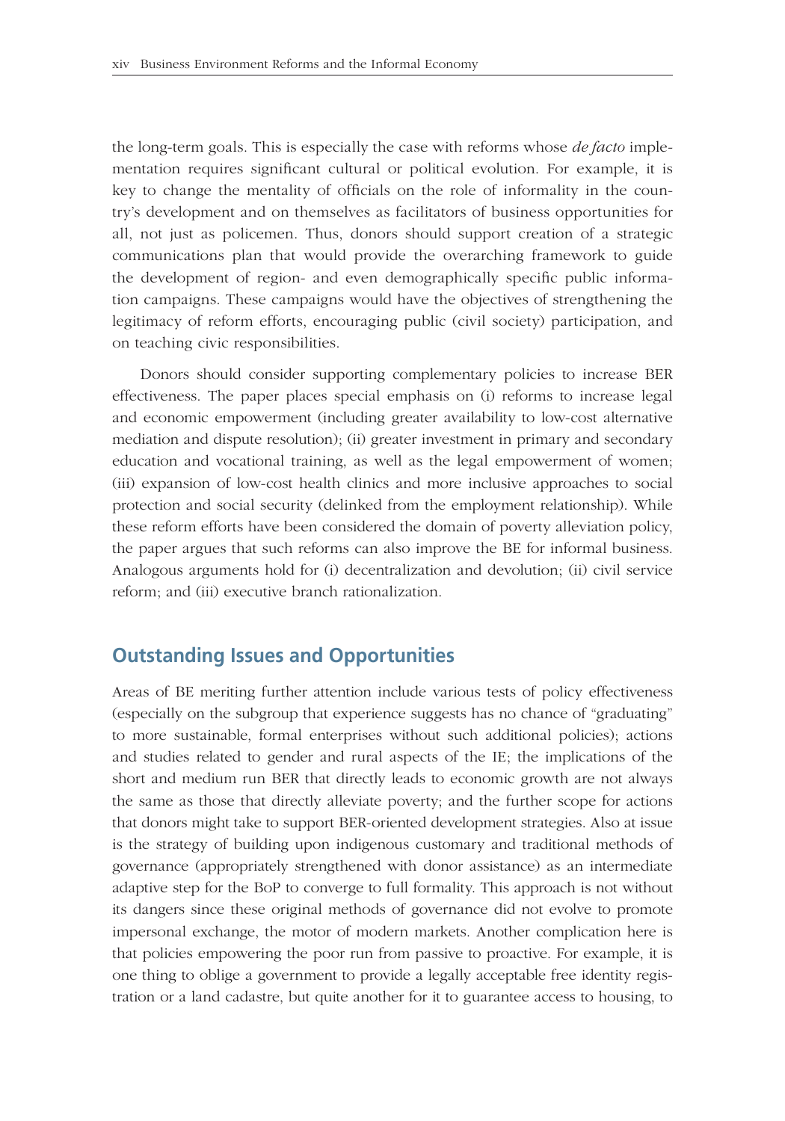the long-term goals. This is especially the case with reforms whose *de facto* implementation requires significant cultural or political evolution. For example, it is key to change the mentality of officials on the role of informality in the country's development and on themselves as facilitators of business opportunities for all, not just as policemen. Thus, donors should support creation of a strategic communications plan that would provide the overarching framework to guide the development of region- and even demographically specific public information campaigns. These campaigns would have the objectives of strengthening the legitimacy of reform efforts, encouraging public (civil society) participation, and on teaching civic responsibilities.

Donors should consider supporting complementary policies to increase BER effectiveness. The paper places special emphasis on (i) reforms to increase legal and economic empowerment (including greater availability to low-cost alternative mediation and dispute resolution); (ii) greater investment in primary and secondary education and vocational training, as well as the legal empowerment of women; (iii) expansion of low-cost health clinics and more inclusive approaches to social protection and social security (delinked from the employment relationship). While these reform efforts have been considered the domain of poverty alleviation policy, the paper argues that such reforms can also improve the BE for informal business. Analogous arguments hold for (i) decentralization and devolution; (ii) civil service reform; and (iii) executive branch rationalization.

### **Outstanding Issues and Opportunities**

Areas of BE meriting further attention include various tests of policy effectiveness (especially on the subgroup that experience suggests has no chance of "graduating" to more sustainable, formal enterprises without such additional policies); actions and studies related to gender and rural aspects of the IE; the implications of the short and medium run BER that directly leads to economic growth are not always the same as those that directly alleviate poverty; and the further scope for actions that donors might take to support BER-oriented development strategies. Also at issue is the strategy of building upon indigenous customary and traditional methods of governance (appropriately strengthened with donor assistance) as an intermediate adaptive step for the BoP to converge to full formality. This approach is not without its dangers since these original methods of governance did not evolve to promote impersonal exchange, the motor of modern markets. Another complication here is that policies empowering the poor run from passive to proactive. For example, it is one thing to oblige a government to provide a legally acceptable free identity registration or a land cadastre, but quite another for it to guarantee access to housing, to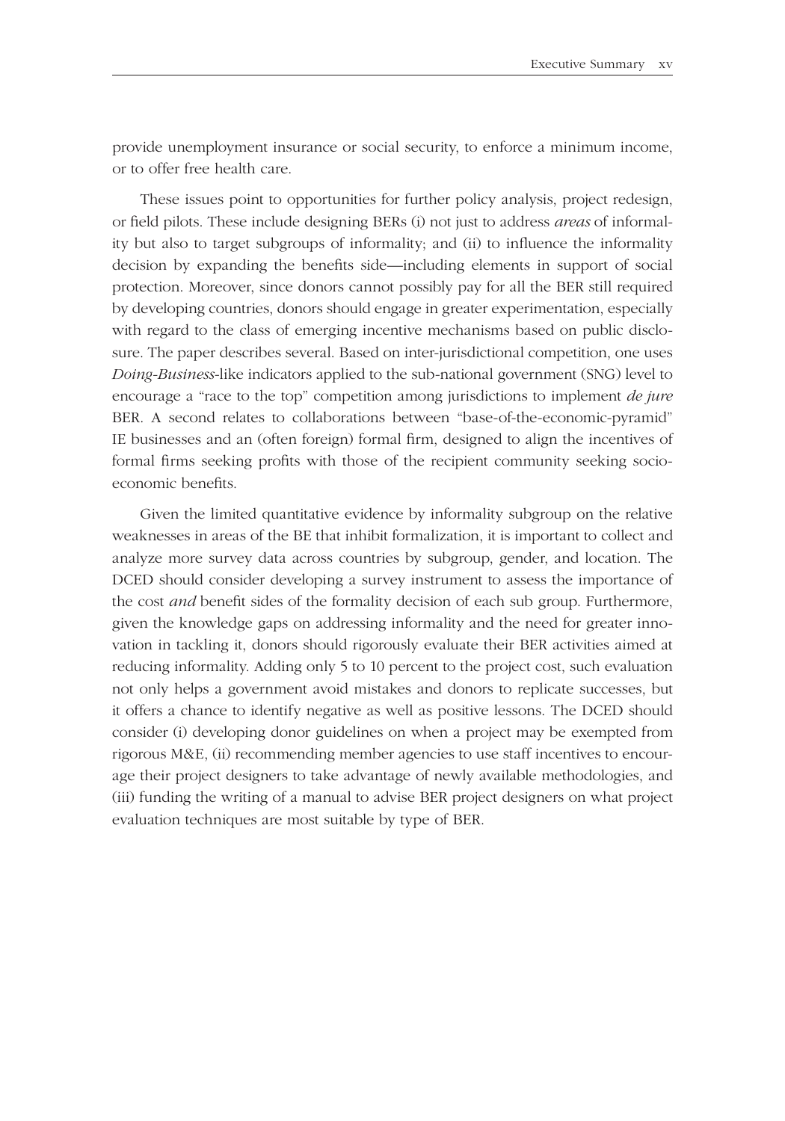provide unemployment insurance or social security, to enforce a minimum income, or to offer free health care.

These issues point to opportunities for further policy analysis, project redesign, or field pilots. These include designing BERs (i) not just to address *areas* of informality but also to target subgroups of informality; and (ii) to influence the informality decision by expanding the benefits side—including elements in support of social protection. Moreover, since donors cannot possibly pay for all the BER still required by developing countries, donors should engage in greater experimentation, especially with regard to the class of emerging incentive mechanisms based on public disclosure. The paper describes several. Based on inter-jurisdictional competition, one uses *Doing-Business*-like indicators applied to the sub-national government (SNG) level to encourage a "race to the top" competition among jurisdictions to implement *de jure*  BER. A second relates to collaborations between "base-of-the-economic-pyramid" IE businesses and an (often foreign) formal firm, designed to align the incentives of formal firms seeking profits with those of the recipient community seeking socioeconomic benefits.

Given the limited quantitative evidence by informality subgroup on the relative weaknesses in areas of the BE that inhibit formalization, it is important to collect and analyze more survey data across countries by subgroup, gender, and location. The DCED should consider developing a survey instrument to assess the importance of the cost *and* benefit sides of the formality decision of each sub group. Furthermore, given the knowledge gaps on addressing informality and the need for greater innovation in tackling it, donors should rigorously evaluate their BER activities aimed at reducing informality. Adding only 5 to 10 percent to the project cost, such evaluation not only helps a government avoid mistakes and donors to replicate successes, but it offers a chance to identify negative as well as positive lessons. The DCED should consider (i) developing donor guidelines on when a project may be exempted from rigorous M&E, (ii) recommending member agencies to use staff incentives to encourage their project designers to take advantage of newly available methodologies, and (iii) funding the writing of a manual to advise BER project designers on what project evaluation techniques are most suitable by type of BER.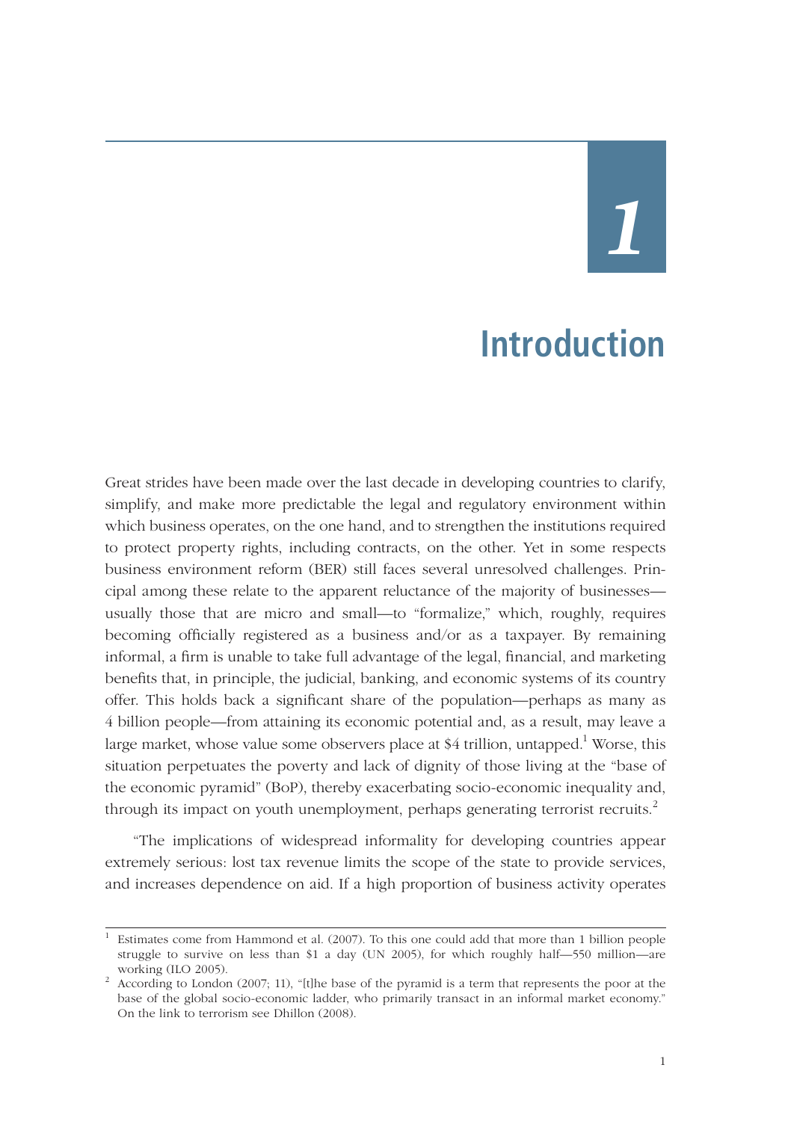# *1*

## **Introduction**

Great strides have been made over the last decade in developing countries to clarify, simplify, and make more predictable the legal and regulatory environment within which business operates, on the one hand, and to strengthen the institutions required to protect property rights, including contracts, on the other. Yet in some respects business environment reform (BER) still faces several unresolved challenges. Principal among these relate to the apparent reluctance of the majority of businesses usually those that are micro and small—to "formalize," which, roughly, requires becoming officially registered as a business and/or as a taxpayer. By remaining informal, a firm is unable to take full advantage of the legal, financial, and marketing benefits that, in principle, the judicial, banking, and economic systems of its country offer. This holds back a significant share of the population—perhaps as many as 4 billion people—from attaining its economic potential and, as a result, may leave a large market, whose value some observers place at \$4 trillion, untapped.<sup>1</sup> Worse, this situation perpetuates the poverty and lack of dignity of those living at the "base of the economic pyramid" (BoP), thereby exacerbating socio-economic inequality and, through its impact on youth unemployment, perhaps generating terrorist recruits.<sup>2</sup>

"The implications of widespread informality for developing countries appear extremely serious: lost tax revenue limits the scope of the state to provide services, and increases dependence on aid. If a high proportion of business activity operates

<sup>1</sup> Estimates come from Hammond et al. (2007). To this one could add that more than 1 billion people struggle to survive on less than \$1 a day (UN 2005), for which roughly half—550 million—are working (ILO 2005).

working (ILO 2005).<br><sup>2</sup> According to London (2007; 11), "[t]he base of the pyramid is a term that represents the poor at the base of the global socio-economic ladder, who primarily transact in an informal market economy." On the link to terrorism see Dhillon (2008).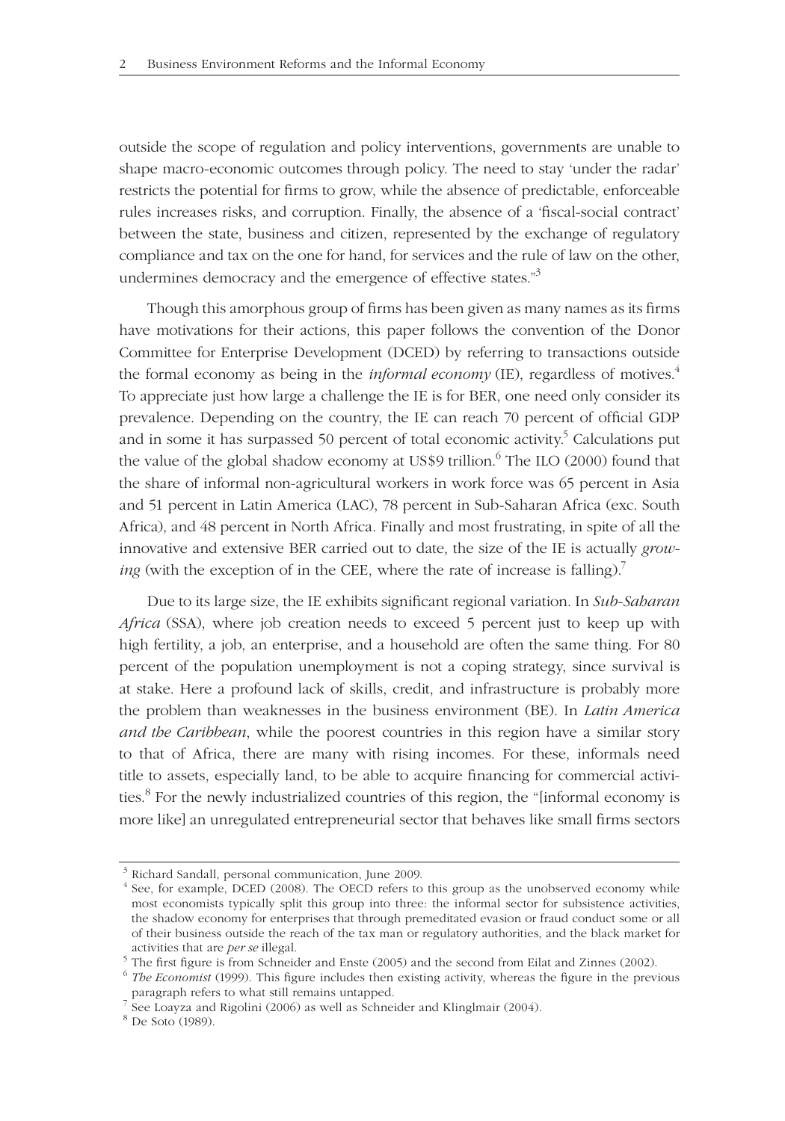outside the scope of regulation and policy interventions, governments are unable to shape macro-economic outcomes through policy. The need to stay 'under the radar' restricts the potential for firms to grow, while the absence of predictable, enforceable rules increases risks, and corruption. Finally, the absence of a 'fiscal-social contract' between the state, business and citizen, represented by the exchange of regulatory compliance and tax on the one for hand, for services and the rule of law on the other, undermines democracy and the emergence of effective states."<sup>3</sup>

Though this amorphous group of firms has been given as many names as its firms have motivations for their actions, this paper follows the convention of the Donor Committee for Enterprise Development (DCED) by referring to transactions outside the formal economy as being in the *informal economy* (IE), regardless of motives.<sup>4</sup> To appreciate just how large a challenge the IE is for BER, one need only consider its prevalence. Depending on the country, the IE can reach 70 percent of official GDP and in some it has surpassed 50 percent of total economic activity.<sup>5</sup> Calculations put the value of the global shadow economy at US\$9 trillion. $^6$  The ILO (2000) found that the share of informal non-agricultural workers in work force was 65 percent in Asia and 51 percent in Latin America (LAC), 78 percent in Sub-Saharan Africa (exc. South Africa), and 48 percent in North Africa. Finally and most frustrating, in spite of all the innovative and extensive BER carried out to date, the size of the IE is actually *growing* (with the exception of in the CEE, where the rate of increase is falling).<sup>7</sup>

Due to its large size, the IE exhibits significant regional variation. In *Sub-Saharan Africa* (SSA), where job creation needs to exceed 5 percent just to keep up with high fertility, a job, an enterprise, and a household are often the same thing. For 80 percent of the population unemployment is not a coping strategy, since survival is at stake. Here a profound lack of skills, credit, and infrastructure is probably more the problem than weaknesses in the business environment (BE). In *Latin America and the Caribbean*, while the poorest countries in this region have a similar story to that of Africa, there are many with rising incomes. For these, informals need title to assets, especially land, to be able to acquire financing for commercial activities.<sup>8</sup> For the newly industrialized countries of this region, the "[informal economy is more like] an unregulated entrepreneurial sector that behaves like small firms sectors

 <sup>3</sup> Richard Sandall, personal communication, June 2009.

 <sup>4</sup> See, for example, DCED (2008). The OECD refers to this group as the unobserved economy while most economists typically split this group into three: the informal sector for subsistence activities, the shadow economy for enterprises that through premeditated evasion or fraud conduct some or all of their business outside the reach of the tax man or regulatory authorities, and the black market for

<sup>%</sup> activities that are *per se* illegal.<br>
<sup>5</sup> The first figure is from Schneider and Enste (2005) and the second from Eilat and Zinnes (2002).<br>
<sup>6</sup> *The Economist* (1999). This figure includes then existing activity, where

paragraph refers to what still remains untapped.<br>
7 See Loayza and Rigolini (2006) as well as Schneider and Klinglmair (2004).

 <sup>8</sup> De Soto (1989).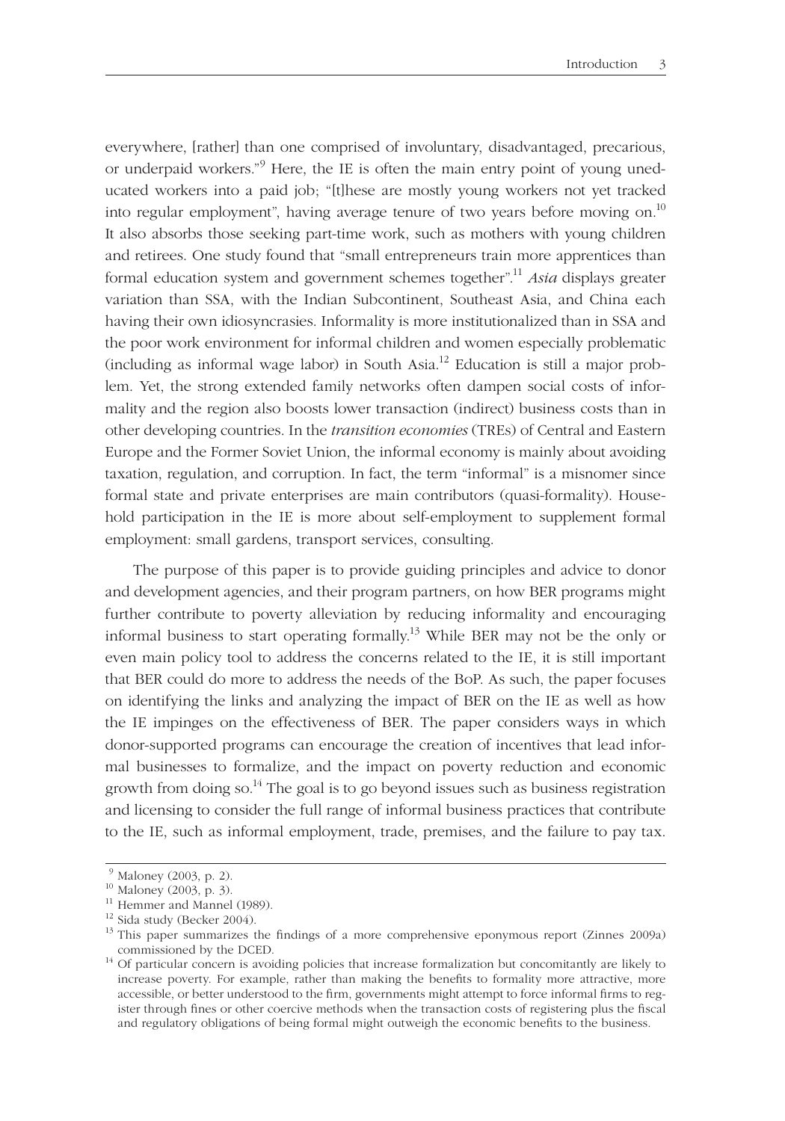every where, [rather] than one comprised of involuntary, disadvantaged, precarious, or underpaid workers."<sup>9</sup> Here, the IE is often the main entry point of young uneducated workers into a paid job; "[t]hese are mostly young workers not yet tracked into regular employment", having average tenure of two years before moving on.<sup>10</sup> It also absorbs those seeking part-time work, such as mothers with young children and retirees. One study found that "small entrepreneurs train more apprentices than formal education system and government schemes together".<sup>11</sup> *Asia* displays greater variation than SSA, with the Indian Subcontinent, Southeast Asia, and China each having their own idiosyncrasies. Informality is more institutionalized than in SSA and the poor work environment for informal children and women especially problematic (including as informal wage labor) in South Asia.<sup>12</sup> Education is still a major problem. Yet, the strong extended family networks often dampen social costs of informality and the region also boosts lower transaction (indirect) business costs than in other developing countries. In the *transition economies* (TREs) of Central and Eastern Europe and the Former Soviet Union, the informal economy is mainly about avoiding taxation, regulation, and corruption. In fact, the term "informal" is a misnomer since formal state and private enterprises are main contributors (quasi-formality). Household participation in the IE is more about self-employment to supplement formal employment: small gardens, transport services, consulting.

The purpose of this paper is to provide guiding principles and advice to donor and development agencies, and their program partners, on how BER programs might further contribute to poverty alleviation by reducing informality and encouraging informal business to start operating formally.<sup>13</sup> While BER may not be the only or even main policy tool to address the concerns related to the IE, it is still important that BER could do more to address the needs of the BoP. As such, the paper focuses on identifying the links and analyzing the impact of BER on the IE as well as how the IE impinges on the effectiveness of BER. The paper considers ways in which donor-supported programs can encourage the creation of incentives that lead informal businesses to formalize, and the impact on poverty reduction and economic growth from doing so.<sup>14</sup> The goal is to go beyond issues such as business registration and licensing to consider the full range of informal business practices that contribute to the IE, such as informal employment, trade, premises, and the failure to pay tax.

 $9$  Maloney (2003, p. 2).

<sup>10</sup> Maloney (2003, p. 3).

<sup>&</sup>lt;sup>11</sup> Hemmer and Mannel (1989).

<sup>12</sup> Sida study (Becker 2004).

 $13$  This paper summarizes the findings of a more comprehensive eponymous report (Zinnes 2009a) commissioned by the DCED.<br><sup>14</sup> Of particular concern is avoiding policies that increase formalization but concomitantly are likely to

increase poverty. For example, rather than making the benefits to formality more attractive, more accessible, or better understood to the firm, governments might attempt to force informal firms to register through fines or other coercive methods when the transaction costs of registering plus the fiscal and regulatory obligations of being formal might outweigh the economic benefits to the business.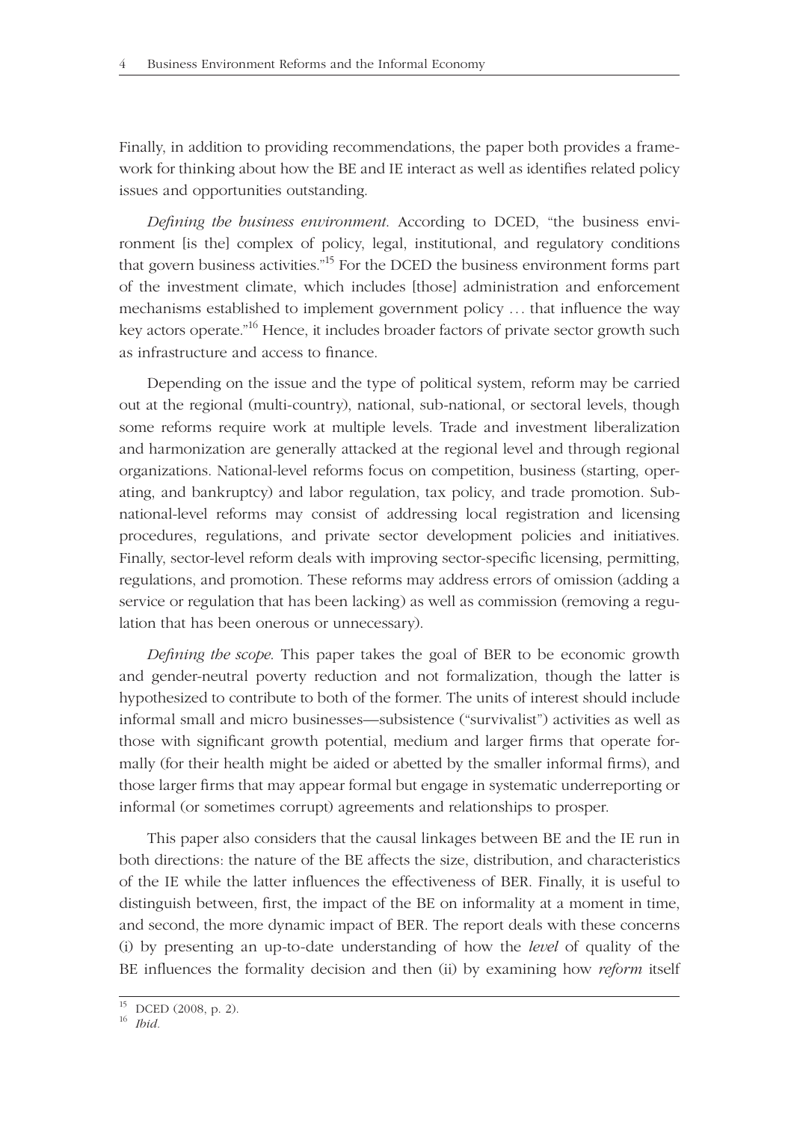Finally, in addition to providing recommendations, the paper both provides a framework for thinking about how the BE and IE interact as well as identifies related policy issues and opportunities outstanding.

*Defining the business environment*. According to DCED, "the business environment [is the] complex of policy, legal, institutional, and regulatory conditions that govern business activities."<sup>15</sup> For the DCED the business environment forms part of the investment climate, which includes [those] administration and enforcement mechanisms established to implement government policy ... that influence the way key actors operate."<sup>16</sup> Hence, it includes broader factors of private sector growth such as infrastructure and access to finance.

Depending on the issue and the type of political system, reform may be carried out at the regional (multi-country), national, sub-national, or sectoral levels, though some reforms require work at multiple levels. Trade and investment liberalization and harmonization are generally attacked at the regional level and through regional organizations. National-level reforms focus on competition, business (starting, operating, and bankruptcy) and labor regulation, tax policy, and trade promotion. Subnational-level reforms may consist of addressing local registration and licensing procedures, regulations, and private sector development policies and initiatives. Finally, sector-level reform deals with improving sector-specific licensing, permitting, regulations, and promotion. These reforms may address errors of omission (adding a service or regulation that has been lacking) as well as commission (removing a regulation that has been onerous or unnecessary).

*Defining the scope*. This paper takes the goal of BER to be economic growth and gender-neutral poverty reduction and not formalization, though the latter is hypothesized to contribute to both of the former. The units of interest should include informal small and micro businesses—subsistence ("survivalist") activities as well as those with significant growth potential, medium and larger firms that operate formally (for their health might be aided or abetted by the smaller informal firms), and those larger firms that may appear formal but engage in systematic underreporting or informal (or sometimes corrupt) agreements and relationships to prosper.

This paper also considers that the causal linkages between BE and the IE run in both directions: the nature of the BE affects the size, distribution, and characteristics of the IE while the latter influences the effectiveness of BER. Finally, it is useful to distinguish between, first, the impact of the BE on informality at a moment in time, and second, the more dynamic impact of BER. The report deals with these concerns (i) by presenting an up-to-date under stand ing of how the *level* of quality of the BE influences the formality decision and then (ii) by examining how *reform* itself

<sup>15</sup> DCED (2008, p. 2).

<sup>16</sup> *Ibid.*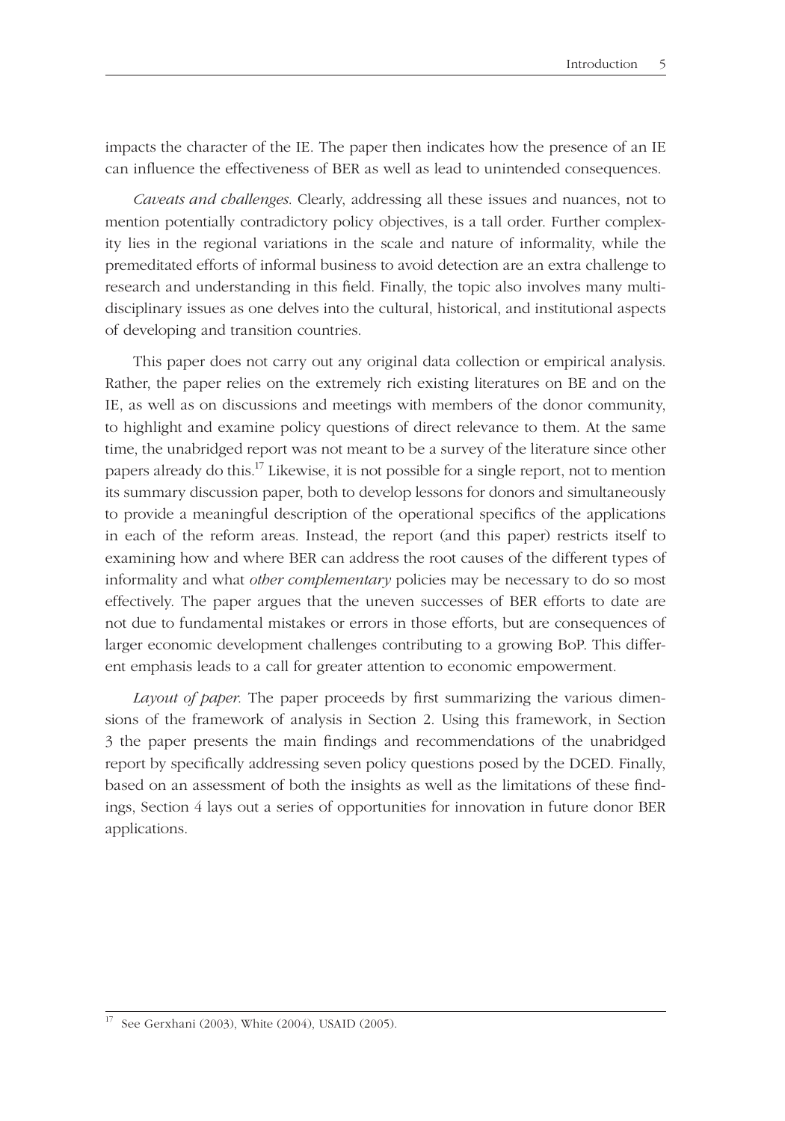impacts the character of the IE. The paper then indicates how the presence of an IE can influence the effectiveness of BER as well as lead to unintended consequences.

*Caveats and challenges*. Clearly, addressing all these issues and nuances, not to mention potentially contradictory policy objectives, is a tall order. Further complexity lies in the regional variations in the scale and nature of informality, while the premeditated efforts of informal business to avoid detection are an extra challenge to research and understanding in this field. Finally, the topic also involves many multidisciplinary issues as one delves into the cultural, historical, and institutional aspects of developing and transition countries.

This paper does not carry out any original data collection or empirical analysis. Rather, the paper relies on the extremely rich existing literatures on BE and on the IE, as well as on discussions and meetings with members of the donor community, to highlight and examine policy questions of direct relevance to them. At the same time, the unabridged report was not meant to be a survey of the literature since other papers already do this.<sup>17</sup> Likewise, it is not possible for a single report, not to mention its summary discussion paper, both to develop lessons for donors and simultaneously to provide a meaning ful description of the operational specifics of the applications in each of the reform areas. Instead, the report (and this paper) restricts itself to examining how and where BER can address the root causes of the different types of informality and what *other complementary* policies may be necessary to do so most effectively. The paper argues that the uneven successes of BER efforts to date are not due to fundamental mistakes or errors in those efforts, but are consequences of larger economic development challenges contributing to a growing BoP. This different emphasis leads to a call for greater attention to economic empowerment.

*Layout of paper.* The paper proceeds by first summarizing the various dimensions of the frame work of analysis in Section 2. Using this framework, in Section 3 the paper presents the main findings and recommendations of the unabridged report by specifically addressing seven policy questions posed by the DCED. Finally, based on an assessment of both the insights as well as the limitations of these findings, Section 4 lays out a series of opportunities for innovation in future donor BER applications.

See Gerxhani (2003), White (2004), USAID (2005).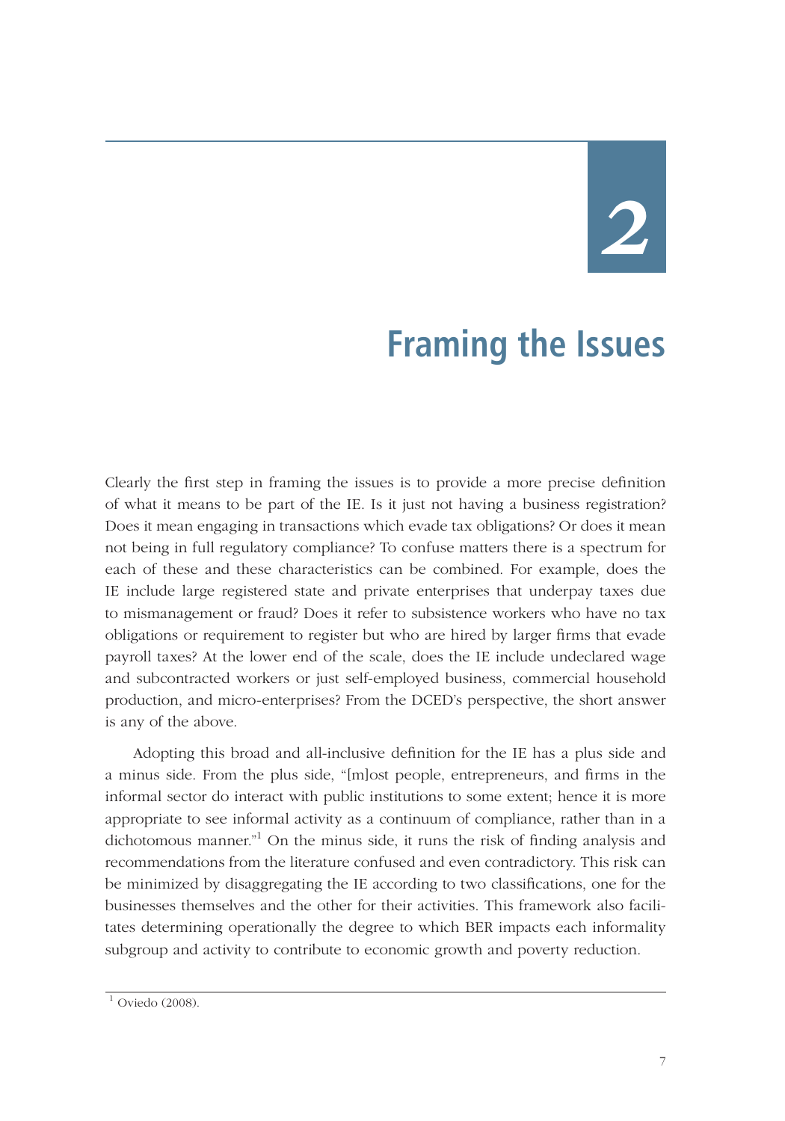## *2*

## **Framing the Issues**

Clearly the first step in framing the issues is to provide a more precise definition of what it means to be part of the IE. Is it just not having a business registration? Does it mean engaging in transactions which evade tax obligations? Or does it mean not being in full regulatory compliance? To confuse matters there is a spectrum for each of these and these characteristics can be combined. For example, does the IE include large registered state and private enterprises that underpay taxes due to mismanagement or fraud? Does it refer to subsistence workers who have no tax obligations or requirement to register but who are hired by larger firms that evade payroll taxes? At the lower end of the scale, does the IE include undeclared wage and subcontracted workers or just self-employed business, commercial household production, and micro-enterprises? From the DCED's perspective, the short answer is any of the above.

Adopting this broad and all-inclusive definition for the IE has a plus side and a minus side. From the plus side, "[m]ost people, entrepreneurs, and firms in the informal sector do interact with public institutions to some extent; hence it is more appropriate to see informal activity as a continuum of compliance, rather than in a dichotomous manner."<sup>1</sup> On the minus side, it runs the risk of finding analysis and recommendations from the literature confused and even contradictory. This risk can be minimized by disaggregating the IE according to two classifications, one for the businesses themselves and the other for their activities. This framework also facilitates determining operationally the degree to which BER impacts each informality subgroup and activity to contribute to economic growth and poverty reduction.

 $1$  Oviedo (2008).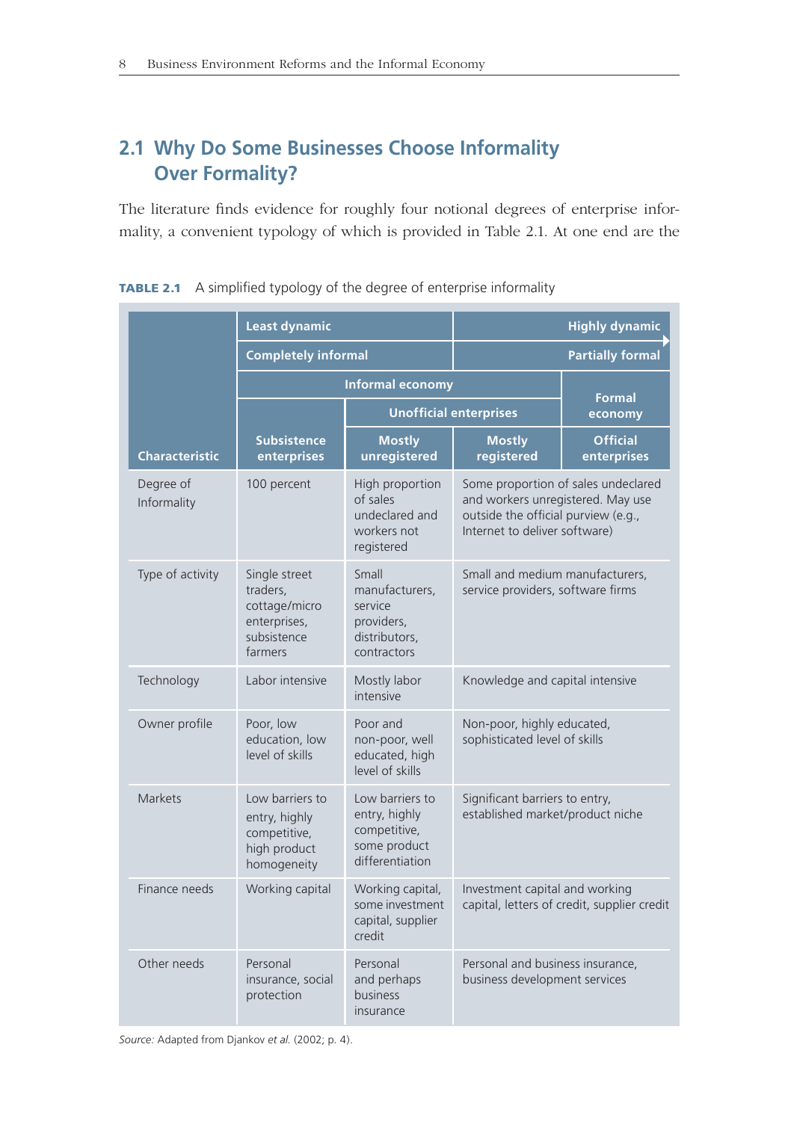## **2.1 Why Do Some Businesses Choose Informality Over Formality?**

The literature finds evidence for roughly four notional degrees of enterprise informality, a convenient typology of which is provided in Table 2.1. At one end are the

|                          | <b>Least dynamic</b>                                                                 |                                                                                     |                                                                                                                                                  | <b>Highly dynamic</b>                                                |  |
|--------------------------|--------------------------------------------------------------------------------------|-------------------------------------------------------------------------------------|--------------------------------------------------------------------------------------------------------------------------------------------------|----------------------------------------------------------------------|--|
|                          | <b>Completely informal</b>                                                           |                                                                                     | <b>Partially formal</b>                                                                                                                          |                                                                      |  |
|                          | Informal economy                                                                     |                                                                                     |                                                                                                                                                  | <b>Formal</b>                                                        |  |
|                          |                                                                                      | <b>Unofficial enterprises</b>                                                       |                                                                                                                                                  | economy                                                              |  |
| <b>Characteristic</b>    | <b>Subsistence</b><br>enterprises                                                    | <b>Mostly</b><br>unregistered                                                       | <b>Mostly</b><br>registered                                                                                                                      | <b>Official</b><br>enterprises                                       |  |
| Degree of<br>Informality | 100 percent                                                                          | High proportion<br>of sales<br>undeclared and<br>workers not<br>registered          | Some proportion of sales undeclared<br>and workers unregistered. May use<br>outside the official purview (e.g.,<br>Internet to deliver software) |                                                                      |  |
| Type of activity         | Single street<br>traders,<br>cottage/micro<br>enterprises,<br>subsistence<br>farmers | Small<br>manufacturers,<br>service<br>providers,<br>distributors,<br>contractors    |                                                                                                                                                  | Small and medium manufacturers,<br>service providers, software firms |  |
| Technology               | Labor intensive                                                                      | Mostly labor<br>intensive                                                           | Knowledge and capital intensive                                                                                                                  |                                                                      |  |
| Owner profile            | Poor, low<br>education, low<br>level of skills                                       | Poor and<br>non-poor, well<br>educated, high<br>level of skills                     | Non-poor, highly educated,<br>sophisticated level of skills                                                                                      |                                                                      |  |
| <b>Markets</b>           | Low barriers to<br>entry, highly<br>competitive,<br>high product<br>homogeneity      | Low barriers to<br>entry, highly<br>competitive,<br>some product<br>differentiation | Significant barriers to entry,<br>established market/product niche                                                                               |                                                                      |  |
| Finance needs            | Working capital                                                                      | Working capital,<br>some investment<br>capital, supplier<br>credit                  | Investment capital and working                                                                                                                   | capital, letters of credit, supplier credit                          |  |
| Other needs              | Personal<br>insurance, social<br>protection                                          | Personal<br>and perhaps<br>business<br>insurance                                    | Personal and business insurance,<br>business development services                                                                                |                                                                      |  |

**TABLE 2.1** A simplified typology of the degree of enterprise informality

*Source:* Adapted from Djankov *et al.* (2002; p. 4).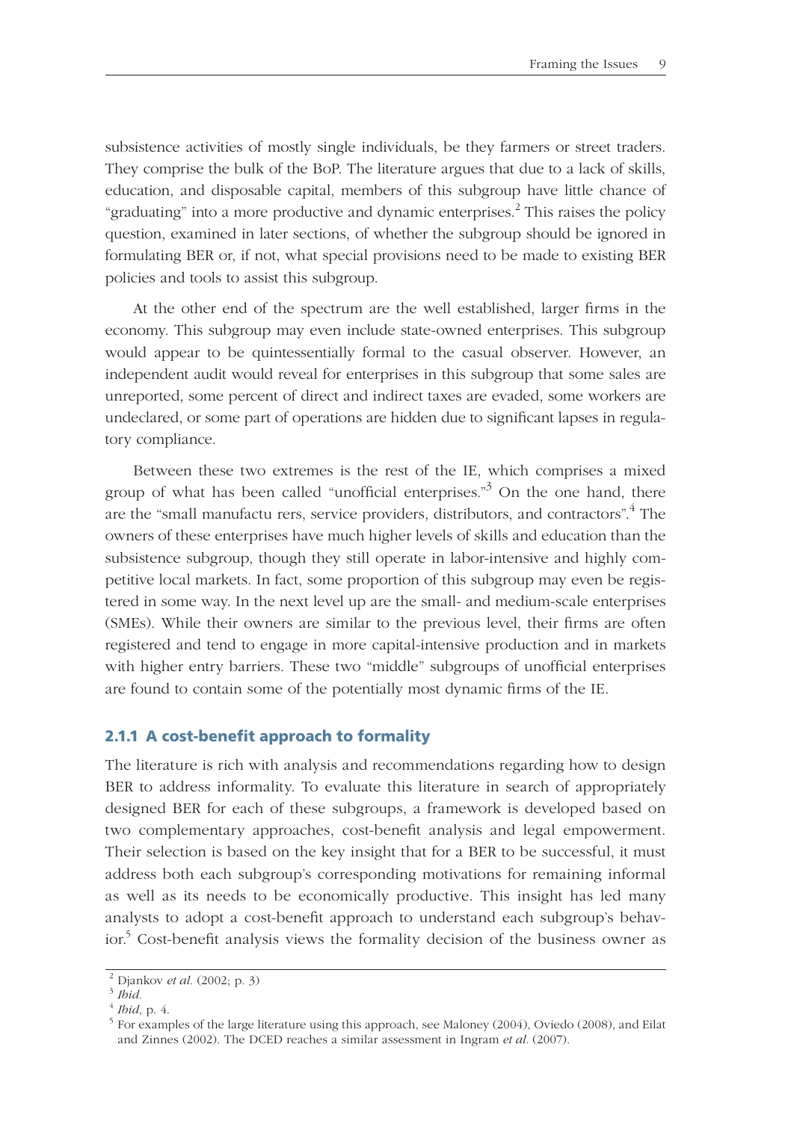subsistence activities of mostly single individuals, be they farmers or street traders. They comprise the bulk of the BoP. The literature argues that due to a lack of skills, education, and disposable capital, members of this subgroup have little chance of "graduating" into a more productive and dynamic enterprises.<sup>2</sup> This raises the policy question, examined in later sections, of whether the subgroup should be ignored in formulating BER or, if not, what special provisions need to be made to existing BER policies and tools to assist this subgroup.

At the other end of the spectrum are the well established, larger firms in the economy. This subgroup may even include state-owned enterprises. This subgroup would appear to be quintessentially formal to the casual observer. However, an independent audit would reveal for enterprises in this subgroup that some sales are unreported, some percent of direct and indirect taxes are evaded, some workers are undeclared, or some part of operations are hidden due to significant lapses in regulatory compliance.

Between these two extremes is the rest of the IE, which comprises a mixed group of what has been called "unofficial enterprises."<sup>3</sup> On the one hand, there are the "small manufactu rers, service providers, distributors, and contractors".<sup>4</sup> The owners of these enterprises have much higher levels of skills and education than the subsistence subgroup, though they still operate in labor-intensive and highly competitive local markets. In fact, some proportion of this subgroup may even be registered in some way. In the next level up are the small- and medium-scale enterprises (SMEs). While their owners are similar to the previous level, their firms are often registered and tend to engage in more capital-intensive production and in markets with higher entry barriers. These two "middle" subgroups of unofficial enterprises are found to contain some of the potentially most dynamic firms of the IE.

#### **2.1.1 A cost-benefit approach to formality**

The literature is rich with analysis and recommendations regarding how to design BER to address informality. To evaluate this literature in search of appropriately designed BER for each of these subgroups, a framework is developed based on two complementary approaches, cost-benefit analysis and legal empowerment. Their selection is based on the key insight that for a BER to be successful, it must address both each subgroup's corresponding motivations for remaining informal as well as its needs to be economically productive. This insight has led many analysts to adopt a cost-benefi t approach to understand each subgroup's behavior.<sup>5</sup> Cost-benefit analysis views the formality decision of the business owner as

<sup>&</sup>lt;sup>2</sup> Djankov *et al.* (2002; p. 3)<br><sup>3</sup> *Ibid.*<br><sup>4</sup> *Ibid*, p. 4.<br><sup>5</sup> For examples of the large literature using this approach, see Maloney (2004), Oviedo (2008), and Eilat and Zinnes (2002). The DCED reaches a similar assessment in Ingram *et al.* (2007).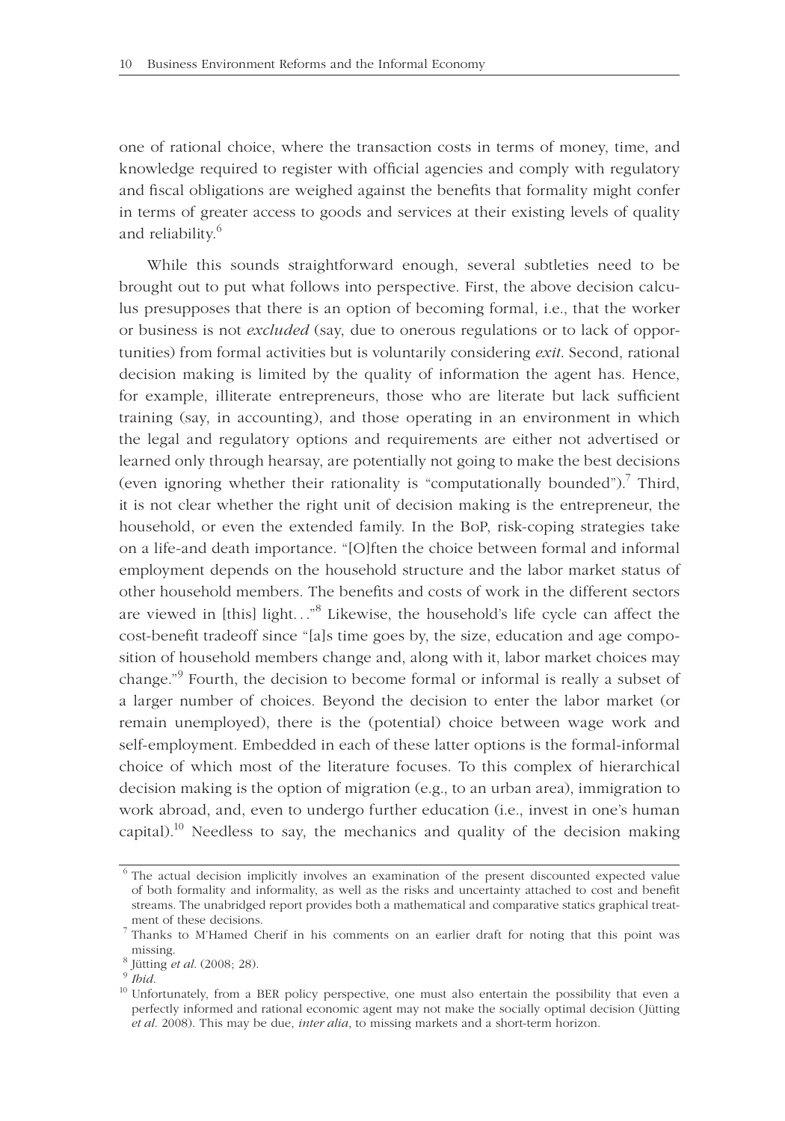one of rational choice, where the transaction costs in terms of money, time, and knowledge required to register with official agencies and comply with regulatory and fiscal obligations are weighed against the benefits that formality might confer in terms of greater access to goods and services at their existing levels of quality and reliability.<sup>6</sup>

While this sounds straightforward enough, several subtleties need to be brought out to put what follows into perspective. First, the above decision calculus presupposes that there is an option of becoming formal, i.e., that the worker or business is not *excluded* (say, due to onerous regulations or to lack of opportunities) from formal activities but is voluntarily considering *exit*. Second, rational decision making is limited by the quality of information the agent has. Hence, for example, illiterate entrepreneurs, those who are literate but lack sufficient training (say, in accounting), and those operating in an environment in which the legal and regulatory options and requirements are either not advertised or learned only through hearsay, are potentially not going to make the best decisions (even ignoring whether their rationality is "computationally bounded").<sup>7</sup> Third, it is not clear whether the right unit of decision making is the entrepreneur, the household, or even the extended family. In the BoP, risk-coping strategies take on a life-and death importance. "[O]ften the choice between formal and informal employment depends on the household structure and the labor market status of other household members. The benefits and costs of work in the different sectors are viewed in [this] light..."<sup>8</sup> Likewise, the household's life cycle can affect the cost-benefit tradeoff since "[a]s time goes by, the size, education and age composition of household members change and, along with it, labor market choices may change."<sup>9</sup> Fourth, the decision to become formal or informal is really a subset of a larger number of choices. Beyond the decision to enter the labor market (or remain unemployed), there is the (potential) choice between wage work and self-employment. Embedded in each of these latter options is the formal-informal choice of which most of the literature focuses. To this complex of hierarchical decision making is the option of migration (e.g., to an urban area), immigration to work abroad, and, even to undergo further education (i.e., invest in one's human capital).<sup>10</sup> Needless to say, the mechanics and quality of the decision making

<sup>&</sup>lt;sup>6</sup> The actual decision implicitly involves an examination of the present discounted expected value of both formality and informality, as well as the risks and uncertainty attached to cost and benefit streams. The unabridged report provides both a mathematical and comparative statics graphical treatment of these decisions.<br><sup>7</sup> Thanks to M'Hamed Cherif in his comments on an earlier draft for noting that this point was

missing.<br><sup>8</sup> Jütting *et al*. (2008; 28).<br><sup>9</sup> *Ibid.*<br><sup>10</sup> Unfortunately, from a BER policy perspective, one must also entertain the possibility that even a

perfectly informed and rational economic agent may not make the socially optimal decision (Jütting *et al*. 2008). This may be due, *inter alia*, to missing markets and a short-term horizon.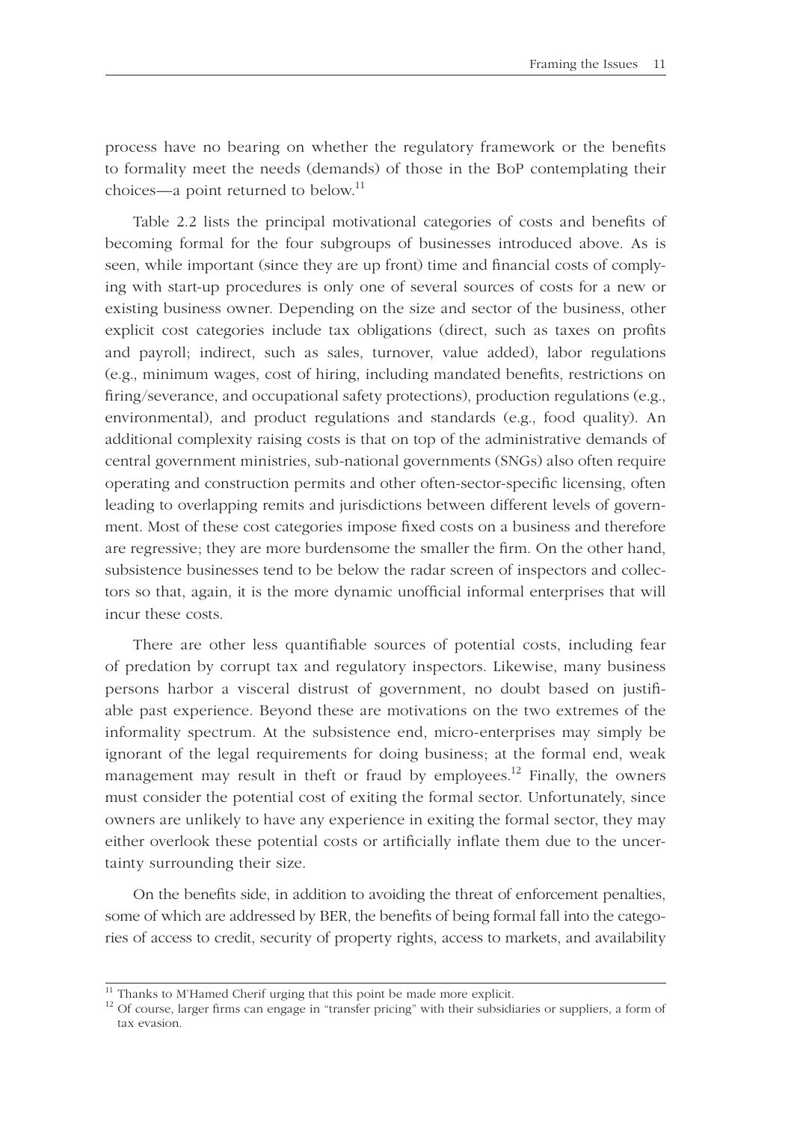process have no bearing on whether the regulatory framework or the benefits to formality meet the needs (demands) of those in the BoP contemplating their choices—a point returned to below.<sup>11</sup>

Table 2.2 lists the principal motivational categories of costs and benefits of becoming formal for the four subgroups of businesses introduced above. As is seen, while important (since they are up front) time and financial costs of complying with start-up procedures is only one of several sources of costs for a new or existing business owner. Depending on the size and sector of the business, other explicit cost categories include tax obligations (direct, such as taxes on profits and payroll; indirect, such as sales, turnover, value added), labor regulations (e.g., minimum wages, cost of hiring, including mandated benefits, restrictions on firing/severance, and occupational safety protections), production regulations (e.g., environmental), and product regulations and standards (e.g., food quality). An additional complexity raising costs is that on top of the administrative demands of central government ministries, sub-national governments (SNGs) also often require operating and construction permits and other often-sector-specific licensing, often leading to overlapping remits and jurisdictions between different levels of government. Most of these cost categories impose fixed costs on a business and therefore are regressive; they are more burdensome the smaller the firm. On the other hand, subsistence businesses tend to be below the radar screen of inspectors and collectors so that, again, it is the more dynamic unofficial informal enterprises that will incur these costs.

There are other less quantifiable sources of potential costs, including fear of predation by corrupt tax and regulatory inspectors. Likewise, many business persons harbor a visceral distrust of government, no doubt based on justifiable past experience. Beyond these are motivations on the two extremes of the informality spectrum. At the subsistence end, micro-enterprises may simply be ignorant of the legal requirements for doing business; at the formal end, weak management may result in theft or fraud by employees.<sup>12</sup> Finally, the owners must consider the potential cost of exiting the formal sector. Unfortunately, since owners are unlikely to have any experience in exiting the formal sector, they may either overlook these potential costs or artificially inflate them due to the uncertainty surrounding their size.

On the benefits side, in addition to avoiding the threat of enforcement penalties, some of which are addressed by BER, the benefits of being formal fall into the categories of access to credit, security of property rights, access to markets, and availability

 $\frac{11}{11}$  Thanks to M'Hamed Cherif urging that this point be made more explicit.

<sup>&</sup>lt;sup>12</sup> Of course, larger firms can engage in "transfer pricing" with their subsidiaries or suppliers, a form of tax evasion.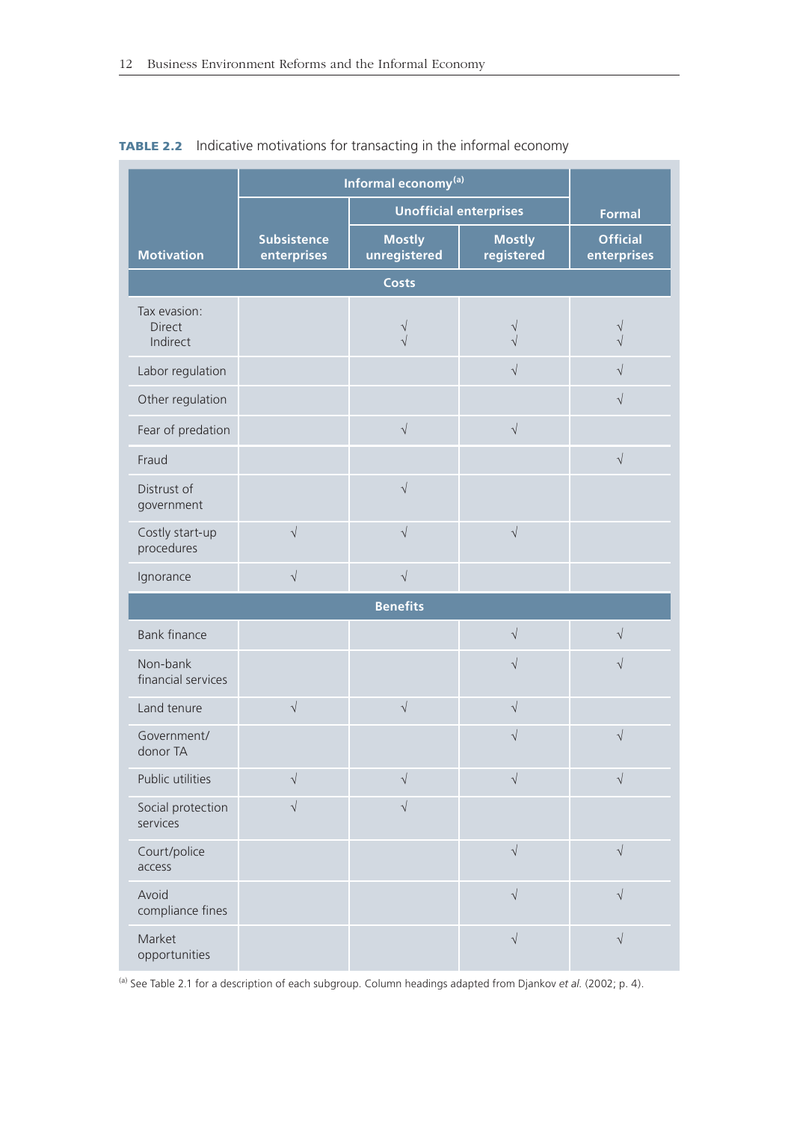|                                           | Informal economy <sup>(a)</sup>   |                               |                             |                                |
|-------------------------------------------|-----------------------------------|-------------------------------|-----------------------------|--------------------------------|
|                                           | <b>Unofficial enterprises</b>     |                               |                             | <b>Formal</b>                  |
| <b>Motivation</b>                         | <b>Subsistence</b><br>enterprises | <b>Mostly</b><br>unregistered | <b>Mostly</b><br>registered | <b>Official</b><br>enterprises |
|                                           |                                   |                               |                             |                                |
| Tax evasion:<br><b>Direct</b><br>Indirect |                                   | V<br>$\sqrt{}$                | V<br>$\sqrt{}$              | $\sqrt{}$<br>$\sqrt{2}$        |
| Labor regulation                          |                                   |                               | $\sqrt{}$                   | $\sqrt{}$                      |
| Other regulation                          |                                   |                               |                             | $\sqrt{}$                      |
| Fear of predation                         |                                   | $\sqrt{ }$                    | $\sqrt{ }$                  |                                |
| Fraud                                     |                                   |                               |                             | $\sqrt{ }$                     |
| Distrust of<br>government                 |                                   | $\sqrt{}$                     |                             |                                |
| Costly start-up<br>procedures             | $\sqrt{}$                         | $\sqrt{}$                     | $\sqrt{ }$                  |                                |
| Ignorance                                 | $\sqrt{}$                         | $\sqrt{}$                     |                             |                                |
|                                           |                                   | <b>Benefits</b>               |                             |                                |
| <b>Bank finance</b>                       |                                   |                               | $\sqrt{ }$                  | $\sqrt{ }$                     |
| Non-bank<br>financial services            |                                   |                               | $\sqrt{}$                   | $\sqrt{}$                      |
| Land tenure                               | $\sqrt{}$                         | $\sqrt{}$                     | $\sqrt{}$                   |                                |
| Government/<br>donor TA                   |                                   |                               | $\sqrt{}$                   | $\sqrt{}$                      |
| Public utilities                          | $\sqrt{}$                         | $\sqrt{}$                     | $\sqrt{}$                   | $\sqrt{}$                      |
| Social protection<br>services             | $\sqrt{2}$                        | $\sqrt{2}$                    |                             |                                |
| Court/police<br>access                    |                                   |                               | $\sqrt{ }$                  | $\sqrt{}$                      |
| Avoid<br>compliance fines                 |                                   |                               | $\sqrt{}$                   | $\sqrt{}$                      |
| Market<br>opportunities                   |                                   |                               | $\sqrt{}$                   | $\sqrt{}$                      |

#### **TABLE 2.2** Indicative motivations for transacting in the informal economy

(a) See Table 2.1 for a description of each subgroup. Column headings adapted from Djankov *et al.* (2002; p. 4).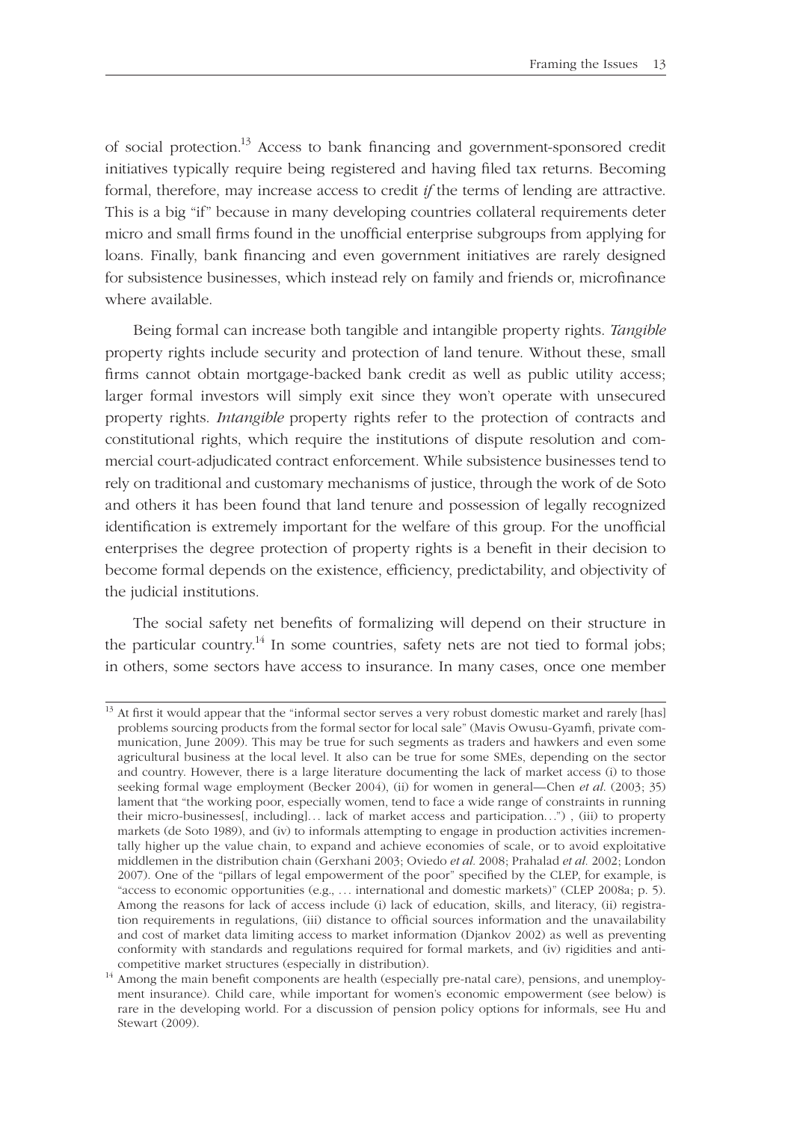of social protection.<sup>13</sup> Access to bank financing and government-sponsored credit initiatives typically require being registered and having filed tax returns. Becoming formal, therefore, may increase access to credit *if* the terms of lending are attractive. This is a big "if" because in many developing countries collateral requirements deter micro and small firms found in the unofficial enterprise subgroups from applying for loans. Finally, bank financing and even government initiatives are rarely designed for subsistence businesses, which instead rely on family and friends or, microfinance where available.

Being formal can increase both tangible and intangible property rights. *Tangible* property rights include security and protection of land tenure. Without these, small firms cannot obtain mortgage-backed bank credit as well as public utility access; larger formal investors will simply exit since they won't operate with unsecured property rights. *Intangible* property rights refer to the protection of contracts and constitutional rights, which require the institutions of dispute resolution and commercial court-adjudicated contract enforcement. While subsistence businesses tend to rely on traditional and customary mechanisms of justice, through the work of de Soto and others it has been found that land tenure and possession of legally recognized identification is extremely important for the welfare of this group. For the unofficial enterprises the degree protection of property rights is a benefit in their decision to become formal depends on the existence, efficiency, predictability, and objectivity of the judicial institutions.

The social safety net benefits of formalizing will depend on their structure in the particular country.<sup>14</sup> In some countries, safety nets are not tied to formal jobs; in others, some sectors have access to insurance. In many cases, once one member

<sup>&</sup>lt;sup>13</sup> At first it would appear that the "informal sector serves a very robust domestic market and rarely [has] problems sourcing products from the formal sector for local sale" (Mavis Owusu-Gyamfi, private communication, June 2009). This may be true for such segments as traders and hawkers and even some agricultural business at the local level. It also can be true for some SMEs, depending on the sector and country. However, there is a large literature documenting the lack of market access (i) to those seeking formal wage employment (Becker 2004), (ii) for women in general—Chen *et al*. (2003; 35) lament that "the working poor, especially women, tend to face a wide range of constraints in running their micro-businesses[, including]. . . lack of market access and participation. . .") , (iii) to property markets (de Soto 1989), and (iv) to informals attempting to engage in production activities incrementally higher up the value chain, to expand and achieve economies of scale, or to avoid exploitative middlemen in the distribution chain (Gerxhani 2003; Oviedo *et al.* 2008; Prahalad *et al.* 2002; London 2007). One of the "pillars of legal empowerment of the poor" specified by the CLEP, for example, is "access to economic opportunities (e.g., . . . international and domestic markets)" (CLEP 2008a; p. 5). Among the reasons for lack of access include (i) lack of education, skills, and literacy, (ii) registration requirements in regulations, (iii) distance to official sources information and the unavailability and cost of market data limiting access to market information (Djankov 2002) as well as preventing conformity with standards and regulations required for formal markets, and (iv) rigidities and anticompetitive market structures (especially in distribution).

<sup>&</sup>lt;sup>14</sup> Among the main benefit components are health (especially pre-natal care), pensions, and unemployment insurance). Child care, while important for women's economic empowerment (see below) is rare in the developing world. For a discussion of pension policy options for informals, see Hu and Stewart (2009).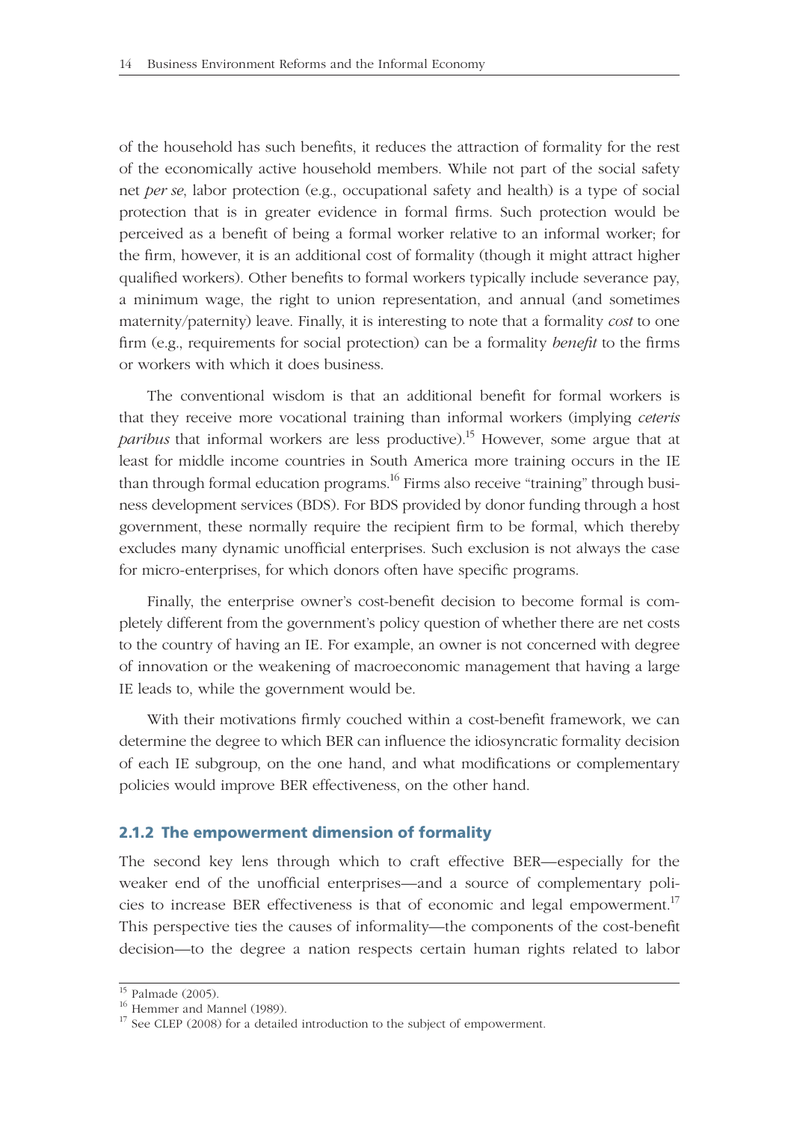of the household has such benefits, it reduces the attraction of formality for the rest of the economically active household members. While not part of the social safety net *per se*, labor protection (e.g., occupational safety and health) is a type of social protection that is in greater evidence in formal firms. Such protection would be perceived as a benefit of being a formal worker relative to an informal worker; for the firm, however, it is an additional cost of formality (though it might attract higher qualified workers). Other benefits to formal workers typically include severance pay, a minimum wage, the right to union representation, and annual (and sometimes maternity/paternity) leave. Finally, it is interesting to note that a formality *cost* to one firm (e.g., requirements for social protection) can be a formality *benefit* to the firms or workers with which it does business.

The conventional wisdom is that an additional benefit for formal workers is that they receive more vocational training than informal workers (implying *ceteris paribus* that informal workers are less productive).<sup>15</sup> However, some argue that at least for middle income countries in South America more training occurs in the IE than through formal education programs.<sup>16</sup> Firms also receive "training" through business development services (BDS). For BDS provided by donor funding through a host government, these normally require the recipient firm to be formal, which thereby excludes many dynamic unofficial enterprises. Such exclusion is not always the case for micro-enterprises, for which donors often have specific programs.

Finally, the enterprise owner's cost-benefit decision to become formal is completely different from the government's policy question of whether there are net costs to the country of having an IE. For example, an owner is not concerned with degree of innovation or the weakening of macroeconomic management that having a large IE leads to, while the government would be.

With their motivations firmly couched within a cost-benefit framework, we can determine the degree to which BER can influence the idiosyncratic formality decision of each IE subgroup, on the one hand, and what modifications or complementary policies would improve BER effectiveness, on the other hand.

#### **2.1.2 The empowerment dimension of formality**

The second key lens through which to craft effective BER—especially for the weaker end of the unofficial enterprises—and a source of complementary policies to increase BER effectiveness is that of economic and legal empowerment.<sup>17</sup> This perspective ties the causes of informality—the components of the cost-benefit decision—to the degree a nation respects certain human rights related to labor

 $\overline{^{15}}$  Palmade (2005).

<sup>&</sup>lt;sup>16</sup> Hemmer and Mannel (1989).

<sup>&</sup>lt;sup>17</sup> See CLEP (2008) for a detailed introduction to the subject of empowerment.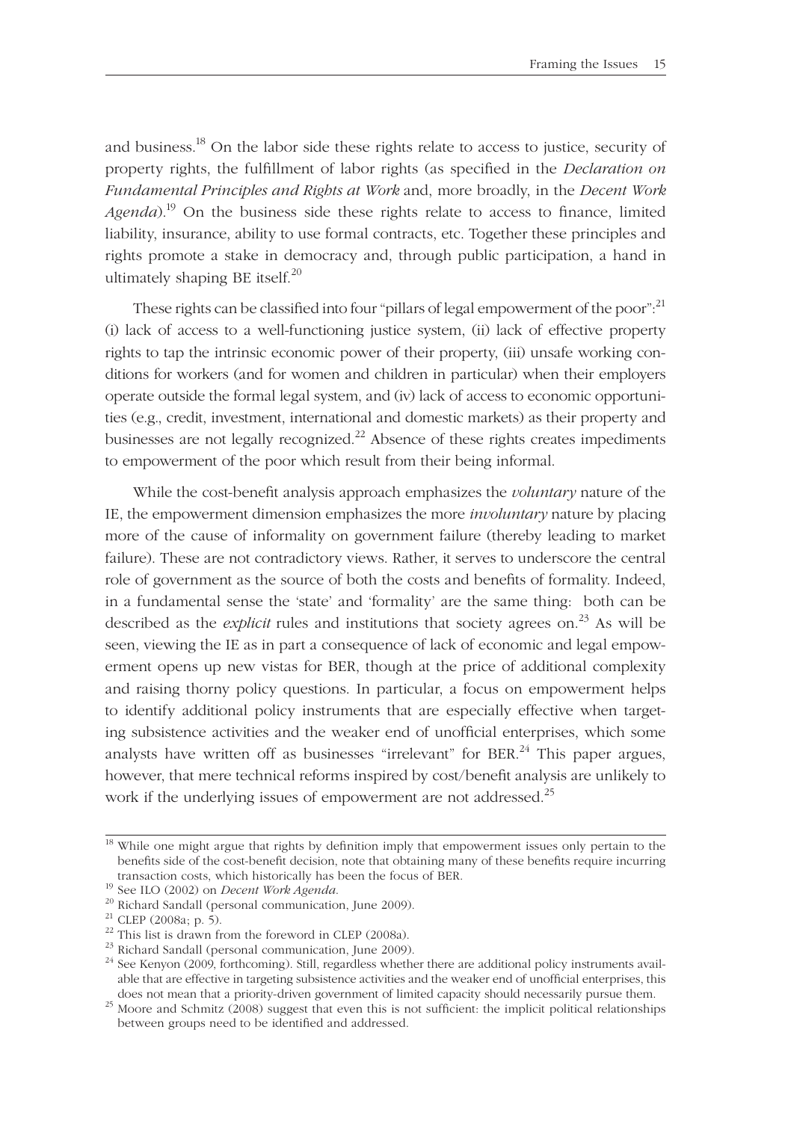and business.<sup>18</sup> On the labor side these rights relate to access to justice, security of property rights, the fulfillment of labor rights (as specified in the *Declaration on Fundamental Principles and Rights at Work* and, more broadly, in the *Decent Work Agenda*).<sup>19</sup> On the business side these rights relate to access to finance, limited liability, insurance, ability to use formal contracts, etc. Together these principles and rights promote a stake in democracy and, through public participation, a hand in ultimately shaping BE itself. $^{20}$ 

These rights can be classified into four "pillars of legal empowerment of the poor": $^{21}$ (i) lack of access to a well-functioning justice system, (ii) lack of effective property rights to tap the intrinsic economic power of their property, (iii) unsafe working conditions for workers (and for women and children in particular) when their employers operate outside the formal legal system, and (iv) lack of access to economic opportunities (e.g., credit, investment, international and domestic markets) as their property and businesses are not legally recognized. $^{22}$  Absence of these rights creates impediments to empowerment of the poor which result from their being informal.

While the cost-benefit analysis approach emphasizes the *voluntary* nature of the IE, the empowerment dimension emphasizes the more *involuntary* nature by placing more of the cause of informality on government failure (thereby leading to market failure). These are not contradictory views. Rather, it serves to underscore the central role of government as the source of both the costs and benefits of formality. Indeed, in a fundamental sense the 'state' and 'formality' are the same thing: both can be described as the *explicit* rules and institutions that society agrees on.<sup>23</sup> As will be seen, viewing the IE as in part a consequence of lack of economic and legal empowerment opens up new vistas for BER, though at the price of additional complexity and raising thorny policy questions. In particular, a focus on empowerment helps to identify additional policy instruments that are especially effective when targeting subsistence activities and the weaker end of unofficial enterprises, which some analysts have written off as businesses "irrelevant" for BER.<sup>24</sup> This paper argues, however, that mere technical reforms inspired by cost/benefit analysis are unlikely to work if the underlying issues of empowerment are not addressed.<sup>25</sup>

<sup>&</sup>lt;sup>18</sup> While one might argue that rights by definition imply that empowerment issues only pertain to the benefits side of the cost-benefit decision, note that obtaining many of these benefits require incurring transaction costs, which historically has been the focus of BER.

<sup>&</sup>lt;sup>19</sup> See ILO (2002) on *Decent Work Agenda*. <sup>20</sup> Richard Sandall (personal communication, June 2009).

 $21$  CLEP (2008a; p. 5).

 $22$  This list is drawn from the foreword in CLEP (2008a).

<sup>&</sup>lt;sup>23</sup> Richard Sandall (personal communication, June 2009).

 $24$  See Kenyon (2009, forthcoming). Still, regardless whether there are additional policy instruments available that are effective in targeting subsistence activities and the weaker end of unofficial enterprises, this

does not mean that a priority-driven government of limited capacity should necessarily pursue them.<br><sup>25</sup> Moore and Schmitz (2008) suggest that even this is not sufficient: the implicit political relationships between groups need to be identified and addressed.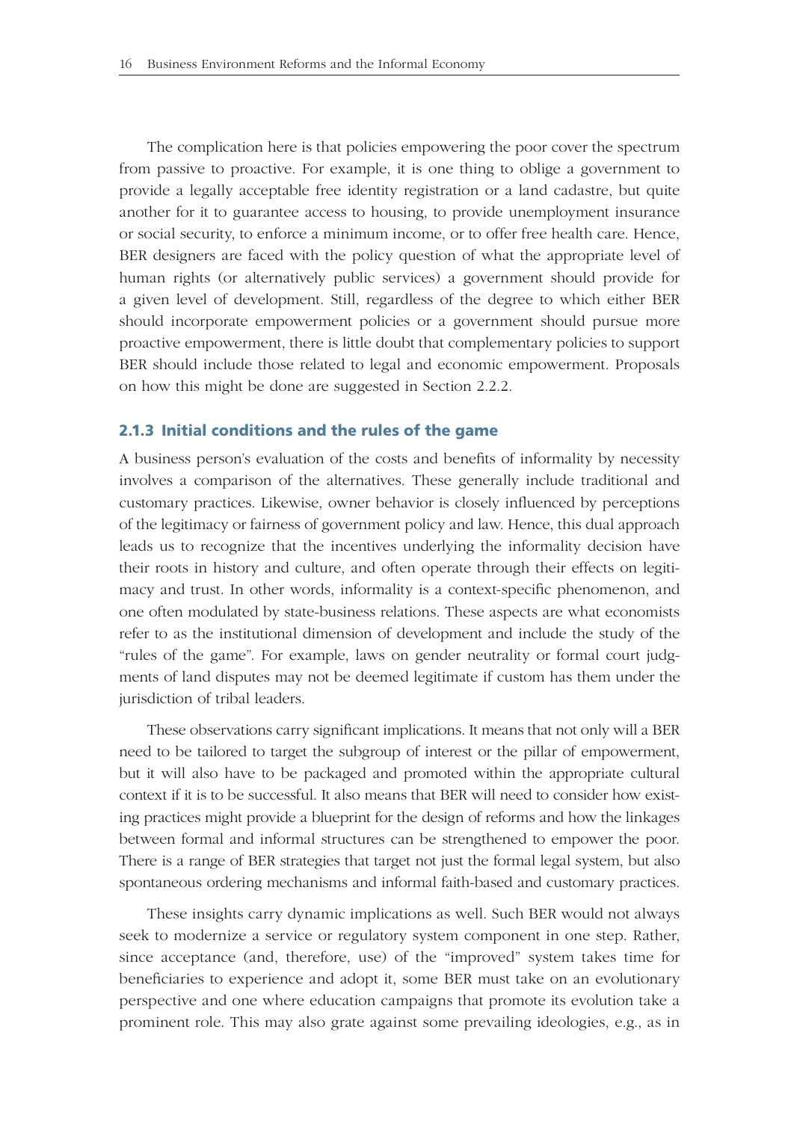The complication here is that policies empowering the poor cover the spectrum from passive to proactive. For example, it is one thing to oblige a government to provide a legally acceptable free identity registration or a land cadastre, but quite another for it to guarantee access to housing, to provide unemployment insurance or social security, to enforce a minimum income, or to offer free health care. Hence, BER designers are faced with the policy question of what the appropriate level of human rights (or alternatively public services) a government should provide for a given level of development. Still, regardless of the degree to which either BER should incorporate empowerment policies or a government should pursue more proactive empowerment, there is little doubt that complementary policies to support BER should include those related to legal and economic empowerment. Proposals on how this might be done are suggested in Section 2.2.2.

#### **2.1.3 Initial conditions and the rules of the game**

A business person's evaluation of the costs and benefits of informality by necessity involves a comparison of the alternatives. These generally include traditional and customary practices. Likewise, owner behavior is closely influenced by perceptions of the legitimacy or fairness of government policy and law. Hence, this dual approach leads us to recognize that the incentives underlying the informality decision have their roots in history and culture, and often operate through their effects on legitimacy and trust. In other words, informality is a context-specific phenomenon, and one often modulated by state-business relations. These aspects are what economists refer to as the institutional dimension of development and include the study of the "rules of the game". For example, laws on gender neutrality or formal court judgments of land disputes may not be deemed legitimate if custom has them under the jurisdiction of tribal leaders.

These observations carry significant implications. It means that not only will a BER need to be tailored to target the subgroup of interest or the pillar of empowerment, but it will also have to be packaged and promoted within the appropriate cultural context if it is to be successful. It also means that BER will need to consider how existing practices might provide a blueprint for the design of reforms and how the linkages between formal and informal structures can be strengthened to empower the poor. There is a range of BER strategies that target not just the formal legal system, but also spontaneous ordering mechanisms and informal faith-based and customary practices.

These insights carry dynamic implications as well. Such BER would not always seek to modernize a service or regulatory system component in one step. Rather, since acceptance (and, therefore, use) of the "improved" system takes time for beneficiaries to experience and adopt it, some BER must take on an evolutionary perspective and one where education campaigns that promote its evolution take a prominent role. This may also grate against some prevailing ideologies, e.g., as in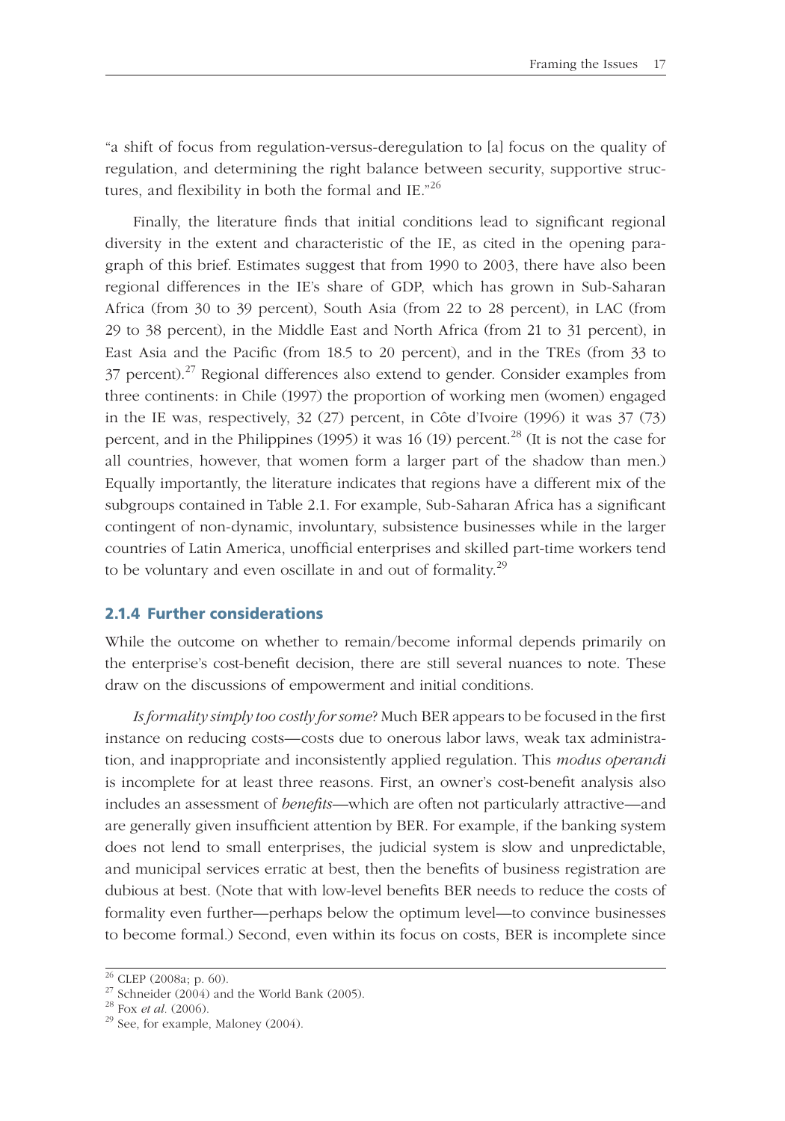"a shift of focus from regulation-versus-deregulation to [a] focus on the quality of regulation, and determining the right balance between security, supportive structures, and flexibility in both the formal and IE." $^{26}$ 

Finally, the literature finds that initial conditions lead to significant regional diversity in the extent and characteristic of the IE, as cited in the opening paragraph of this brief. Estimates suggest that from 1990 to 2003, there have also been regional differences in the IE's share of GDP, which has grown in Sub-Saharan Africa (from 30 to 39 percent), South Asia (from 22 to 28 percent), in LAC (from 29 to 38 percent), in the Middle East and North Africa (from 21 to 31 percent), in East Asia and the Pacific (from 18.5 to 20 percent), and in the TREs (from 33 to  $37$  percent).<sup>27</sup> Regional differences also extend to gender. Consider examples from three continents: in Chile (1997) the proportion of working men (women) engaged in the IE was, respectively, 32 (27) percent, in Côte d'Ivoire (1996) it was 37 (73) percent, and in the Philippines (1995) it was 16 (19) percent.<sup>28</sup> (It is not the case for all countries, however, that women form a larger part of the shadow than men.) Equally importantly, the literature indicates that regions have a different mix of the subgroups contained in Table 2.1. For example, Sub-Saharan Africa has a significant contingent of non-dynamic, involuntary, subsistence businesses while in the larger countries of Latin America, unofficial enterprises and skilled part-time workers tend to be voluntary and even oscillate in and out of formality.<sup>29</sup>

#### **2.1.4 Further considerations**

While the outcome on whether to remain/become informal depends primarily on the enterprise's cost-benefi t decision, there are still several nuances to note. These draw on the discussions of empowerment and initial conditions.

*Is formality simply too costly for some*? Much BER appears to be focused in the first instance on reducing costs—costs due to onerous labor laws, weak tax administration, and inappropriate and inconsistently applied regulation. This *modus operandi* is incomplete for at least three reasons. First, an owner's cost-benefit analysis also includes an assessment of *benefits*—which are often not particularly attractive—and are generally given insufficient attention by BER. For example, if the banking system does not lend to small enterprises, the judicial system is slow and unpredictable, and municipal services erratic at best, then the benefits of business registration are dubious at best. (Note that with low-level benefits BER needs to reduce the costs of formality even further—perhaps below the optimum level—to convince businesses to become formal.) Second, even within its focus on costs, BER is incomplete since

 $26$  CLEP (2008a; p. 60).

<sup>&</sup>lt;sup>27</sup> Schneider (2004) and the World Bank (2005).<br><sup>28</sup> Fox *et al.* (2006).

<sup>&</sup>lt;sup>29</sup> See, for example, Maloney (2004).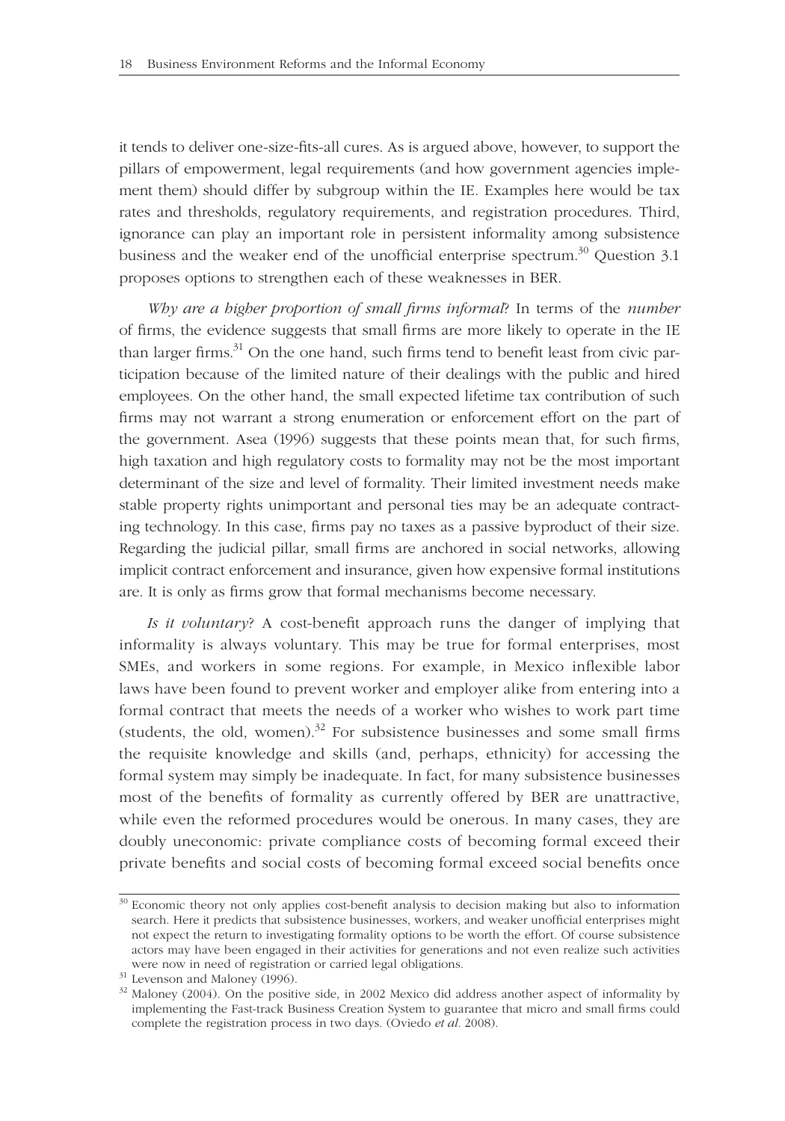it tends to deliver one-size-fits-all cures. As is argued above, however, to support the pillars of empowerment, legal requirements (and how government agencies implement them) should differ by subgroup within the IE. Examples here would be tax rates and thresholds, regulatory requirements, and registration procedures. Third, ignorance can play an important role in persistent informality among subsistence business and the weaker end of the unofficial enterprise spectrum.<sup>30</sup> Question 3.1 proposes options to strengthen each of these weaknesses in BER.

*Why are a higher proportion of small firms informal*? In terms of the *number* of firms, the evidence suggests that small firms are more likely to operate in the IE than larger firms. $31$  On the one hand, such firms tend to benefit least from civic participation because of the limited nature of their dealings with the public and hired employees. On the other hand, the small expected lifetime tax contribution of such firms may not warrant a strong enumeration or enforcement effort on the part of the government. Asea (1996) suggests that these points mean that, for such firms, high taxation and high regulatory costs to formality may not be the most important determinant of the size and level of formality. Their limited investment needs make stable property rights unimportant and personal ties may be an adequate contracting technology. In this case, firms pay no taxes as a passive byproduct of their size. Regarding the judicial pillar, small firms are anchored in social networks, allowing implicit contract enforcement and insurance, given how expensive formal institutions are. It is only as firms grow that formal mechanisms become necessary.

*Is it voluntary*? A cost-benefit approach runs the danger of implying that informality is always voluntary. This may be true for formal enterprises, most SMEs, and workers in some regions. For example, in Mexico inflexible labor laws have been found to prevent worker and employer alike from entering into a formal contract that meets the needs of a worker who wishes to work part time (students, the old, women).<sup>32</sup> For subsistence businesses and some small firms the requisite knowledge and skills (and, perhaps, ethnicity) for accessing the formal system may simply be inadequate. In fact, for many subsistence businesses most of the benefits of formality as currently offered by BER are unattractive, while even the reformed procedures would be onerous. In many cases, they are doubly uneconomic: private compliance costs of becoming formal exceed their private benefits and social costs of becoming formal exceed social benefits once

<sup>&</sup>lt;sup>30</sup> Economic theory not only applies cost-benefit analysis to decision making but also to information search. Here it predicts that subsistence businesses, workers, and weaker unofficial enterprises might not expect the return to investigating formality options to be worth the effort. Of course subsistence actors may have been engaged in their activities for generations and not even realize such activities were now in need of registration or carried legal obligations.  $\rm^{31}$  Levenson and Maloney (1996).

<sup>&</sup>lt;sup>32</sup> Maloney (2004). On the positive side, in 2002 Mexico did address another aspect of informality by implementing the Fast-track Business Creation System to guarantee that micro and small firms could complete the registration process in two days. (Oviedo *et al.* 2008).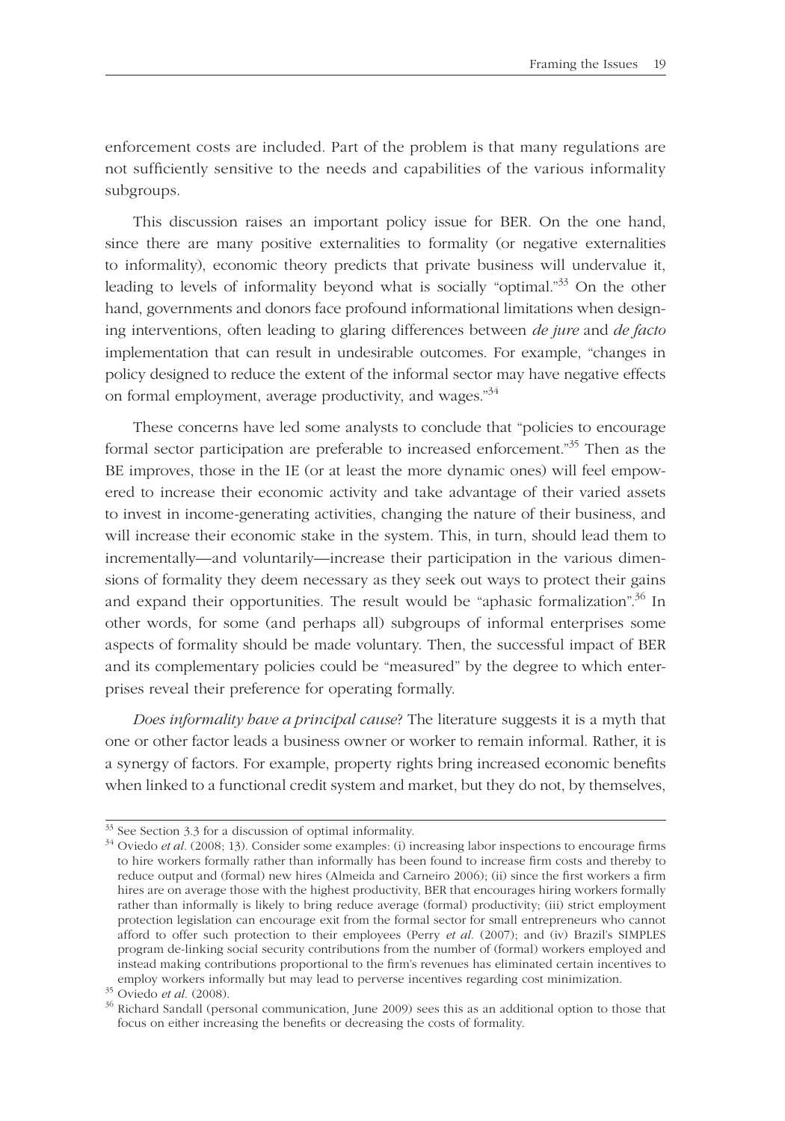enforcement costs are included. Part of the problem is that many regulations are not sufficiently sensitive to the needs and capabilities of the various informality subgroups.

This discussion raises an important policy issue for BER. On the one hand, since there are many positive externalities to formality (or negative externalities to informality), economic theory predicts that private business will undervalue it, leading to levels of informality beyond what is socially "optimal."<sup>33</sup> On the other hand, governments and donors face profound informational limitations when designing interventions, often leading to glaring differences between *de jure* and *de facto*  implementation that can result in undesirable outcomes. For example, "changes in policy designed to reduce the extent of the informal sector may have negative effects on formal employment, average productivity, and wages."<sup>34</sup>

These concerns have led some analysts to conclude that "policies to encourage formal sector participation are preferable to increased enforcement."<sup>35</sup> Then as the BE improves, those in the IE (or at least the more dynamic ones) will feel empowered to increase their economic activity and take advantage of their varied assets to invest in income-generating activities, changing the nature of their business, and will increase their economic stake in the system. This, in turn, should lead them to incrementally—and voluntarily—increase their participation in the various dimensions of formality they deem necessary as they seek out ways to protect their gains and expand their opportunities. The result would be "aphasic formalization".<sup>36</sup> In other words, for some (and perhaps all) subgroups of informal enterprises some aspects of formality should be made voluntary. Then, the successful impact of BER and its complementary policies could be "measured" by the degree to which enterprises reveal their preference for operating formally.

*Does informality have a principal cause*? The literature suggests it is a myth that one or other factor leads a business owner or worker to remain informal. Rather, it is a synergy of factors. For example, property rights bring increased economic benefits when linked to a functional credit system and market, but they do not, by themselves,

<sup>&</sup>lt;sup>33</sup> See Section 3.3 for a discussion of optimal informality.

<sup>&</sup>lt;sup>34</sup> Oviedo *et al.* (2008; 13). Consider some examples: (i) increasing labor inspections to encourage firms to hire workers formally rather than informally has been found to increase firm costs and thereby to reduce output and (formal) new hires (Almeida and Carneiro 2006); (ii) since the first workers a firm hires are on average those with the highest productivity, BER that encourages hiring workers formally rather than informally is likely to bring reduce average (formal) productivity; (iii) strict employment protection legislation can encourage exit from the formal sector for small entrepreneurs who cannot afford to offer such protection to their employees (Perry *et al.* (2007); and (iv) Brazil's SIMPLES program de-linking social security contributions from the number of (formal) workers employed and instead making contributions proportional to the firm's revenues has eliminated certain incentives to employ workers informally but may lead to perverse incentives regarding cost minimization.

<sup>35</sup> Oviedo *et al.* (2008).

<sup>&</sup>lt;sup>36</sup> Richard Sandall (personal communication, June 2009) sees this as an additional option to those that focus on either increasing the benefits or decreasing the costs of formality.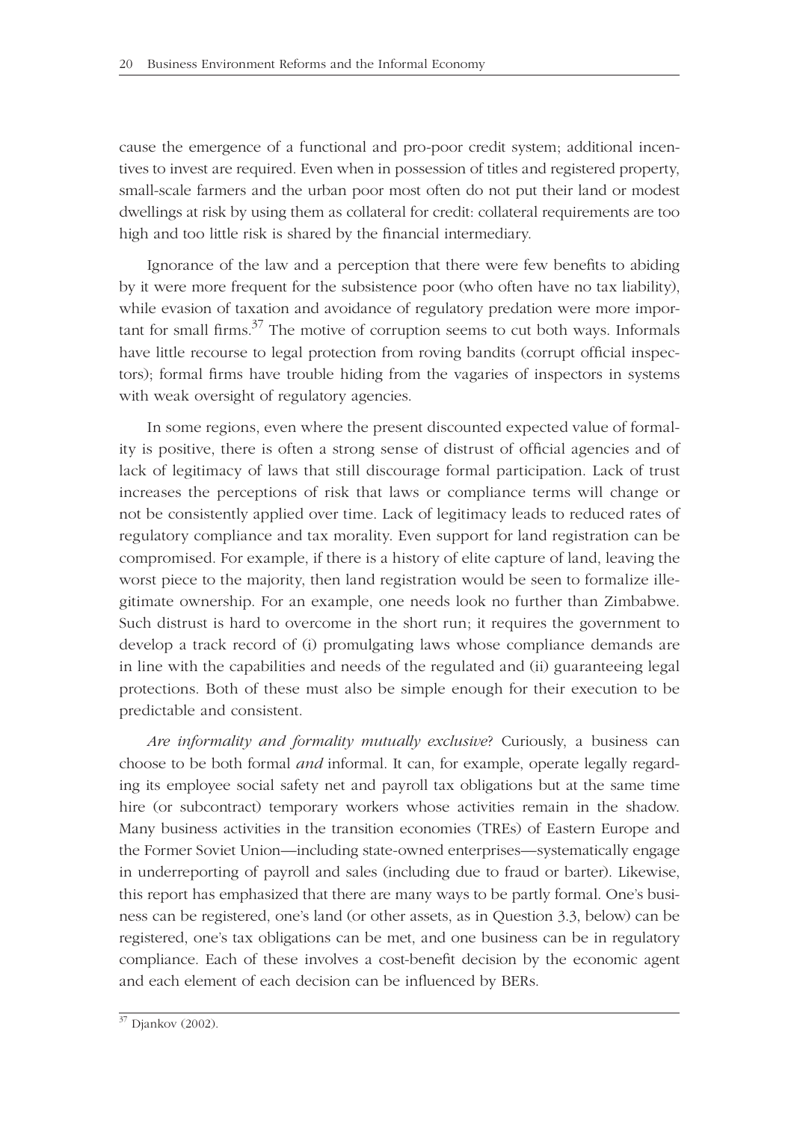cause the emergence of a functional and pro-poor credit system; additional incentives to invest are required. Even when in possession of titles and registered property, small-scale farmers and the urban poor most often do not put their land or modest dwellings at risk by using them as collateral for credit: collateral requirements are too high and too little risk is shared by the financial intermediary.

Ignorance of the law and a perception that there were few benefits to abiding by it were more frequent for the subsistence poor (who often have no tax liability), while evasion of taxation and avoidance of regulatory predation were more important for small firms. $37$  The motive of corruption seems to cut both ways. Informals have little recourse to legal protection from roving bandits (corrupt official inspectors); formal firms have trouble hiding from the vagaries of inspectors in systems with weak oversight of regulatory agencies.

In some regions, even where the present discounted expected value of formality is positive, there is often a strong sense of distrust of official agencies and of lack of legitimacy of laws that still discourage formal participation. Lack of trust increases the perceptions of risk that laws or compliance terms will change or not be consistently applied over time. Lack of legitimacy leads to reduced rates of regulatory compliance and tax morality. Even support for land registration can be compromised. For example, if there is a history of elite capture of land, leaving the worst piece to the majority, then land registration would be seen to formalize illegitimate ownership. For an example, one needs look no further than Zimbabwe. Such distrust is hard to overcome in the short run; it requires the government to develop a track record of (i) promulgating laws whose compliance demands are in line with the capabilities and needs of the regulated and (ii) guaranteeing legal protections. Both of these must also be simple enough for their execution to be predictable and consistent.

*Are informality and formality mutually exclusive*? Curiously, a business can choose to be both formal *and* informal. It can, for example, operate legally regarding its employee social safety net and payroll tax obligations but at the same time hire (or subcontract) temporary workers whose activities remain in the shadow. Many business activities in the transition economies (TREs) of Eastern Europe and the Former Soviet Union—including state-owned enterprises—systematically engage in underreporting of payroll and sales (including due to fraud or barter). Likewise, this report has emphasized that there are many ways to be partly formal. One's business can be registered, one's land (or other assets, as in Question 3.3, below) can be registered, one's tax obligations can be met, and one business can be in regulatory compliance. Each of these involves a cost-benefit decision by the economic agent and each element of each decision can be influenced by BERs.

<sup>37</sup> Djankov (2002).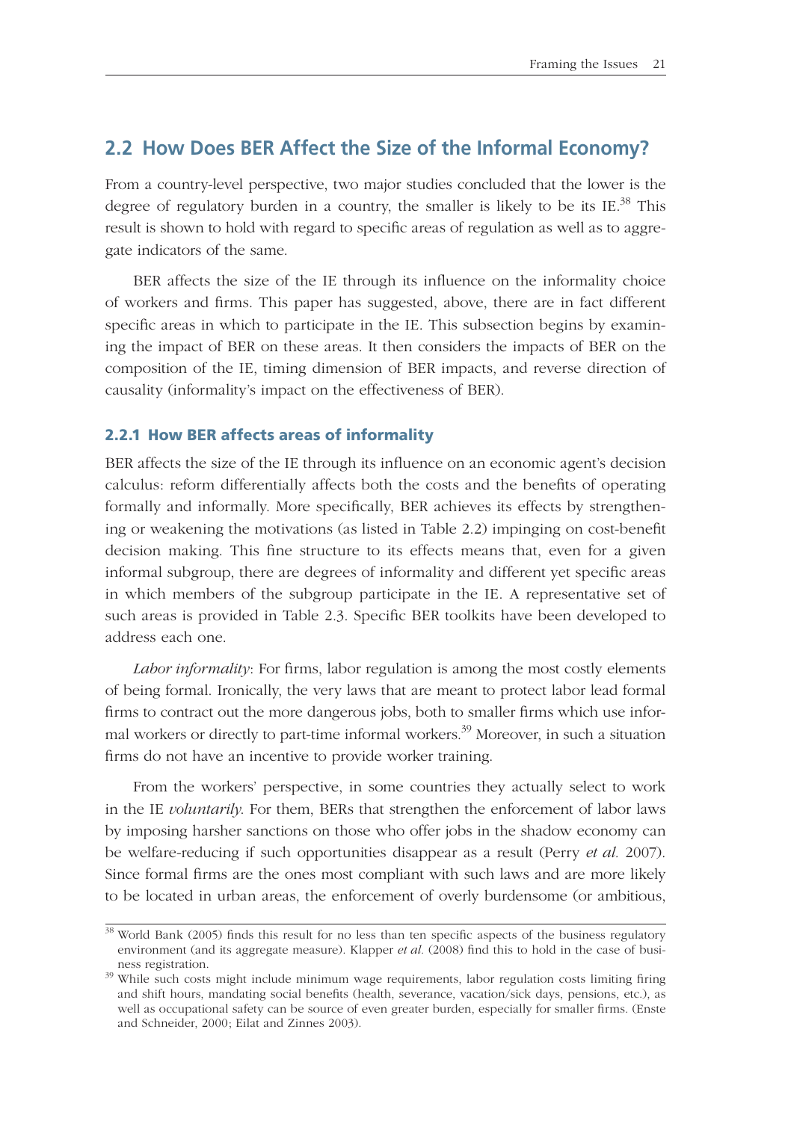## **2.2 How Does BER Affect the Size of the Informal Economy?**

From a country-level perspective, two major studies concluded that the lower is the degree of regulatory burden in a country, the smaller is likely to be its IE. $^{38}$  This result is shown to hold with regard to specific areas of regulation as well as to aggregate indicators of the same.

BER affects the size of the IE through its influence on the informality choice of workers and firms. This paper has suggested, above, there are in fact different specific areas in which to participate in the IE. This subsection begins by examining the impact of BER on these areas. It then considers the impacts of BER on the composition of the IE, timing dimension of BER impacts, and reverse direction of causality (informality's impact on the effectiveness of BER).

#### **2.2.1 How BER affects areas of informality**

BER affects the size of the IE through its influence on an economic agent's decision calculus: reform differentially affects both the costs and the benefits of operating formally and informally. More specifically, BER achieves its effects by strengthening or weakening the motivations (as listed in Table 2.2) impinging on cost-benefit decision making. This fine structure to its effects means that, even for a given informal subgroup, there are degrees of informality and different yet specific areas in which members of the subgroup participate in the IE. A representative set of such areas is provided in Table 2.3. Specific BER toolkits have been developed to address each one.

*Labor informality*: For firms, labor regulation is among the most costly elements of being formal. Ironically, the very laws that are meant to protect labor lead formal firms to contract out the more dangerous jobs, both to smaller firms which use informal workers or directly to part-time informal workers.<sup>39</sup> Moreover, in such a situation firms do not have an incentive to provide worker training.

From the workers' perspective, in some countries they actually select to work in the IE *voluntarily*. For them, BERs that strengthen the enforcement of labor laws by imposing harsher sanctions on those who offer jobs in the shadow economy can be welfare-reducing if such opportunities disappear as a result (Perry *et al.* 2007). Since formal firms are the ones most compliant with such laws and are more likely to be located in urban areas, the enforcement of overly burdensome (or ambitious,

<sup>&</sup>lt;sup>38</sup> World Bank (2005) finds this result for no less than ten specific aspects of the business regulatory environment (and its aggregate measure). Klapper *et al.* (2008) find this to hold in the case of business registration.<br><sup>39</sup> While such costs might include minimum wage requirements, labor regulation costs limiting firing

and shift hours, mandating social benefits (health, severance, vacation/sick days, pensions, etc.), as well as occupational safety can be source of even greater burden, especially for smaller firms. (Enste and Schneider, 2000; Eilat and Zinnes 2003).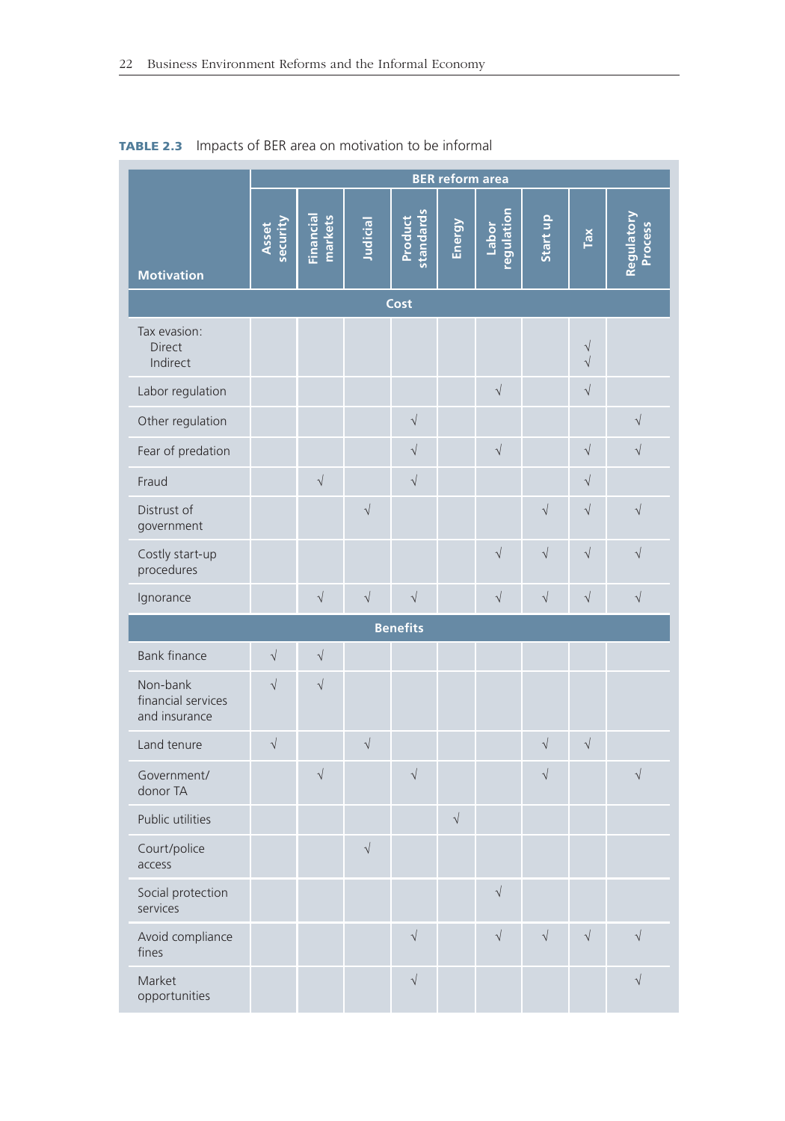|                                                 | <b>BER</b> reform area |                      |                      |                      |            |                            |            |                                    |                              |
|-------------------------------------------------|------------------------|----------------------|----------------------|----------------------|------------|----------------------------|------------|------------------------------------|------------------------------|
| <b>Motivation</b>                               | security<br>Asset      | Financial<br>markets | Judicial             | standards<br>Product | Energy     | <u>regulation</u><br>Labor | Start up   | $\mathsf{Tax}$                     | <b>Regulatory</b><br>Process |
|                                                 |                        |                      |                      | Cost                 |            |                            |            |                                    |                              |
| Tax evasion:<br><b>Direct</b><br>Indirect       |                        |                      |                      |                      |            |                            |            | $\sqrt{\phantom{a}}$<br>$\sqrt{ }$ |                              |
| Labor regulation                                |                        |                      |                      |                      |            | $\sqrt{}$                  |            | $\sqrt{ }$                         |                              |
| Other regulation                                |                        |                      |                      | $\sqrt$              |            |                            |            |                                    | $\sqrt{}$                    |
| Fear of predation                               |                        |                      |                      | $\sqrt{}$            |            | $\sqrt{ }$                 |            | $\sqrt{}$                          | $\sqrt{}$                    |
| Fraud                                           |                        | $\sqrt{\phantom{a}}$ |                      | $\sqrt$              |            |                            |            | $\sqrt{}$                          |                              |
| Distrust of<br>government                       |                        |                      | $\sqrt{}$            |                      |            |                            | $\sqrt{ }$ | $\sqrt{}$                          | $\sqrt{}$                    |
| Costly start-up<br>procedures                   |                        |                      |                      |                      |            | $\sqrt{ }$                 | $\sqrt{ }$ | $\sqrt{}$                          | $\sqrt{}$                    |
| Ignorance                                       |                        | $\sqrt{}$            | $\sqrt{\phantom{a}}$ | $\sqrt{ }$           |            | $\sqrt{ }$                 | $\sqrt{ }$ | $\sqrt{ }$                         | $\sqrt{ }$                   |
|                                                 |                        |                      |                      | <b>Benefits</b>      |            |                            |            |                                    |                              |
| <b>Bank finance</b>                             | $\sqrt{}$              | $\sqrt{ }$           |                      |                      |            |                            |            |                                    |                              |
| Non-bank<br>financial services<br>and insurance | $\sqrt{}$              | $\sqrt{ }$           |                      |                      |            |                            |            |                                    |                              |
| Land tenure                                     | $\sqrt{}$              |                      | $\sqrt{}$            |                      |            |                            | $\sqrt{}$  | $\sqrt{}$                          |                              |
| Government/<br>donor TA                         |                        | $\sqrt{ }$           |                      | $\sqrt$              |            |                            | $\sqrt{ }$ |                                    | $\sqrt{ }$                   |
| Public utilities                                |                        |                      |                      |                      | $\sqrt{ }$ |                            |            |                                    |                              |
| Court/police<br>access                          |                        |                      | $\sqrt{ }$           |                      |            |                            |            |                                    |                              |
| Social protection<br>services                   |                        |                      |                      |                      |            | $\sqrt{}$                  |            |                                    |                              |
| Avoid compliance<br>fines                       |                        |                      |                      | $\sqrt{ }$           |            | $\sqrt{ }$                 | $\sqrt{ }$ | $\sqrt{\phantom{a}}$               | $\sqrt{}$                    |
| Market<br>opportunities                         |                        |                      |                      | $\sqrt$              |            |                            |            |                                    | $\sqrt{}$                    |

## **TABLE 2.3** Impacts of BER area on motivation to be informal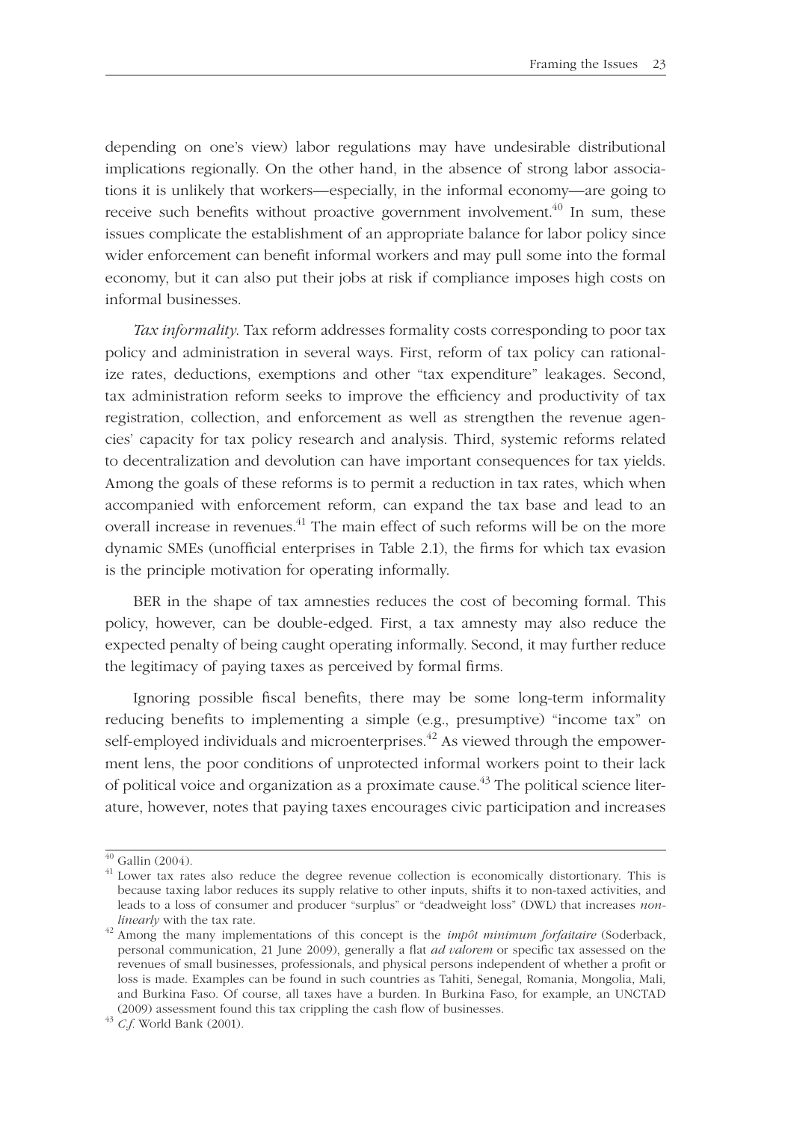depending on one's view) labor regulations may have undesirable distributional implications regionally. On the other hand, in the absence of strong labor associations it is unlikely that workers—especially, in the informal economy—are going to receive such benefits without proactive government involvement.<sup>40</sup> In sum, these issues complicate the establishment of an appropriate balance for labor policy since wider enforcement can benefit informal workers and may pull some into the formal economy, but it can also put their jobs at risk if compliance imposes high costs on informal businesses.

*Tax informality*. Tax reform addresses formality costs corresponding to poor tax policy and administration in several ways. First, reform of tax policy can rationalize rates, deductions, exemptions and other "tax expenditure" leakages. Second, tax administration reform seeks to improve the efficiency and productivity of tax registration, collection, and enforcement as well as strengthen the revenue agencies' capacity for tax policy research and analysis. Third, systemic reforms related to decentralization and devolution can have important consequences for tax yields. Among the goals of these reforms is to permit a reduction in tax rates, which when accompanied with enforcement reform, can expand the tax base and lead to an overall increase in revenues.<sup>41</sup> The main effect of such reforms will be on the more dynamic SMEs (unofficial enterprises in Table 2.1), the firms for which tax evasion is the principle motivation for operating informally.

BER in the shape of tax amnesties reduces the cost of becoming formal. This policy, however, can be double-edged. First, a tax amnesty may also reduce the expected penalty of being caught operating informally. Second, it may further reduce the legitimacy of paying taxes as perceived by formal firms.

Ignoring possible fiscal benefits, there may be some long-term informality reducing benefits to implementing a simple (e.g., presumptive) "income tax" on self-employed individuals and microenterprises.<sup>42</sup> As viewed through the empowerment lens, the poor conditions of unprotected informal workers point to their lack of political voice and organization as a proximate cause.<sup>43</sup> The political science literature, however, notes that paying taxes encourages civic participation and increases

 $\overline{40}$  Gallin (2004).

 $41$  Lower tax rates also reduce the degree revenue collection is economically distortionary. This is because taxing labor reduces its supply relative to other inputs, shifts it to non-taxed activities, and leads to a loss of consumer and producer "surplus" or "deadweight loss" (DWL) that increases *non-*

*linearly* with the tax rate. 42 Among the many implementations of this concept is the *impôt minimum forfaitaire* (Soderback, personal communication, 21 June 2009), generally a flat *ad valorem* or specific tax assessed on the revenues of small businesses, professionals, and physical persons independent of whether a profit or loss is made. Examples can be found in such countries as Tahiti, Senegal, Romania, Mongolia, Mali, and Burkina Faso. Of course, all taxes have a burden. In Burkina Faso, for example, an UNCTAD (2009) assessment found this tax crippling the cash flow of businesses.<br><sup>43</sup> *C.f.* World Bank (2001).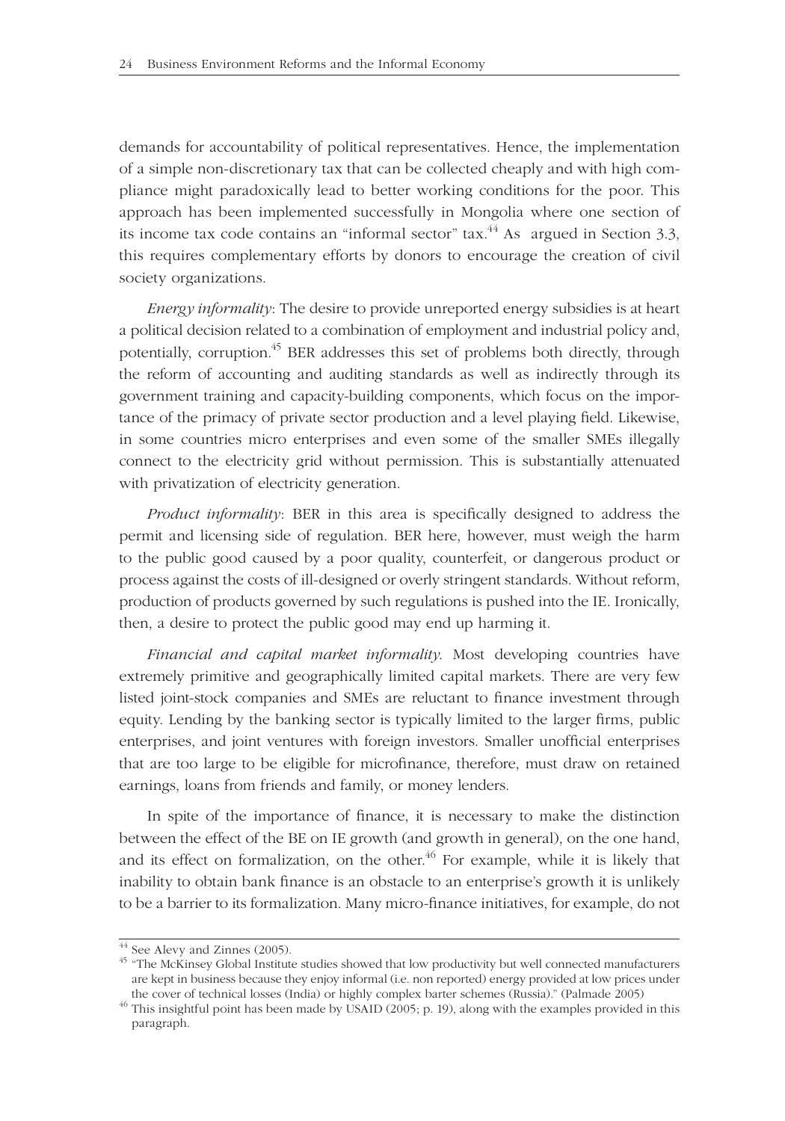demands for accountability of political representatives. Hence, the implementation of a simple non-discretionary tax that can be collected cheaply and with high compliance might paradoxically lead to better working conditions for the poor. This approach has been implemented successfully in Mongolia where one section of its income tax code contains an "informal sector"  $\text{tax.}^{44}$  As argued in Section 3.3, this requires complementary efforts by donors to encourage the creation of civil society organizations.

*Energy informality*: The desire to provide unreported energy subsidies is at heart a political decision related to a combination of employment and industrial policy and, potentially, corruption.<sup>45</sup> BER addresses this set of problems both directly, through the reform of accounting and auditing standards as well as indirectly through its government training and capacity-building components, which focus on the importance of the primacy of private sector production and a level playing field. Likewise, in some countries micro enterprises and even some of the smaller SMEs illegally connect to the electricity grid without permission. This is substantially attenuated with privatization of electricity generation.

*Product informality*: BER in this area is specifically designed to address the permit and licensing side of regulation. BER here, however, must weigh the harm to the public good caused by a poor quality, counterfeit, or dangerous product or process against the costs of ill-designed or overly stringent standards. Without reform, production of products governed by such regulations is pushed into the IE. Ironically, then, a desire to protect the public good may end up harming it.

*Financial and capital market informality*. Most developing countries have extremely primitive and geographically limited capital markets. There are very few listed joint-stock companies and SMEs are reluctant to finance investment through equity. Lending by the banking sector is typically limited to the larger firms, public enterprises, and joint ventures with foreign investors. Smaller unofficial enterprises that are too large to be eligible for microfinance, therefore, must draw on retained earnings, loans from friends and family, or money lenders.

In spite of the importance of finance, it is necessary to make the distinction between the effect of the BE on IE growth (and growth in general), on the one hand, and its effect on formalization, on the other.<sup>46</sup> For example, while it is likely that inability to obtain bank finance is an obstacle to an enterprise's growth it is unlikely to be a barrier to its formalization. Many micro-finance initiatives, for example, do not

 $\frac{44}{44}$  See Alevy and Zinnes (2005).

<sup>&</sup>lt;sup>45</sup> "The McKinsey Global Institute studies showed that low productivity but well connected manufacturers are kept in business because they enjoy informal (i.e. non reported) energy provided at low prices under

the cover of technical losses (India) or highly complex barter schemes (Russia)." (Palmade 2005) 46 This insightful point has been made by USAID (2005; p. 19), along with the examples provided in this paragraph.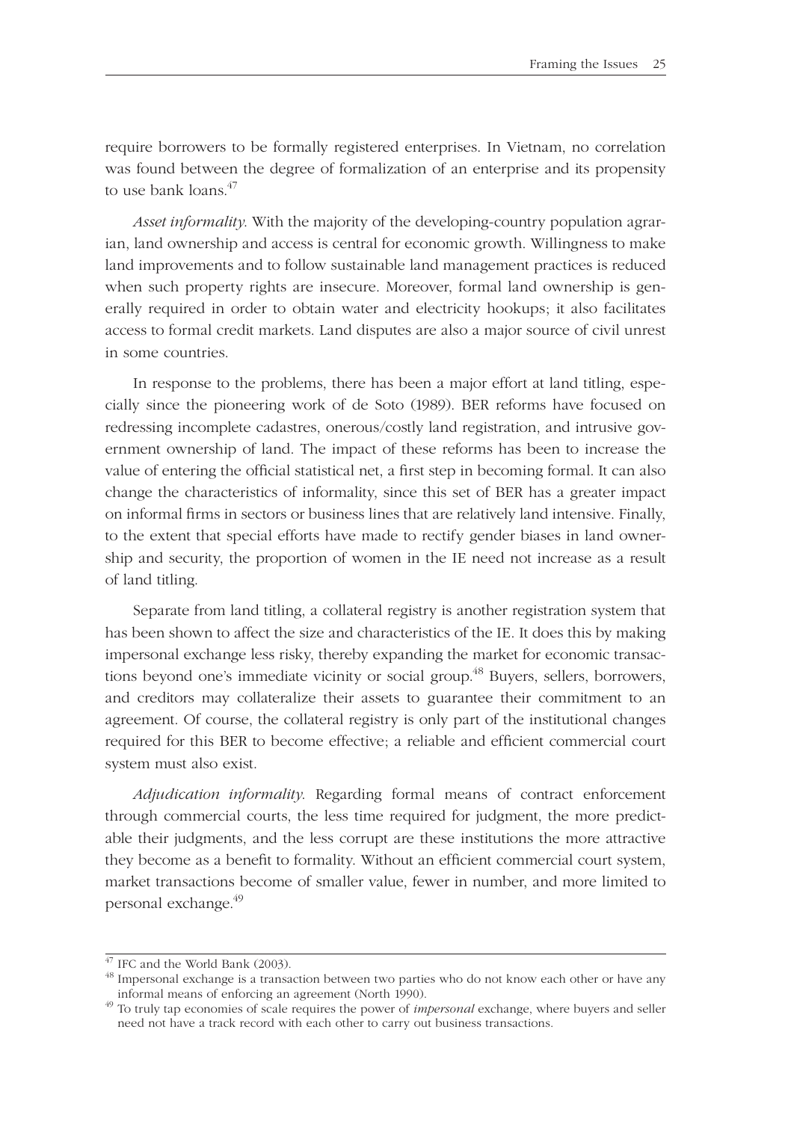require borrowers to be formally registered enterprises. In Vietnam, no correlation was found between the degree of formalization of an enterprise and its propensity to use bank loans.<sup>47</sup>

*Asset informality*. With the majority of the developing-country population agrarian, land ownership and access is central for economic growth. Willingness to make land improvements and to follow sustainable land management practices is reduced when such property rights are insecure. Moreover, formal land ownership is generally required in order to obtain water and electricity hookups; it also facilitates access to formal credit markets. Land disputes are also a major source of civil unrest in some countries.

In response to the problems, there has been a major effort at land titling, especially since the pioneering work of de Soto (1989). BER reforms have focused on redressing incomplete cadastres, onerous/costly land registration, and intrusive government ownership of land. The impact of these reforms has been to increase the value of entering the official statistical net, a first step in becoming formal. It can also change the characteristics of informality, since this set of BER has a greater impact on informal firms in sectors or business lines that are relatively land intensive. Finally, to the extent that special efforts have made to rectify gender biases in land ownership and security, the proportion of women in the IE need not increase as a result of land titling.

Separate from land titling, a collateral registry is another registration system that has been shown to affect the size and characteristics of the IE. It does this by making impersonal exchange less risky, thereby expanding the market for economic transactions beyond one's immediate vicinity or social group.<sup>48</sup> Buyers, sellers, borrowers, and creditors may collateralize their assets to guarantee their commitment to an agreement. Of course, the collateral registry is only part of the institutional changes required for this BER to become effective; a reliable and efficient commercial court system must also exist.

*Adjudication informality*. Regarding formal means of contract enforcement through commercial courts, the less time required for judgment, the more predictable their judgments, and the less corrupt are these institutions the more attractive they become as a benefit to formality. Without an efficient commercial court system, market transactions become of smaller value, fewer in number, and more limited to personal exchange.<sup>49</sup>

 $47$  IFC and the World Bank (2003).

<sup>&</sup>lt;sup>48</sup> Impersonal exchange is a transaction between two parties who do not know each other or have any informal means of enforcing an agreement (North 1990). 49 To truly tap economies of scale requires the power of *impersonal* exchange, where buyers and seller

need not have a track record with each other to carry out business transactions.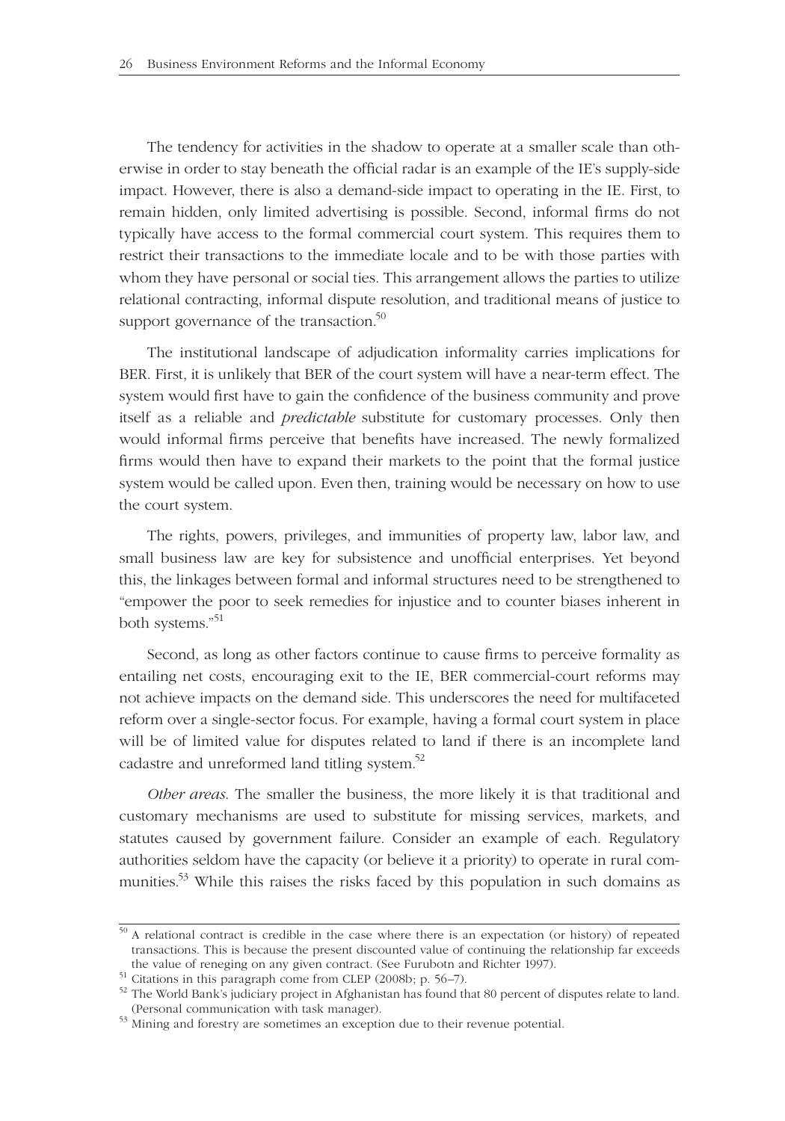The tendency for activities in the shadow to operate at a smaller scale than otherwise in order to stay beneath the official radar is an example of the IE's supply-side impact. However, there is also a demand-side impact to operating in the IE. First, to remain hidden, only limited advertising is possible. Second, informal firms do not typically have access to the formal commercial court system. This requires them to restrict their transactions to the immediate locale and to be with those parties with whom they have personal or social ties. This arrangement allows the parties to utilize relational contracting, informal dispute resolution, and traditional means of justice to support governance of the transaction.<sup>50</sup>

The institutional landscape of adjudication informality carries implications for BER. First, it is unlikely that BER of the court system will have a near-term effect. The system would first have to gain the confidence of the business community and prove itself as a reliable and *predictable* substitute for customary processes. Only then would informal firms perceive that benefits have increased. The newly formalized firms would then have to expand their markets to the point that the formal justice system would be called upon. Even then, training would be necessary on how to use the court system.

The rights, powers, privileges, and immunities of property law, labor law, and small business law are key for subsistence and unofficial enterprises. Yet beyond this, the linkages between formal and informal structures need to be strengthened to "empower the poor to seek remedies for injustice and to counter biases inherent in both systems."<sup>51</sup>

Second, as long as other factors continue to cause firms to perceive formality as entailing net costs, encouraging exit to the IE, BER commercial-court reforms may not achieve impacts on the demand side. This underscores the need for multifaceted reform over a single-sector focus. For example, having a formal court system in place will be of limited value for disputes related to land if there is an incomplete land cadastre and unreformed land titling system.<sup>52</sup>

*Other areas*. The smaller the business, the more likely it is that traditional and customary mechanisms are used to substitute for missing services, markets, and statutes caused by government failure. Consider an example of each. Regulatory authorities seldom have the capacity (or believe it a priority) to operate in rural communities.<sup>53</sup> While this raises the risks faced by this population in such domains as

<sup>&</sup>lt;sup>50</sup> A relational contract is credible in the case where there is an expectation (or history) of repeated transactions. This is because the present discounted value of continuing the relationship far exceeds the value of reneging on any given contract. (See Furubotn and Richter 1997).

 $51$  Citations in this paragraph come from CLEP (2008b; p. 56–7).

<sup>52</sup> The World Bank's judiciary project in Afghanistan has found that 80 percent of disputes relate to land. (Personal communication with task manager).  $53$  Mining and forestry are sometimes an exception due to their revenue potential.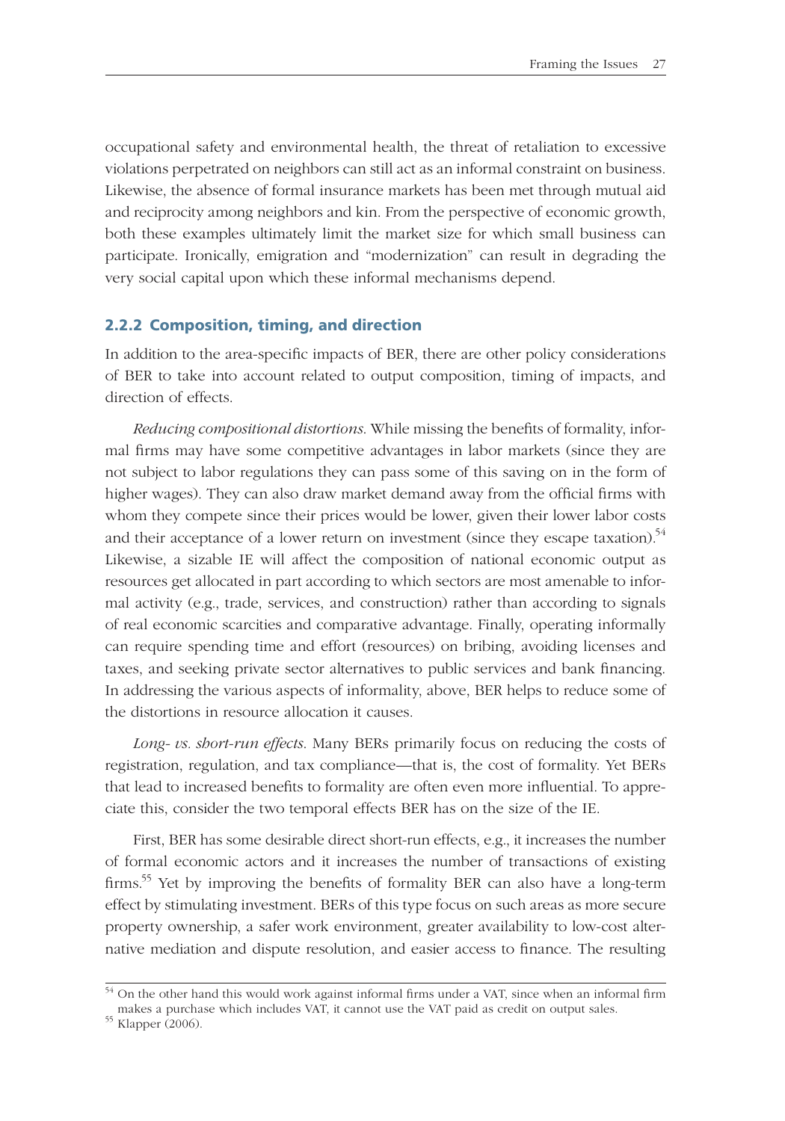occupational safety and environmental health, the threat of retaliation to excessive violations perpetrated on neighbors can still act as an informal constraint on business. Likewise, the absence of formal insurance markets has been met through mutual aid and reciprocity among neighbors and kin. From the perspective of economic growth, both these examples ultimately limit the market size for which small business can participate. Ironically, emigration and "modernization" can result in degrading the very social capital upon which these informal mechanisms depend.

#### **2.2.2 Composition, timing, and direction**

In addition to the area-specific impacts of BER, there are other policy considerations of BER to take into account related to output composition, timing of impacts, and direction of effects.

*Reducing compositional distortions*. While missing the benefits of formality, informal firms may have some competitive advantages in labor markets (since they are not subject to labor regulations they can pass some of this saving on in the form of higher wages). They can also draw market demand away from the official firms with whom they compete since their prices would be lower, given their lower labor costs and their acceptance of a lower return on investment (since they escape taxation).<sup>54</sup> Likewise, a sizable IE will affect the composition of national economic output as resources get allocated in part according to which sectors are most amenable to informal activity (e.g., trade, services, and construction) rather than according to signals of real economic scarcities and comparative advantage. Finally, operating informally can require spending time and effort (resources) on bribing, avoiding licenses and taxes, and seeking private sector alternatives to public services and bank financing. In addressing the various aspects of informality, above, BER helps to reduce some of the distortions in resource allocation it causes.

*Long- vs. short-run effects*. Many BERs primarily focus on reducing the costs of registration, regulation, and tax compliance—that is, the cost of formality. Yet BERs that lead to increased benefits to formality are often even more influential. To appreciate this, consider the two temporal effects BER has on the size of the IE.

First, BER has some desirable direct short-run effects, e.g., it increases the number of formal economic actors and it increases the number of transactions of existing firms.<sup>55</sup> Yet by improving the benefits of formality BER can also have a long-term effect by stimulating investment. BERs of this type focus on such areas as more secure property ownership, a safer work environment, greater availability to low-cost alternative mediation and dispute resolution, and easier access to finance. The resulting

 $\frac{54}{14}$  On the other hand this would work against informal firms under a VAT, since when an informal firm makes a purchase which includes VAT, it cannot use the VAT paid as credit on output sales. 55 Klapper (2006).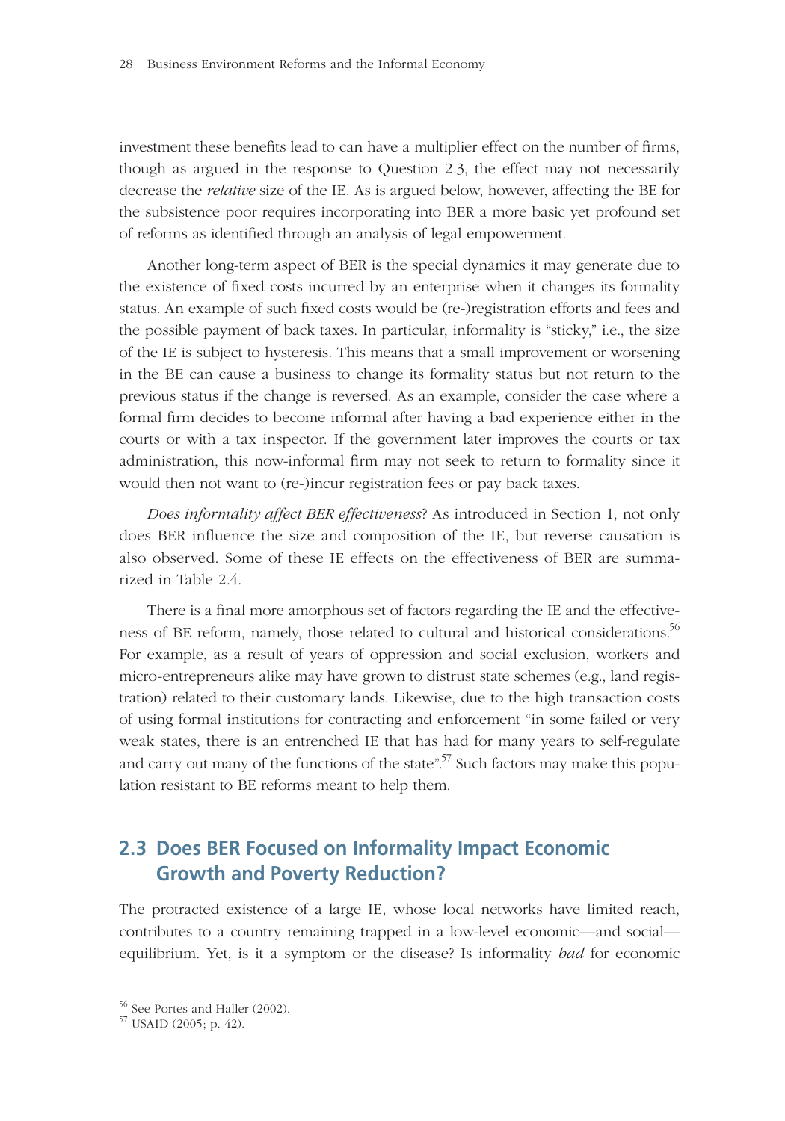investment these benefits lead to can have a multiplier effect on the number of firms, though as argued in the response to Question 2.3, the effect may not necessarily decrease the *relative* size of the IE. As is argued below, however, affecting the BE for the subsistence poor requires incorporating into BER a more basic yet profound set of reforms as identified through an analysis of legal empowerment.

Another long-term aspect of BER is the special dynamics it may generate due to the existence of fixed costs incurred by an enterprise when it changes its formality status. An example of such fixed costs would be (re-)registration efforts and fees and the possible payment of back taxes. In particular, informality is "sticky," i.e., the size of the IE is subject to hysteresis. This means that a small improvement or worsening in the BE can cause a business to change its formality status but not return to the previous status if the change is reversed. As an example, consider the case where a formal firm decides to become informal after having a bad experience either in the courts or with a tax inspector. If the government later improves the courts or tax administration, this now-informal firm may not seek to return to formality since it would then not want to (re-)incur registration fees or pay back taxes.

*Does informality affect BER effectiveness*? As introduced in Section 1, not only does BER influence the size and composition of the IE, but reverse causation is also observed. Some of these IE effects on the effectiveness of BER are summarized in Table 2.4.

There is a final more amorphous set of factors regarding the IE and the effectiveness of BE reform, namely, those related to cultural and historical considerations.<sup>56</sup> For example, as a result of years of oppression and social exclusion, workers and micro-entrepreneurs alike may have grown to distrust state schemes (e.g., land registration) related to their customary lands. Likewise, due to the high transaction costs of using formal institutions for contracting and enforcement "in some failed or very weak states, there is an entrenched IE that has had for many years to self-regulate and carry out many of the functions of the state".<sup>57</sup> Such factors may make this population resistant to BE reforms meant to help them.

# **2.3 Does BER Focused on Informality Impact Economic Growth and Poverty Reduction?**

The protracted existence of a large IE, whose local networks have limited reach, contributes to a country remaining trapped in a low-level economic—and social equilibrium. Yet, is it a symptom or the disease? Is informality *bad* for economic

<sup>56</sup> See Portes and Haller (2002).

<sup>57</sup> USAID (2005; p. 42).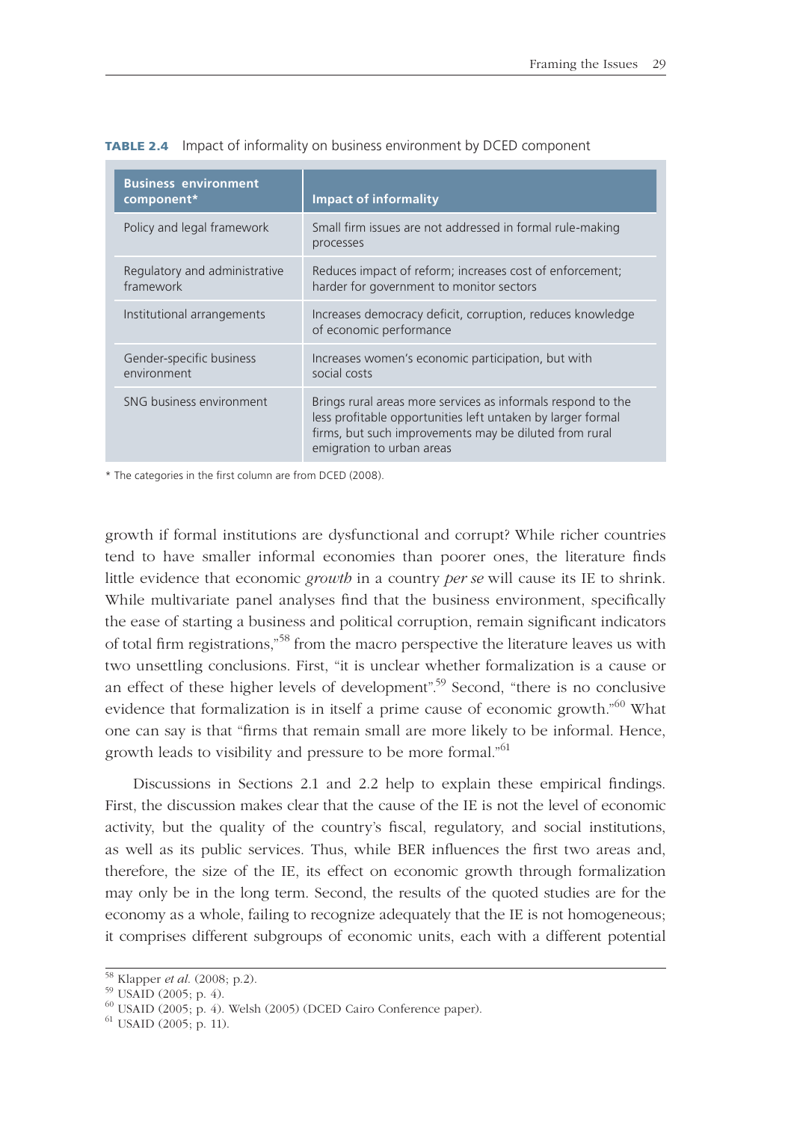| <b>Business environment</b><br>component*  | <b>Impact of informality</b>                                                                                                                                                                                       |  |  |  |  |
|--------------------------------------------|--------------------------------------------------------------------------------------------------------------------------------------------------------------------------------------------------------------------|--|--|--|--|
| Policy and legal framework                 | Small firm issues are not addressed in formal rule-making<br>processes                                                                                                                                             |  |  |  |  |
| Regulatory and administrative<br>framework | Reduces impact of reform; increases cost of enforcement;<br>harder for government to monitor sectors                                                                                                               |  |  |  |  |
| Institutional arrangements                 | Increases democracy deficit, corruption, reduces knowledge<br>of economic performance                                                                                                                              |  |  |  |  |
| Gender-specific business<br>environment    | Increases women's economic participation, but with<br>social costs                                                                                                                                                 |  |  |  |  |
| SNG business environment                   | Brings rural areas more services as informals respond to the<br>less profitable opportunities left untaken by larger formal<br>firms, but such improvements may be diluted from rural<br>emigration to urban areas |  |  |  |  |

**TABLE 2.4** Impact of informality on business environment by DCED component

\* The categories in the first column are from DCED (2008).

growth if formal institutions are dysfunctional and corrupt? While richer countries tend to have smaller informal economies than poorer ones, the literature finds little evidence that economic *growth* in a country *per se* will cause its IE to shrink. While multivariate panel analyses find that the business environment, specifically the ease of starting a business and political corruption, remain significant indicators of total firm registrations,"<sup>58</sup> from the macro perspective the literature leaves us with two unsettling conclusions. First, "it is unclear whether formalization is a cause or an effect of these higher levels of development".<sup>59</sup> Second, "there is no conclusive evidence that formalization is in itself a prime cause of economic growth."<sup>60</sup> What one can say is that "firms that remain small are more likely to be informal. Hence, growth leads to visibility and pressure to be more formal."<sup>61</sup>

Discussions in Sections 2.1 and 2.2 help to explain these empirical findings. First, the discussion makes clear that the cause of the IE is not the level of economic activity, but the quality of the country's fiscal, regulatory, and social institutions, as well as its public services. Thus, while BER influences the first two areas and, therefore, the size of the IE, its effect on economic growth through formalization may only be in the long term. Second, the results of the quoted studies are for the economy as a whole, failing to recognize adequately that the IE is not homogeneous; it comprises different subgroups of economic units, each with a different potential

<sup>58</sup> Klapper *et al*. (2008; p.2). 59 USAID (2005; p. 4).

<sup>60</sup> USAID (2005; p. 4). Welsh (2005) (DCED Cairo Conference paper).

<sup>61</sup> USAID (2005; p. 11).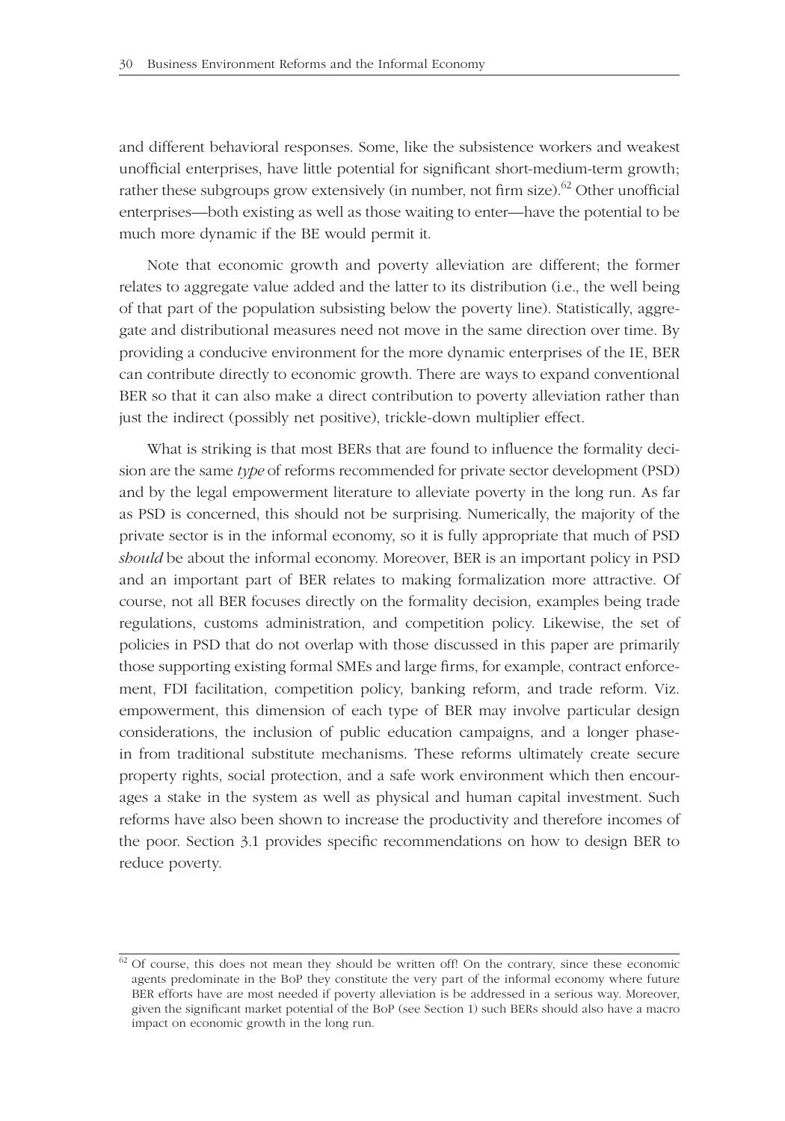and different behavioral responses. Some, like the subsistence workers and weakest unofficial enterprises, have little potential for significant short-medium-term growth; rather these subgroups grow extensively (in number, not firm size). $^{62}$  Other unofficial enterprises—both existing as well as those waiting to enter—have the potential to be much more dynamic if the BE would permit it.

Note that economic growth and poverty alleviation are different; the former relates to aggregate value added and the latter to its distribution (i.e., the well being of that part of the population subsisting below the poverty line). Statistically, aggregate and distributional measures need not move in the same direction over time. By providing a conducive environment for the more dynamic enterprises of the IE, BER can contribute directly to economic growth. There are ways to expand conventional BER so that it can also make a direct contribution to poverty alleviation rather than just the indirect (possibly net positive), trickle-down multiplier effect.

What is striking is that most BERs that are found to influence the formality decision are the same *type* of reforms recommended for private sector development (PSD) and by the legal empowerment literature to alleviate poverty in the long run. As far as PSD is concerned, this should not be surprising. Numerically, the majority of the private sector is in the informal economy, so it is fully appropriate that much of PSD *should* be about the informal economy. Moreover, BER is an important policy in PSD and an important part of BER relates to making formalization more attractive. Of course, not all BER focuses directly on the formality decision, examples being trade regulations, customs administration, and competition policy. Likewise, the set of policies in PSD that do not overlap with those discussed in this paper are primarily those supporting existing formal SMEs and large firms, for example, contract enforcement, FDI facilitation, competition policy, banking reform, and trade reform. Viz. empowerment, this dimension of each type of BER may involve particular design considerations, the inclusion of public education campaigns, and a longer phasein from traditional substitute mechanisms. These reforms ultimately create secure property rights, social protection, and a safe work environment which then encourages a stake in the system as well as physical and human capital investment. Such reforms have also been shown to increase the productivity and therefore incomes of the poor. Section 3.1 provides specific recommendations on how to design BER to reduce poverty.

 $62$  Of course, this does not mean they should be written off! On the contrary, since these economic agents predominate in the BoP they constitute the very part of the informal economy where future BER efforts have are most needed if poverty alleviation is be addressed in a serious way. Moreover, given the significant market potential of the BoP (see Section 1) such BERs should also have a macro impact on economic growth in the long run.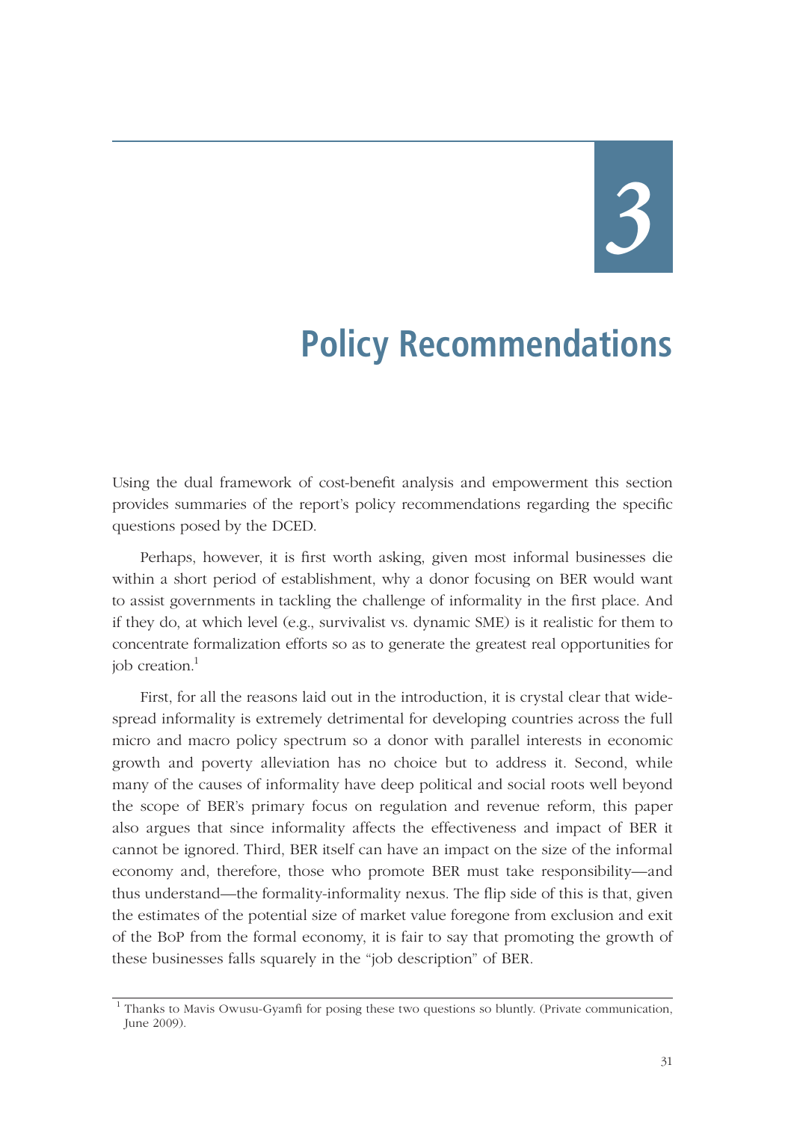*3*

# **Policy Recommendations**

Using the dual framework of cost-benefit analysis and empowerment this section provides summaries of the report's policy recommendations regarding the specific questions posed by the DCED.

Perhaps, however, it is first worth asking, given most informal businesses die within a short period of establishment, why a donor focusing on BER would want to assist governments in tackling the challenge of informality in the first place. And if they do, at which level (e.g., survivalist vs. dynamic SME) is it realistic for them to concentrate formalization efforts so as to generate the greatest real opportunities for job creation. $<sup>1</sup>$ </sup>

First, for all the reasons laid out in the introduction, it is crystal clear that widespread informality is extremely detrimental for developing countries across the full micro and macro policy spectrum so a donor with parallel interests in economic growth and poverty alleviation has no choice but to address it. Second, while many of the causes of informality have deep political and social roots well beyond the scope of BER's primary focus on regulation and revenue reform, this paper also argues that since informality affects the effectiveness and impact of BER it cannot be ignored. Third, BER itself can have an impact on the size of the informal economy and, therefore, those who promote BER must take responsibility—and thus understand—the formality-informality nexus. The flip side of this is that, given the estimates of the potential size of market value foregone from exclusion and exit of the BoP from the formal economy, it is fair to say that promoting the growth of these businesses falls squarely in the "job description" of BER.

 <sup>1</sup> Thanks to Mavis Owusu-Gyamfi for posing these two questions so bluntly. (Private communication, June 2009).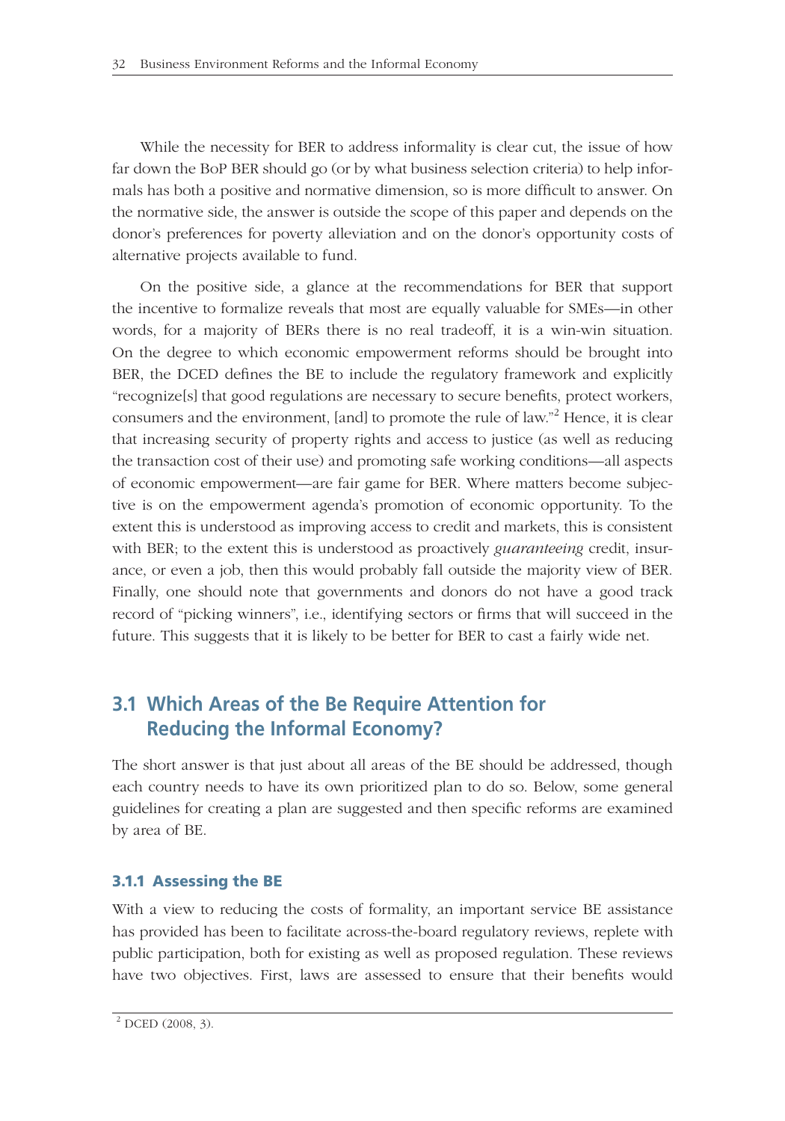While the necessity for BER to address informality is clear cut, the issue of how far down the BoP BER should go (or by what business selection criteria) to help informals has both a positive and normative dimension, so is more difficult to answer. On the normative side, the answer is outside the scope of this paper and depends on the donor's preferences for poverty alleviation and on the donor's opportunity costs of alternative projects available to fund.

On the positive side, a glance at the recommendations for BER that support the incentive to formalize reveals that most are equally valuable for SMEs—in other words, for a majority of BERs there is no real tradeoff, it is a win-win situation. On the degree to which economic empowerment reforms should be brought into BER, the DCED defines the BE to include the regulatory framework and explicitly "recognize[s] that good regulations are necessary to secure benefits, protect workers, consumers and the environment, [and] to promote the rule of law."<sup>2</sup> Hence, it is clear that increasing security of property rights and access to justice (as well as reducing the transaction cost of their use) and promoting safe working conditions—all aspects of economic empowerment—are fair game for BER. Where matters become subjective is on the empowerment agenda's promotion of economic opportunity. To the extent this is understood as improving access to credit and markets, this is consistent with BER; to the extent this is understood as proactively *guaranteeing* credit, insurance, or even a job, then this would probably fall outside the majority view of BER. Finally, one should note that governments and donors do not have a good track record of "picking winners", i.e., identifying sectors or firms that will succeed in the future. This suggests that it is likely to be better for BER to cast a fairly wide net.

# **3.1 Which Areas of the Be Require Attention for Reducing the Informal Economy?**

The short answer is that just about all areas of the BE should be addressed, though each country needs to have its own prioritized plan to do so. Below, some general guidelines for creating a plan are suggested and then specifi c reforms are examined by area of BE.

### **3.1.1 Assessing the BE**

With a view to reducing the costs of formality, an important service BE assistance has provided has been to facilitate across-the-board regulatory reviews, replete with public participation, both for existing as well as proposed regulation. These reviews have two objectives. First, laws are assessed to ensure that their benefits would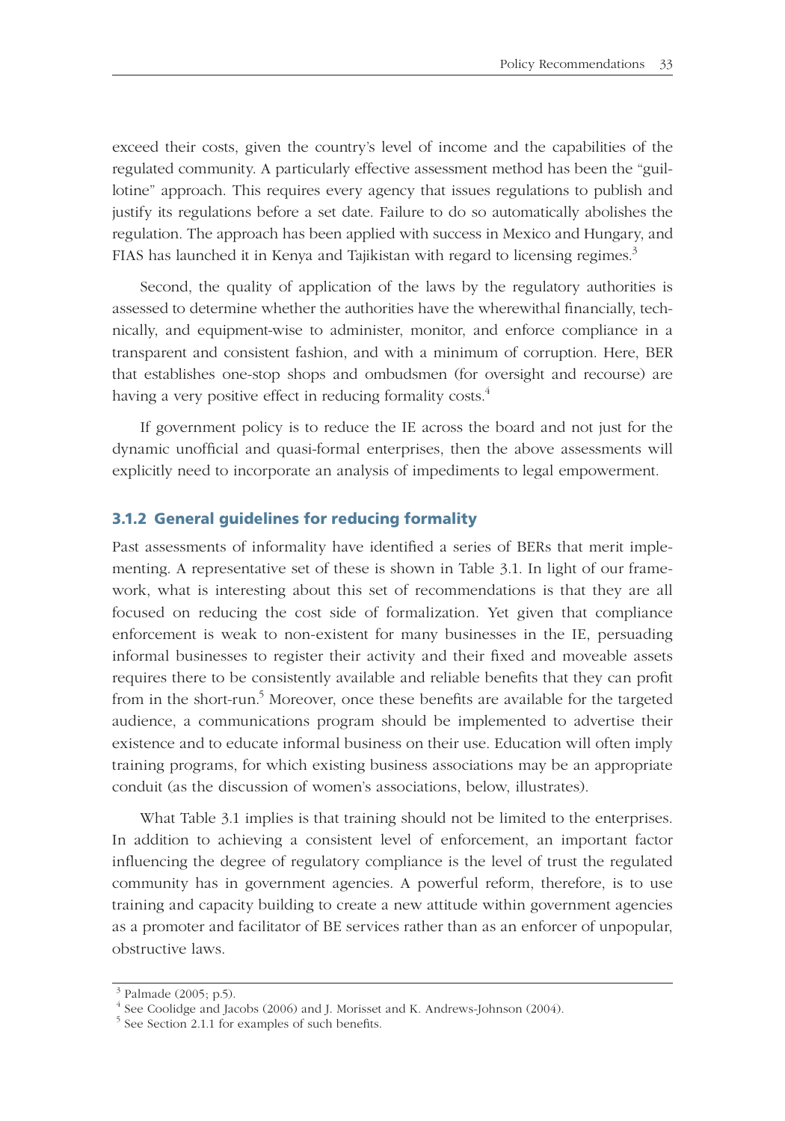exceed their costs, given the country's level of income and the capabilities of the regulated community. A particularly effective assessment method has been the "guillotine" approach. This requires every agency that issues regulations to publish and justify its regulations before a set date. Failure to do so automatically abolishes the regulation. The approach has been applied with success in Mexico and Hungary, and FIAS has launched it in Kenya and Tajikistan with regard to licensing regimes.<sup>3</sup>

Second, the quality of application of the laws by the regulatory authorities is assessed to determine whether the authorities have the wherewithal financially, technically, and equipment-wise to administer, monitor, and enforce compliance in a transparent and consistent fashion, and with a minimum of corruption. Here, BER that establishes one-stop shops and ombudsmen (for oversight and recourse) are having a very positive effect in reducing formality costs.<sup>4</sup>

If government policy is to reduce the IE across the board and not just for the dynamic unofficial and quasi-formal enterprises, then the above assessments will explicitly need to incorporate an analysis of impediments to legal empowerment.

#### **3.1.2 General guidelines for reducing formality**

Past assessments of informality have identified a series of BERs that merit implementing. A representative set of these is shown in Table 3.1. In light of our framework, what is interesting about this set of recommendations is that they are all focused on reducing the cost side of formalization. Yet given that compliance enforcement is weak to non-existent for many businesses in the IE, persuading informal businesses to register their activity and their fixed and moveable assets requires there to be consistently available and reliable benefits that they can profit from in the short-run.<sup>5</sup> Moreover, once these benefits are available for the targeted audience, a communications program should be implemented to advertise their existence and to educate informal business on their use. Education will often imply training programs, for which existing business associations may be an appropriate conduit (as the discussion of women's associations, below, illustrates).

What Table 3.1 implies is that training should not be limited to the enterprises. In addition to achieving a consistent level of enforcement, an important factor influencing the degree of regulatory compliance is the level of trust the regulated community has in government agencies. A powerful reform, therefore, is to use training and capacity building to create a new attitude within government agencies as a promoter and facilitator of BE services rather than as an enforcer of unpopular, obstructive laws.

 $3$  Palmade (2005; p.5).

<sup>&</sup>lt;sup>4</sup> See Coolidge and Jacobs (2006) and J. Morisset and K. Andrews-Johnson (2004).

 $5$  See Section 2.1.1 for examples of such benefits.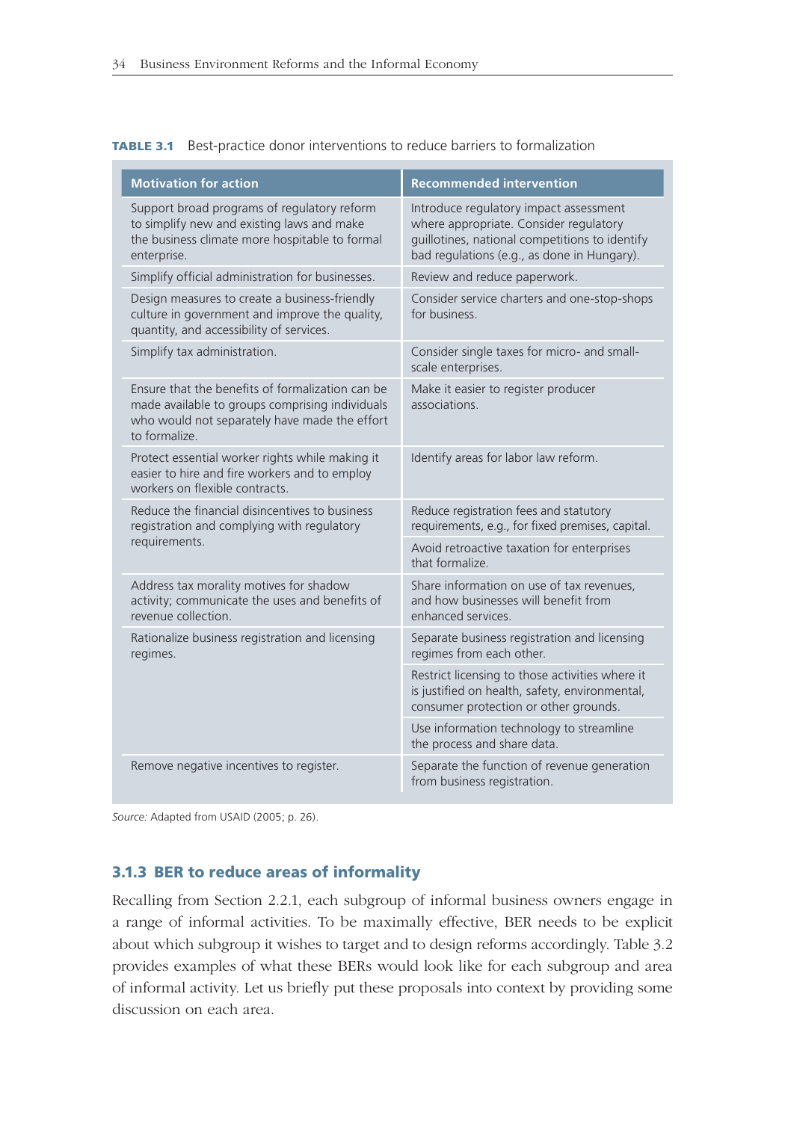|  |  | <b>TABLE 3.1</b> Best-practice donor interventions to reduce barriers to formalization |  |  |  |
|--|--|----------------------------------------------------------------------------------------|--|--|--|
|--|--|----------------------------------------------------------------------------------------|--|--|--|

| <b>Motivation for action</b>                                                                                                                                         | <b>Recommended intervention</b>                                                                                                                                                   |  |  |
|----------------------------------------------------------------------------------------------------------------------------------------------------------------------|-----------------------------------------------------------------------------------------------------------------------------------------------------------------------------------|--|--|
| Support broad programs of regulatory reform<br>to simplify new and existing laws and make<br>the business climate more hospitable to formal<br>enterprise.           | Introduce regulatory impact assessment<br>where appropriate. Consider regulatory<br>guillotines, national competitions to identify<br>bad regulations (e.g., as done in Hungary). |  |  |
| Simplify official administration for businesses.                                                                                                                     | Review and reduce paperwork.                                                                                                                                                      |  |  |
| Design measures to create a business-friendly<br>culture in government and improve the quality,<br>quantity, and accessibility of services.                          | Consider service charters and one-stop-shops<br>for business.                                                                                                                     |  |  |
| Simplify tax administration.                                                                                                                                         | Consider single taxes for micro- and small-<br>scale enterprises.                                                                                                                 |  |  |
| Ensure that the benefits of formalization can be<br>made available to groups comprising individuals<br>who would not separately have made the effort<br>to formalize | Make it easier to register producer<br>associations.                                                                                                                              |  |  |
| Protect essential worker rights while making it<br>easier to hire and fire workers and to employ<br>workers on flexible contracts.                                   | Identify areas for labor law reform.                                                                                                                                              |  |  |
| Reduce the financial disincentives to business<br>registration and complying with regulatory                                                                         | Reduce registration fees and statutory<br>requirements, e.g., for fixed premises, capital.                                                                                        |  |  |
| requirements.                                                                                                                                                        | Avoid retroactive taxation for enterprises<br>that formalize                                                                                                                      |  |  |
| Address tax morality motives for shadow<br>activity; communicate the uses and benefits of<br>revenue collection.                                                     | Share information on use of tax revenues,<br>and how businesses will benefit from<br>enhanced services.                                                                           |  |  |
| Rationalize business registration and licensing<br>regimes.                                                                                                          | Separate business registration and licensing<br>regimes from each other.                                                                                                          |  |  |
|                                                                                                                                                                      | Restrict licensing to those activities where it<br>is justified on health, safety, environmental,<br>consumer protection or other grounds.                                        |  |  |
|                                                                                                                                                                      | Use information technology to streamline<br>the process and share data.                                                                                                           |  |  |
| Remove negative incentives to register.                                                                                                                              | Separate the function of revenue generation<br>from business registration.                                                                                                        |  |  |

*Source:* Adapted from USAID (2005; p. 26).

#### **3.1.3 BER to reduce areas of informality**

Recalling from Section 2.2.1, each subgroup of informal business owners engage in a range of informal activities. To be maximally effective, BER needs to be explicit about which subgroup it wishes to target and to design reforms accordingly. Table 3.2 provides examples of what these BERs would look like for each subgroup and area of informal activity. Let us briefly put these proposals into context by providing some discussion on each area.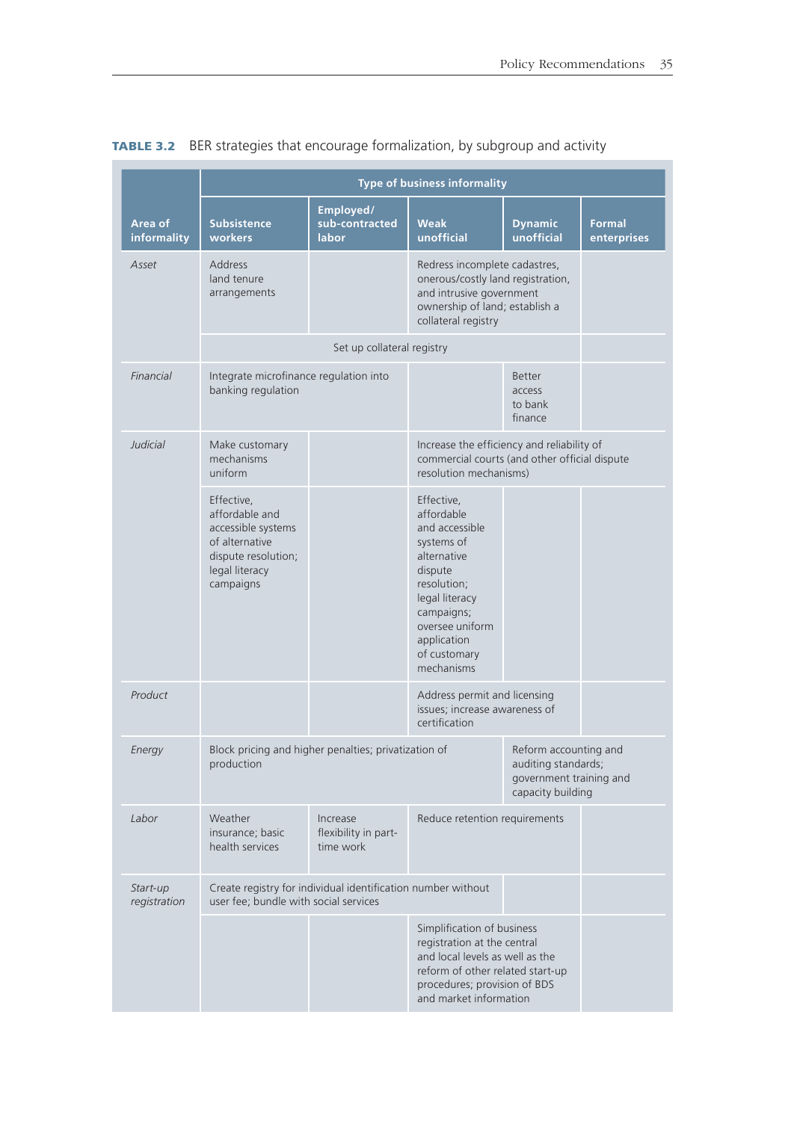|                          | <b>Type of business informality</b>                                                                                        |                                                              |                                                                                                                                                                                                   |                                                               |                       |  |  |
|--------------------------|----------------------------------------------------------------------------------------------------------------------------|--------------------------------------------------------------|---------------------------------------------------------------------------------------------------------------------------------------------------------------------------------------------------|---------------------------------------------------------------|-----------------------|--|--|
| Area of<br>informality   | <b>Subsistence</b><br>workers                                                                                              | Employed/<br>sub-contracted<br>labor                         | <b>Weak</b><br>unofficial                                                                                                                                                                         | <b>Dynamic</b><br>unofficial                                  | Formal<br>enterprises |  |  |
| Asset                    | <b>Address</b><br>land tenure<br>arrangements                                                                              |                                                              | Redress incomplete cadastres,<br>onerous/costly land registration,<br>and intrusive government<br>ownership of land; establish a<br>collateral registry                                           |                                                               |                       |  |  |
|                          |                                                                                                                            | Set up collateral registry                                   |                                                                                                                                                                                                   |                                                               |                       |  |  |
| Financial                | Integrate microfinance regulation into<br>banking regulation                                                               |                                                              |                                                                                                                                                                                                   | Better<br>access<br>to bank<br>finance                        |                       |  |  |
| <b>Judicial</b>          | Make customary<br>mechanisms<br>uniform                                                                                    |                                                              | Increase the efficiency and reliability of<br>commercial courts (and other official dispute<br>resolution mechanisms)                                                                             |                                                               |                       |  |  |
|                          | Effective,<br>affordable and<br>accessible systems<br>of alternative<br>dispute resolution;<br>legal literacy<br>campaigns |                                                              | Effective,<br>affordable<br>and accessible<br>systems of<br>alternative<br>dispute<br>resolution;<br>legal literacy<br>campaigns;<br>oversee uniform<br>application<br>of customary<br>mechanisms |                                                               |                       |  |  |
| Product                  |                                                                                                                            |                                                              | certification                                                                                                                                                                                     | Address permit and licensing<br>issues; increase awareness of |                       |  |  |
| Energy                   | production                                                                                                                 | Block pricing and higher penalties; privatization of         | Reform accounting and<br>auditing standards;<br>government training and<br>capacity building                                                                                                      |                                                               |                       |  |  |
| Labor                    | Weather<br>insurance; basic<br>health services                                                                             | Increase<br>flexibility in part-<br>time work                | Reduce retention requirements                                                                                                                                                                     |                                                               |                       |  |  |
| Start-up<br>registration | user fee; bundle with social services                                                                                      | Create registry for individual identification number without |                                                                                                                                                                                                   |                                                               |                       |  |  |
|                          |                                                                                                                            |                                                              | Simplification of business<br>registration at the central<br>and local levels as well as the<br>reform of other related start-up<br>procedures; provision of BDS<br>and market information        |                                                               |                       |  |  |

## **TABLE 3.2** BER strategies that encourage formalization, by subgroup and activity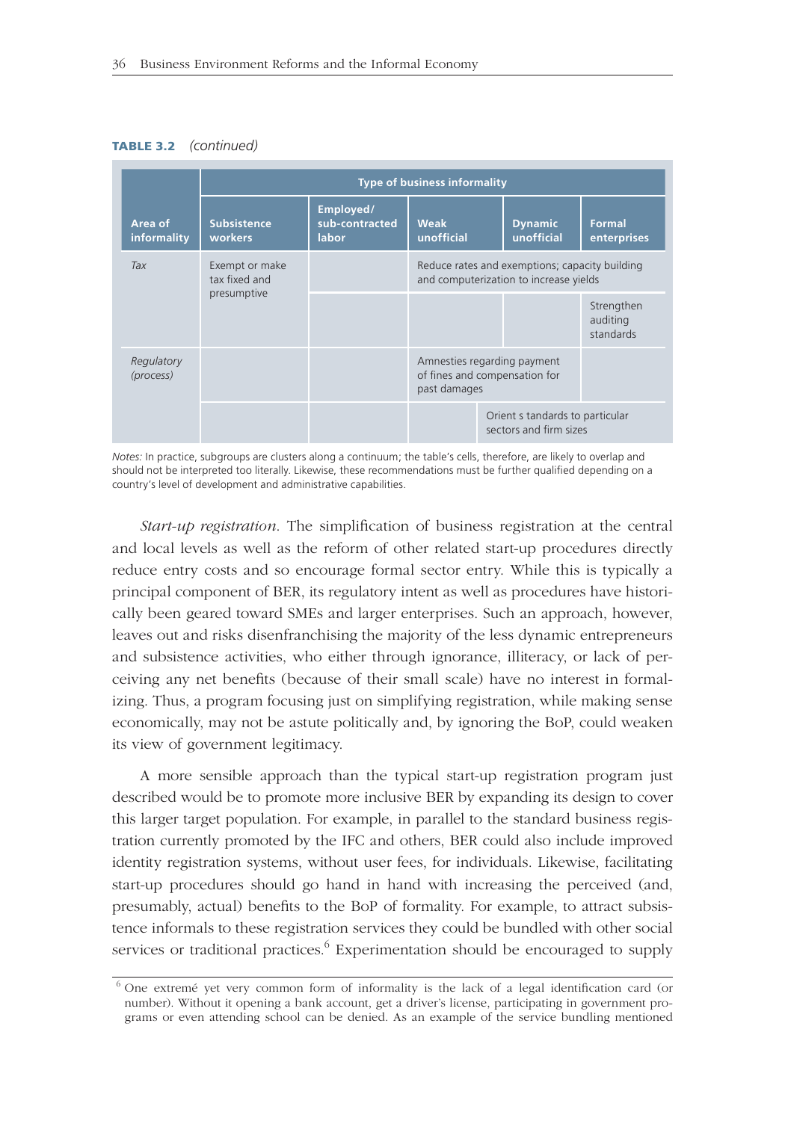#### **TABLE 3.2** *(continued)*



*Notes:* In practice, subgroups are clusters along a continuum; the table's cells, therefore, are likely to overlap and should not be interpreted too literally. Likewise, these recommendations must be further qualified depending on a country's level of development and administrative capabilities.

*Start-up registration*. The simplification of business registration at the central and local levels as well as the reform of other related start-up procedures directly reduce entry costs and so encourage formal sector entry. While this is typically a principal component of BER, its regulatory intent as well as procedures have historically been geared toward SMEs and larger enterprises. Such an approach, however, leaves out and risks disenfranchising the majority of the less dynamic entrepreneurs and subsistence activities, who either through ignorance, illiteracy, or lack of perceiving any net benefits (because of their small scale) have no interest in formalizing. Thus, a program focusing just on simplifying registration, while making sense economically, may not be astute politically and, by ignoring the BoP, could weaken its view of government legitimacy.

A more sensible approach than the typical start-up registration program just described would be to promote more inclusive BER by expanding its design to cover this larger target population. For example, in parallel to the standard business registration currently promoted by the IFC and others, BER could also include improved identity registration systems, without user fees, for individuals. Likewise, facilitating start-up procedures should go hand in hand with increasing the perceived (and, presumably, actual) benefits to the BoP of formality. For example, to attract subsistence informals to these registration services they could be bundled with other social services or traditional practices.<sup>6</sup> Experimentation should be encouraged to supply

 $6$  One extremé yet very common form of informality is the lack of a legal identification card (or number). Without it opening a bank account, get a driver's license, participating in government programs or even attending school can be denied. As an example of the service bundling mentioned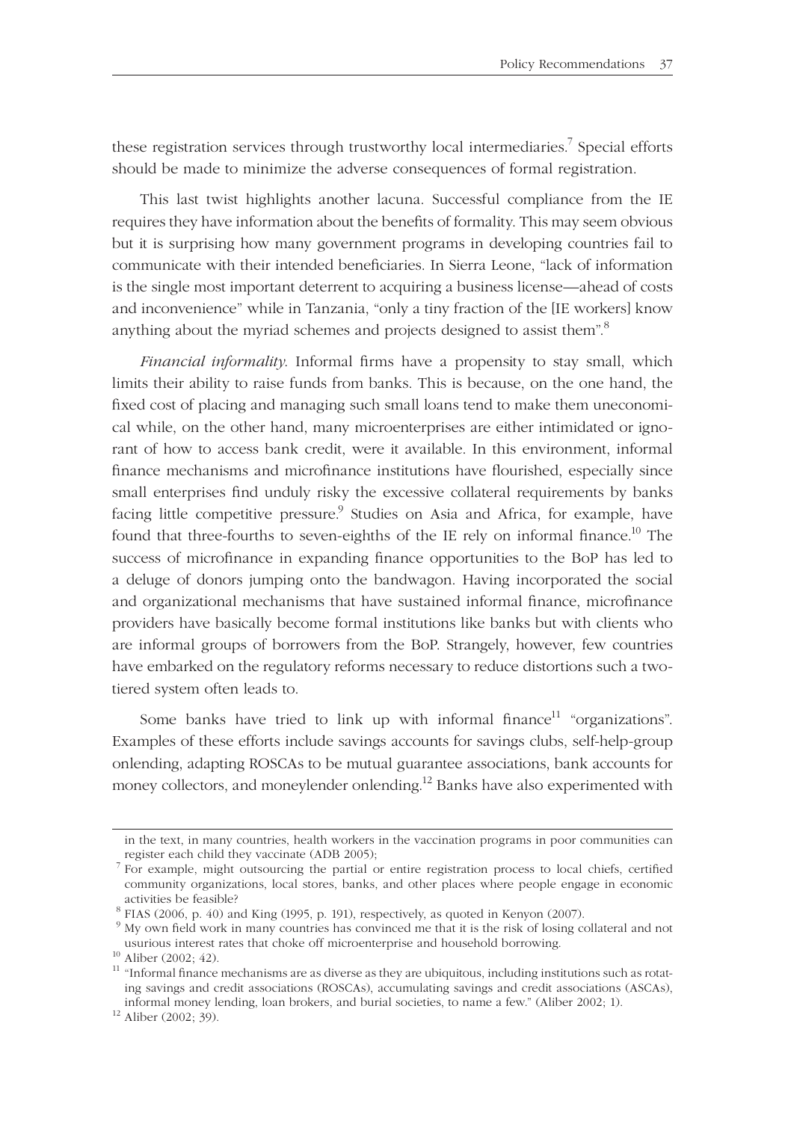these registration services through trustworthy local intermediaries.<sup>7</sup> Special efforts should be made to minimize the adverse consequences of formal registration.

This last twist highlights another lacuna. Successful compliance from the IE requires they have information about the benefits of formality. This may seem obvious but it is surprising how many government programs in developing countries fail to communicate with their intended beneficiaries. In Sierra Leone, "lack of information is the single most important deterrent to acquiring a business license—ahead of costs and inconvenience" while in Tanzania, "only a tiny fraction of the [IE workers] know anything about the myriad schemes and projects designed to assist them".<sup>8</sup>

*Financial informality*. Informal firms have a propensity to stay small, which limits their ability to raise funds from banks. This is because, on the one hand, the fixed cost of placing and managing such small loans tend to make them uneconomical while, on the other hand, many microenterprises are either intimidated or ignorant of how to access bank credit, were it available. In this environment, informal finance mechanisms and microfinance institutions have flourished, especially since small enterprises find unduly risky the excessive collateral requirements by banks facing little competitive pressure.<sup>9</sup> Studies on Asia and Africa, for example, have found that three-fourths to seven-eighths of the IE rely on informal finance.<sup>10</sup> The success of microfinance in expanding finance opportunities to the BoP has led to a deluge of donors jumping onto the bandwagon. Having incorporated the social and organizational mechanisms that have sustained informal finance, microfinance providers have basically become formal institutions like banks but with clients who are informal groups of borrowers from the BoP. Strangely, however, few countries have embarked on the regulatory reforms necessary to reduce distortions such a twotiered system often leads to.

Some banks have tried to link up with informal finance<sup>11</sup> "organizations". Examples of these efforts include savings accounts for savings clubs, self-help-group onlending, adapting ROSCAs to be mutual guarantee associations, bank accounts for money collectors, and moneylender onlending.<sup>12</sup> Banks have also experimented with

in the text, in many countries, health workers in the vaccination programs in poor communities can

register each child they vaccinate (ADB 2005);<br>  $\frac{7}{1}$  For example, might outsourcing the partial or entire registration process to local chiefs, certified community organizations, local stores, banks, and other places where people engage in economic

 $8$  FIAS (2006, p. 40) and King (1995, p. 191), respectively, as quoted in Kenyon (2007).

 $9$  My own field work in many countries has convinced me that it is the risk of losing collateral and not usurious interest rates that choke off microenterprise and household borrowing.  $^{10}$  Aliber (2002; 42).

 $11$  "Informal finance mechanisms are as diverse as they are ubiquitous, including institutions such as rotating savings and credit associations (ROSCAs), accumulating savings and credit associations (ASCAs), informal money lending, loan brokers, and burial societies, to name a few." (Aliber 2002; 1). 12 Aliber (2002; 39).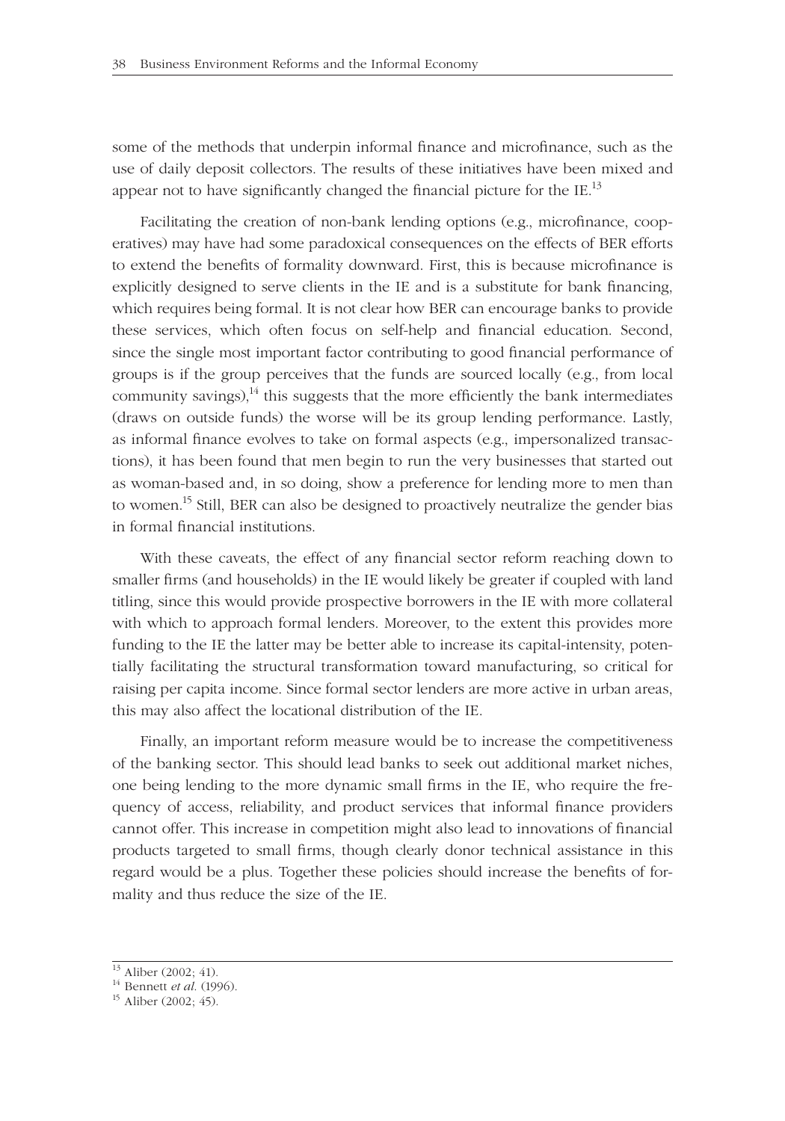some of the methods that underpin informal finance and microfinance, such as the use of daily deposit collectors. The results of these initiatives have been mixed and appear not to have significantly changed the financial picture for the IE.<sup>13</sup>

Facilitating the creation of non-bank lending options (e.g., microfinance, cooperatives) may have had some paradoxical consequences on the effects of BER efforts to extend the benefits of formality downward. First, this is because microfinance is explicitly designed to serve clients in the IE and is a substitute for bank financing, which requires being formal. It is not clear how BER can encourage banks to provide these services, which often focus on self-help and financial education. Second, since the single most important factor contributing to good financial performance of groups is if the group perceives that the funds are sourced locally (e.g., from local community savings),  $14$  this suggests that the more efficiently the bank intermediates (draws on outside funds) the worse will be its group lending performance. Lastly, as informal finance evolves to take on formal aspects (e.g., impersonalized transactions), it has been found that men begin to run the very businesses that started out as woman-based and, in so doing, show a preference for lending more to men than to women.<sup>15</sup> Still, BER can also be designed to proactively neutralize the gender bias in formal financial institutions.

With these caveats, the effect of any financial sector reform reaching down to smaller firms (and households) in the IE would likely be greater if coupled with land titling, since this would provide prospective borrowers in the IE with more collateral with which to approach formal lenders. Moreover, to the extent this provides more funding to the IE the latter may be better able to increase its capital-intensity, potentially facilitating the structural transformation toward manufacturing, so critical for raising per capita income. Since formal sector lenders are more active in urban areas, this may also affect the locational distribution of the IE.

Finally, an important reform measure would be to increase the competitiveness of the banking sector. This should lead banks to seek out additional market niches, one being lending to the more dynamic small firms in the IE, who require the frequency of access, reliability, and product services that informal finance providers cannot offer. This increase in competition might also lead to innovations of financial products targeted to small firms, though clearly donor technical assistance in this regard would be a plus. Together these policies should increase the benefits of formality and thus reduce the size of the IE.

 $\frac{13}{13}$  Aliber (2002; 41).

<sup>14</sup> Bennett *et al.* (1996).<br><sup>15</sup> Aliber (2002; 45).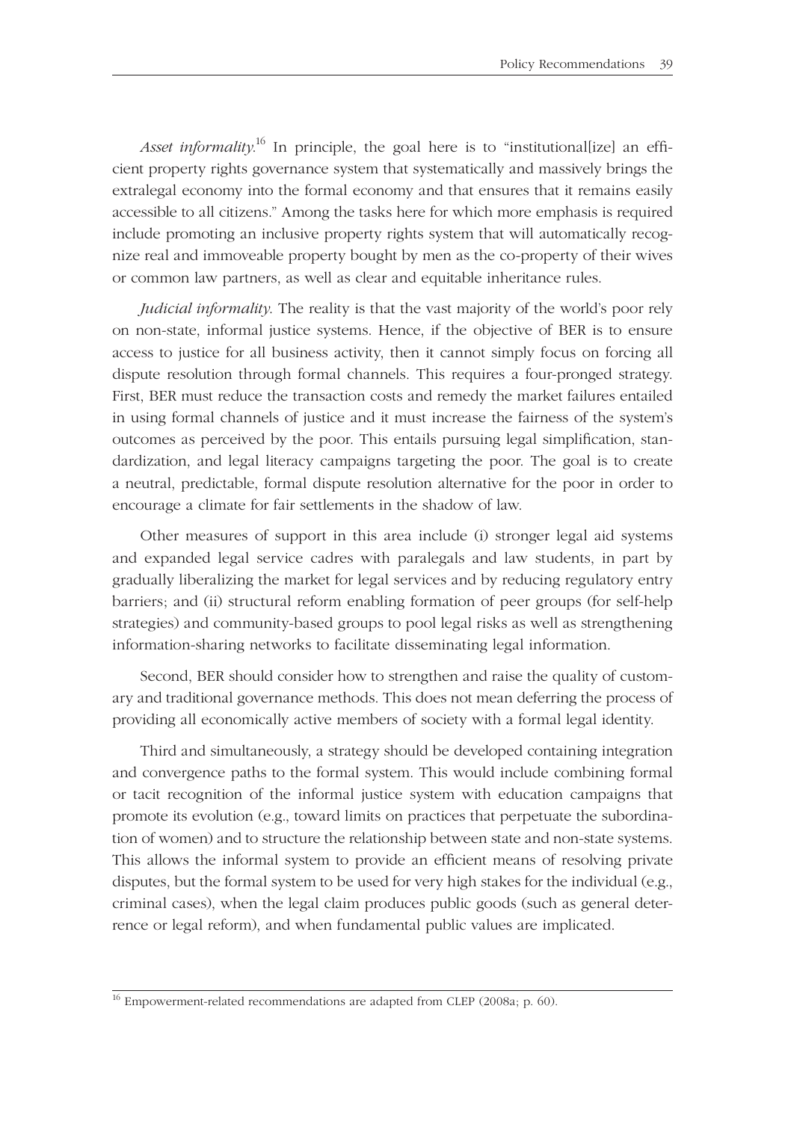*Asset informality.*<sup>16</sup> In principle, the goal here is to "institutional[ize] an efficient property rights governance system that systematically and massively brings the extralegal economy into the formal economy and that ensures that it remains easily accessible to all citizens." Among the tasks here for which more emphasis is required include promoting an inclusive property rights system that will automatically recognize real and immoveable property bought by men as the co-property of their wives or common law partners, as well as clear and equitable inheritance rules.

*Judicial informality*. The reality is that the vast majority of the world's poor rely on non-state, informal justice systems. Hence, if the objective of BER is to ensure access to justice for all business activity, then it cannot simply focus on forcing all dispute resolution through formal channels. This requires a four-pronged strategy. First, BER must reduce the transaction costs and remedy the market failures entailed in using formal channels of justice and it must increase the fairness of the system's outcomes as perceived by the poor. This entails pursuing legal simplification, standardization, and legal literacy campaigns targeting the poor. The goal is to create a neutral, predictable, formal dispute resolution alternative for the poor in order to encourage a climate for fair settlements in the shadow of law.

Other measures of support in this area include (i) stronger legal aid systems and expanded legal service cadres with paralegals and law students, in part by gradually liberalizing the market for legal services and by reducing regulatory entry barriers; and (ii) structural reform enabling formation of peer groups (for self-help strategies) and community-based groups to pool legal risks as well as strengthening information-sharing networks to facilitate disseminating legal information.

Second, BER should consider how to strengthen and raise the quality of customary and traditional governance methods. This does not mean deferring the process of providing all economically active members of society with a formal legal identity.

Third and simultaneously, a strategy should be developed containing integration and convergence paths to the formal system. This would include combining formal or tacit recognition of the informal justice system with education campaigns that promote its evolution (e.g., toward limits on practices that perpetuate the subordination of women) and to structure the relationship between state and non-state systems. This allows the informal system to provide an efficient means of resolving private disputes, but the formal system to be used for very high stakes for the individual (e.g., criminal cases), when the legal claim produces public goods (such as general deterrence or legal reform), and when fundamental public values are implicated.

<sup>&</sup>lt;sup>16</sup> Empowerment-related recommendations are adapted from CLEP (2008a; p. 60).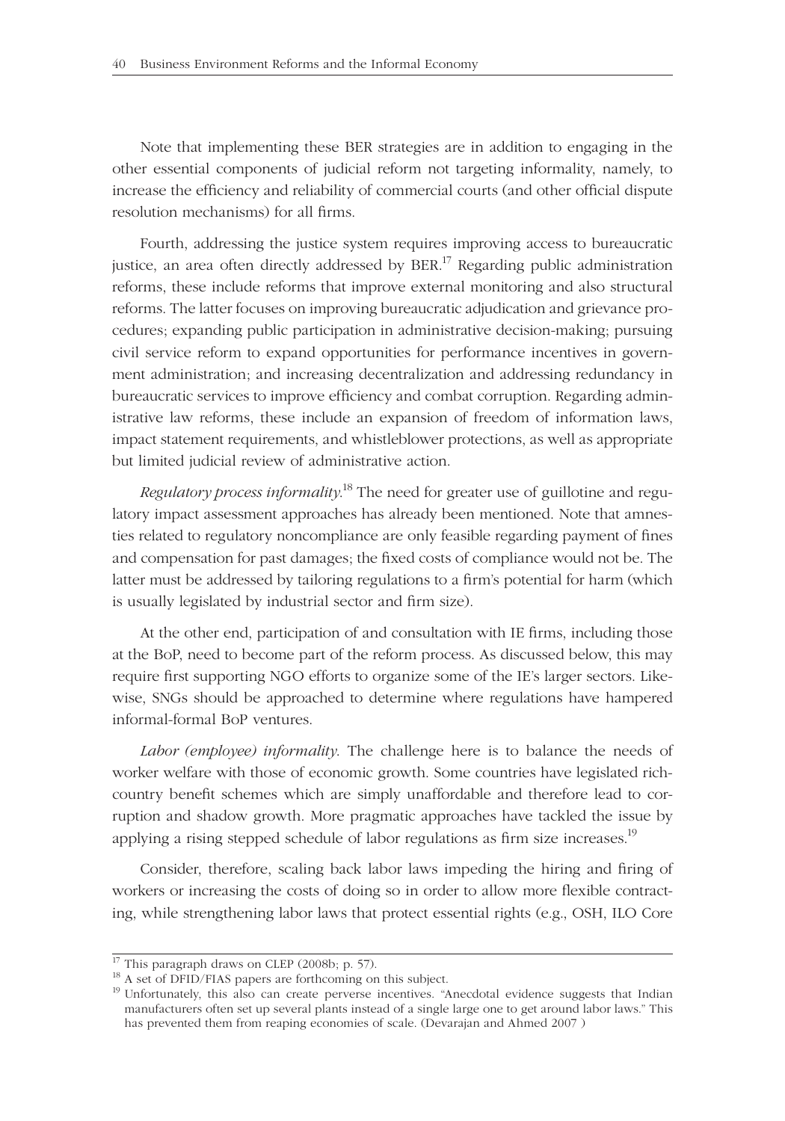Note that implementing these BER strategies are in addition to engaging in the other essential components of judicial reform not targeting informality, namely, to increase the efficiency and reliability of commercial courts (and other official dispute resolution mechanisms) for all firms.

Fourth, addressing the justice system requires improving access to bureaucratic justice, an area often directly addressed by  $BER<sup>17</sup>$  Regarding public administration reforms, these include reforms that improve external monitoring and also structural reforms. The latter focuses on improving bureaucratic adjudication and grievance procedures; expanding public participation in administrative decision-making; pursuing civil service reform to expand opportunities for performance incentives in government administration; and increasing decentralization and addressing redundancy in bureaucratic services to improve efficiency and combat corruption. Regarding administrative law reforms, these include an expansion of freedom of information laws, impact statement requirements, and whistleblower protections, as well as appropriate but limited judicial review of administrative action.

*Regulatory process informality*. 18 The need for greater use of guillotine and regulatory impact assessment approaches has already been mentioned. Note that amnesties related to regulatory noncompliance are only feasible regarding payment of fines and compensation for past damages; the fixed costs of compliance would not be. The latter must be addressed by tailoring regulations to a firm's potential for harm (which is usually legislated by industrial sector and firm size).

At the other end, participation of and consultation with IE firms, including those at the BoP, need to become part of the reform process. As discussed below, this may require first supporting NGO efforts to organize some of the IE's larger sectors. Likewise, SNGs should be approached to determine where regulations have hampered informal-formal BoP ventures.

*Labor (employee) informality*. The challenge here is to balance the needs of worker welfare with those of economic growth. Some countries have legislated richcountry benefit schemes which are simply unaffordable and therefore lead to corruption and shadow growth. More pragmatic approaches have tackled the issue by applying a rising stepped schedule of labor regulations as firm size increases.<sup>19</sup>

Consider, therefore, scaling back labor laws impeding the hiring and firing of workers or increasing the costs of doing so in order to allow more flexible contracting, while strengthening labor laws that protect essential rights (e.g., OSH, ILO Core

 $17$  This paragraph draws on CLEP (2008b; p. 57).

<sup>&</sup>lt;sup>18</sup> A set of DFID/FIAS papers are forthcoming on this subject.

<sup>&</sup>lt;sup>19</sup> Unfortunately, this also can create perverse incentives. "Anecdotal evidence suggests that Indian manufacturers often set up several plants instead of a single large one to get around labor laws." This has prevented them from reaping economies of scale. (Devarajan and Ahmed 2007 )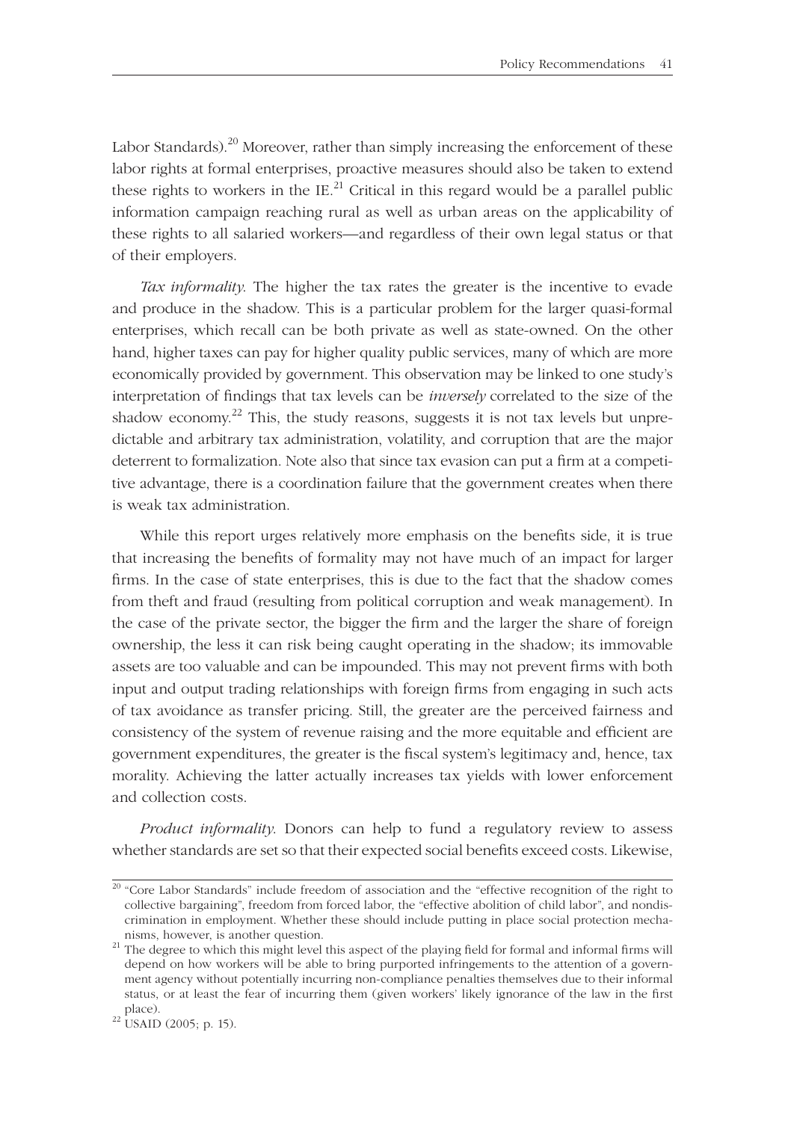Labor Standards).<sup>20</sup> Moreover, rather than simply increasing the enforcement of these labor rights at formal enterprises, proactive measures should also be taken to extend these rights to workers in the IE.<sup>21</sup> Critical in this regard would be a parallel public information campaign reaching rural as well as urban areas on the applicability of these rights to all salaried workers—and regardless of their own legal status or that of their employers.

*Tax informality*. The higher the tax rates the greater is the incentive to evade and produce in the shadow. This is a particular problem for the larger quasi-formal enterprises, which recall can be both private as well as state-owned. On the other hand, higher taxes can pay for higher quality public services, many of which are more economically provided by government. This observation may be linked to one study's interpretation of findings that tax levels can be *inversely* correlated to the size of the shadow economy.<sup>22</sup> This, the study reasons, suggests it is not tax levels but unpredictable and arbitrary tax administration, volatility, and corruption that are the major deterrent to formalization. Note also that since tax evasion can put a firm at a competitive advantage, there is a coordination failure that the government creates when there is weak tax administration.

While this report urges relatively more emphasis on the benefits side, it is true that increasing the benefits of formality may not have much of an impact for larger firms. In the case of state enterprises, this is due to the fact that the shadow comes from theft and fraud (resulting from political corruption and weak management). In the case of the private sector, the bigger the firm and the larger the share of foreign ownership, the less it can risk being caught operating in the shadow; its immovable assets are too valuable and can be impounded. This may not prevent firms with both input and output trading relationships with foreign firms from engaging in such acts of tax avoidance as transfer pricing. Still, the greater are the perceived fairness and consistency of the system of revenue raising and the more equitable and efficient are government expenditures, the greater is the fiscal system's legitimacy and, hence, tax morality. Achieving the latter actually increases tax yields with lower enforcement and collection costs.

*Product informality*. Donors can help to fund a regulatory review to assess whether standards are set so that their expected social benefits exceed costs. Likewise,

<sup>&</sup>lt;sup>20</sup> "Core Labor Standards" include freedom of association and the "effective recognition of the right to collective bargaining", freedom from forced labor, the "effective abolition of child labor", and nondiscrimination in employment. Whether these should include putting in place social protection mecha-

nisms, however, is another question.<br><sup>21</sup> The degree to which this might level this aspect of the playing field for formal and informal firms will depend on how workers will be able to bring purported infringements to the attention of a government agency without potentially incurring non-compliance penalties themselves due to their informal status, or at least the fear of incurring them (given workers' likely ignorance of the law in the first place).

 $22$  USAID (2005; p. 15).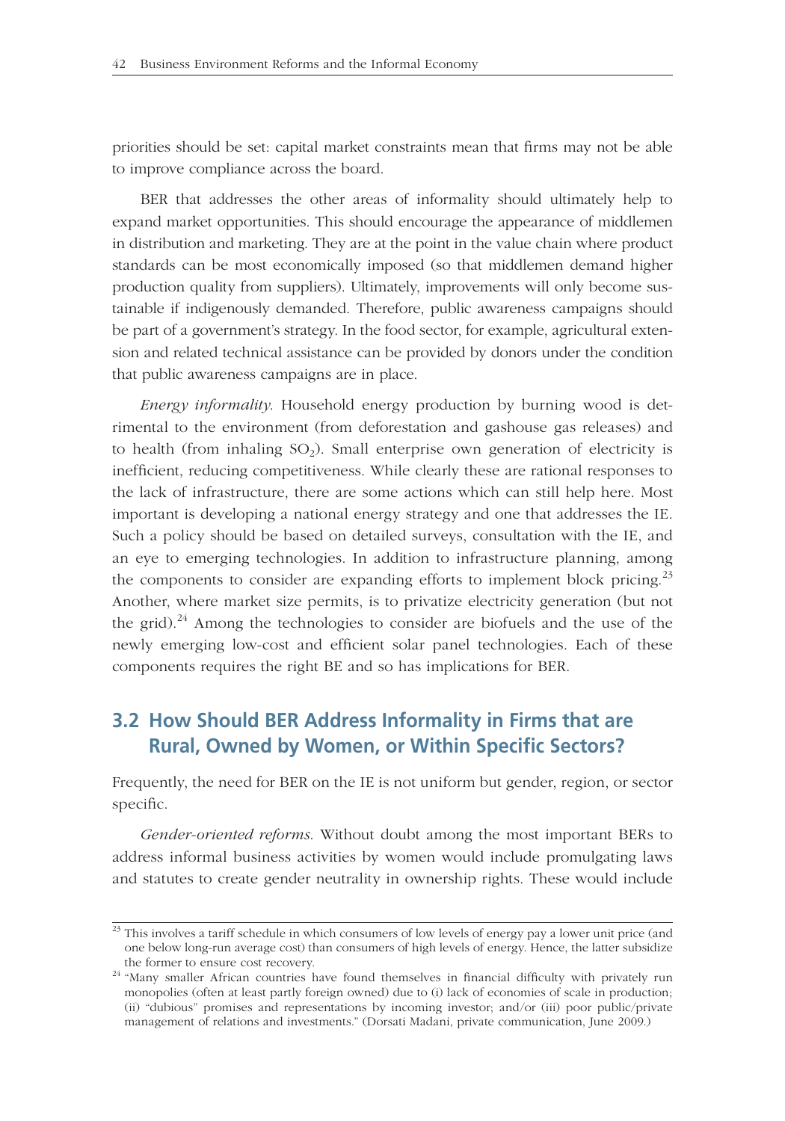priorities should be set: capital market constraints mean that firms may not be able to improve compliance across the board.

BER that addresses the other areas of informality should ultimately help to expand market opportunities. This should encourage the appearance of middlemen in distribution and marketing. They are at the point in the value chain where product standards can be most economically imposed (so that middlemen demand higher production quality from suppliers). Ultimately, improvements will only become sustainable if indigenously demanded. Therefore, public awareness campaigns should be part of a government's strategy. In the food sector, for example, agricultural extension and related technical assistance can be provided by donors under the condition that public awareness campaigns are in place.

*Energy informality*. Household energy production by burning wood is detrimental to the environment (from deforestation and gashouse gas releases) and to health (from inhaling  $SO_2$ ). Small enterprise own generation of electricity is inefficient, reducing competitiveness. While clearly these are rational responses to the lack of infrastructure, there are some actions which can still help here. Most important is developing a national energy strategy and one that addresses the IE. Such a policy should be based on detailed surveys, consultation with the IE, and an eye to emerging technologies. In addition to infrastructure planning, among the components to consider are expanding efforts to implement block pricing.<sup>23</sup> Another, where market size permits, is to privatize electricity generation (but not the grid).<sup>24</sup> Among the technologies to consider are biofuels and the use of the newly emerging low-cost and efficient solar panel technologies. Each of these components requires the right BE and so has implications for BER.

# **3.2 How Should BER Address Informality in Firms that are Rural, Owned by Women, or Within Specific Sectors?**

Frequently, the need for BER on the IE is not uniform but gender, region, or sector specific.

*Gender-oriented reforms*. Without doubt among the most important BERs to address informal business activities by women would include promulgating laws and statutes to create gender neutrality in ownership rights. These would include

 $\frac{23}{23}$  This involves a tariff schedule in which consumers of low levels of energy pay a lower unit price (and one below long-run average cost) than consumers of high levels of energy. Hence, the latter subsidize

the former to ensure cost recovery.<br><sup>24 "</sup>Many smaller African countries have found themselves in financial difficulty with privately run monopolies (often at least partly foreign owned) due to (i) lack of economies of scale in production; (ii) "dubious" promises and representations by incoming investor; and/or (iii) poor public/private management of relations and investments." (Dorsati Madani, private communication, June 2009.)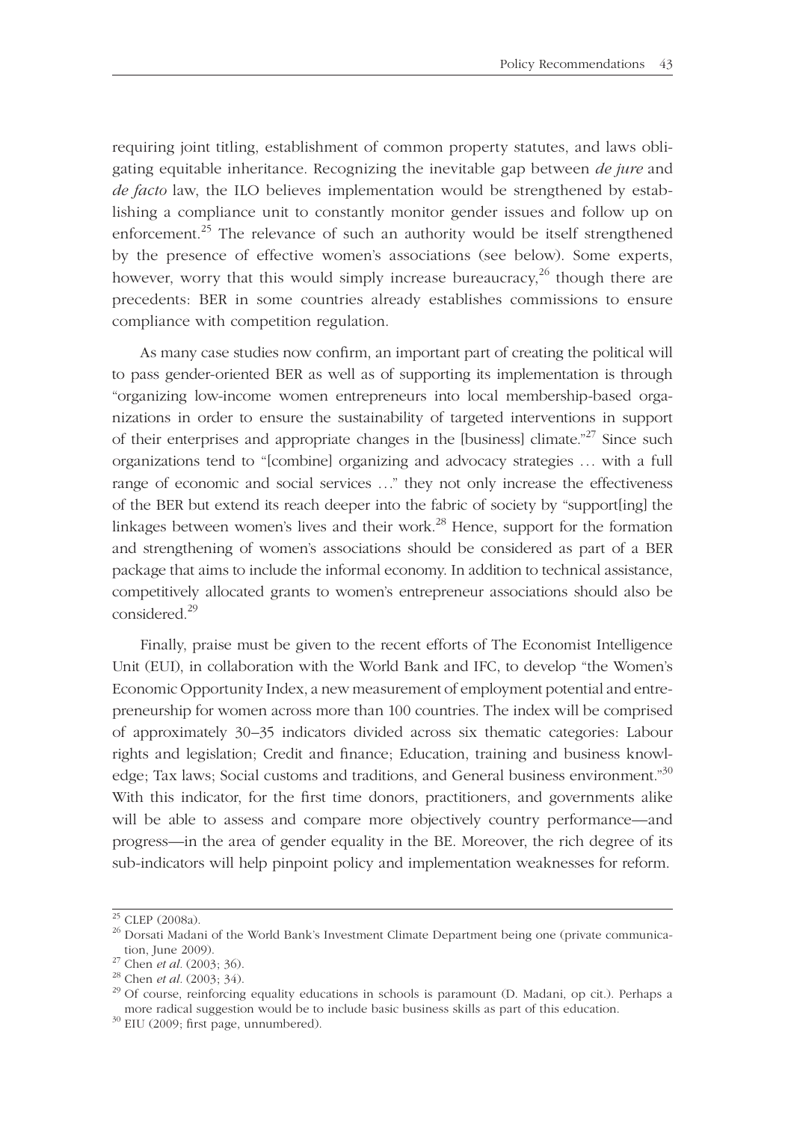requiring joint titling, establishment of common property statutes, and laws obligating equitable inheritance. Recognizing the inevitable gap between *de jure* and *de facto* law, the ILO believes implementation would be strengthened by establishing a compliance unit to constantly monitor gender issues and follow up on enforcement.<sup>25</sup> The relevance of such an authority would be itself strengthened by the presence of effective women's associations (see below). Some experts, however, worry that this would simply increase bureaucracy,<sup>26</sup> though there are precedents: BER in some countries already establishes commissions to ensure compliance with competition regulation.

As many case studies now confirm, an important part of creating the political will to pass gender-oriented BER as well as of supporting its implementation is through "organizing low-income women entrepreneurs into local membership-based organizations in order to ensure the sustainability of targeted interventions in support of their enterprises and appropriate changes in the [business] climate."<sup>27</sup> Since such organizations tend to "[combine] organizing and advocacy strategies . . . with a full range of economic and social services ..." they not only increase the effectiveness of the BER but extend its reach deeper into the fabric of society by "support[ing] the linkages between women's lives and their work.<sup>28</sup> Hence, support for the formation and strengthening of women's associations should be considered as part of a BER package that aims to include the informal economy. In addition to technical assistance, competitively allocated grants to women's entrepreneur associations should also be considered.29

Finally, praise must be given to the recent efforts of The Economist Intelligence Unit (EUI), in collaboration with the World Bank and IFC, to develop "the Women's Economic Opportunity Index, a new measurement of employment potential and entrepreneurship for women across more than 100 countries. The index will be comprised of approximately 30–35 indicators divided across six thematic categories: Labour rights and legislation; Credit and finance; Education, training and business knowledge; Tax laws; Social customs and traditions, and General business environment."30 With this indicator, for the first time donors, practitioners, and governments alike will be able to assess and compare more objectively country performance—and progress—in the area of gender equality in the BE. Moreover, the rich degree of its sub-indicators will help pinpoint policy and implementation weaknesses for reform.

 $25$  CLEP (2008a).

<sup>&</sup>lt;sup>26</sup> Dorsati Madani of the World Bank's Investment Climate Department being one (private communication, June 2009).<br><sup>27</sup> Chen *et al.* (2003; 36).<br><sup>28</sup> Chen *et al.* (2003; 34).<br><sup>29</sup> Of course, reinforcing equality educations in schools is paramount (D. Madani, op cit.). Perhaps a

more radical suggestion would be to include basic business skills as part of this education.  $30$  EIU (2009; first page, unnumbered).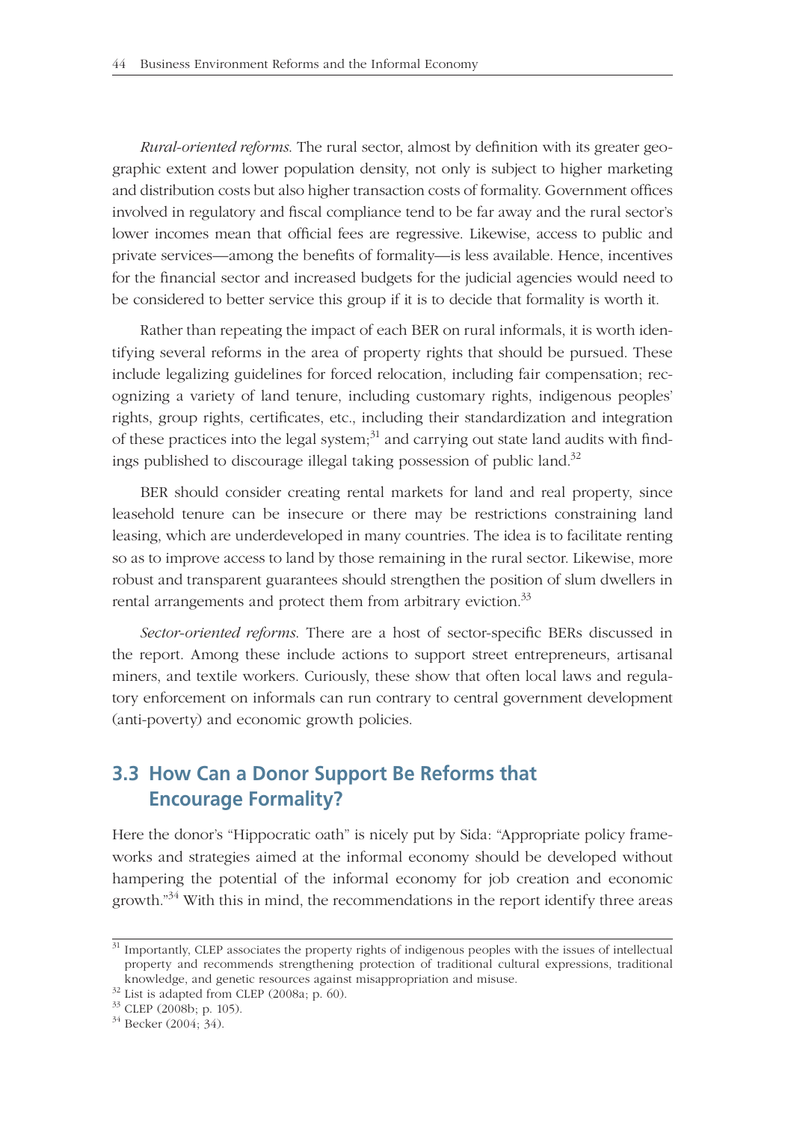*Rural-oriented reforms*. The rural sector, almost by definition with its greater geographic extent and lower population density, not only is subject to higher marketing and distribution costs but also higher transaction costs of formality. Government offices involved in regulatory and fiscal compliance tend to be far away and the rural sector's lower incomes mean that official fees are regressive. Likewise, access to public and private services—among the benefits of formality—is less available. Hence, incentives for the financial sector and increased budgets for the judicial agencies would need to be considered to better service this group if it is to decide that formality is worth it.

Rather than repeating the impact of each BER on rural informals, it is worth identifying several reforms in the area of property rights that should be pursued. These include legalizing guidelines for forced relocation, including fair compensation; recognizing a variety of land tenure, including customary rights, indigenous peoples' rights, group rights, certificates, etc., including their standardization and integration of these practices into the legal system; $31$  and carrying out state land audits with findings published to discourage illegal taking possession of public land.<sup>32</sup>

BER should consider creating rental markets for land and real property, since leasehold tenure can be insecure or there may be restrictions constraining land leasing, which are underdeveloped in many countries. The idea is to facilitate renting so as to improve access to land by those remaining in the rural sector. Likewise, more robust and transparent guarantees should strengthen the position of slum dwellers in rental arrangements and protect them from arbitrary eviction.<sup>33</sup>

Sector-oriented reforms. There are a host of sector-specific BERs discussed in the report. Among these include actions to support street entrepreneurs, artisanal miners, and textile workers. Curiously, these show that often local laws and regulatory enforcement on informals can run contrary to central government development (anti-poverty) and economic growth policies.

## **3.3 How Can a Donor Support Be Reforms that Encourage Formality?**

Here the donor's "Hippocratic oath" is nicely put by Sida: "Appropriate policy frameworks and strategies aimed at the informal economy should be developed without hampering the potential of the informal economy for job creation and economic growth. $n^{34}$  With this in mind, the recommendations in the report identify three areas

<sup>&</sup>lt;sup>31</sup> Importantly, CLEP associates the property rights of indigenous peoples with the issues of intellectual property and recommends strengthening protection of traditional cultural expressions, traditional knowledge, and genetic resources against misappropriation and misuse.  $32$  List is adapted from CLEP (2008a; p. 60).

<sup>33</sup> CLEP (2008b; p. 105).

<sup>34</sup> Becker (2004; 34).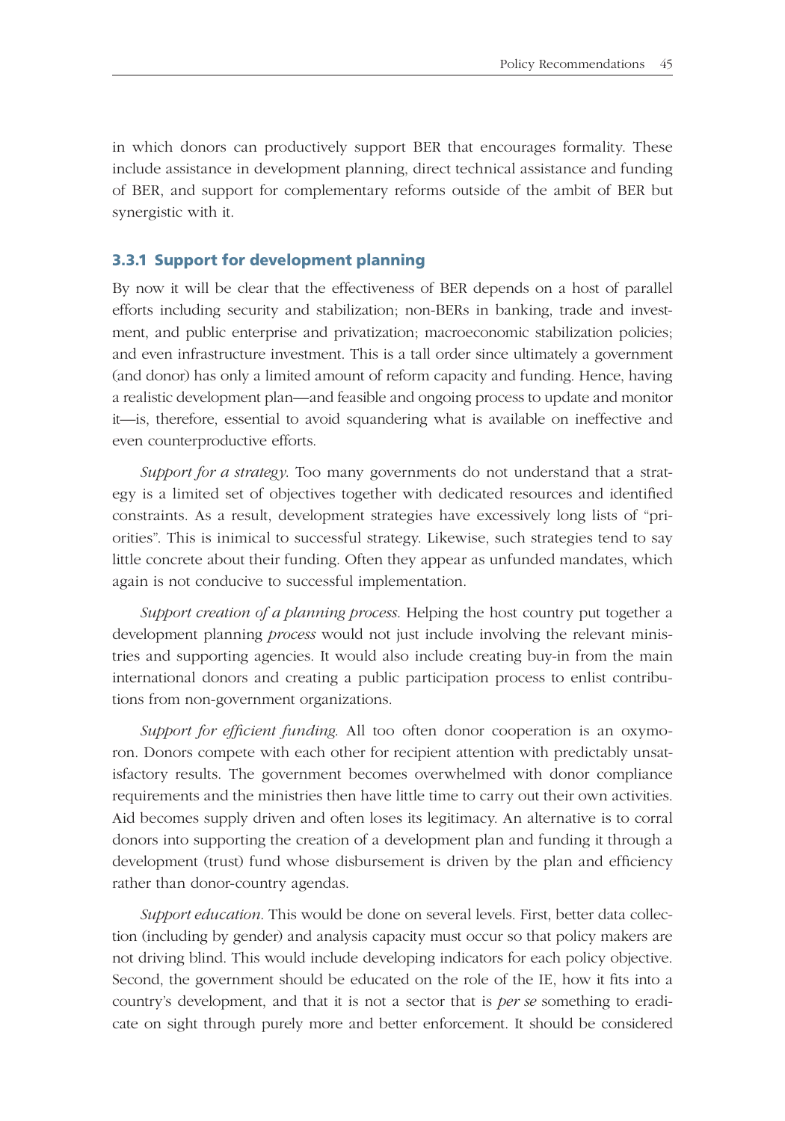in which donors can productively support BER that encourages formality. These include assistance in development planning, direct technical assistance and funding of BER, and support for complementary reforms outside of the ambit of BER but synergistic with it.

### **3.3.1 Support for development planning**

By now it will be clear that the effectiveness of BER depends on a host of parallel efforts including security and stabilization; non-BERs in banking, trade and investment, and public enterprise and privatization; macroeconomic stabilization policies; and even infrastructure investment. This is a tall order since ultimately a government (and donor) has only a limited amount of reform capacity and funding. Hence, having a realistic development plan—and feasible and ongoing process to update and monitor it—is, therefore, essential to avoid squandering what is available on ineffective and even counterproductive efforts.

*Support for a strategy*. Too many governments do not understand that a strategy is a limited set of objectives together with dedicated resources and identified constraints. As a result, development strategies have excessively long lists of "priorities". This is inimical to successful strategy. Likewise, such strategies tend to say little concrete about their funding. Often they appear as unfunded mandates, which again is not conducive to successful implementation.

*Support creation of a planning process*. Helping the host country put together a development planning *process* would not just include involving the relevant ministries and supporting agencies. It would also include creating buy-in from the main international donors and creating a public participation process to enlist contributions from non-government organizations.

*Support for efficient funding*. All too often donor cooperation is an oxymoron. Donors compete with each other for recipient attention with predictably unsatisfactory results. The government becomes overwhelmed with donor compliance requirements and the ministries then have little time to carry out their own activities. Aid becomes supply driven and often loses its legitimacy. An alternative is to corral donors into supporting the creation of a development plan and funding it through a development (trust) fund whose disbursement is driven by the plan and efficiency rather than donor-country agendas.

*Support education*. This would be done on several levels. First, better data collection (including by gender) and analysis capacity must occur so that policy makers are not driving blind. This would include developing indicators for each policy objective. Second, the government should be educated on the role of the IE, how it fits into a country's development, and that it is not a sector that is *per se* something to eradicate on sight through purely more and better enforcement. It should be considered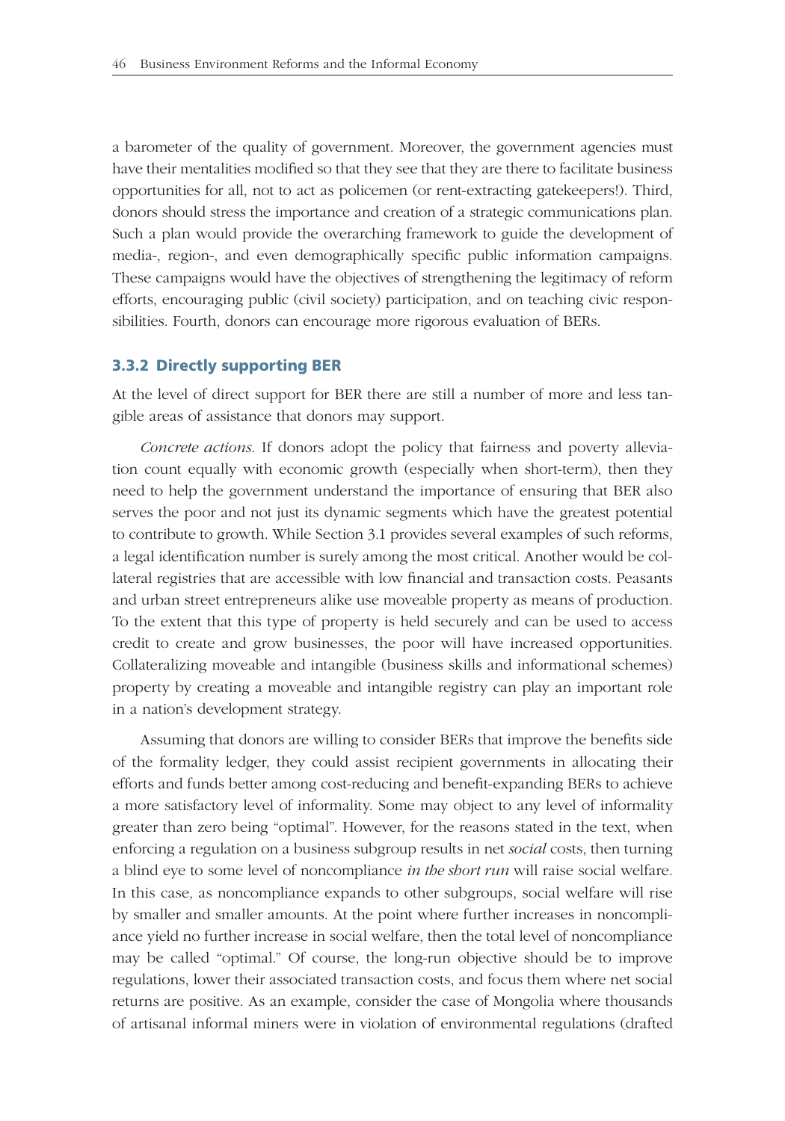a barometer of the quality of government. Moreover, the government agencies must have their mentalities modified so that they see that they are there to facilitate business opportunities for all, not to act as policemen (or rent-extracting gatekeepers!). Third, donors should stress the importance and creation of a strategic communications plan. Such a plan would provide the overarching framework to guide the development of media-, region-, and even demographically specific public information campaigns. These campaigns would have the objectives of strengthening the legitimacy of reform efforts, encouraging public (civil society) participation, and on teaching civic responsibilities. Fourth, donors can encourage more rigorous evaluation of BERs.

#### **3.3.2 Directly supporting BER**

At the level of direct support for BER there are still a number of more and less tangible areas of assistance that donors may support.

*Concrete actions*. If donors adopt the policy that fairness and poverty alleviation count equally with economic growth (especially when short-term), then they need to help the government understand the importance of ensuring that BER also serves the poor and not just its dynamic segments which have the greatest potential to contribute to growth. While Section 3.1 provides several examples of such reforms, a legal identification number is surely among the most critical. Another would be collateral registries that are accessible with low financial and transaction costs. Peasants and urban street entrepreneurs alike use moveable property as means of production. To the extent that this type of property is held securely and can be used to access credit to create and grow businesses, the poor will have increased opportunities. Collateralizing moveable and intangible (business skills and informational schemes) property by creating a moveable and intangible registry can play an important role in a nation's development strategy.

Assuming that donors are willing to consider BERs that improve the benefits side of the formality ledger, they could assist recipient governments in allocating their efforts and funds better among cost-reducing and benefit-expanding BERs to achieve a more satisfactory level of informality. Some may object to any level of informality greater than zero being "optimal". However, for the reasons stated in the text, when enforcing a regulation on a business subgroup results in net *social* costs, then turning a blind eye to some level of noncompliance *in the short run* will raise social welfare. In this case, as noncompliance expands to other subgroups, social welfare will rise by smaller and smaller amounts. At the point where further increases in noncompliance yield no further increase in social welfare, then the total level of noncompliance may be called "optimal." Of course, the long-run objective should be to improve regulations, lower their associated transaction costs, and focus them where net social returns are positive. As an example, consider the case of Mongolia where thousands of artisanal informal miners were in violation of environmental regulations (drafted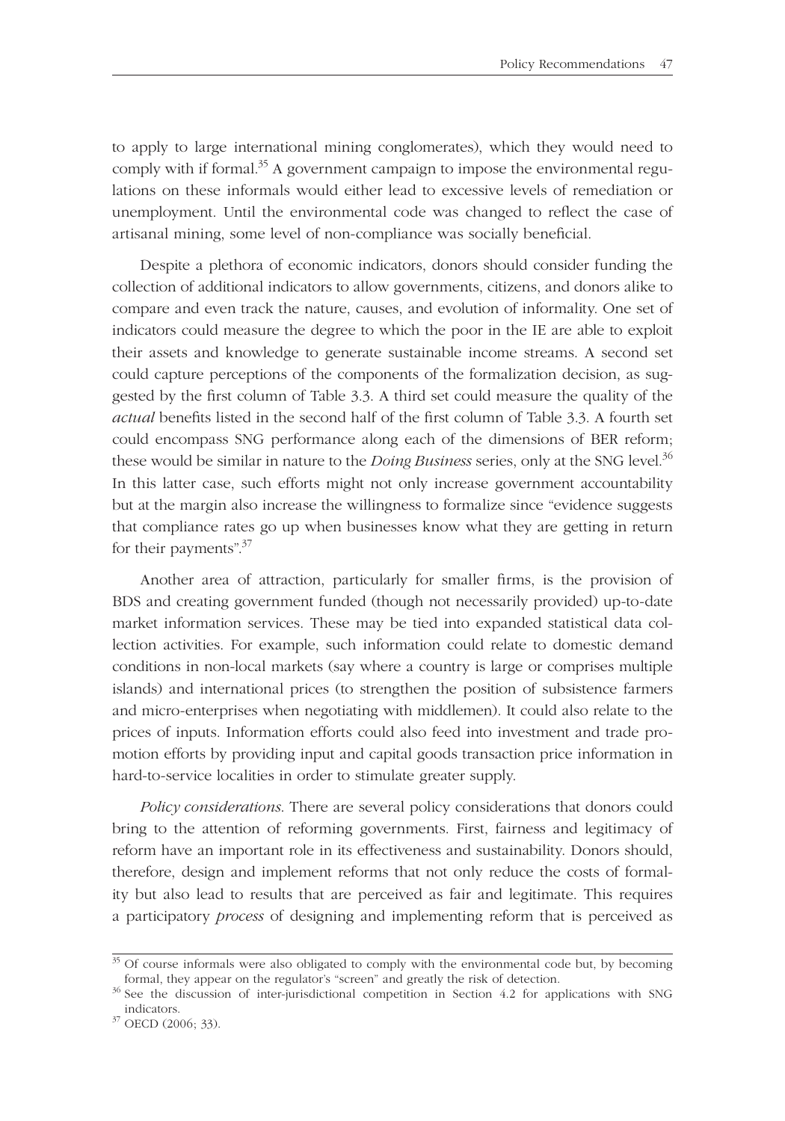to apply to large international mining conglomerates), which they would need to comply with if formal.<sup>35</sup> A government campaign to impose the environmental regulations on these informals would either lead to excessive levels of remediation or unemployment. Until the environmental code was changed to reflect the case of artisanal mining, some level of non-compliance was socially beneficial.

Despite a plethora of economic indicators, donors should consider funding the collection of additional indicators to allow governments, citizens, and donors alike to compare and even track the nature, causes, and evolution of informality. One set of indicators could measure the degree to which the poor in the IE are able to exploit their assets and knowledge to generate sustainable income streams. A second set could capture perceptions of the components of the formalization decision, as suggested by the first column of Table 3.3. A third set could measure the quality of the *actual* benefits listed in the second half of the first column of Table 3.3. A fourth set could encompass SNG performance along each of the dimensions of BER reform; these would be similar in nature to the *Doing Business* series, only at the SNG level.<sup>36</sup> In this latter case, such efforts might not only increase government accountability but at the margin also increase the willingness to formalize since "evidence suggests that compliance rates go up when businesses know what they are getting in return for their payments".<sup>37</sup>

Another area of attraction, particularly for smaller firms, is the provision of BDS and creating government funded (though not necessarily provided) up-to-date market information services. These may be tied into expanded statistical data collection activities. For example, such information could relate to domestic demand conditions in non-local markets (say where a country is large or comprises multiple islands) and international prices (to strengthen the position of subsistence farmers and micro-enterprises when negotiating with middlemen). It could also relate to the prices of inputs. Information efforts could also feed into investment and trade promotion efforts by providing input and capital goods transaction price information in hard-to-service localities in order to stimulate greater supply.

*Policy considerations*. There are several policy considerations that donors could bring to the attention of reforming governments. First, fairness and legitimacy of reform have an important role in its effectiveness and sustainability. Donors should, therefore, design and implement reforms that not only reduce the costs of formality but also lead to results that are perceived as fair and legitimate. This requires a participatory *process* of designing and implementing reform that is perceived as

<sup>&</sup>lt;sup>35</sup> Of course informals were also obligated to comply with the environmental code but, by becoming formal, they appear on the regulator's "screen" and greatly the risk of detection.

<sup>&</sup>lt;sup>36</sup> See the discussion of inter-jurisdictional competition in Section 4.2 for applications with SNG indicators. 37 OECD (2006; 33).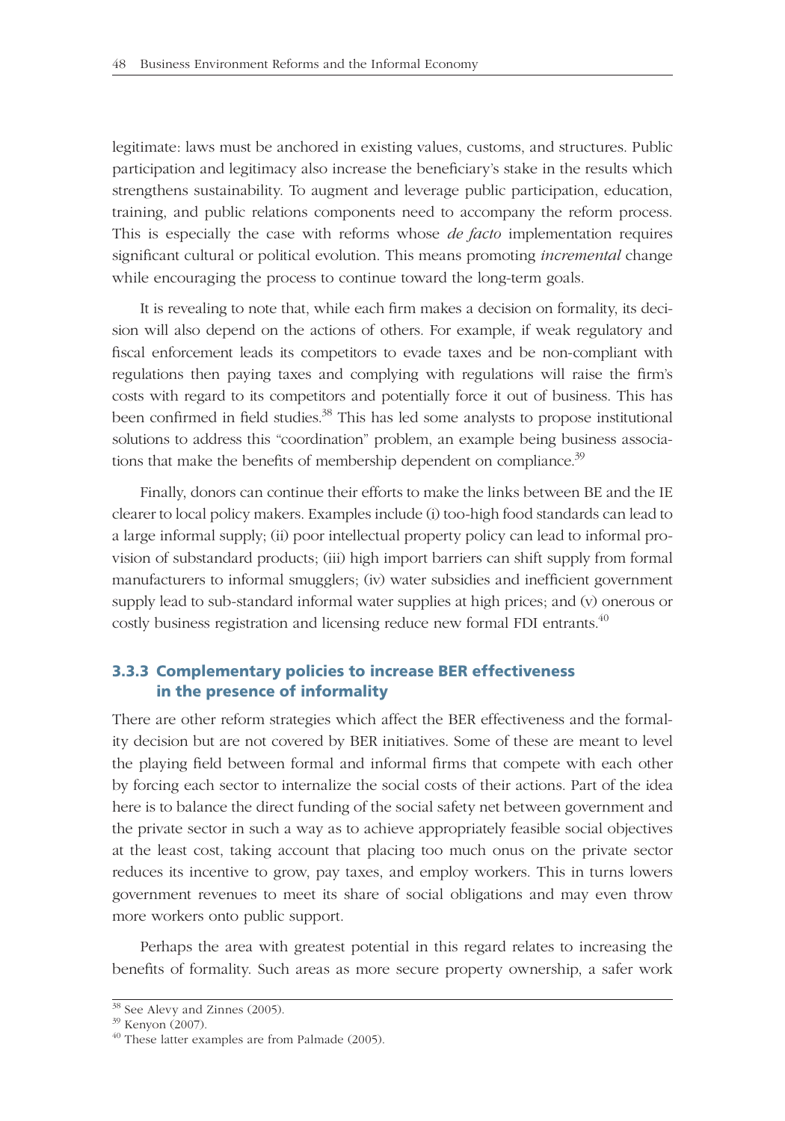legitimate: laws must be anchored in existing values, customs, and structures. Public participation and legitimacy also increase the beneficiary's stake in the results which strengthens sustainability. To augment and leverage public participation, education, training, and public relations components need to accompany the reform process. This is especially the case with reforms whose *de facto* implementation requires significant cultural or political evolution. This means promoting *incremental* change while encouraging the process to continue toward the long-term goals.

It is revealing to note that, while each firm makes a decision on formality, its decision will also depend on the actions of others. For example, if weak regulatory and fiscal enforcement leads its competitors to evade taxes and be non-compliant with regulations then paying taxes and complying with regulations will raise the firm's costs with regard to its competitors and potentially force it out of business. This has been confirmed in field studies.<sup>38</sup> This has led some analysts to propose institutional solutions to address this "coordination" problem, an example being business associations that make the benefits of membership dependent on compliance.<sup>39</sup>

Finally, donors can continue their efforts to make the links between BE and the IE clearer to local policy makers. Examples include (i) too-high food standards can lead to a large informal supply; (ii) poor intellectual property policy can lead to informal provision of substandard products; (iii) high import barriers can shift supply from formal manufacturers to informal smugglers; (iv) water subsidies and inefficient government supply lead to sub-standard informal water supplies at high prices; and (v) onerous or costly business registration and licensing reduce new formal FDI entrants.<sup>40</sup>

## **3.3.3 Complementary policies to increase BER effectiveness in the presence of informality**

There are other reform strategies which affect the BER effectiveness and the formality decision but are not covered by BER initiatives. Some of these are meant to level the playing field between formal and informal firms that compete with each other by forcing each sector to internalize the social costs of their actions. Part of the idea here is to balance the direct funding of the social safety net between government and the private sector in such a way as to achieve appropriately feasible social objectives at the least cost, taking account that placing too much onus on the private sector reduces its incentive to grow, pay taxes, and employ workers. This in turns lowers government revenues to meet its share of social obligations and may even throw more workers onto public support.

Perhaps the area with greatest potential in this regard relates to increasing the benefits of formality. Such areas as more secure property ownership, a safer work

 $38$  See Alevy and Zinnes (2005).

<sup>39</sup> Kenyon (2007).

<sup>&</sup>lt;sup>40</sup> These latter examples are from Palmade (2005).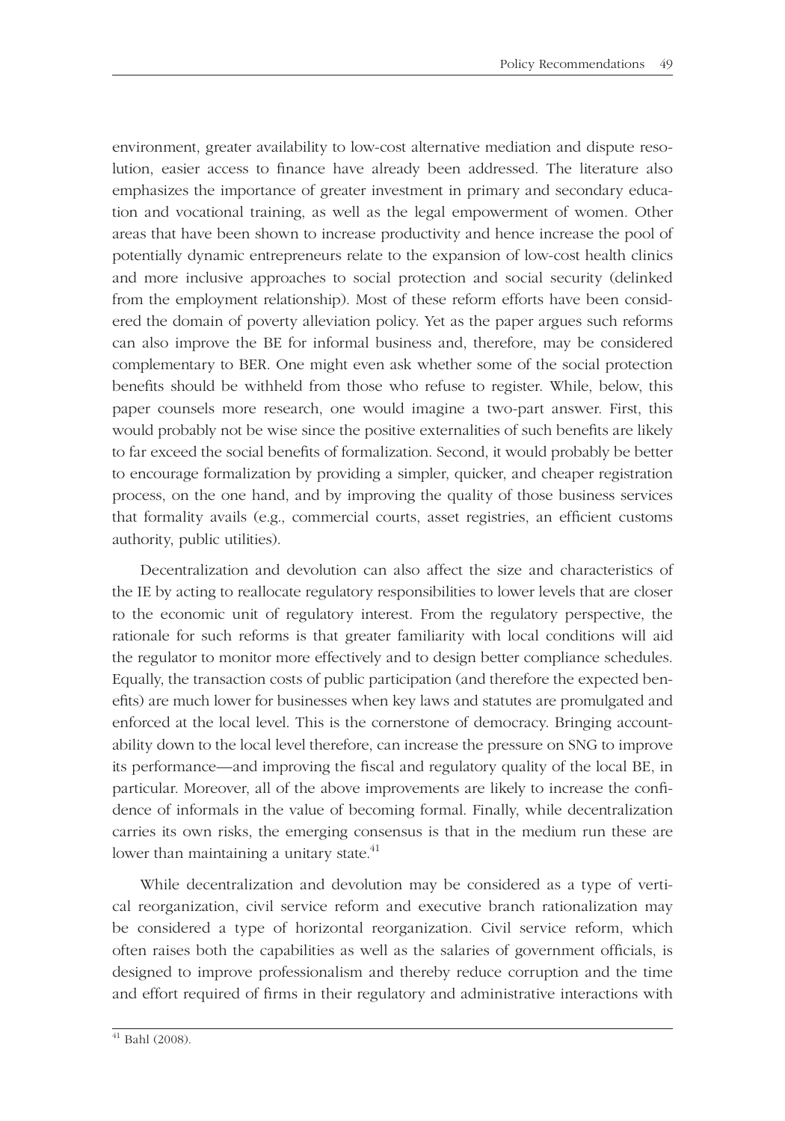environment, greater availability to low-cost alternative mediation and dispute resolution, easier access to finance have already been addressed. The literature also emphasizes the importance of greater investment in primary and secondary education and vocational training, as well as the legal empowerment of women. Other areas that have been shown to increase productivity and hence increase the pool of potentially dynamic entrepreneurs relate to the expansion of low-cost health clinics and more inclusive approaches to social protection and social security (delinked from the employment relationship). Most of these reform efforts have been considered the domain of poverty alleviation policy. Yet as the paper argues such reforms can also improve the BE for informal business and, therefore, may be considered complementary to BER. One might even ask whether some of the social protection benefits should be withheld from those who refuse to register. While, below, this paper counsels more research, one would imagine a two-part answer. First, this would probably not be wise since the positive externalities of such benefits are likely to far exceed the social benefits of formalization. Second, it would probably be better to encourage formalization by providing a simpler, quicker, and cheaper registration process, on the one hand, and by improving the quality of those business services that formality avails (e.g., commercial courts, asset registries, an efficient customs authority, public utilities).

Decentralization and devolution can also affect the size and characteristics of the IE by acting to reallocate regulatory responsibilities to lower levels that are closer to the economic unit of regulatory interest. From the regulatory perspective, the rationale for such reforms is that greater familiarity with local conditions will aid the regulator to monitor more effectively and to design better compliance schedules. Equally, the transaction costs of public participation (and therefore the expected benefits) are much lower for businesses when key laws and statutes are promulgated and enforced at the local level. This is the cornerstone of democracy. Bringing accountability down to the local level therefore, can increase the pressure on SNG to improve its performance—and improving the fiscal and regulatory quality of the local BE, in particular. Moreover, all of the above improvements are likely to increase the confidence of informals in the value of becoming formal. Finally, while decentralization carries its own risks, the emerging consensus is that in the medium run these are lower than maintaining a unitary state. $41$ 

While decentralization and devolution may be considered as a type of vertical reorganization, civil service reform and executive branch rationalization may be considered a type of horizontal reorganization. Civil service reform, which often raises both the capabilities as well as the salaries of government officials, is designed to improve professionalism and thereby reduce corruption and the time and effort required of firms in their regulatory and administrative interactions with

 $41$  Bahl (2008).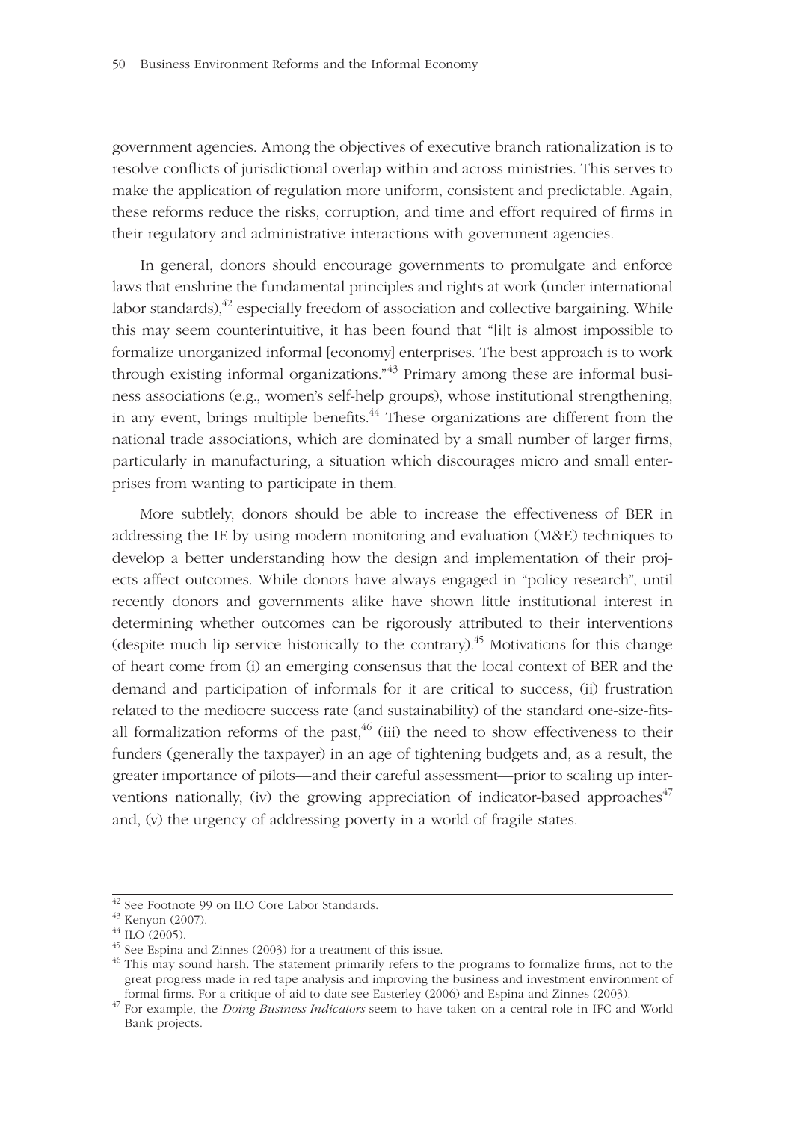government agencies. Among the objectives of executive branch rationalization is to resolve conflicts of jurisdictional overlap within and across ministries. This serves to make the application of regulation more uniform, consistent and predictable. Again, these reforms reduce the risks, corruption, and time and effort required of firms in their regulatory and administrative interactions with government agencies.

In general, donors should encourage governments to promulgate and enforce laws that enshrine the fundamental principles and rights at work (under international labor standards), $^{42}$  especially freedom of association and collective bargaining. While this may seem counterintuitive, it has been found that "[i]t is almost impossible to formalize unorganized informal [economy] enterprises. The best approach is to work through existing informal organizations."<sup>43</sup> Primary among these are informal business associations (e.g., women's self-help groups), whose institutional strengthening, in any event, brings multiple benefits.<sup> $44$ </sup> These organizations are different from the national trade associations, which are dominated by a small number of larger firms, particularly in manufacturing, a situation which discourages micro and small enterprises from wanting to participate in them.

More subtlely, donors should be able to increase the effectiveness of BER in addressing the IE by using modern monitoring and evaluation (M&E) techniques to develop a better understanding how the design and implementation of their projects affect outcomes. While donors have always engaged in "policy research", until recently donors and governments alike have shown little institutional interest in determining whether outcomes can be rigorously attributed to their interventions (despite much lip service historically to the contrary).<sup>45</sup> Motivations for this change of heart come from (i) an emerging consensus that the local context of BER and the demand and participation of informals for it are critical to success, (ii) frustration related to the mediocre success rate (and sustainability) of the standard one-size-fitsall formalization reforms of the past,  $46$  (iii) the need to show effectiveness to their funders (generally the taxpayer) in an age of tightening budgets and, as a result, the greater importance of pilots—and their careful assessment—prior to scaling up interventions nationally, (iv) the growing appreciation of indicator-based approaches<sup>47</sup> and, (v) the urgency of addressing poverty in a world of fragile states.

<sup>42</sup> See Footnote 99 on ILO Core Labor Standards.

<sup>43</sup> Kenyon (2007).

 $44$  ILO (2005).

<sup>45</sup> See Espina and Zinnes (2003) for a treatment of this issue.

 $46$  This may sound harsh. The statement primarily refers to the programs to formalize firms, not to the great progress made in red tape analysis and improving the business and investment environment of formal firms. For a critique of aid to date see Easterley (2006) and Espina and Zinnes (2003). <sup>47</sup> For example, the *Doing Business Indicators* seem to have taken on a central role in IFC and World

Bank projects.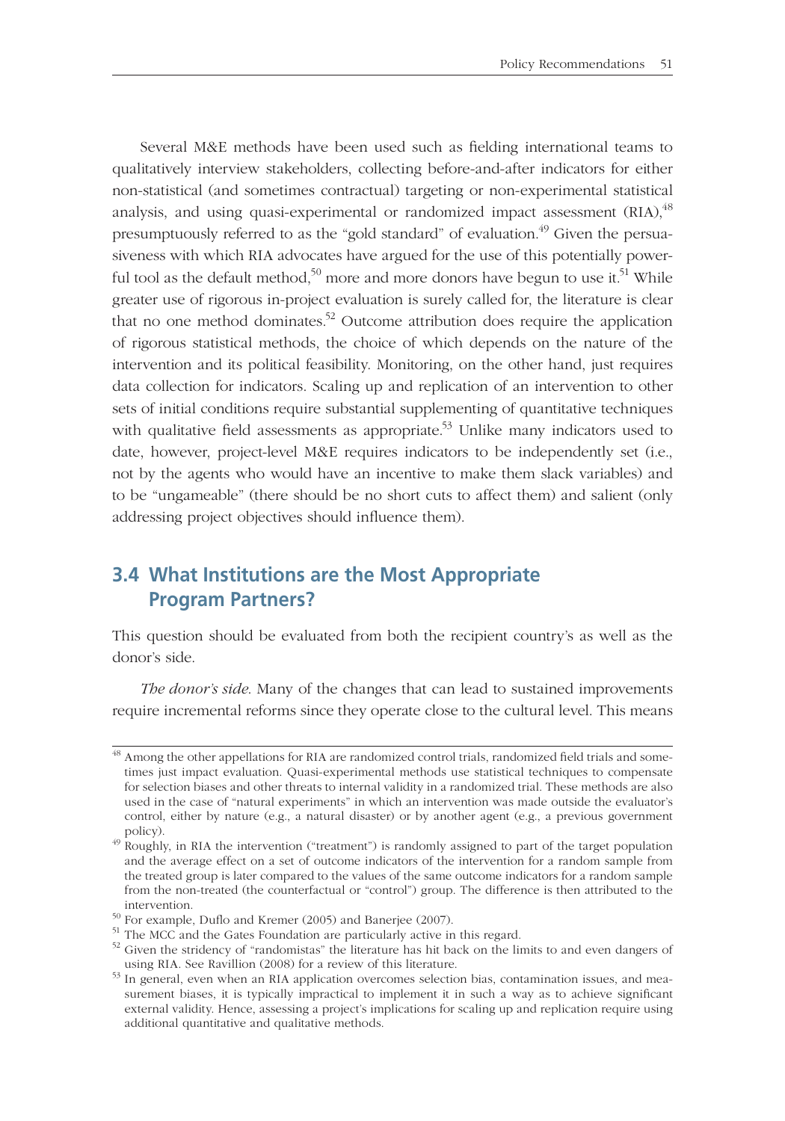Several M&E methods have been used such as fielding international teams to qualitatively interview stakeholders, collecting before-and-after indicators for either non-statistical (and sometimes contractual) targeting or non-experimental statistical analysis, and using quasi-experimental or randomized impact assessment  $(RIA)^{48}$ presumptuously referred to as the "gold standard" of evaluation.<sup>49</sup> Given the persuasiveness with which RIA advocates have argued for the use of this potentially powerful tool as the default method,<sup>50</sup> more and more donors have begun to use it.<sup>51</sup> While greater use of rigorous in-project evaluation is surely called for, the literature is clear that no one method dominates.<sup>52</sup> Outcome attribution does require the application of rigorous statistical methods, the choice of which depends on the nature of the intervention and its political feasibility. Monitoring, on the other hand, just requires data collection for indicators. Scaling up and replication of an intervention to other sets of initial conditions require substantial supplementing of quantitative techniques with qualitative field assessments as appropriate.<sup>53</sup> Unlike many indicators used to date, however, project-level M&E requires indicators to be independently set (i.e., not by the agents who would have an incentive to make them slack variables) and to be "ungameable" (there should be no short cuts to affect them) and salient (only addressing project objectives should influence them).

# **3.4 What Institutions are the Most Appropriate Program Partners?**

This question should be evaluated from both the recipient country's as well as the donor's side.

*The donor's side*. Many of the changes that can lead to sustained improvements require incremental reforms since they operate close to the cultural level. This means

 $48$  Among the other appellations for RIA are randomized control trials, randomized field trials and sometimes just impact evaluation. Quasi-experimental methods use statistical techniques to compensate for selection biases and other threats to internal validity in a randomized trial. These methods are also used in the case of "natural experiments" in which an intervention was made outside the evaluator's control, either by nature (e.g., a natural disaster) or by another agent (e.g., a previous government

 $\frac{49}{49}$  Roughly, in RIA the intervention ("treatment") is randomly assigned to part of the target population and the average effect on a set of outcome indicators of the intervention for a random sample from the treated group is later compared to the values of the same outcome indicators for a random sample from the non-treated (the counterfactual or "control") group. The difference is then attributed to the intervention.<br><sup>50</sup> For example, Duflo and Kremer (2005) and Banerjee (2007).<br><sup>51</sup> The MCC and the Gates Foundation are particularly active in this regard.

 $52$  Given the stridency of "randomistas" the literature has hit back on the limits to and even dangers of using RIA. See Ravillion (2008) for a review of this literature.

 $\frac{53}{13}$  In general, even when an RIA application overcomes selection bias, contamination issues, and measurement biases, it is typically impractical to implement it in such a way as to achieve significant external validity. Hence, assessing a project's implications for scaling up and replication require using additional quantitative and qualitative methods.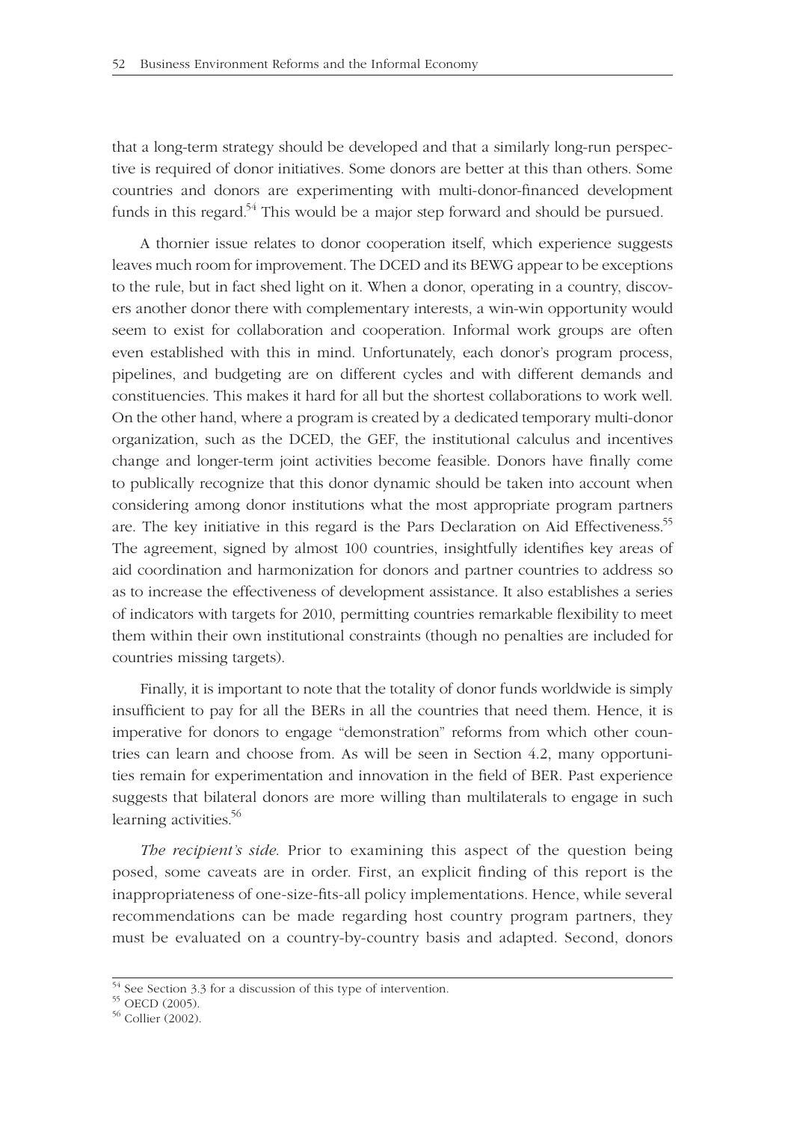that a long-term strategy should be developed and that a similarly long-run perspective is required of donor initiatives. Some donors are better at this than others. Some countries and donors are experimenting with multi-donor-financed development funds in this regard.<sup>54</sup> This would be a major step forward and should be pursued.

A thornier issue relates to donor cooperation itself, which experience suggests leaves much room for improvement. The DCED and its BEWG appear to be exceptions to the rule, but in fact shed light on it. When a donor, operating in a country, discovers another donor there with complementary interests, a win-win opportunity would seem to exist for collaboration and cooperation. Informal work groups are often even established with this in mind. Unfortunately, each donor's program process, pipelines, and budgeting are on different cycles and with different demands and constituencies. This makes it hard for all but the shortest collaborations to work well. On the other hand, where a program is created by a dedicated temporary multi-donor organization, such as the DCED, the GEF, the institutional calculus and incentives change and longer-term joint activities become feasible. Donors have finally come to publically recognize that this donor dynamic should be taken into account when considering among donor institutions what the most appropriate program partners are. The key initiative in this regard is the Pars Declaration on Aid Effectiveness.<sup>55</sup> The agreement, signed by almost 100 countries, insightfully identifies key areas of aid coordination and harmonization for donors and partner countries to address so as to increase the effectiveness of development assistance. It also establishes a series of indicators with targets for 2010, permitting countries remarkable flexibility to meet them within their own institutional constraints (though no penalties are included for countries missing targets).

Finally, it is important to note that the totality of donor funds worldwide is simply insufficient to pay for all the BERs in all the countries that need them. Hence, it is imperative for donors to engage "demonstration" reforms from which other countries can learn and choose from. As will be seen in Section 4.2, many opportunities remain for experimentation and innovation in the field of BER. Past experience suggests that bilateral donors are more willing than multilaterals to engage in such learning activities.<sup>56</sup>

*The recipient's side*. Prior to examining this aspect of the question being posed, some caveats are in order. First, an explicit finding of this report is the inappropriateness of one-size-fits-all policy implementations. Hence, while several recommendations can be made regarding host country program partners, they must be evaluated on a country-by-country basis and adapted. Second, donors

<sup>54</sup> See Section 3.3 for a discussion of this type of intervention.

<sup>55</sup> OECD (2005).

<sup>56</sup> Collier (2002).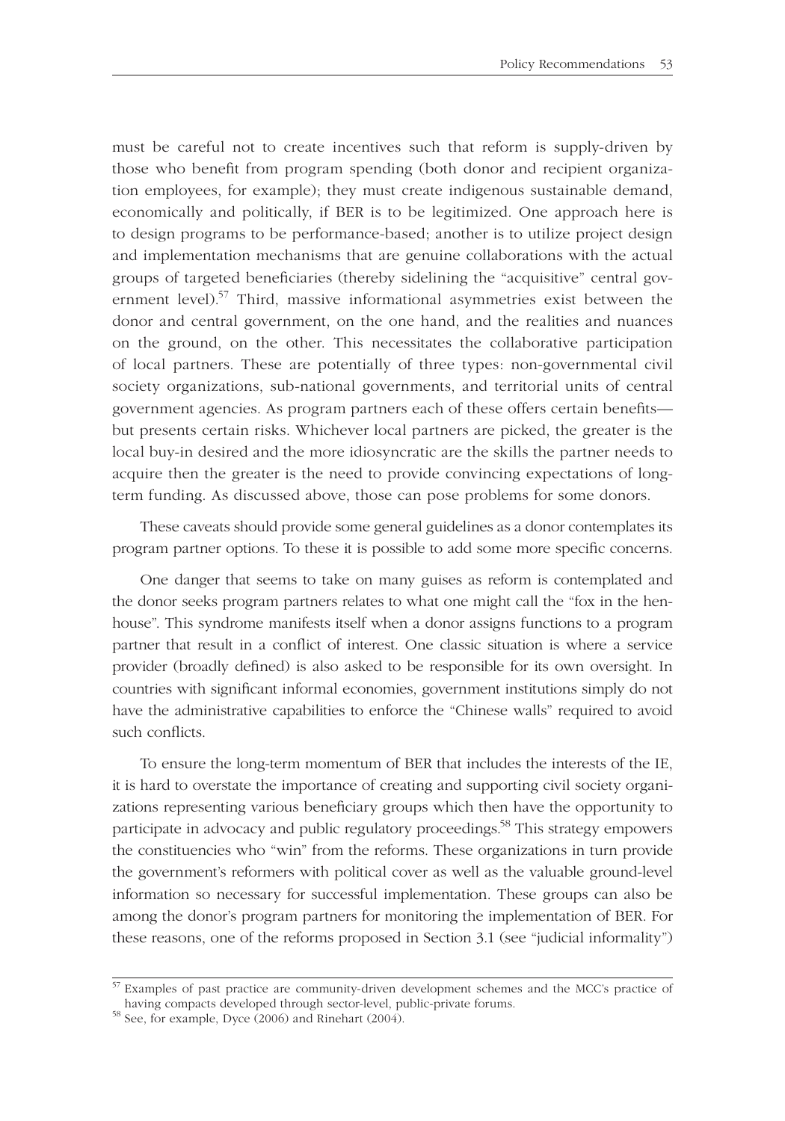must be careful not to create incentives such that reform is supply-driven by those who benefit from program spending (both donor and recipient organization employees, for example); they must create indigenous sustainable demand, economically and politically, if BER is to be legitimized. One approach here is to design programs to be performance-based; another is to utilize project design and implementation mechanisms that are genuine collaborations with the actual groups of targeted beneficiaries (thereby sidelining the "acquisitive" central government level).<sup>57</sup> Third, massive informational asymmetries exist between the donor and central government, on the one hand, and the realities and nuances on the ground, on the other. This necessitates the collaborative participation of local partners. These are potentially of three types: non-governmental civil society organizations, sub-national governments, and territorial units of central government agencies. As program partners each of these offers certain benefits but presents certain risks. Whichever local partners are picked, the greater is the local buy-in desired and the more idiosyncratic are the skills the partner needs to acquire then the greater is the need to provide convincing expectations of longterm funding. As discussed above, those can pose problems for some donors.

These caveats should provide some general guidelines as a donor contemplates its program partner options. To these it is possible to add some more specific concerns.

One danger that seems to take on many guises as reform is contemplated and the donor seeks program partners relates to what one might call the "fox in the henhouse". This syndrome manifests itself when a donor assigns functions to a program partner that result in a conflict of interest. One classic situation is where a service provider (broadly defined) is also asked to be responsible for its own oversight. In countries with significant informal economies, government institutions simply do not have the administrative capabilities to enforce the "Chinese walls" required to avoid such conflicts.

To ensure the long-term momentum of BER that includes the interests of the IE, it is hard to overstate the importance of creating and supporting civil society organizations representing various beneficiary groups which then have the opportunity to participate in advocacy and public regulatory proceedings.<sup>58</sup> This strategy empowers the constituencies who "win" from the reforms. These organizations in turn provide the government's reformers with political cover as well as the valuable ground-level information so necessary for successful implementation. These groups can also be among the donor's program partners for monitoring the implementation of BER. For these reasons, one of the reforms proposed in Section 3.1 (see "judicial informality")

 $57$  Examples of past practice are community-driven development schemes and the MCC's practice of having compacts developed through sector-level, public-private forums.

 $\frac{12.18 \text{ km/s}}{58 \text{ See}}, \text{ for example, Dyce } (2006) \text{ and Rinehart } (2004).$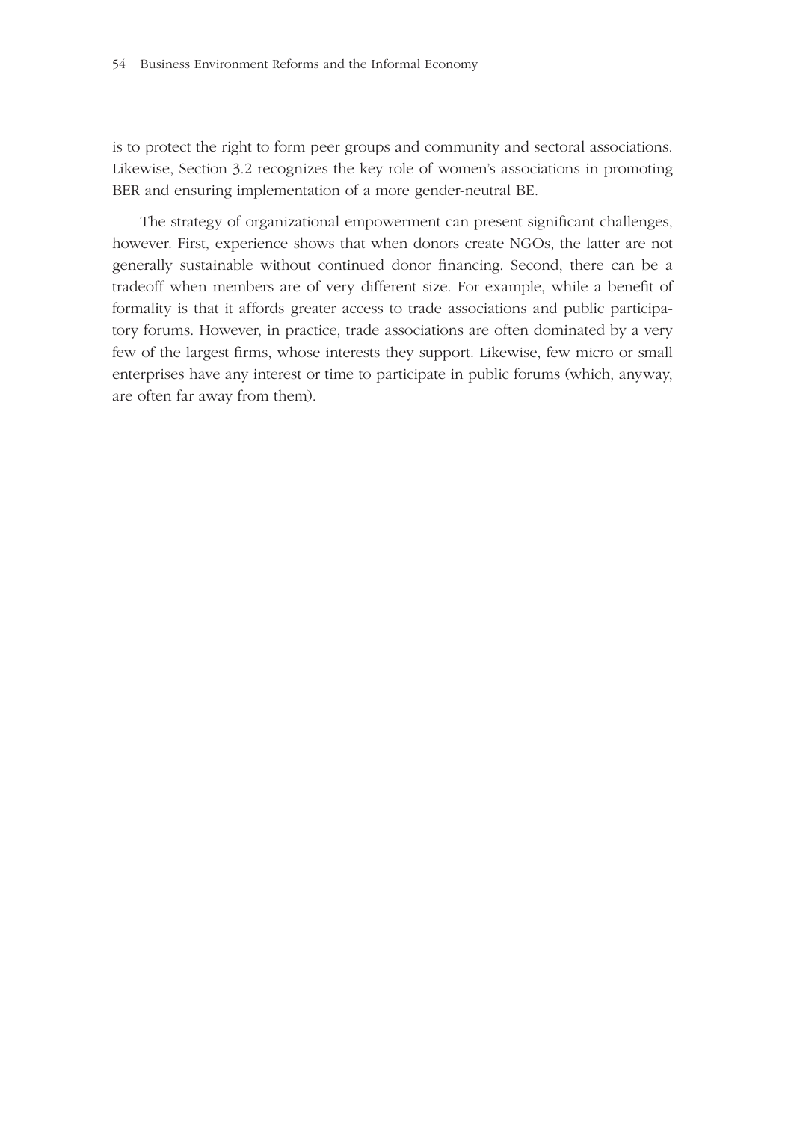is to protect the right to form peer groups and community and sectoral associations. Likewise, Section 3.2 recognizes the key role of women's associations in promoting BER and ensuring implementation of a more gender-neutral BE.

The strategy of organizational empowerment can present significant challenges, however. First, experience shows that when donors create NGOs, the latter are not generally sustainable without continued donor financing. Second, there can be a tradeoff when members are of very different size. For example, while a benefi t of formality is that it affords greater access to trade associations and public participatory forums. However, in practice, trade associations are often dominated by a very few of the largest firms, whose interests they support. Likewise, few micro or small enterprises have any interest or time to participate in public forums (which, anyway, are often far away from them).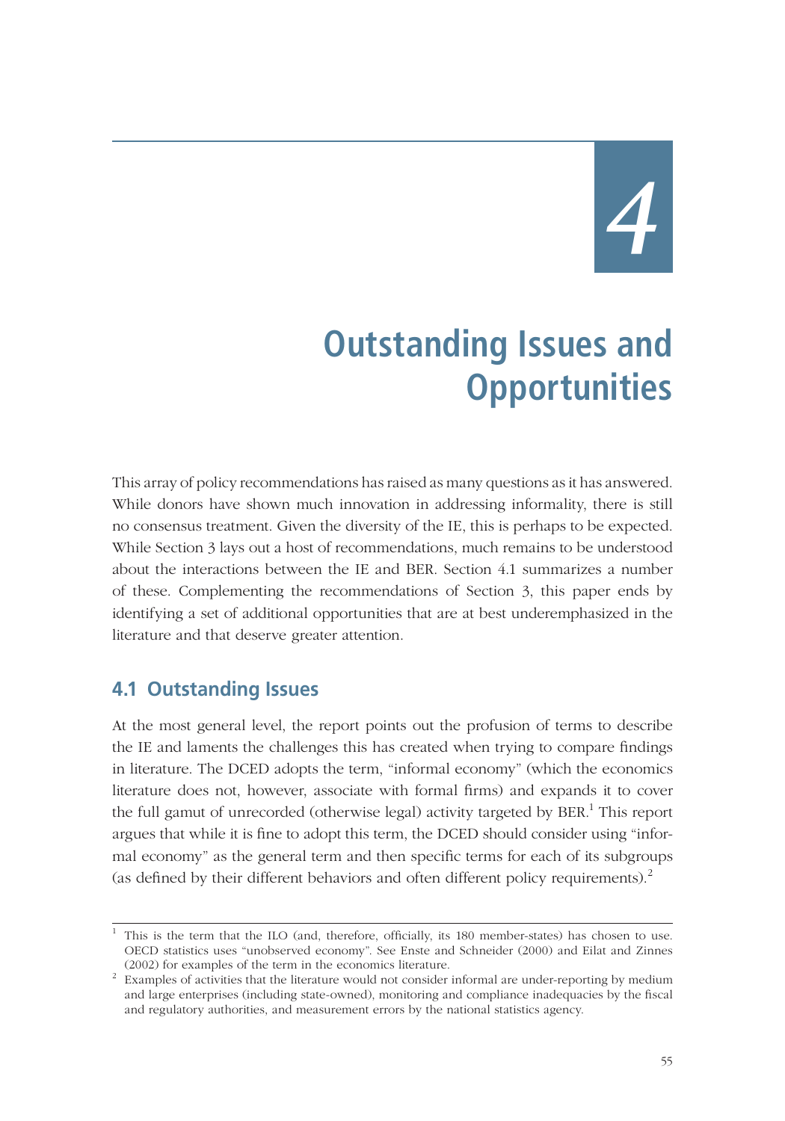*4*

# **Outstanding Issues and Opportunities**

This array of policy recommendations has raised as many questions as it has answered. While donors have shown much innovation in addressing informality, there is still no consensus treatment. Given the diversity of the IE, this is perhaps to be expected. While Section 3 lays out a host of recommendations, much remains to be understood about the interactions between the IE and BER. Section 4.1 summarizes a number of these. Complementing the recommendations of Section 3, this paper ends by identifying a set of additional opportunities that are at best underemphasized in the literature and that deserve greater attention.

## **4.1 Outstanding Issues**

At the most general level, the report points out the profusion of terms to describe the IE and laments the challenges this has created when trying to compare findings in literature. The DCED adopts the term, "informal economy" (which the economics literature does not, however, associate with formal firms) and expands it to cover the full gamut of unrecorded (otherwise legal) activity targeted by BER.<sup>1</sup> This report argues that while it is fine to adopt this term, the DCED should consider using "informal economy" as the general term and then specific terms for each of its subgroups (as defined by their different behaviors and often different policy requirements). $^{2}$ 

<sup>&</sup>lt;sup>1</sup> This is the term that the ILO (and, therefore, officially, its 180 member-states) has chosen to use. OECD statistics uses "unobserved economy". See Enste and Schneider (2000) and Eilat and Zinnes

<sup>(2002)</sup> for examples of the term in the economics literature. <sup>2</sup> Examples of activities that the literature would not consider informal are under-reporting by medium and large enterprises (including state-owned), monitoring and compliance inadequacies by the fiscal and regulatory authorities, and measurement errors by the national statistics agency.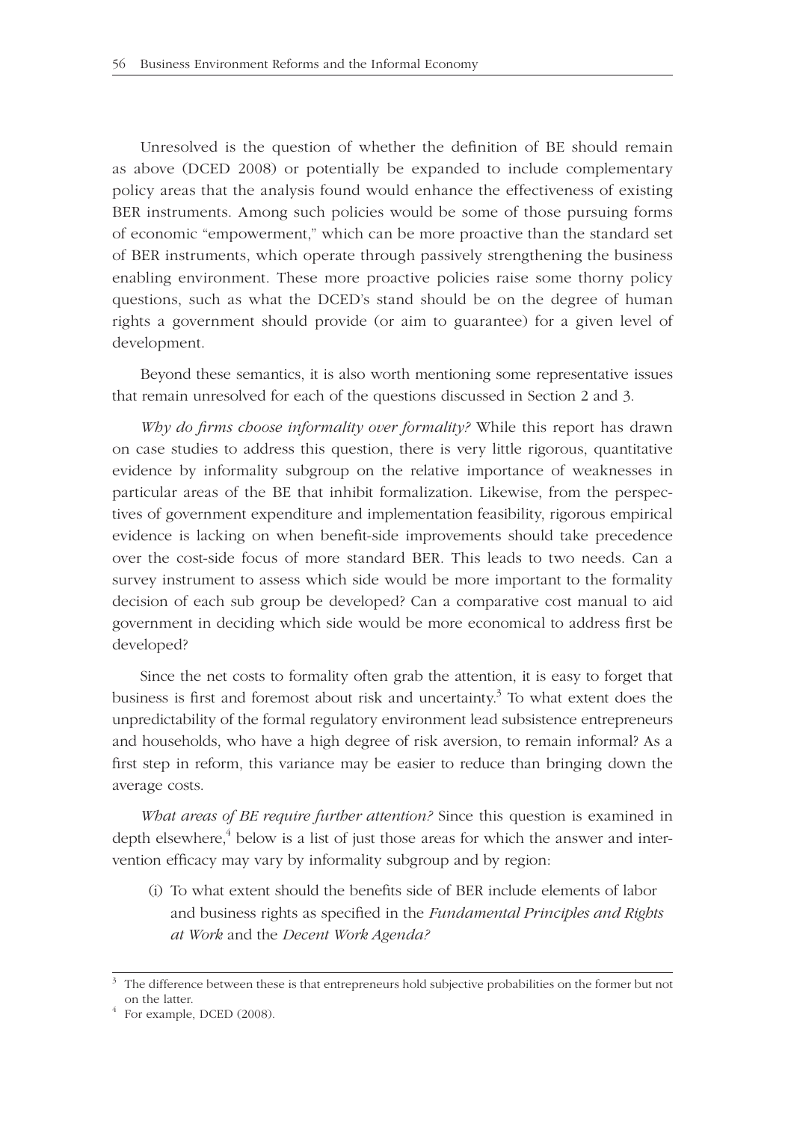Unresolved is the question of whether the definition of BE should remain as above (DCED 2008) or potentially be expanded to include complementary policy areas that the analysis found would enhance the effectiveness of existing BER instruments. Among such policies would be some of those pursuing forms of economic "empowerment," which can be more proactive than the standard set of BER instruments, which operate through passively strengthening the business enabling environment. These more proactive policies raise some thorny policy questions, such as what the DCED's stand should be on the degree of human rights a government should provide (or aim to guarantee) for a given level of development.

Beyond these semantics, it is also worth mentioning some representative issues that remain unresolved for each of the questions discussed in Section 2 and 3.

*Why do firms choose informality over formality?* While this report has drawn on case studies to address this question, there is very little rigorous, quantitative evidence by informality subgroup on the relative importance of weaknesses in particular areas of the BE that inhibit formalization. Likewise, from the perspectives of government expenditure and implementation feasibility, rigorous empirical evidence is lacking on when benefit-side improvements should take precedence over the cost-side focus of more standard BER. This leads to two needs. Can a survey instrument to assess which side would be more important to the formality decision of each sub group be developed? Can a comparative cost manual to aid government in deciding which side would be more economical to address first be developed?

Since the net costs to formality often grab the attention, it is easy to forget that business is first and foremost about risk and uncertainty.<sup>3</sup> To what extent does the unpredictability of the formal regulatory environment lead subsistence entrepreneurs and households, who have a high degree of risk aversion, to remain informal? As a first step in reform, this variance may be easier to reduce than bringing down the average costs.

*What areas of BE require further attention?* Since this question is examined in depth elsewhere, $^4$  below is a list of just those areas for which the answer and intervention efficacy may vary by informality subgroup and by region:

(i) To what extent should the benefits side of BER include elements of labor and business rights as specified in the *Fundamental Principles and Rights at Work* and the *Decent Work Agenda?*

<sup>&</sup>lt;sup>3</sup> The difference between these is that entrepreneurs hold subjective probabilities on the former but not on the latter.<br><sup>4</sup> For example, DCED (2008).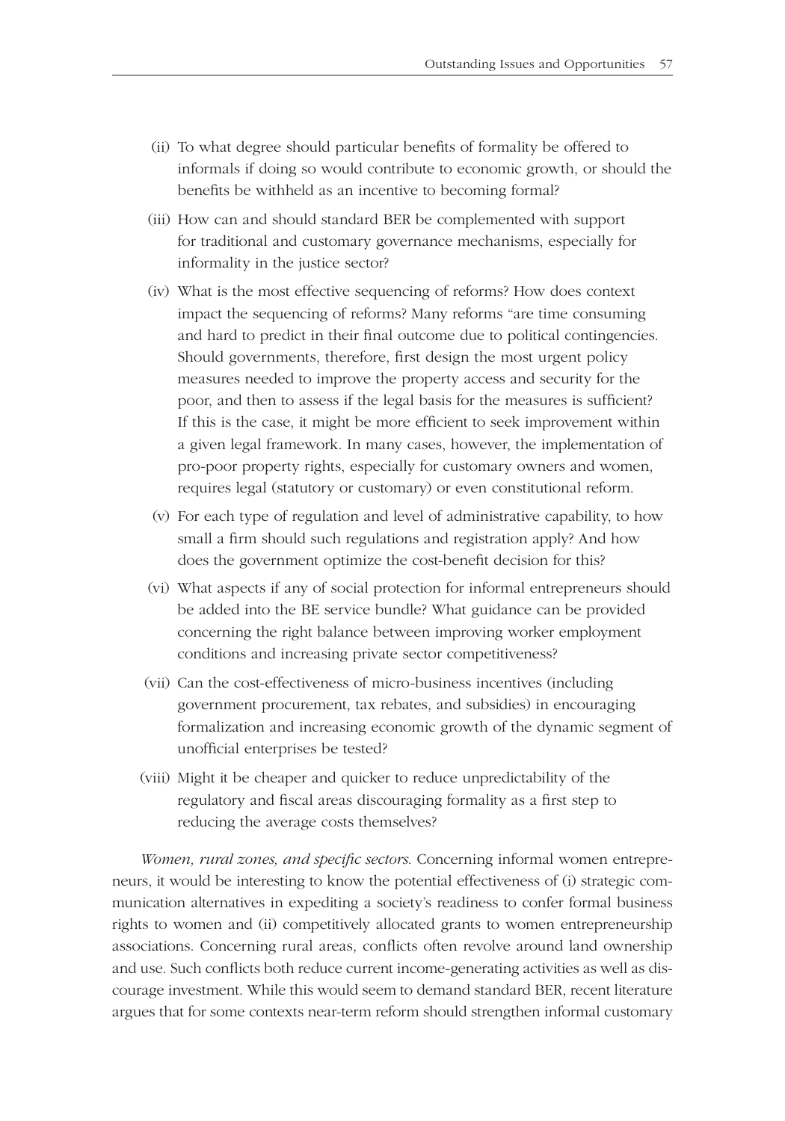- (ii) To what degree should particular benefits of formality be offered to informals if doing so would contribute to economic growth, or should the benefits be withheld as an incentive to becoming formal?
- (iii) How can and should standard BER be complemented with support for traditional and customary governance mechanisms, especially for informality in the justice sector?
- (iv) What is the most effective sequencing of reforms? How does context impact the sequencing of reforms? Many reforms "are time consuming and hard to predict in their final outcome due to political contingencies. Should governments, therefore, first design the most urgent policy measures needed to improve the property access and security for the poor, and then to assess if the legal basis for the measures is sufficient? If this is the case, it might be more efficient to seek improvement within a given legal framework. In many cases, however, the implementation of pro-poor property rights, especially for customary owners and women, requires legal (statutory or customary) or even constitutional reform.
- (v) For each type of regulation and level of administrative capability, to how small a firm should such regulations and registration apply? And how does the government optimize the cost-benefit decision for this?
- (vi) What aspects if any of social protection for informal entrepreneurs should be added into the BE service bundle? What guidance can be provided concerning the right balance between improving worker employment conditions and increasing private sector competitiveness?
- (vii) Can the cost-effectiveness of micro-business incentives (including government procurement, tax rebates, and subsidies) in encouraging formalization and increasing economic growth of the dynamic segment of unofficial enterprises be tested?
- (viii) Might it be cheaper and quicker to reduce unpredictability of the regulatory and fiscal areas discouraging formality as a first step to reducing the average costs themselves?

*Women, rural zones, and specific sectors.* Concerning informal women entrepreneurs, it would be interesting to know the potential effectiveness of (i) strategic communication alternatives in expediting a society's readiness to confer formal business rights to women and (ii) competitively allocated grants to women entrepreneurship associations. Concerning rural areas, conflicts often revolve around land ownership and use. Such conflicts both reduce current income-generating activities as well as discourage investment. While this would seem to demand standard BER, recent literature argues that for some contexts near-term reform should strengthen informal customary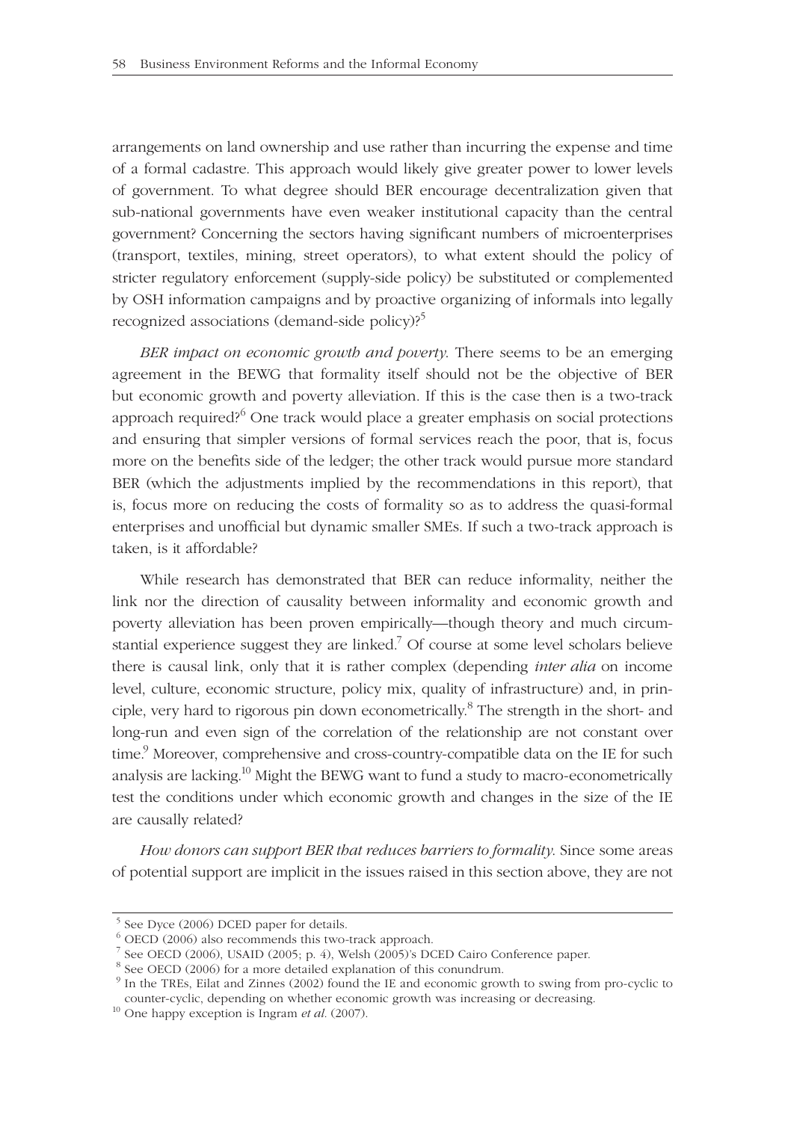arrangements on land ownership and use rather than incurring the expense and time of a formal cadastre. This approach would likely give greater power to lower levels of government. To what degree should BER encourage decentralization given that sub-national governments have even weaker institutional capacity than the central government? Concerning the sectors having significant numbers of microenterprises (transport, textiles, mining, street operators), to what extent should the policy of stricter regulatory enforcement (supply-side policy) be substituted or complemented by OSH information campaigns and by proactive organizing of informals into legally recognized associations (demand-side policy)?<sup>5</sup>

*BER impact on economic growth and poverty*. There seems to be an emerging agreement in the BEWG that formality itself should not be the objective of BER but economic growth and poverty alleviation. If this is the case then is a two-track approach required?<sup>6</sup> One track would place a greater emphasis on social protections and ensuring that simpler versions of formal services reach the poor, that is, focus more on the benefits side of the ledger; the other track would pursue more standard BER (which the adjustments implied by the recommendations in this report), that is, focus more on reducing the costs of formality so as to address the quasi-formal enterprises and unofficial but dynamic smaller SMEs. If such a two-track approach is taken, is it affordable?

While research has demonstrated that BER can reduce informality, neither the link nor the direction of causality between informality and economic growth and poverty alleviation has been proven empirically—though theory and much circumstantial experience suggest they are linked.<sup>7</sup> Of course at some level scholars believe there is causal link, only that it is rather complex (depending *inter alia* on income level, culture, economic structure, policy mix, quality of infrastructure) and, in principle, very hard to rigorous pin down econometrically.<sup>8</sup> The strength in the short- and long-run and even sign of the correlation of the relationship are not constant over time.<sup>9</sup> Moreover, comprehensive and cross-country-compatible data on the IE for such analysis are lacking.<sup>10</sup> Might the BEWG want to fund a study to macro-econometrically test the conditions under which economic growth and changes in the size of the IE are causally related?

*How donors can support BER that reduces barriers to formality*. Since some areas of potential support are implicit in the issues raised in this section above, they are not

<sup>&</sup>lt;sup>5</sup> See Dyce (2006) DCED paper for details.

 <sup>6</sup> OECD (2006) also recommends this two-track approach.

 <sup>7</sup> See OECD (2006), USAID (2005; p. 4), Welsh (2005)'s DCED Cairo Conference paper.

 <sup>8</sup> See OECD (2006) for a more detailed explanation of this conundrum.

<sup>&</sup>lt;sup>9</sup> In the TREs, Eilat and Zinnes (2002) found the IE and economic growth to swing from pro-cyclic to counter-cyclic, depending on whether economic growth was increasing or decreasing. 10 One happy exception is Ingram *et al.* (2007).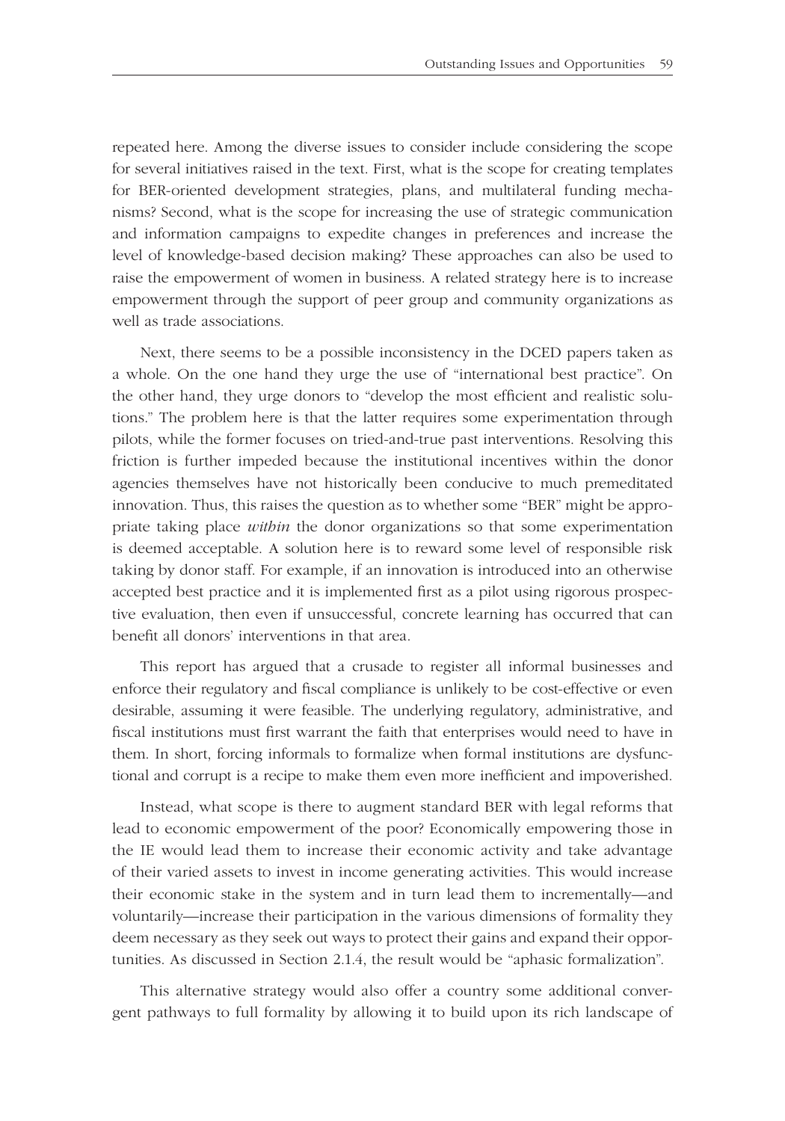repeated here. Among the diverse issues to consider include considering the scope for several initiatives raised in the text. First, what is the scope for creating templates for BER-oriented development strategies, plans, and multilateral funding mechanisms? Second, what is the scope for increasing the use of strategic communication and information campaigns to expedite changes in preferences and increase the level of knowledge-based decision making? These approaches can also be used to raise the empowerment of women in business. A related strategy here is to increase empowerment through the support of peer group and community organizations as well as trade associations.

Next, there seems to be a possible inconsistency in the DCED papers taken as a whole. On the one hand they urge the use of "international best practice". On the other hand, they urge donors to "develop the most efficient and realistic solutions." The problem here is that the latter requires some experimentation through pilots, while the former focuses on tried-and-true past interventions. Resolving this friction is further impeded because the institutional incentives within the donor agencies themselves have not historically been conducive to much premeditated innovation. Thus, this raises the question as to whether some "BER" might be appropriate taking place *within* the donor organizations so that some experimentation is deemed acceptable. A solution here is to reward some level of responsible risk taking by donor staff. For example, if an innovation is introduced into an otherwise accepted best practice and it is implemented first as a pilot using rigorous prospective evaluation, then even if unsuccessful, concrete learning has occurred that can benefit all donors' interventions in that area.

This report has argued that a crusade to register all informal businesses and enforce their regulatory and fiscal compliance is unlikely to be cost-effective or even desirable, assuming it were feasible. The underlying regulatory, administrative, and fiscal institutions must first warrant the faith that enterprises would need to have in them. In short, forcing informals to formalize when formal institutions are dysfunctional and corrupt is a recipe to make them even more inefficient and impoverished.

Instead, what scope is there to augment standard BER with legal reforms that lead to economic empowerment of the poor? Economically empowering those in the IE would lead them to increase their economic activity and take advantage of their varied assets to invest in income generating activities. This would increase their economic stake in the system and in turn lead them to incrementally—and voluntarily—increase their participation in the various dimensions of formality they deem necessary as they seek out ways to protect their gains and expand their opportunities. As discussed in Section 2.1.4, the result would be "aphasic formalization".

This alternative strategy would also offer a country some additional convergent pathways to full formality by allowing it to build upon its rich landscape of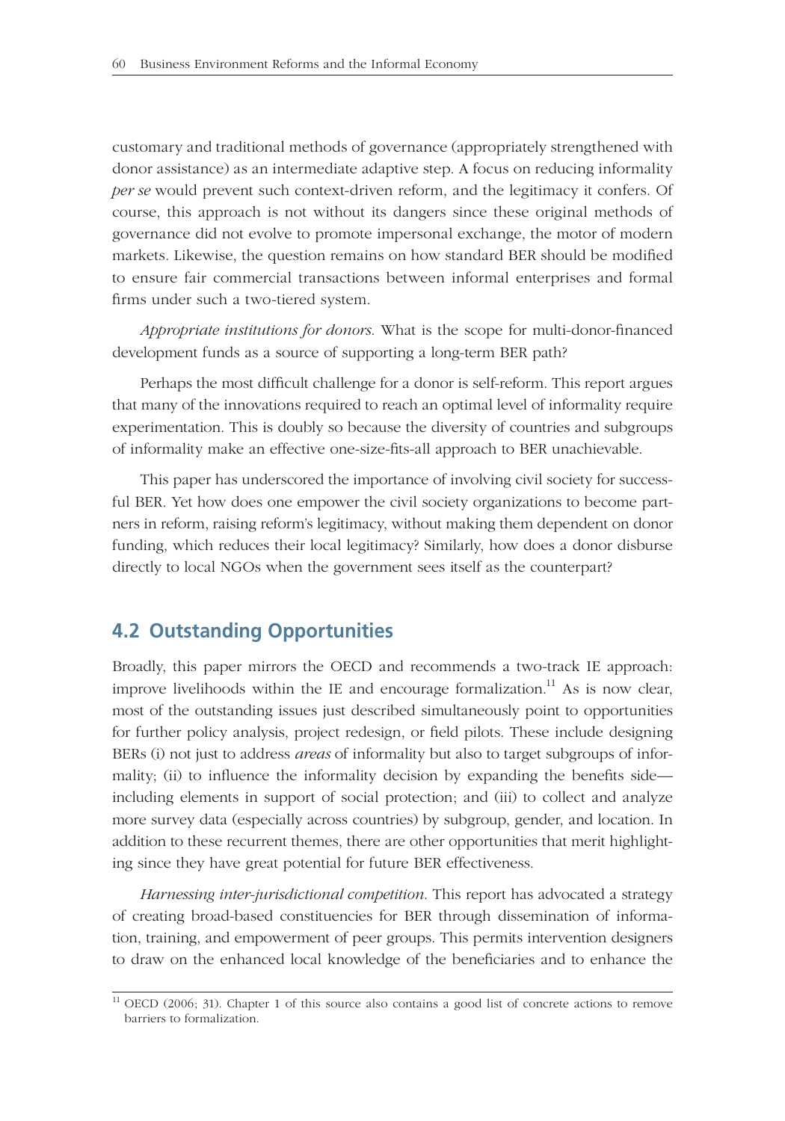customary and traditional methods of governance (appropriately strengthened with donor assistance) as an intermediate adaptive step. A focus on reducing informality *per se* would prevent such context-driven reform, and the legitimacy it confers. Of course, this approach is not without its dangers since these original methods of governance did not evolve to promote impersonal exchange, the motor of modern markets. Likewise, the question remains on how standard BER should be modified to ensure fair commercial transactions between informal enterprises and formal firms under such a two-tiered system.

*Appropriate institutions for donors*. What is the scope for multi-donor-financed development funds as a source of supporting a long-term BER path?

Perhaps the most difficult challenge for a donor is self-reform. This report argues that many of the innovations required to reach an optimal level of informality require experimentation. This is doubly so because the diversity of countries and subgroups of informality make an effective one-size-fits-all approach to BER unachievable.

This paper has underscored the importance of involving civil society for successful BER. Yet how does one empower the civil society organizations to become partners in reform, raising reform's legitimacy, without making them dependent on donor funding, which reduces their local legitimacy? Similarly, how does a donor disburse directly to local NGOs when the government sees itself as the counterpart?

## **4.2 Outstanding Opportunities**

Broadly, this paper mirrors the OECD and recommends a two-track IE approach: improve livelihoods within the IE and encourage formalization.<sup>11</sup> As is now clear, most of the outstanding issues just described simultaneously point to opportunities for further policy analysis, project redesign, or field pilots. These include designing BERs (i) not just to address *areas* of informality but also to target subgroups of informality; (ii) to influence the informality decision by expanding the benefits side including elements in support of social protection; and (iii) to collect and analyze more survey data (especially across countries) by subgroup, gender, and location. In addition to these recurrent themes, there are other opportunities that merit highlighting since they have great potential for future BER effectiveness.

*Harnessing inter-jurisdictional competition*. This report has advocated a strategy of creating broad-based constituencies for BER through dissemination of information, training, and empowerment of peer groups. This permits intervention designers to draw on the enhanced local knowledge of the beneficiaries and to enhance the

<sup>&</sup>lt;sup>11</sup> OECD (2006; 31). Chapter 1 of this source also contains a good list of concrete actions to remove barriers to formalization.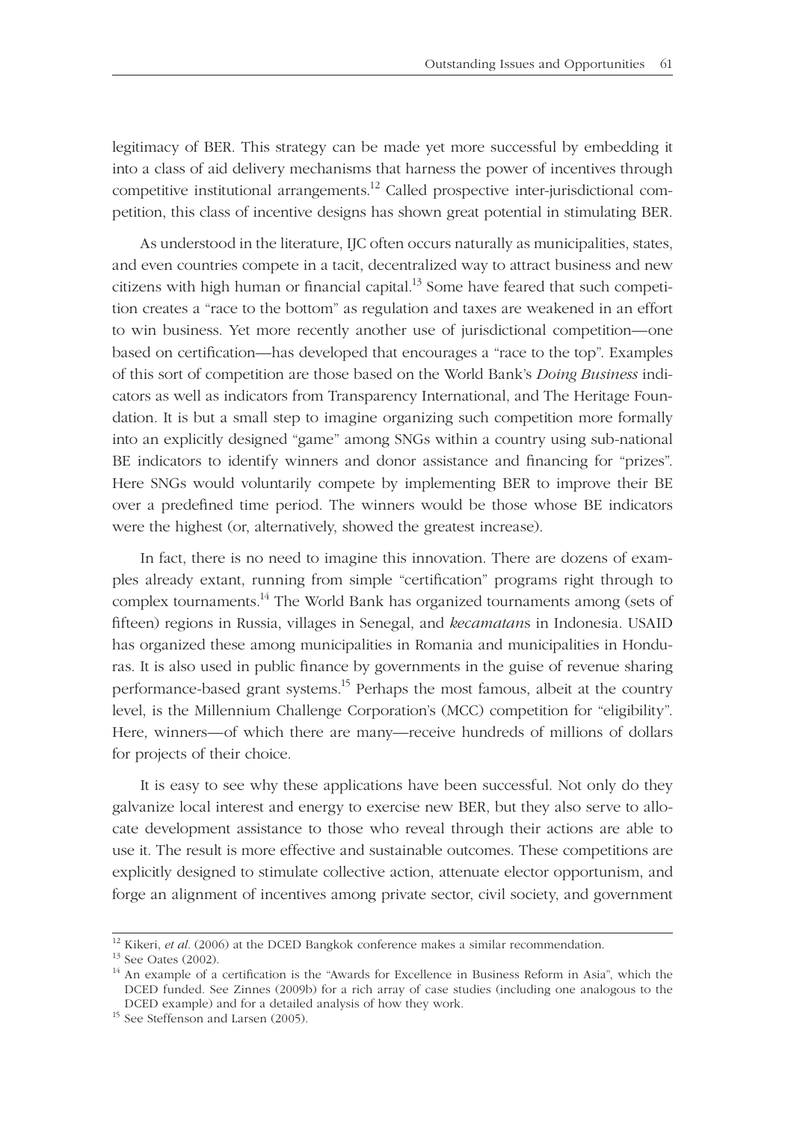legitimacy of BER. This strategy can be made yet more successful by embedding it into a class of aid delivery mechanisms that harness the power of incentives through competitive institutional arrangements.<sup>12</sup> Called prospective inter-jurisdictional competition, this class of incentive designs has shown great potential in stimulating BER.

As understood in the literature, IJC often occurs naturally as municipalities, states, and even countries compete in a tacit, decentralized way to attract business and new citizens with high human or financial capital.<sup>13</sup> Some have feared that such competition creates a "race to the bottom" as regulation and taxes are weakened in an effort to win business. Yet more recently another use of jurisdictional competition—one based on certification—has developed that encourages a "race to the top". Examples of this sort of competition are those based on the World Bank's *Doing Business* indicators as well as indicators from Transparency International, and The Heritage Foundation. It is but a small step to imagine organizing such competition more formally into an explicitly designed "game" among SNGs within a country using sub-national BE indicators to identify winners and donor assistance and financing for "prizes". Here SNGs would voluntarily compete by implementing BER to improve their BE over a predefined time period. The winners would be those whose BE indicators were the highest (or, alternatively, showed the greatest increase).

In fact, there is no need to imagine this innovation. There are dozens of examples already extant, running from simple "certification" programs right through to complex tournaments.<sup>14</sup> The World Bank has organized tournaments among (sets of fi fteen) regions in Russia, villages in Senegal, and *kecamatan*s in Indonesia. USAID has organized these among municipalities in Romania and municipalities in Honduras. It is also used in public finance by governments in the guise of revenue sharing performance-based grant systems.<sup>15</sup> Perhaps the most famous, albeit at the country level, is the Millennium Challenge Corporation's (MCC) competition for "eligibility". Here, winners—of which there are many—receive hundreds of millions of dollars for projects of their choice.

It is easy to see why these applications have been successful. Not only do they galvanize local interest and energy to exercise new BER, but they also serve to allocate development assistance to those who reveal through their actions are able to use it. The result is more effective and sustainable outcomes. These competitions are explicitly designed to stimulate collective action, attenuate elector opportunism, and forge an alignment of incentives among private sector, civil society, and government

<sup>&</sup>lt;sup>12</sup> Kikeri, *et al.* (2006) at the DCED Bangkok conference makes a similar recommendation. <sup>13</sup> See Oates (2002).

<sup>&</sup>lt;sup>14</sup> An example of a certification is the "Awards for Excellence in Business Reform in Asia", which the DCED funded. See Zinnes (2009b) for a rich array of case studies (including one analogous to the DCED example) and for a detailed analysis of how they work. 15 See Steffenson and Larsen (2005).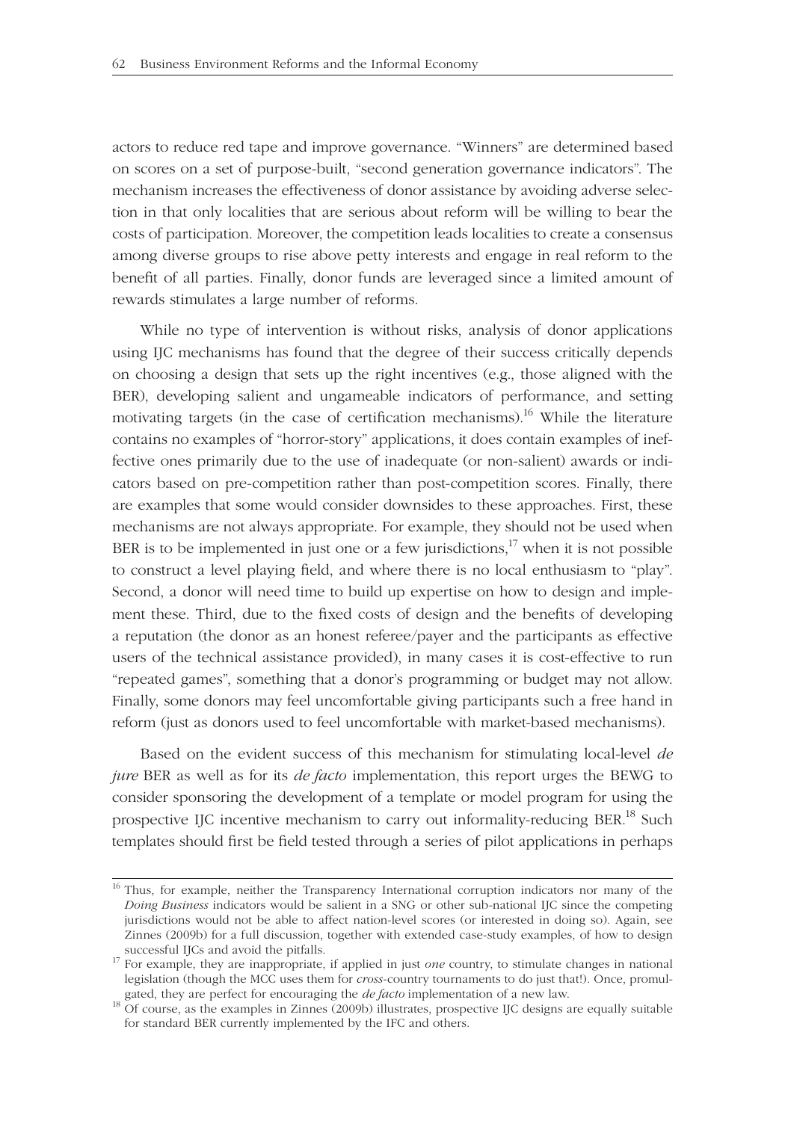actors to reduce red tape and improve governance. "Winners" are determined based on scores on a set of purpose-built, "second generation governance indicators". The mechanism increases the effectiveness of donor assistance by avoiding adverse selection in that only localities that are serious about reform will be willing to bear the costs of participation. Moreover, the competition leads localities to create a consensus among diverse groups to rise above petty interests and engage in real reform to the benefit of all parties. Finally, donor funds are leveraged since a limited amount of rewards stimulates a large number of reforms.

While no type of intervention is without risks, analysis of donor applications using IJC mechanisms has found that the degree of their success critically depends on choosing a design that sets up the right incentives (e.g., those aligned with the BER), developing salient and ungameable indicators of performance, and setting motivating targets (in the case of certification mechanisms).<sup>16</sup> While the literature contains no examples of "horror-story" applications, it does contain examples of ineffective ones primarily due to the use of inadequate (or non-salient) awards or indicators based on pre-competition rather than post-competition scores. Finally, there are examples that some would consider downsides to these approaches. First, these mechanisms are not always appropriate. For example, they should not be used when BER is to be implemented in just one or a few jurisdictions,<sup>17</sup> when it is not possible to construct a level playing field, and where there is no local enthusiasm to "play". Second, a donor will need time to build up expertise on how to design and implement these. Third, due to the fixed costs of design and the benefits of developing a reputation (the donor as an honest referee/payer and the participants as effective users of the technical assistance provided), in many cases it is cost-effective to run "repeated games", something that a donor's programming or budget may not allow. Finally, some donors may feel uncomfortable giving participants such a free hand in reform (just as donors used to feel uncomfortable with market-based mechanisms).

Based on the evident success of this mechanism for stimulating local-level *de jure* BER as well as for its *de facto* implementation, this report urges the BEWG to consider sponsoring the development of a template or model program for using the prospective IJC incentive mechanism to carry out informality-reducing BER.<sup>18</sup> Such templates should first be field tested through a series of pilot applications in perhaps

<sup>&</sup>lt;sup>16</sup> Thus, for example, neither the Transparency International corruption indicators nor many of the *Doing Business* indicators would be salient in a SNG or other sub-national IJC since the competing jurisdictions would not be able to affect nation-level scores (or interested in doing so). Again, see Zinnes (2009b) for a full discussion, together with extended case-study examples, of how to design successful IJCs and avoid the pitfalls. 17 For example, they are inappropriate, if applied in just *one* country, to stimulate changes in national

legislation (though the MCC uses them for *cross*-country tournaments to do just that!). Once, promulgated, they are perfect for encouraging the *de facto* implementation of a new law. <sup>18</sup> Of course, as the examples in Zinnes (2009b) illustrates, prospective IJC designs are equally suitable

for standard BER currently implemented by the IFC and others.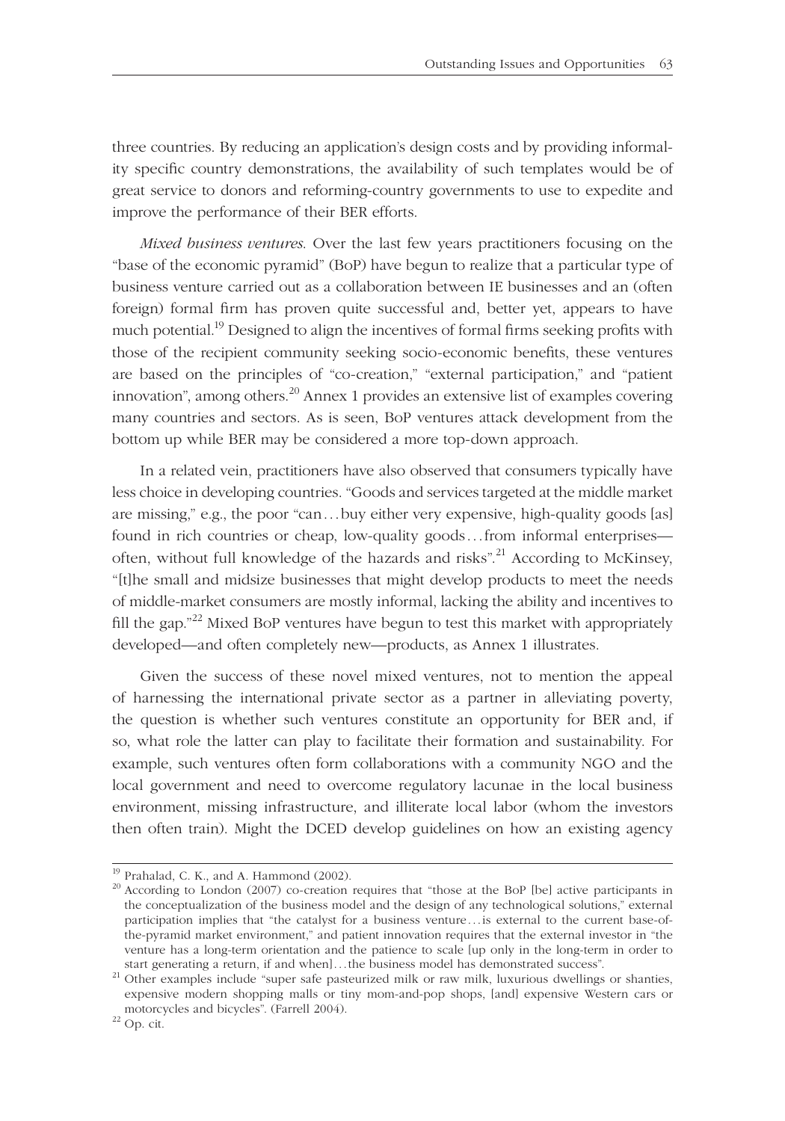three countries. By reducing an application's design costs and by providing informality specific country demonstrations, the availability of such templates would be of great service to donors and reforming-country governments to use to expedite and improve the performance of their BER efforts.

*Mixed business ventures*. Over the last few years practitioners focusing on the "base of the economic pyramid" (BoP) have begun to realize that a particular type of business venture carried out as a collaboration between IE businesses and an (often foreign) formal firm has proven quite successful and, better yet, appears to have much potential.<sup>19</sup> Designed to align the incentives of formal firms seeking profits with those of the recipient community seeking socio-economic benefits, these ventures are based on the principles of "co-creation," "external participation," and "patient innovation", among others.<sup>20</sup> Annex 1 provides an extensive list of examples covering many countries and sectors. As is seen, BoP ventures attack development from the bottom up while BER may be considered a more top-down approach.

In a related vein, practitioners have also observed that consumers typically have less choice in developing countries. "Goods and services targeted at the middle market are missing," e.g., the poor "can . . . buy either very expensive, high-quality goods [as] found in rich countries or cheap, low-quality goods . . . from informal enterprises often, without full knowledge of the hazards and risks".<sup>21</sup> According to McKinsey, "[t]he small and midsize businesses that might develop products to meet the needs of middle-market consumers are mostly informal, lacking the ability and incentives to fill the gap."<sup>22</sup> Mixed BoP ventures have begun to test this market with appropriately developed—and often completely new—products, as Annex 1 illustrates.

Given the success of these novel mixed ventures, not to mention the appeal of harnessing the international private sector as a partner in alleviating poverty, the question is whether such ventures constitute an opportunity for BER and, if so, what role the latter can play to facilitate their formation and sustainability. For example, such ventures often form collaborations with a community NGO and the local government and need to overcome regulatory lacunae in the local business environment, missing infrastructure, and illiterate local labor (whom the investors then often train). Might the DCED develop guidelines on how an existing agency

 $19$  Prahalad, C. K., and A. Hammond (2002).

<sup>&</sup>lt;sup>20</sup> According to London (2007) co-creation requires that "those at the BoP [be] active participants in the conceptualization of the business model and the design of any technological solutions," external participation implies that "the catalyst for a business venture . . . is external to the current base-ofthe-pyramid market environment," and patient innovation requires that the external investor in "the venture has a long-term orientation and the patience to scale [up only in the long-term in order to start generating a return, if and when]...the business model has demonstrated success".

start generating a return, if and when yet all the business model in the business model has demonstrated milk or raw milk, luxurious dwellings or shanties, expensive modern shopping malls or tiny mom-and-pop shops, [and] expensive Western cars or motorcycles and bicycles". (Farrell 2004). 22 Op. cit.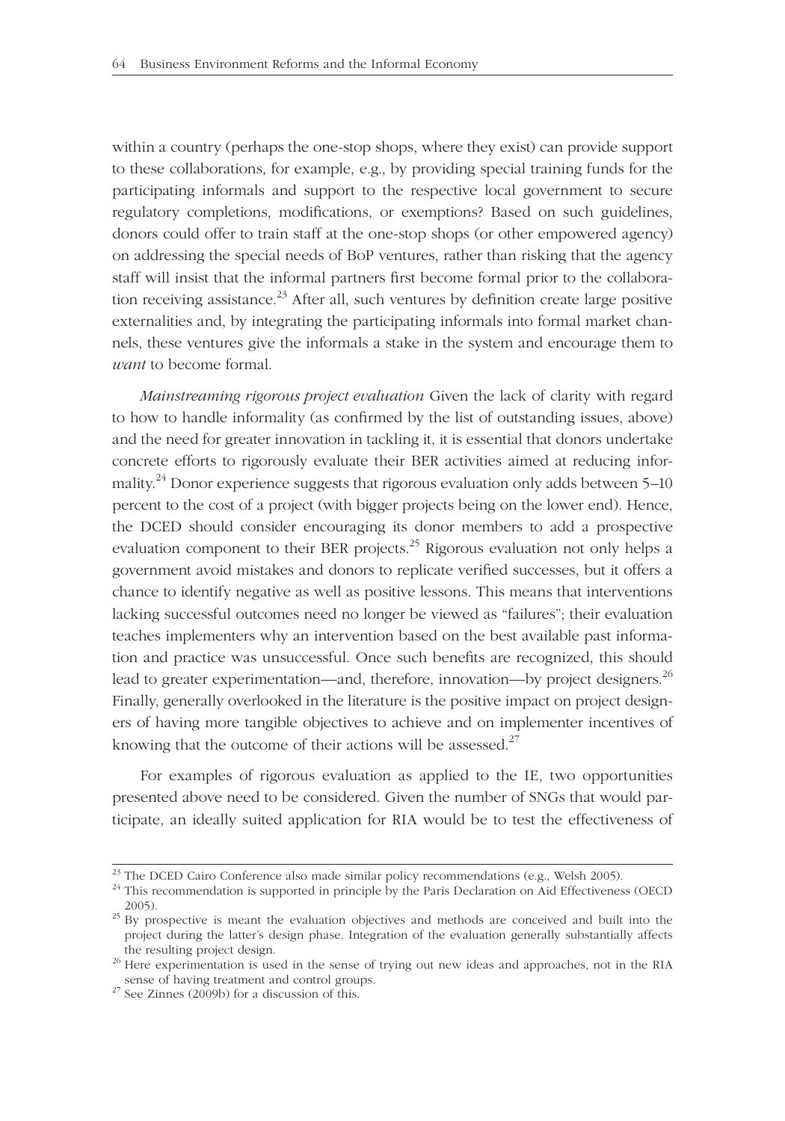within a country (perhaps the one-stop shops, where they exist) can provide support to these collaborations, for example, e.g., by providing special training funds for the participating informals and support to the respective local government to secure regulatory completions, modifications, or exemptions? Based on such guidelines, donors could offer to train staff at the one-stop shops (or other empowered agency) on addressing the special needs of BoP ventures, rather than risking that the agency staff will insist that the informal partners first become formal prior to the collaboration receiving assistance.<sup>23</sup> After all, such ventures by definition create large positive externalities and, by integrating the participating informals into formal market channels, these ventures give the informals a stake in the system and encourage them to *want* to become formal.

*Mainstreaming rigorous project evaluation* Given the lack of clarity with regard to how to handle informality (as confirmed by the list of outstanding issues, above) and the need for greater innovation in tackling it, it is essential that donors undertake concrete efforts to rigorously evaluate their BER activities aimed at reducing informality.<sup>24</sup> Donor experience suggests that rigorous evaluation only adds between  $5-10$ percent to the cost of a project (with bigger projects being on the lower end). Hence, the DCED should consider encouraging its donor members to add a prospective evaluation component to their BER projects.<sup>25</sup> Rigorous evaluation not only helps a government avoid mistakes and donors to replicate verified successes, but it offers a chance to identify negative as well as positive lessons. This means that interventions lacking successful outcomes need no longer be viewed as "failures"; their evaluation teaches implementers why an intervention based on the best available past information and practice was unsuccessful. Once such benefits are recognized, this should lead to greater experimentation—and, therefore, innovation—by project designers.<sup>26</sup> Finally, generally overlooked in the literature is the positive impact on project designers of having more tangible objectives to achieve and on implementer incentives of knowing that the outcome of their actions will be assessed.<sup>27</sup>

For examples of rigorous evaluation as applied to the IE, two opportunities presented above need to be considered. Given the number of SNGs that would participate, an ideally suited application for RIA would be to test the effectiveness of

<sup>&</sup>lt;sup>23</sup> The DCED Cairo Conference also made similar policy recommendations (e.g., Welsh 2005).

<sup>&</sup>lt;sup>24</sup> This recommendation is supported in principle by the Paris Declaration on Aid Effectiveness (OECD 2005). <sup>25</sup> By prospective is meant the evaluation objectives and methods are conceived and built into the

project during the latter's design phase. Integration of the evaluation generally substantially affects

the resulting project design.<br><sup>26</sup> Here experimentation is used in the sense of trying out new ideas and approaches, not in the RIA<br>sense of having treatment and control groups.

 $\frac{27}{27}$  See Zinnes (2009b) for a discussion of this.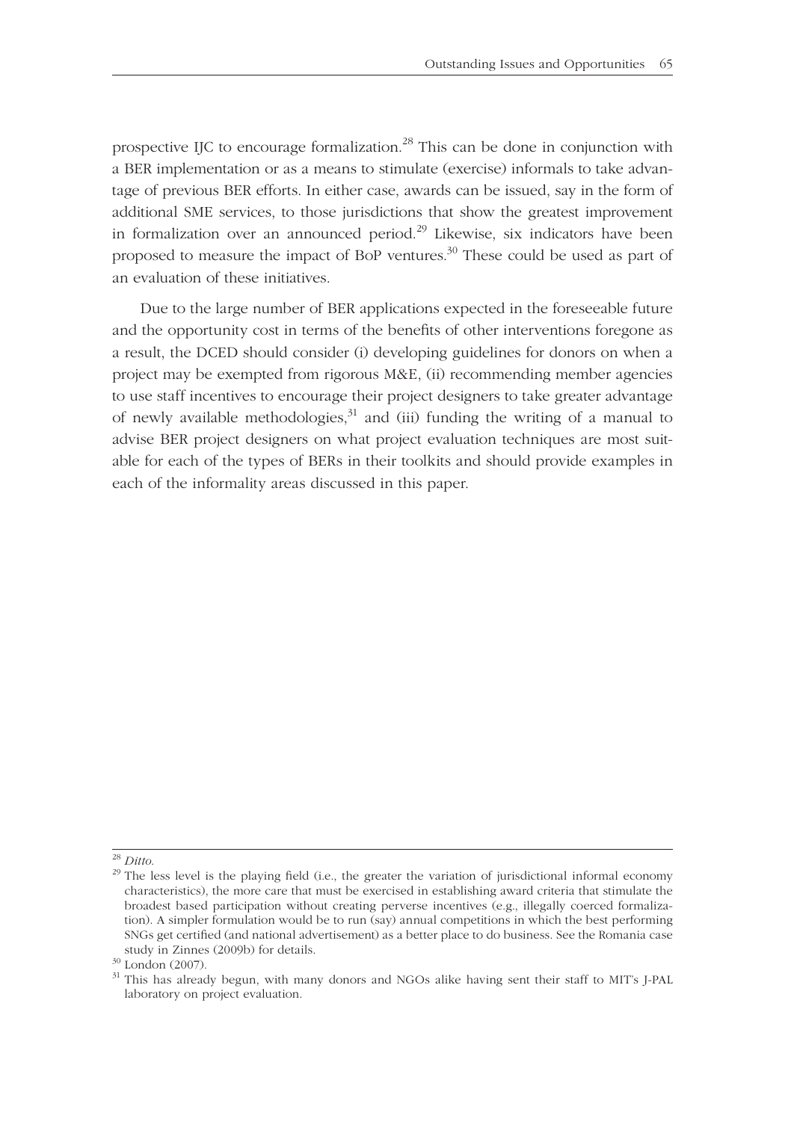prospective IJC to encourage formalization.<sup>28</sup> This can be done in conjunction with a BER implementation or as a means to stimulate (exercise) informals to take advantage of previous BER efforts. In either case, awards can be issued, say in the form of additional SME services, to those jurisdictions that show the greatest improvement in formalization over an announced period.<sup>29</sup> Likewise, six indicators have been proposed to measure the impact of BoP ventures. $30$  These could be used as part of an evaluation of these initiatives.

Due to the large number of BER applications expected in the foreseeable future and the opportunity cost in terms of the benefits of other interventions foregone as a result, the DCED should consider (i) developing guidelines for donors on when a project may be exempted from rigorous M&E, (ii) recommending member agencies to use staff incentives to encourage their project designers to take greater advantage of newly available methodologies,  $31$  and (iii) funding the writing of a manual to advise BER project designers on what project evaluation techniques are most suitable for each of the types of BERs in their toolkits and should provide examples in each of the informality areas discussed in this paper.

<sup>&</sup>lt;sup>28</sup> *Ditto*. <sup>29</sup> The less level is the playing field (i.e., the greater the variation of jurisdictional informal economy characteristics), the more care that must be exercised in establishing award criteria that stimulate the broadest based participation without creating perverse incentives (e.g., illegally coerced formalization). A simpler formulation would be to run (say) annual competitions in which the best performing SNGs get certified (and national advertisement) as a better place to do business. See the Romania case study in Zinnes (2009b) for details.  $30$  London (2007).

 $31$  This has already begun, with many donors and NGOs alike having sent their staff to MIT's J-PAL laboratory on project evaluation.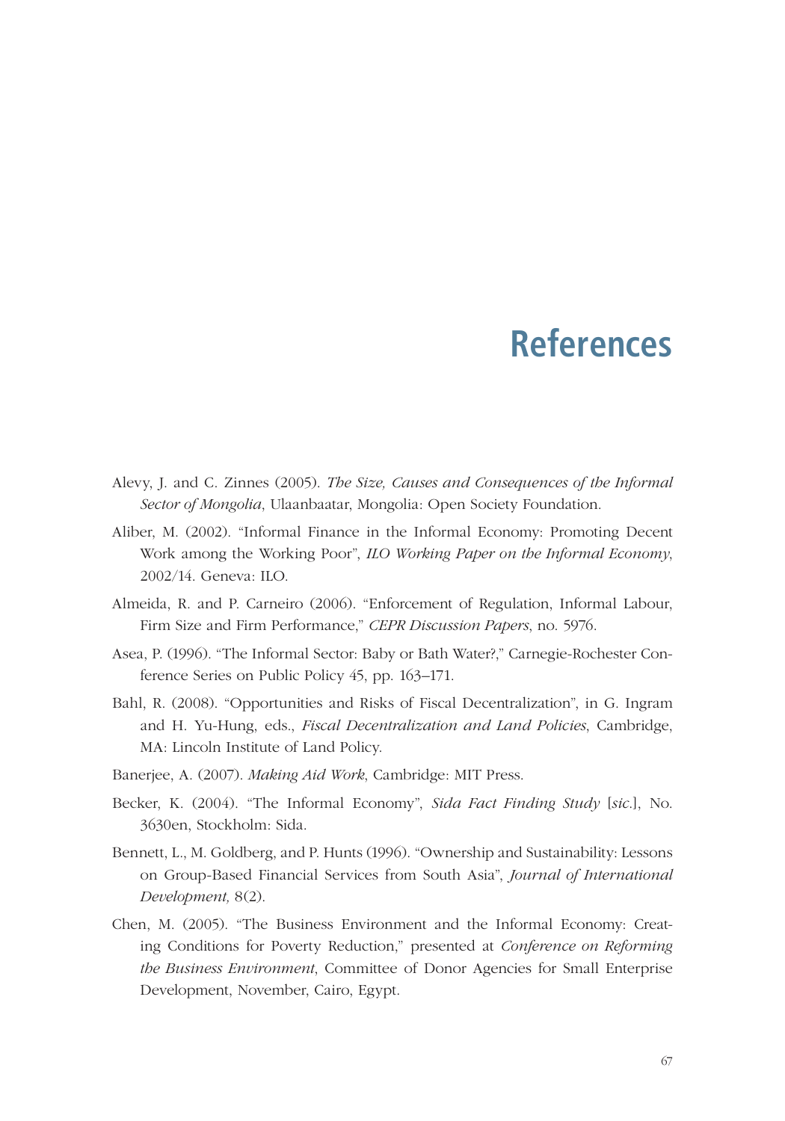## **References**

- Alevy, J. and C. Zinnes (2005). *The Size, Causes and Consequences of the Informal*  Sector of Mongolia, Ulaanbaatar, Mongolia: Open Society Foundation.
- Aliber, M. (2002). "Informal Finance in the Informal Economy: Promoting Decent Work among the Working Poor", *ILO Working Paper on the Informal Economy*, 2002/14. Geneva: ILO.
- Almeida, R. and P. Carneiro (2006). "Enforcement of Regulation, Informal Labour, Firm Size and Firm Performance," *CEPR Discussion Papers*, no. 5976.
- Asea, P. (1996). "The Informal Sector: Baby or Bath Water?," Carnegie-Rochester Conference Series on Public Policy 45, pp. 163–171.
- Bahl, R. (2008). "Opportunities and Risks of Fiscal Decentralization", in G. Ingram and H. Yu-Hung, eds., *Fiscal Decentralization and Land Policies*, Cambridge, MA: Lincoln Institute of Land Policy.
- Banerjee, A. (2007). *Making Aid Work*, Cambridge: MIT Press.
- Becker, K. (2004). "The Informal Economy", *Sida Fact Finding Study* [*sic*.], No. 3630en, Stock holm: Sida.
- Bennett, L., M. Goldberg, and P. Hunts (1996). "Ownership and Sustainability: Lessons on Group-Based Financial Services from South Asia", *Journal of International Develop ment,* 8(2).
- Chen, M. (2005). "The Business Environment and the Informal Economy: Creating Conditions for Poverty Reduction," presented at *Conference on Reforming the Business Environment*, Committee of Donor Agencies for Small Enterprise Development, November, Cairo, Egypt.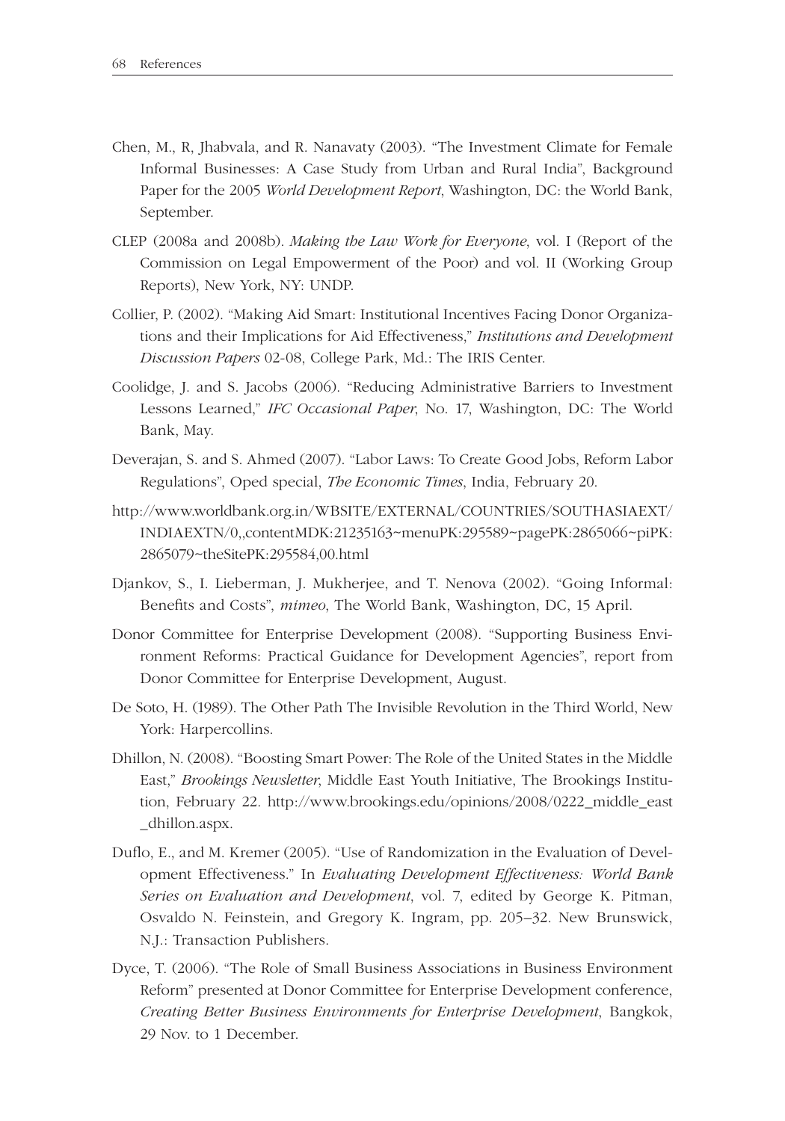- Chen, M., R, Jhabvala, and R. Nanavaty (2003). "The Investment Climate for Female Informal Businesses: A Case Study from Urban and Rural India", Background Paper for the 2005 *World Development Report*, Washington, DC: the World Bank, September.
- CLEP (2008a and 2008b). *Making the Law Work for Everyone*, vol. I (Report of the Commission on Legal Empowerment of the Poor) and vol. II (Working Group Reports), New York, NY: UNDP.
- Collier, P. (2002). "Making Aid Smart: Institutional Incentives Facing Donor Organizations and their Implications for Aid Effectiveness," *Institutions and Development Discussion Papers* 02-08, College Park, Md.: The IRIS Center.
- Coolidge, J. and S. Jacobs (2006). "Reducing Administrative Barriers to Investment Lessons Learned," *IFC Occasional Paper*, No. 17, Washington, DC: The World Bank, May.
- Deverajan, S. and S. Ahmed (2007). "Labor Laws: To Create Good Jobs, Reform Labor Regulations", Oped special, *The Economic Times*, India, February 20.
- http://www.worldbank.org.in/WBSITE/EXTERNAL/COUNTRIES/SOUTHASIAEXT/ INDIAEXTN/0,,contentMDK:21235163~menuPK:295589~pagePK:2865066~piPK: 2865079~theSitePK:295584,00.html
- Djankov, S., I. Lieberman, J. Mukherjee, and T. Nenova (2002). "Going Informal: Benefits and Costs", mimeo, The World Bank, Washington, DC, 15 April.
- Donor Committee for Enterprise Development (2008). "Supporting Business Environment Reforms: Practical Guidance for Development Agencies", report from Donor Committee for Enterprise Development, August.
- De Soto, H. (1989). The Other Path The Invisible Revolution in the Third World, New York: Harpercollins.
- Dhillon, N. (2008). "Boosting Smart Power: The Role of the United States in the Middle East," *Brookings Newsletter*, Middle East Youth Initiative, The Brookings Institution, February 22. http://www.brookings.edu/opinions/2008/0222\_middle\_east \_dhillon.aspx.
- Duflo, E., and M. Kremer (2005). "Use of Randomization in the Evaluation of Development Effectiveness." In *Evaluating Development Effectiveness: World Bank Series on Evaluation and Development*, vol. 7, edited by George K. Pitman, Osvaldo N. Feinstein, and Gregory K. Ingram, pp. 205–32. New Brunswick, N.J.: Transaction Publishers.
- Dyce, T. (2006). "The Role of Small Business Associations in Business Environment Reform" presented at Donor Committee for Enterprise Development conference, *Creating Better Business Environments for Enterprise Development, Bangkok,* 29 Nov. to 1 December.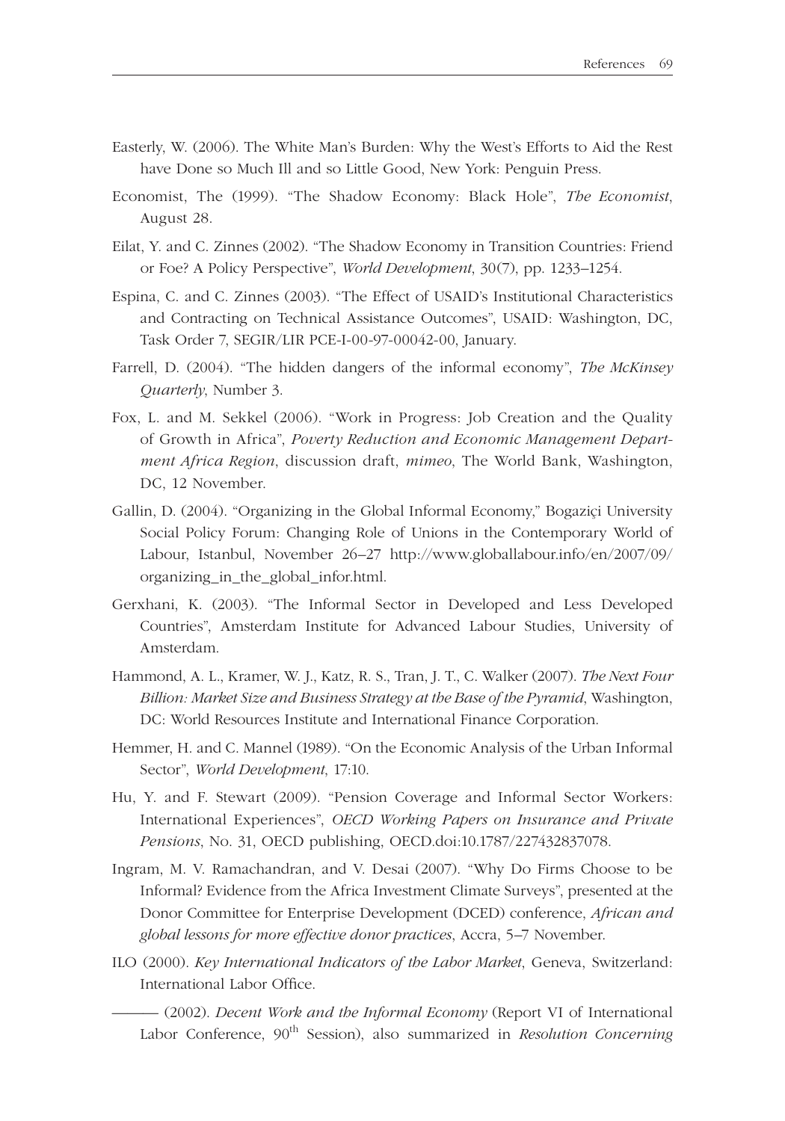- Easterly, W. (2006). The White Man's Burden: Why the West's Efforts to Aid the Rest have Done so Much Ill and so Little Good, New York: Penguin Press.
- Economist, The (1999). "The Shadow Economy: Black Hole", *The Economist*, August 28.
- Eilat, Y. and C. Zinnes (2002). "The Shadow Economy in Transition Countries: Friend or Foe? A Policy Perspective", *World Development*, 30(7), pp. 1233–1254.
- Espina, C. and C. Zinnes (2003). "The Effect of USAID's Institutional Characteristics and Contracting on Technical Assistance Outcomes", USAID: Washington, DC, Task Order 7, SEGIR/LIR PCE-I-00-97-00042-00, January.
- Farrell, D. (2004). "The hidden dangers of the informal economy", *The McKinsey Quarterly*, Number 3.
- Fox, L. and M. Sekkel (2006). "Work in Progress: Job Creation and the Quality of Growth in Africa", *Poverty Reduction and Economic Management Department Africa Region*, discussion draft, *mimeo*, The World Bank, Washington, DC, 12 November.
- Gallin, D. (2004). "Organizing in the Global Informal Economy," Bogaziçi University Social Policy Forum: Changing Role of Unions in the Contemporary World of Labour, Istanbul, November 26–27 http://www.globallabour.info/en/2007/09/ organizing\_in\_the\_global\_infor.html.
- Gerxhani, K. (2003). "The Informal Sector in Developed and Less Developed Countries", Amsterdam Institute for Advanced Labour Studies, University of Amsterdam.
- Hammond, A. L., Kramer, W. J., Katz, R. S., Tran, J. T., C. Walker (2007). *The Next Four Billion: Market Size and Business Strategy at the Base of the Pyramid*, Washington, DC: World Resources Institute and International Finance Corporation.
- Hemmer, H. and C. Mannel (1989). "On the Economic Analysis of the Urban Informal Sector", *World Development*, 17:10.
- Hu, Y. and F. Stewart (2009). "Pension Coverage and Informal Sector Workers: International Experiences", *OECD Working Papers on Insurance and Private Pensions*, No. 31, OECD publishing, OECD.doi:10.1787/227432837078.
- Ingram, M. V. Ramachandran, and V. Desai (2007). "Why Do Firms Choose to be Informal? Evidence from the Africa Investment Climate Surveys", presented at the Donor Committee for Enterprise Development (DCED) conference, *African and global lessons for more effective donor practices*, Accra, 5–7 November.
- ILO (2000). *Key International Indicators of the Labor Market*, Geneva, Switzerland: International Labor Office.
	- ——— (2002). *Decent Work and the Informal Economy* (Report VI of International Labor Conference, 90<sup>th</sup> Session), also summarized in *Resolution Concerning*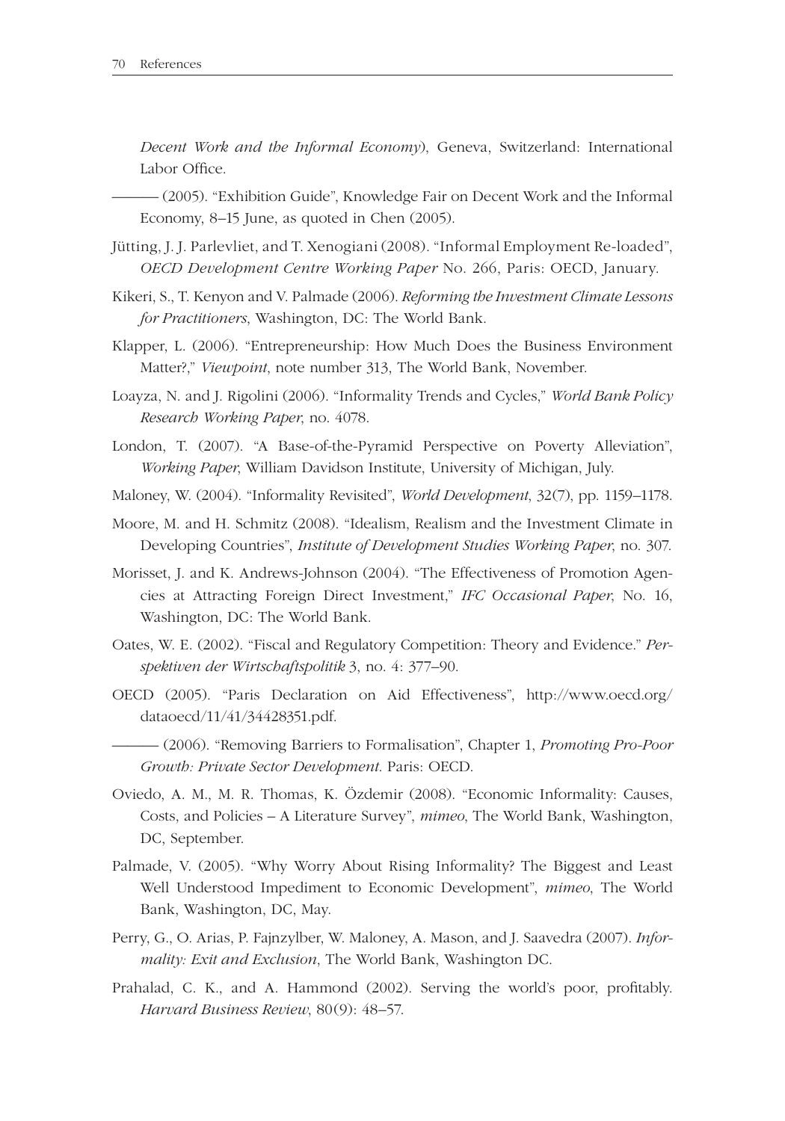*Decent Work and the Informal Economy*), Geneva, Switzerland: International Labor Office.

- (2005). "Exhibition Guide", Knowledge Fair on Decent Work and the Informal Economy, 8–15 June, as quoted in Chen (2005).

- Jütting, J. J. Parlevliet, and T. Xenogiani (2008). "Informal Employment Re-loaded", *OECD Development Centre Working Paper No. 266, Paris: OECD, January.*
- Kikeri, S., T. Kenyon and V. Palmade (2006). *Reforming the Investment Climate Lessons for Prac titioners*, Washington, DC: The World Bank.
- Klapper, L. (2006). "Entrepreneurship: How Much Does the Business Environment Matter?," *Viewpoint*, note number 313, The World Bank, November.
- Loayza, N. and J. Rigolini (2006). "Informality Trends and Cycles," *World Bank Policy Research Working Paper*, no. 4078.
- London, T. (2007). "A Base-of-the-Pyramid Perspective on Poverty Alleviation", *Working Paper*, William Davidson Institute, University of Michigan, July.
- Maloney, W. (2004). "Informality Revisited", *World Development*, 32(7), pp. 1159–1178.
- Moore, M. and H. Schmitz (2008). "Idealism, Realism and the Investment Climate in Developing Countries", *Institute of Development Studies Working Paper*, no. 307.
- Morisset, J. and K. Andrews-Johnson (2004). "The Effectiveness of Promotion Agencies at Attracting Foreign Direct Investment," *IFC Occasional Paper*, No. 16, Washington, DC: The World Bank.
- Oates, W. E. (2002). "Fiscal and Regulatory Competition: Theory and Evidence." *Perspektiven der Wirt schaftspolitik* 3, no. 4: 377–90.
- OECD (2005). "Paris Declaration on Aid Effectiveness", http://www.oecd.org/ dataoecd/11/41/34428351.pdf.
- ——— (2006). "Removing Barriers to Formalisation", Chapter 1, *Promoting Pro-Poor Growth: Private Sector Development*. Paris: OECD.
- Oviedo, A. M., M. R. Thomas, K. Özdemir (2008). "Economic Informality: Causes, Costs, and Policies – A Literature Survey", *mimeo*, The World Bank, Washington, DC, September.
- Palmade, V. (2005). "Why Worry About Rising Informality? The Biggest and Least Well Understood Impediment to Economic Development", *mimeo*, The World Bank, Washington, DC, May.
- Perry, G., O. Arias, P. Fajnzylber, W. Maloney, A. Mason, and J. Saavedra (2007). *Informality: Exit and Exclusion*, The World Bank, Washington DC.
- Prahalad, C. K., and A. Hammond (2002). Serving the world's poor, profitably. *Harvard Business Review*, 80(9): 48–57.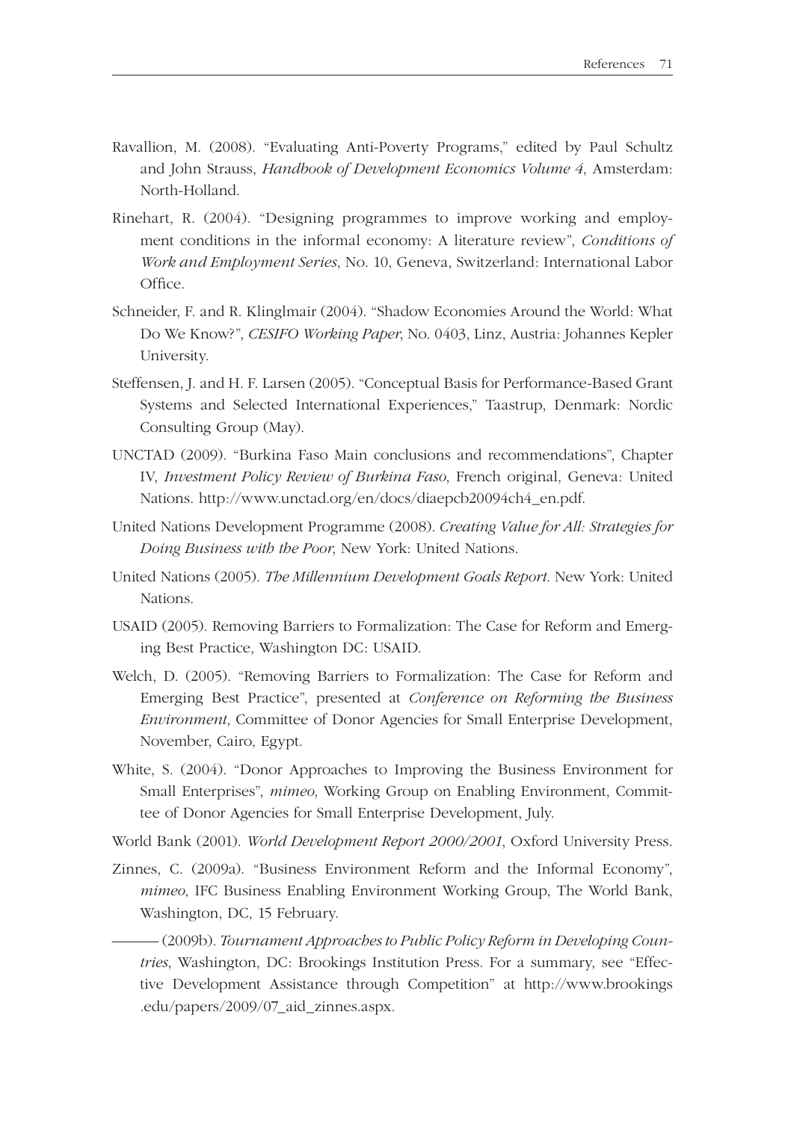- Ravallion, M. (2008). "Evaluating Anti-Poverty Programs," edited by Paul Schultz and John Strauss, *Handbook of Development Economics Volume 4*, Amsterdam: North-Holland.
- Rinehart, R. (2004). "Designing programmes to improve working and employment conditions in the informal economy: A literature review", *Conditions of Work and Employment Series*, No. 10, Geneva, Switzerland: International Labor Office.
- Schneider, F. and R. Klinglmair (2004). "Shadow Economies Around the World: What Do We Know?", *CESIFO Working Paper*, No. 0403, Linz, Austria: Johannes Kepler University.
- Steffensen, J. and H. F. Larsen (2005). "Conceptual Basis for Performance-Based Grant Systems and Selected International Experiences," Taastrup, Denmark: Nordic Consulting Group (May).
- UNCTAD (2009). "Burkina Faso Main conclusions and recommendations", Chapter IV, *Investment Policy Review of Burkina Faso*, French original, Geneva: United Nations. http://www.unctad.org/en/docs/diaepcb20094ch4\_en.pdf.
- United Nations Development Programme (2008). *Creating Value for All: Strategies for Doing Business with the Poor*, New York: United Nations.
- United Nations (2005). *The Millennium Development Goals Report*. New York: United Nations.
- USAID (2005). Removing Barriers to Formalization: The Case for Reform and Emerging Best Practice, Washington DC: USAID.
- Welch, D. (2005). "Removing Barriers to Formalization: The Case for Reform and Emerging Best Practice", presented at *Conference on Reforming the Business Environment*, Committee of Donor Agencies for Small Enterprise Development, November, Cairo, Egypt.
- White, S. (2004). "Donor Approaches to Improving the Business Environment for Small Enterprises", *mimeo*, Working Group on Enabling Environment, Committee of Donor Agencies for Small Enterprise Development, July.
- World Bank (2001). *World Development Report 2000/2001*, Oxford University Press.
- Zinnes, C. (2009a). "Business Environment Reform and the Informal Economy", *mimeo*, IFC Business Enabling Environment Working Group, The World Bank, Washington, DC, 15 February.
- -(2009b). Tournament Approaches to Public Policy Reform in Developing Coun*tries*, Washington, DC: Brookings Institution Press. For a summary, see "Effective Development Assistance through Competition" at http://www.brookings .edu/papers/2009/07\_aid\_zinnes.aspx.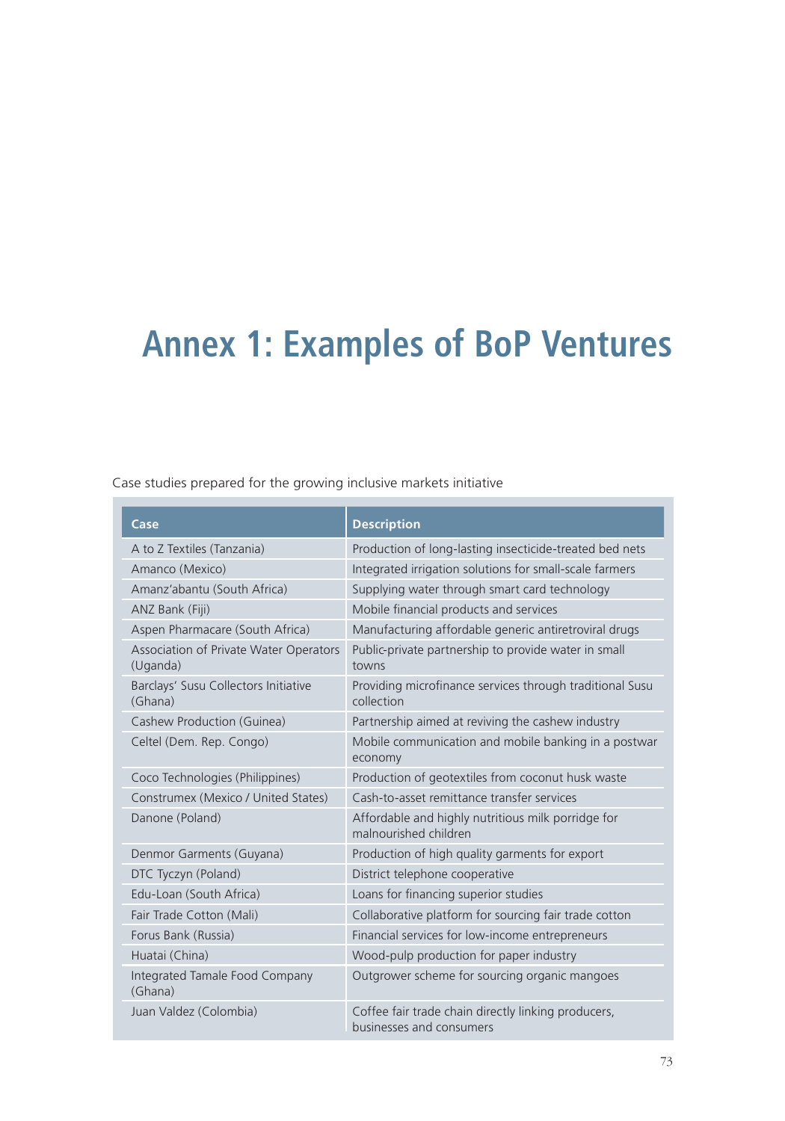## **Annex 1: Examples of BoP Ventures**

Case studies prepared for the growing inclusive markets initiative

| Case                                               | <b>Description</b>                                                              |
|----------------------------------------------------|---------------------------------------------------------------------------------|
| A to Z Textiles (Tanzania)                         | Production of long-lasting insecticide-treated bed nets                         |
| Amanco (Mexico)                                    | Integrated irrigation solutions for small-scale farmers                         |
| Amanz'abantu (South Africa)                        | Supplying water through smart card technology                                   |
| ANZ Bank (Fiji)                                    | Mobile financial products and services                                          |
| Aspen Pharmacare (South Africa)                    | Manufacturing affordable generic antiretroviral drugs                           |
| Association of Private Water Operators<br>(Uganda) | Public-private partnership to provide water in small<br>towns                   |
| Barclays' Susu Collectors Initiative<br>(Ghana)    | Providing microfinance services through traditional Susu<br>collection          |
| Cashew Production (Guinea)                         | Partnership aimed at reviving the cashew industry                               |
| Celtel (Dem. Rep. Congo)                           | Mobile communication and mobile banking in a postwar<br>economy                 |
| Coco Technologies (Philippines)                    | Production of geotextiles from coconut husk waste                               |
| Construmex (Mexico / United States)                | Cash-to-asset remittance transfer services                                      |
| Danone (Poland)                                    | Affordable and highly nutritious milk porridge for<br>malnourished children     |
| Denmor Garments (Guyana)                           | Production of high quality garments for export                                  |
| DTC Tyczyn (Poland)                                | District telephone cooperative                                                  |
| Edu-Loan (South Africa)                            | Loans for financing superior studies                                            |
| Fair Trade Cotton (Mali)                           | Collaborative platform for sourcing fair trade cotton                           |
| Forus Bank (Russia)                                | Financial services for low-income entrepreneurs                                 |
| Huatai (China)                                     | Wood-pulp production for paper industry                                         |
| Integrated Tamale Food Company<br>(Ghana)          | Outgrower scheme for sourcing organic mangoes                                   |
| Juan Valdez (Colombia)                             | Coffee fair trade chain directly linking producers,<br>businesses and consumers |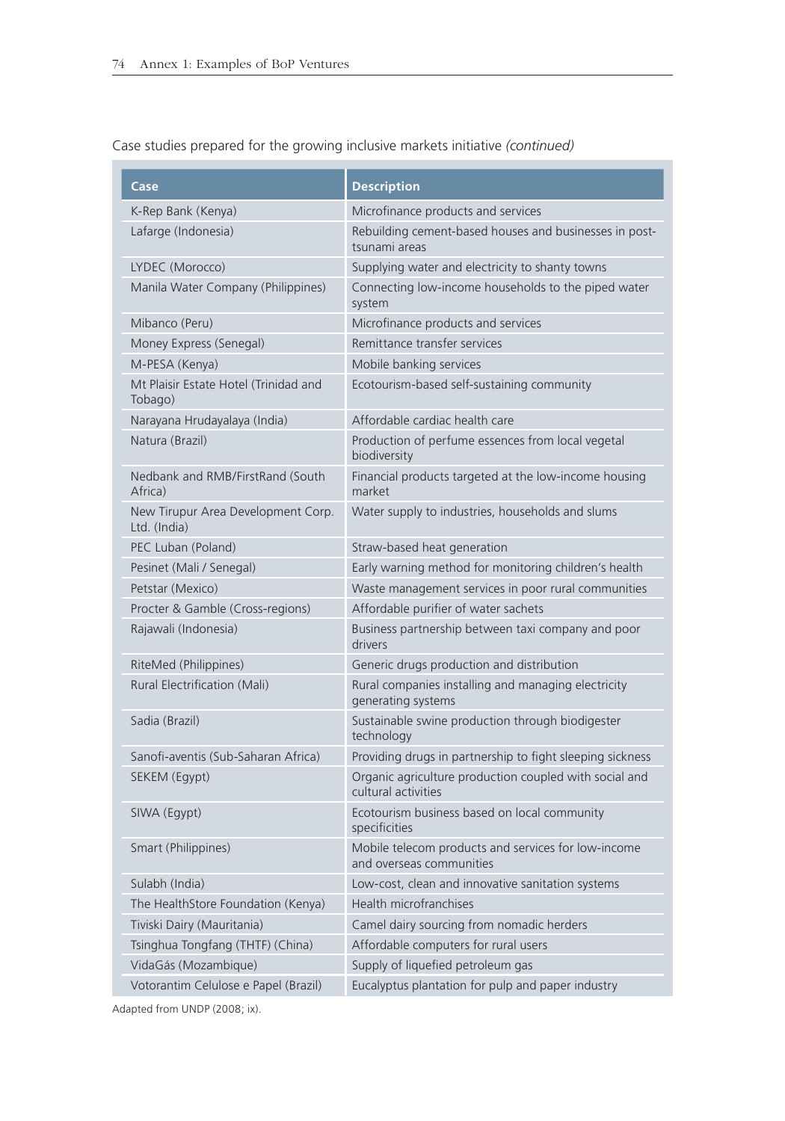**Case Description** K-Rep Bank (Kenya) Microfinance products and services Lafarge (Indonesia) Rebuilding cement-based houses and businesses in posttsunami areas LYDEC (Morocco) Supplying water and electricity to shanty towns Manila Water Company (Philippines) Connecting low-income households to the piped water system Mibanco (Peru) Microfinance products and services Money Express (Senegal) Remittance transfer services M-PESA (Kenya) Mobile banking services Mt Plaisir Estate Hotel (Trinidad and Tobago) Ecotourism-based self-sustaining community Narayana Hrudayalaya (India) Affordable cardiac health care Natura (Brazil) Production of perfume essences from local vegetal biodiversity Nedbank and RMB/FirstRand (South Africa) Financial products targeted at the low-income housing market New Tirupur Area Development Corp. Ltd. (India) Water supply to industries, households and slums PEC Luban (Poland) Straw-based heat generation Pesinet (Mali / Senegal) Early warning method for monitoring children's health Petstar (Mexico) Waste management services in poor rural communities Procter & Gamble (Cross-regions) Affordable purifier of water sachets Rajawali (Indonesia) Business partnership between taxi company and poor drivers RiteMed (Philippines) Generic drugs production and distribution Rural Electrification (Mali) Rural companies installing and managing electricity generating systems Sadia (Brazil) Sustainable swine production through biodigester technology Sanofi-aventis (Sub-Saharan Africa) Providing drugs in partnership to fight sleeping sickness SEKEM (Egypt) **Organic agriculture production coupled with social and** cultural activities SIWA (Egypt) Ecotourism business based on local community specificities Smart (Philippines) Mobile telecom products and services for low-income and overseas communities Sulabh (India) Low-cost, clean and innovative sanitation systems The HealthStore Foundation (Kenya) Health microfranchises Tiviski Dairy (Mauritania) Camel dairy sourcing from nomadic herders Tsinghua Tongfang (THTF) (China) Affordable computers for rural users VidaGás (Mozambique) Supply of liquefied petroleum gas Votorantim Celulose e Papel (Brazil) Eucalyptus plantation for pulp and paper industry

Case studies prepared for the growing inclusive markets initiative *(continued)*

Adapted from UNDP (2008; ix).